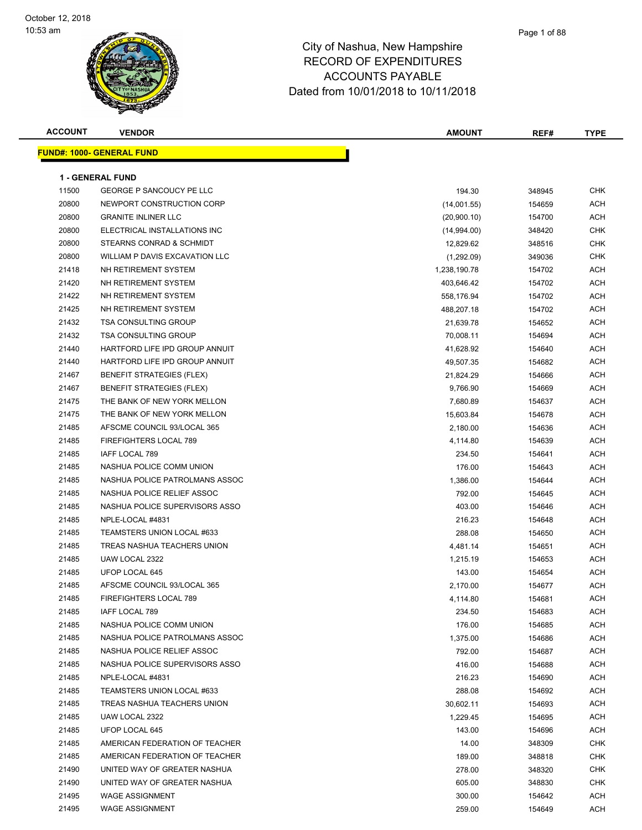#### Page 1 of 88

| <b>ACCOUNT</b> | <b>VENDOR</b>                    | <b>AMOUNT</b> | REF#   | <b>TYPE</b> |
|----------------|----------------------------------|---------------|--------|-------------|
|                | <b>FUND#: 1000- GENERAL FUND</b> |               |        |             |
|                |                                  |               |        |             |
|                | <b>1 - GENERAL FUND</b>          |               |        |             |
| 11500          | <b>GEORGE P SANCOUCY PE LLC</b>  | 194.30        | 348945 | CHK         |
| 20800          | NEWPORT CONSTRUCTION CORP        | (14,001.55)   | 154659 | ACH         |
| 20800          | <b>GRANITE INLINER LLC</b>       | (20,900.10)   | 154700 | <b>ACH</b>  |
| 20800          | ELECTRICAL INSTALLATIONS INC     | (14,994.00)   | 348420 | CHK         |
| 20800          | STEARNS CONRAD & SCHMIDT         | 12,829.62     | 348516 | CHK         |
| 20800          | WILLIAM P DAVIS EXCAVATION LLC   | (1,292.09)    | 349036 | CHK         |
| 21418          | NH RETIREMENT SYSTEM             | 1,238,190.78  | 154702 | ACH         |
| 21420          | NH RETIREMENT SYSTEM             | 403,646.42    | 154702 | <b>ACH</b>  |
| 21422          | NH RETIREMENT SYSTEM             | 558,176.94    | 154702 | <b>ACH</b>  |
| 21425          | NH RETIREMENT SYSTEM             | 488,207.18    | 154702 | <b>ACH</b>  |
| 21432          | <b>TSA CONSULTING GROUP</b>      | 21,639.78     | 154652 | ACH         |
| 21432          | <b>TSA CONSULTING GROUP</b>      | 70,008.11     | 154694 | <b>ACH</b>  |
| 21440          | HARTFORD LIFE IPD GROUP ANNUIT   | 41,628.92     | 154640 | ACH         |
| 21440          | HARTFORD LIFE IPD GROUP ANNUIT   | 49,507.35     | 154682 | <b>ACH</b>  |
| 21467          | <b>BENEFIT STRATEGIES (FLEX)</b> | 21,824.29     | 154666 | <b>ACH</b>  |
| 21467          | <b>BENEFIT STRATEGIES (FLEX)</b> | 9,766.90      | 154669 | ACH         |
| 21475          | THE BANK OF NEW YORK MELLON      | 7,680.89      | 154637 | <b>ACH</b>  |
| 21475          | THE BANK OF NEW YORK MELLON      | 15,603.84     | 154678 | ACH         |
| 21485          | AFSCME COUNCIL 93/LOCAL 365      | 2,180.00      | 154636 | ACH         |
| 21485          | FIREFIGHTERS LOCAL 789           | 4,114.80      | 154639 | <b>ACH</b>  |
| 21485          | IAFF LOCAL 789                   | 234.50        | 154641 | ACH         |
| 21485          | NASHUA POLICE COMM UNION         | 176.00        | 154643 | <b>ACH</b>  |
| 21485          | NASHUA POLICE PATROLMANS ASSOC   | 1,386.00      | 154644 | <b>ACH</b>  |
| 21485          | NASHUA POLICE RELIEF ASSOC       | 792.00        | 154645 | ACH         |
| 21485          | NASHUA POLICE SUPERVISORS ASSO   | 403.00        | 154646 | <b>ACH</b>  |
| 21485          | NPLE-LOCAL #4831                 | 216.23        | 154648 | <b>ACH</b>  |
| 21485          | TEAMSTERS UNION LOCAL #633       | 288.08        | 154650 | ACH         |
| 21485          | TREAS NASHUA TEACHERS UNION      | 4,481.14      | 154651 | <b>ACH</b>  |
| 21485          | UAW LOCAL 2322                   | 1,215.19      | 154653 | <b>ACH</b>  |
| 21485          | UFOP LOCAL 645                   | 143.00        | 154654 | ACH         |
| 21485          | AFSCME COUNCIL 93/LOCAL 365      | 2,170.00      | 154677 | ACH         |
| 21485          | FIREFIGHTERS LOCAL 789           | 4,114.80      | 154681 | ACH         |
| 21485          | IAFF LOCAL 789                   | 234.50        | 154683 | ACH         |
| 21485          | NASHUA POLICE COMM UNION         | 176.00        | 154685 | <b>ACH</b>  |
| 21485          | NASHUA POLICE PATROLMANS ASSOC   | 1,375.00      | 154686 | ACH         |
| 21485          | NASHUA POLICE RELIEF ASSOC       | 792.00        | 154687 | <b>ACH</b>  |
| 21485          | NASHUA POLICE SUPERVISORS ASSO   | 416.00        | 154688 | ACH         |
| 21485          | NPLE-LOCAL #4831                 | 216.23        | 154690 | <b>ACH</b>  |
| 21485          | TEAMSTERS UNION LOCAL #633       | 288.08        | 154692 | <b>ACH</b>  |
| 21485          | TREAS NASHUA TEACHERS UNION      | 30,602.11     | 154693 | ACH         |
| 21485          | UAW LOCAL 2322                   | 1,229.45      | 154695 | <b>ACH</b>  |
| 21485          | UFOP LOCAL 645                   | 143.00        | 154696 | <b>ACH</b>  |
| 21485          | AMERICAN FEDERATION OF TEACHER   | 14.00         | 348309 | CHK         |
| 21485          | AMERICAN FEDERATION OF TEACHER   | 189.00        | 348818 | CHK         |
| 21490          | UNITED WAY OF GREATER NASHUA     | 278.00        | 348320 | CHK         |
| 21490          | UNITED WAY OF GREATER NASHUA     | 605.00        | 348830 | CHK         |
| 21495          | <b>WAGE ASSIGNMENT</b>           | 300.00        | 154642 | ACH         |
| 21495          | <b>WAGE ASSIGNMENT</b>           | 259.00        | 154649 | ACH         |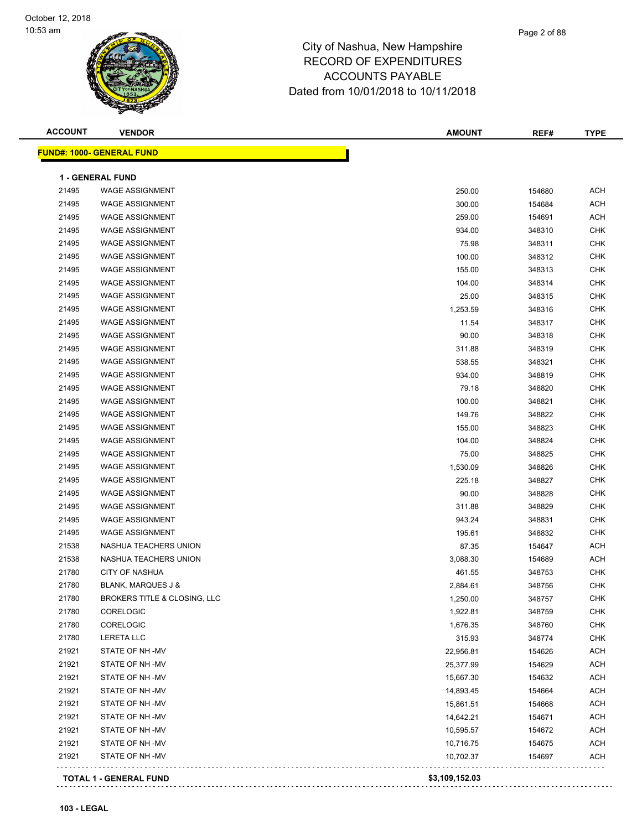| <b>ACCOUNT</b> | <b>VENDOR</b>                                     | <b>AMOUNT</b>  | REF#   | <b>TYPE</b> |
|----------------|---------------------------------------------------|----------------|--------|-------------|
|                | <b>FUND#: 1000- GENERAL FUND</b>                  |                |        |             |
|                |                                                   |                |        |             |
| 21495          | <b>1 - GENERAL FUND</b><br><b>WAGE ASSIGNMENT</b> | 250.00         | 154680 | <b>ACH</b>  |
| 21495          | <b>WAGE ASSIGNMENT</b>                            | 300.00         | 154684 | ACH         |
| 21495          | <b>WAGE ASSIGNMENT</b>                            | 259.00         | 154691 | <b>ACH</b>  |
| 21495          | <b>WAGE ASSIGNMENT</b>                            | 934.00         | 348310 | CHK         |
| 21495          | <b>WAGE ASSIGNMENT</b>                            | 75.98          | 348311 | <b>CHK</b>  |
| 21495          | <b>WAGE ASSIGNMENT</b>                            | 100.00         |        | <b>CHK</b>  |
| 21495          | <b>WAGE ASSIGNMENT</b>                            |                | 348312 |             |
|                |                                                   | 155.00         | 348313 | <b>CHK</b>  |
| 21495          | <b>WAGE ASSIGNMENT</b>                            | 104.00         | 348314 | <b>CHK</b>  |
| 21495          | <b>WAGE ASSIGNMENT</b>                            | 25.00          | 348315 | <b>CHK</b>  |
| 21495          | <b>WAGE ASSIGNMENT</b>                            | 1,253.59       | 348316 | CHK         |
| 21495          | <b>WAGE ASSIGNMENT</b>                            | 11.54          | 348317 | CHK         |
| 21495          | <b>WAGE ASSIGNMENT</b>                            | 90.00          | 348318 | CHK         |
| 21495          | <b>WAGE ASSIGNMENT</b>                            | 311.88         | 348319 | CHK         |
| 21495          | <b>WAGE ASSIGNMENT</b>                            | 538.55         | 348321 | <b>CHK</b>  |
| 21495          | <b>WAGE ASSIGNMENT</b>                            | 934.00         | 348819 | CHK         |
| 21495          | <b>WAGE ASSIGNMENT</b>                            | 79.18          | 348820 | <b>CHK</b>  |
| 21495          | <b>WAGE ASSIGNMENT</b>                            | 100.00         | 348821 | <b>CHK</b>  |
| 21495          | <b>WAGE ASSIGNMENT</b>                            | 149.76         | 348822 | CHK         |
| 21495          | <b>WAGE ASSIGNMENT</b>                            | 155.00         | 348823 | <b>CHK</b>  |
| 21495          | <b>WAGE ASSIGNMENT</b>                            | 104.00         | 348824 | CHK         |
| 21495          | <b>WAGE ASSIGNMENT</b>                            | 75.00          | 348825 | CHK         |
| 21495          | <b>WAGE ASSIGNMENT</b>                            | 1,530.09       | 348826 | CHK         |
| 21495          | <b>WAGE ASSIGNMENT</b>                            | 225.18         | 348827 | CHK         |
| 21495          | <b>WAGE ASSIGNMENT</b>                            | 90.00          | 348828 | <b>CHK</b>  |
| 21495          | <b>WAGE ASSIGNMENT</b>                            | 311.88         | 348829 | <b>CHK</b>  |
| 21495          | <b>WAGE ASSIGNMENT</b>                            | 943.24         | 348831 | CHK         |
| 21495          | <b>WAGE ASSIGNMENT</b>                            | 195.61         | 348832 | <b>CHK</b>  |
| 21538          | NASHUA TEACHERS UNION                             | 87.35          | 154647 | <b>ACH</b>  |
| 21538          | NASHUA TEACHERS UNION                             | 3,088.30       | 154689 | <b>ACH</b>  |
| 21780          | <b>CITY OF NASHUA</b>                             | 461.55         | 348753 | <b>CHK</b>  |
| 21780          | <b>BLANK, MARQUES J &amp;</b>                     | 2,884.61       | 348756 | <b>CHK</b>  |
| 21780          | BROKERS TITLE & CLOSING, LLC                      | 1,250.00       | 348757 | <b>CHK</b>  |
| 21780          | CORELOGIC                                         | 1,922.81       | 348759 | CHK         |
| 21780          | CORELOGIC                                         | 1,676.35       | 348760 | <b>CHK</b>  |
| 21780          | <b>LERETA LLC</b>                                 | 315.93         | 348774 | <b>CHK</b>  |
| 21921          | STATE OF NH-MV                                    | 22,956.81      | 154626 | <b>ACH</b>  |
| 21921          | STATE OF NH-MV                                    | 25,377.99      | 154629 | <b>ACH</b>  |
| 21921          | STATE OF NH -MV                                   | 15,667.30      | 154632 | <b>ACH</b>  |
| 21921          | STATE OF NH-MV                                    | 14,893.45      | 154664 | <b>ACH</b>  |
| 21921          | STATE OF NH-MV                                    | 15,861.51      | 154668 | <b>ACH</b>  |
| 21921          | STATE OF NH-MV                                    | 14,642.21      | 154671 | ACH         |
| 21921          | STATE OF NH-MV                                    | 10,595.57      | 154672 | <b>ACH</b>  |
| 21921          | STATE OF NH -MV                                   | 10,716.75      | 154675 | <b>ACH</b>  |
| 21921          | STATE OF NH -MV                                   | 10,702.37      | 154697 | <b>ACH</b>  |
|                |                                                   | \$3,109,152.03 |        |             |
|                | <b>TOTAL 1 - GENERAL FUND</b>                     |                |        |             |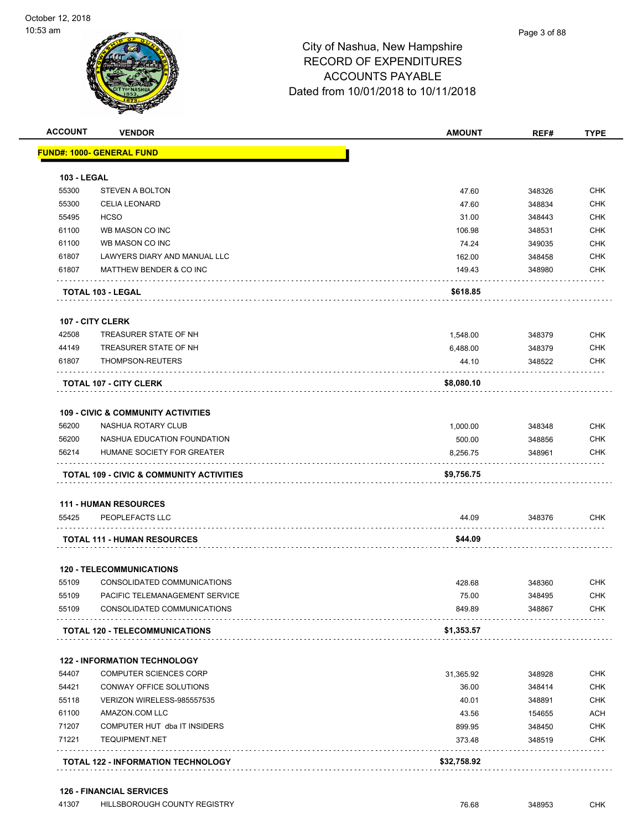|                    | <b>VENDOR</b>                                       | <b>AMOUNT</b> | REF#   | <b>TYPE</b>                            |
|--------------------|-----------------------------------------------------|---------------|--------|----------------------------------------|
|                    | <b>FUND#: 1000- GENERAL FUND</b>                    |               |        |                                        |
| <b>103 - LEGAL</b> |                                                     |               |        |                                        |
| 55300              | <b>STEVEN A BOLTON</b>                              | 47.60         | 348326 | <b>CHK</b>                             |
| 55300              | <b>CELIA LEONARD</b>                                | 47.60         | 348834 | <b>CHK</b>                             |
| 55495              | <b>HCSO</b>                                         | 31.00         | 348443 | <b>CHK</b>                             |
| 61100              | WB MASON CO INC                                     | 106.98        | 348531 | <b>CHK</b>                             |
| 61100              | WB MASON CO INC                                     | 74.24         | 349035 | <b>CHK</b>                             |
| 61807              | LAWYERS DIARY AND MANUAL LLC                        | 162.00        | 348458 | <b>CHK</b>                             |
| 61807              | MATTHEW BENDER & CO INC                             | 149.43        | 348980 | <b>CHK</b>                             |
|                    | <b>TOTAL 103 - LEGAL</b>                            | \$618.85      |        |                                        |
|                    | 107 - CITY CLERK                                    |               |        |                                        |
| 42508              | TREASURER STATE OF NH                               | 1,548.00      | 348379 | <b>CHK</b>                             |
| 44149              | TREASURER STATE OF NH                               | 6,488.00      | 348379 | <b>CHK</b>                             |
| 61807              | THOMPSON-REUTERS                                    | 44.10         | 348522 | <b>CHK</b>                             |
|                    | <b>TOTAL 107 - CITY CLERK</b>                       | \$8,080.10    |        |                                        |
|                    | <b>109 - CIVIC &amp; COMMUNITY ACTIVITIES</b>       |               |        |                                        |
| 56200              | NASHUA ROTARY CLUB                                  | 1,000.00      | 348348 | <b>CHK</b>                             |
| 56200              | NASHUA EDUCATION FOUNDATION                         | 500.00        | 348856 | <b>CHK</b>                             |
| 56214              | HUMANE SOCIETY FOR GREATER                          | 8,256.75      | 348961 | <b>CHK</b>                             |
|                    | <b>TOTAL 109 - CIVIC &amp; COMMUNITY ACTIVITIES</b> | \$9,756.75    |        |                                        |
|                    |                                                     |               |        |                                        |
|                    | <b>111 - HUMAN RESOURCES</b>                        |               |        |                                        |
| 55425              | PEOPLEFACTS LLC                                     | 44.09         | 348376 | <b>CHK</b>                             |
|                    | <b>TOTAL 111 - HUMAN RESOURCES</b>                  | \$44.09       |        |                                        |
|                    | <b>120 - TELECOMMUNICATIONS</b>                     |               |        |                                        |
| 55109              | CONSOLIDATED COMMUNICATIONS                         | 428.68        | 348360 | <b>CHK</b>                             |
| 55109              | PACIFIC TELEMANAGEMENT SERVICE                      | 75.00         | 348495 |                                        |
| 55109              | CONSOLIDATED COMMUNICATIONS                         | 849.89        | 348867 |                                        |
|                    | <b>TOTAL 120 - TELECOMMUNICATIONS</b>               | \$1,353.57    |        |                                        |
|                    | <b>122 - INFORMATION TECHNOLOGY</b>                 |               |        | <b>CHK</b><br>CHK                      |
| 54407              | COMPUTER SCIENCES CORP                              | 31,365.92     | 348928 | <b>CHK</b>                             |
| 54421              | CONWAY OFFICE SOLUTIONS                             | 36.00         | 348414 | <b>CHK</b>                             |
| 55118              | VERIZON WIRELESS-985557535                          | 40.01         | 348891 |                                        |
| 61100              | AMAZON.COM LLC                                      | 43.56         | 154655 |                                        |
| 71207              | COMPUTER HUT dba IT INSIDERS                        | 899.95        | 348450 | <b>CHK</b><br><b>ACH</b><br><b>CHK</b> |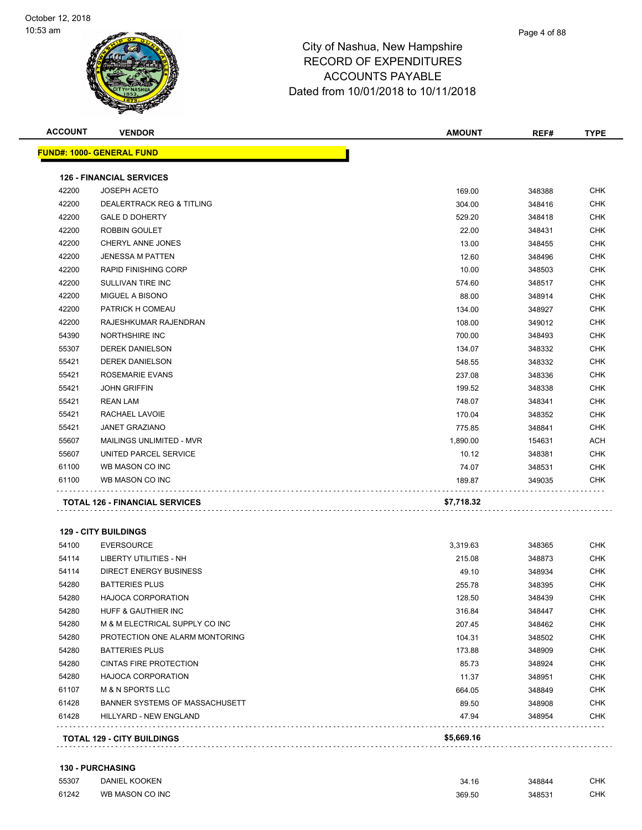| <b>ACCOUNT</b> | <b>VENDOR</b>                         | <b>AMOUNT</b> | REF#   | <b>TYPE</b> |
|----------------|---------------------------------------|---------------|--------|-------------|
|                | <b>FUND#: 1000- GENERAL FUND</b>      |               |        |             |
|                | <b>126 - FINANCIAL SERVICES</b>       |               |        |             |
| 42200          | <b>JOSEPH ACETO</b>                   | 169.00        | 348388 | <b>CHK</b>  |
| 42200          | <b>DEALERTRACK REG &amp; TITLING</b>  | 304.00        | 348416 | <b>CHK</b>  |
| 42200          | <b>GALE D DOHERTY</b>                 | 529.20        | 348418 | <b>CHK</b>  |
| 42200          | ROBBIN GOULET                         | 22.00         | 348431 | <b>CHK</b>  |
| 42200          | CHERYL ANNE JONES                     | 13.00         | 348455 | <b>CHK</b>  |
| 42200          | <b>JENESSA M PATTEN</b>               | 12.60         | 348496 | <b>CHK</b>  |
| 42200          | <b>RAPID FINISHING CORP</b>           | 10.00         | 348503 | <b>CHK</b>  |
| 42200          | <b>SULLIVAN TIRE INC</b>              | 574.60        | 348517 | <b>CHK</b>  |
| 42200          | MIGUEL A BISONO                       | 88.00         | 348914 | <b>CHK</b>  |
| 42200          | PATRICK H COMEAU                      | 134.00        | 348927 | <b>CHK</b>  |
| 42200          | RAJESHKUMAR RAJENDRAN                 | 108.00        | 349012 | <b>CHK</b>  |
| 54390          | NORTHSHIRE INC                        | 700.00        | 348493 | <b>CHK</b>  |
| 55307          | <b>DEREK DANIELSON</b>                | 134.07        | 348332 | <b>CHK</b>  |
| 55421          | <b>DEREK DANIELSON</b>                | 548.55        | 348332 | <b>CHK</b>  |
| 55421          | ROSEMARIE EVANS                       | 237.08        | 348336 | <b>CHK</b>  |
| 55421          | <b>JOHN GRIFFIN</b>                   | 199.52        | 348338 | <b>CHK</b>  |
| 55421          | <b>REAN LAM</b>                       | 748.07        | 348341 | <b>CHK</b>  |
| 55421          | RACHAEL LAVOIE                        | 170.04        | 348352 | <b>CHK</b>  |
| 55421          | <b>JANET GRAZIANO</b>                 | 775.85        | 348841 | <b>CHK</b>  |
| 55607          | MAILINGS UNLIMITED - MVR              | 1,890.00      | 154631 | <b>ACH</b>  |
| 55607          | UNITED PARCEL SERVICE                 | 10.12         | 348381 | <b>CHK</b>  |
| 61100          | WB MASON CO INC                       | 74.07         | 348531 | <b>CHK</b>  |
| 61100          | WB MASON CO INC                       | 189.87        | 349035 | <b>CHK</b>  |
|                | <b>TOTAL 126 - FINANCIAL SERVICES</b> | \$7,718.32    |        |             |
|                |                                       |               |        |             |
|                | <b>129 - CITY BUILDINGS</b>           |               |        |             |
| 54100          | <b>EVERSOURCE</b>                     | 3,319.63      | 348365 | <b>CHK</b>  |
| 54114          | <b>LIBERTY UTILITIES - NH</b>         | 215.08        | 348873 | <b>CHK</b>  |
| 54114          | <b>DIRECT ENERGY BUSINESS</b>         | 49.10         | 348934 | <b>CHK</b>  |
| 54280          | <b>BATTERIES PLUS</b>                 | 255.78        | 348395 | <b>CHK</b>  |
| 54280          | <b>HAJOCA CORPORATION</b>             | 128.50        | 348439 | <b>CHK</b>  |
| 54280          | <b>HUFF &amp; GAUTHIER INC</b>        | 316.84        | 348447 | <b>CHK</b>  |
| 54280          | M & M ELECTRICAL SUPPLY CO INC        | 207.45        | 348462 | <b>CHK</b>  |

|       | <b>TOTAL 129 - CITY BUILDINGS</b> | \$5,669.16 |        |            |
|-------|-----------------------------------|------------|--------|------------|
| 61428 | HILLYARD - NEW ENGLAND            | 47.94      | 348954 | <b>CHK</b> |
| 61428 | BANNER SYSTEMS OF MASSACHUSETT    | 89.50      | 348908 | <b>CHK</b> |
| 61107 | <b>M &amp; N SPORTS LLC</b>       | 664.05     | 348849 | <b>CHK</b> |
| 54280 | HAJOCA CORPORATION                | 11.37      | 348951 | <b>CHK</b> |
| 54280 | CINTAS FIRE PROTECTION            | 85.73      | 348924 | <b>CHK</b> |
| 54280 | BATTERIES PLUS                    | 173.88     | 348909 | <b>CHK</b> |
| 54280 | PROTECTION ONE ALARM MONTORING    | 104.31     | 348502 | <b>CHK</b> |

#### **130 - PURCHASING**

| 55307 | <b>DANIEL KOOKEN</b> | 34.16  | 348844 | <b>CHK</b> |
|-------|----------------------|--------|--------|------------|
| 61242 | WB MASON CO INC      | 369.50 | 348531 | CHK        |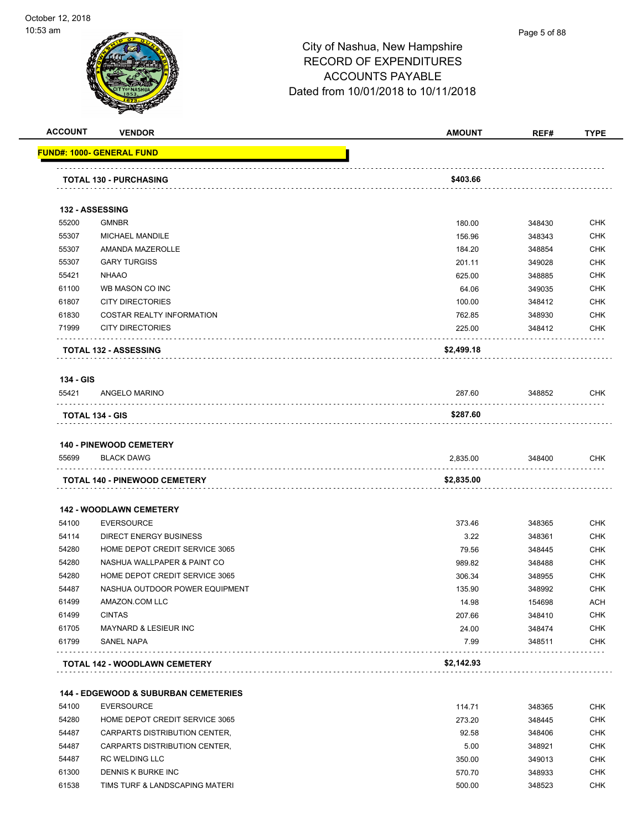#### Page 5 of 88

|                | <b>VENDOR</b>                                         | <b>AMOUNT</b> | REF#             | <b>TYPE</b>                                                                                                                                                                                                                  |
|----------------|-------------------------------------------------------|---------------|------------------|------------------------------------------------------------------------------------------------------------------------------------------------------------------------------------------------------------------------------|
|                | <u> FUND#: 1000- GENERAL FUND</u>                     |               |                  |                                                                                                                                                                                                                              |
|                | <b>TOTAL 130 - PURCHASING</b>                         | \$403.66      |                  |                                                                                                                                                                                                                              |
|                |                                                       |               |                  |                                                                                                                                                                                                                              |
|                | 132 - ASSESSING                                       |               |                  |                                                                                                                                                                                                                              |
| 55200          | <b>GMNBR</b>                                          | 180.00        | 348430           | <b>CHK</b>                                                                                                                                                                                                                   |
| 55307          | MICHAEL MANDILE                                       | 156.96        | 348343           | <b>CHK</b>                                                                                                                                                                                                                   |
| 55307          | AMANDA MAZEROLLE                                      | 184.20        | 348854           | <b>CHK</b>                                                                                                                                                                                                                   |
| 55307          | <b>GARY TURGISS</b>                                   | 201.11        | 349028           | <b>CHK</b>                                                                                                                                                                                                                   |
| 55421          | <b>NHAAO</b>                                          | 625.00        | 348885           | <b>CHK</b>                                                                                                                                                                                                                   |
| 61100          | WB MASON CO INC                                       | 64.06         | 349035           | <b>CHK</b>                                                                                                                                                                                                                   |
| 61807          | <b>CITY DIRECTORIES</b>                               | 100.00        | 348412           | <b>CHK</b>                                                                                                                                                                                                                   |
| 61830          | <b>COSTAR REALTY INFORMATION</b>                      | 762.85        | 348930           | <b>CHK</b>                                                                                                                                                                                                                   |
| 71999          | <b>CITY DIRECTORIES</b>                               | 225.00        | 348412           | <b>CHK</b>                                                                                                                                                                                                                   |
|                | <b>TOTAL 132 - ASSESSING</b>                          | \$2,499.18    |                  |                                                                                                                                                                                                                              |
| 134 - GIS      |                                                       |               |                  |                                                                                                                                                                                                                              |
| 55421          | ANGELO MARINO                                         | 287.60        | 348852           | <b>CHK</b>                                                                                                                                                                                                                   |
|                | <b>TOTAL 134 - GIS</b>                                | \$287.60      |                  |                                                                                                                                                                                                                              |
|                |                                                       |               |                  |                                                                                                                                                                                                                              |
|                | <b>140 - PINEWOOD CEMETERY</b>                        |               |                  |                                                                                                                                                                                                                              |
|                |                                                       |               |                  |                                                                                                                                                                                                                              |
| 55699          | <b>BLACK DAWG</b>                                     | 2,835.00      | 348400           | CHK                                                                                                                                                                                                                          |
|                | TOTAL 140 - PINEWOOD CEMETERY                         | \$2,835.00    |                  |                                                                                                                                                                                                                              |
|                |                                                       |               |                  |                                                                                                                                                                                                                              |
|                | <b>142 - WOODLAWN CEMETERY</b>                        |               |                  |                                                                                                                                                                                                                              |
| 54100          | <b>EVERSOURCE</b>                                     | 373.46        | 348365           |                                                                                                                                                                                                                              |
| 54114          | <b>DIRECT ENERGY BUSINESS</b>                         | 3.22          | 348361           |                                                                                                                                                                                                                              |
| 54280          | HOME DEPOT CREDIT SERVICE 3065                        | 79.56         | 348445           |                                                                                                                                                                                                                              |
| 54280          | NASHUA WALLPAPER & PAINT CO                           | 989.82        | 348488           |                                                                                                                                                                                                                              |
| 54280          | HOME DEPOT CREDIT SERVICE 3065                        | 306.34        | 348955           |                                                                                                                                                                                                                              |
| 54487          | NASHUA OUTDOOR POWER EQUIPMENT                        | 135.90        | 348992           |                                                                                                                                                                                                                              |
| 61499          | AMAZON.COM LLC                                        | 14.98         | 154698           |                                                                                                                                                                                                                              |
| 61499          | <b>CINTAS</b>                                         | 207.66        | 348410           |                                                                                                                                                                                                                              |
| 61705<br>61799 | <b>MAYNARD &amp; LESIEUR INC</b><br><b>SANEL NAPA</b> | 24.00<br>7.99 | 348474<br>348511 |                                                                                                                                                                                                                              |
|                |                                                       |               |                  |                                                                                                                                                                                                                              |
|                | <b>TOTAL 142 - WOODLAWN CEMETERY</b>                  | \$2,142.93    |                  |                                                                                                                                                                                                                              |
|                | <b>144 - EDGEWOOD &amp; SUBURBAN CEMETERIES</b>       |               |                  |                                                                                                                                                                                                                              |
| 54100          | <b>EVERSOURCE</b>                                     | 114.71        | 348365           |                                                                                                                                                                                                                              |
| 54280          | HOME DEPOT CREDIT SERVICE 3065                        | 273.20        | 348445           |                                                                                                                                                                                                                              |
| 54487          | CARPARTS DISTRIBUTION CENTER,                         | 92.58         | 348406           |                                                                                                                                                                                                                              |
| 54487          | CARPARTS DISTRIBUTION CENTER,                         | 5.00          | 348921           |                                                                                                                                                                                                                              |
| 54487          | RC WELDING LLC                                        | 350.00        | 349013           |                                                                                                                                                                                                                              |
| 61300          | DENNIS K BURKE INC                                    | 570.70        | 348933           | <b>CHK</b><br><b>CHK</b><br><b>CHK</b><br><b>CHK</b><br><b>CHK</b><br><b>CHK</b><br><b>ACH</b><br><b>CHK</b><br><b>CHK</b><br><b>CHK</b><br><b>CHK</b><br><b>CHK</b><br><b>CHK</b><br><b>CHK</b><br><b>CHK</b><br><b>CHK</b> |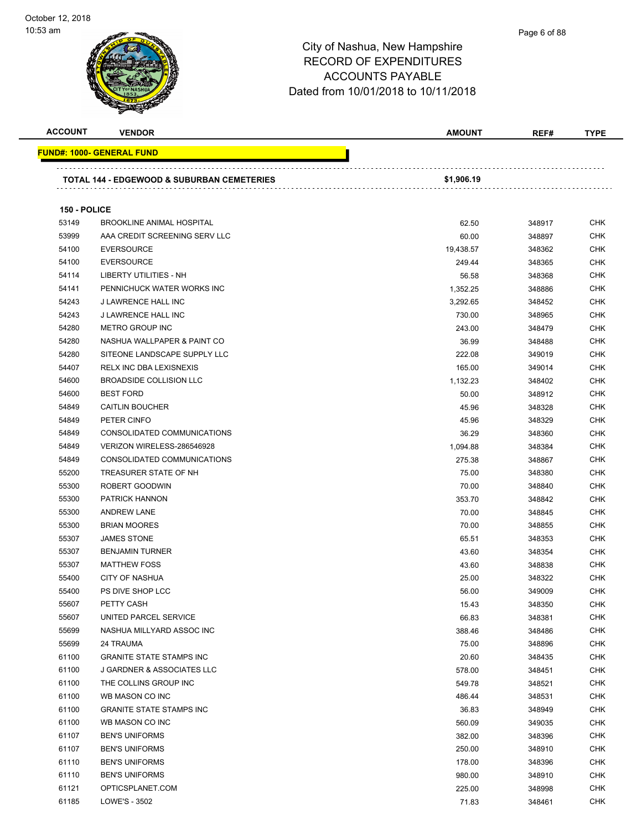#### Page 6 of 88

| <b>ACCOUNT</b> | <b>VENDOR</b>                                         | <b>AMOUNT</b> | REF#   | <b>TYPE</b> |
|----------------|-------------------------------------------------------|---------------|--------|-------------|
|                | FUND#: 1000- GENERAL FUND                             |               |        |             |
|                |                                                       |               |        |             |
|                | <b>TOTAL 144 - EDGEWOOD &amp; SUBURBAN CEMETERIES</b> | \$1,906.19    |        |             |
|                |                                                       |               |        |             |
| 150 - POLICE   |                                                       |               |        |             |
| 53149          | <b>BROOKLINE ANIMAL HOSPITAL</b>                      | 62.50         | 348917 | <b>CHK</b>  |
| 53999          | AAA CREDIT SCREENING SERV LLC                         | 60.00         | 348897 | <b>CHK</b>  |
| 54100          | <b>EVERSOURCE</b>                                     | 19,438.57     | 348362 | <b>CHK</b>  |
| 54100          | <b>EVERSOURCE</b>                                     | 249.44        | 348365 | CHK         |
| 54114          | LIBERTY UTILITIES - NH                                | 56.58         | 348368 | <b>CHK</b>  |
| 54141          | PENNICHUCK WATER WORKS INC                            | 1,352.25      | 348886 | <b>CHK</b>  |
| 54243          | J LAWRENCE HALL INC                                   | 3,292.65      | 348452 | <b>CHK</b>  |
| 54243          | J LAWRENCE HALL INC                                   | 730.00        | 348965 | <b>CHK</b>  |
| 54280          | METRO GROUP INC                                       | 243.00        | 348479 | <b>CHK</b>  |
| 54280          | NASHUA WALLPAPER & PAINT CO                           | 36.99         | 348488 | <b>CHK</b>  |
| 54280          | SITEONE LANDSCAPE SUPPLY LLC                          | 222.08        | 349019 | <b>CHK</b>  |
| 54407          | RELX INC DBA LEXISNEXIS                               | 165.00        | 349014 | <b>CHK</b>  |
| 54600          | BROADSIDE COLLISION LLC                               | 1,132.23      | 348402 | <b>CHK</b>  |
| 54600          | <b>BEST FORD</b>                                      | 50.00         | 348912 | <b>CHK</b>  |
| 54849          | <b>CAITLIN BOUCHER</b>                                | 45.96         | 348328 | <b>CHK</b>  |
| 54849          | PETER CINFO                                           | 45.96         | 348329 | <b>CHK</b>  |
| 54849          | CONSOLIDATED COMMUNICATIONS                           | 36.29         | 348360 | <b>CHK</b>  |
| 54849          | VERIZON WIRELESS-286546928                            | 1,094.88      | 348384 | <b>CHK</b>  |
| 54849          | CONSOLIDATED COMMUNICATIONS                           | 275.38        | 348867 | <b>CHK</b>  |
| 55200          | TREASURER STATE OF NH                                 | 75.00         | 348380 | <b>CHK</b>  |
| 55300          | ROBERT GOODWIN                                        | 70.00         | 348840 | CHK         |
| 55300          | PATRICK HANNON                                        | 353.70        | 348842 | <b>CHK</b>  |
| 55300          | <b>ANDREW LANE</b>                                    | 70.00         | 348845 | <b>CHK</b>  |
| 55300          | <b>BRIAN MOORES</b>                                   | 70.00         | 348855 | <b>CHK</b>  |
| 55307          | <b>JAMES STONE</b>                                    | 65.51         | 348353 | <b>CHK</b>  |
| 55307          | <b>BENJAMIN TURNER</b>                                | 43.60         | 348354 | <b>CHK</b>  |
| 55307          | <b>MATTHEW FOSS</b>                                   | 43.60         | 348838 | <b>CHK</b>  |
| 55400          | <b>CITY OF NASHUA</b>                                 | 25.00         | 348322 | <b>CHK</b>  |
| 55400          | PS DIVE SHOP LCC                                      | 56.00         | 349009 | <b>CHK</b>  |
| 55607          | PETTY CASH                                            | 15.43         | 348350 | <b>CHK</b>  |
| 55607          | UNITED PARCEL SERVICE                                 | 66.83         | 348381 | <b>CHK</b>  |
| 55699          | NASHUA MILLYARD ASSOC INC                             | 388.46        | 348486 | <b>CHK</b>  |
| 55699          | 24 TRAUMA                                             | 75.00         | 348896 | <b>CHK</b>  |
| 61100          | <b>GRANITE STATE STAMPS INC</b>                       | 20.60         | 348435 | <b>CHK</b>  |
| 61100          | J GARDNER & ASSOCIATES LLC                            | 578.00        | 348451 | <b>CHK</b>  |
| 61100          | THE COLLINS GROUP INC                                 | 549.78        | 348521 | <b>CHK</b>  |
| 61100          | WB MASON CO INC                                       | 486.44        | 348531 | <b>CHK</b>  |
| 61100          | <b>GRANITE STATE STAMPS INC</b>                       | 36.83         | 348949 | <b>CHK</b>  |
| 61100          | WB MASON CO INC                                       | 560.09        | 349035 | <b>CHK</b>  |
| 61107          | <b>BEN'S UNIFORMS</b>                                 | 382.00        | 348396 | <b>CHK</b>  |
| 61107          | <b>BEN'S UNIFORMS</b>                                 | 250.00        | 348910 | <b>CHK</b>  |
| 61110          | <b>BEN'S UNIFORMS</b>                                 | 178.00        | 348396 | CHK         |
| 61110          | <b>BEN'S UNIFORMS</b>                                 | 980.00        | 348910 | <b>CHK</b>  |
| 61121          | OPTICSPLANET.COM                                      | 225.00        | 348998 | <b>CHK</b>  |
| 61185          | LOWE'S - 3502                                         | 71.83         | 348461 | <b>CHK</b>  |
|                |                                                       |               |        |             |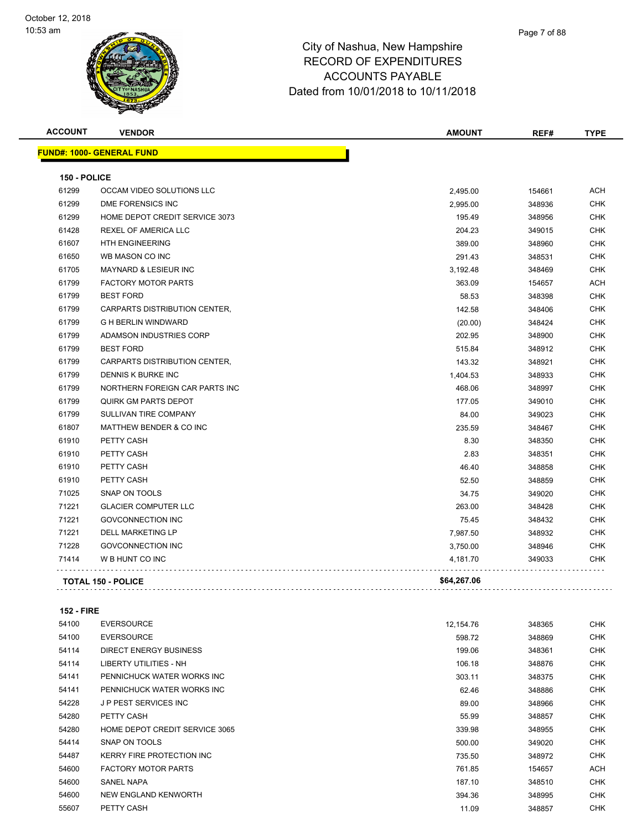

| <b>ACCOUNT</b>      | <b>VENDOR</b>                     | <b>AMOUNT</b> | REF#   | <b>TYPE</b> |
|---------------------|-----------------------------------|---------------|--------|-------------|
|                     | <u> FUND#: 1000- GENERAL FUND</u> |               |        |             |
| <b>150 - POLICE</b> |                                   |               |        |             |
| 61299               | OCCAM VIDEO SOLUTIONS LLC         | 2,495.00      | 154661 | ACH         |
| 61299               | DME FORENSICS INC                 | 2,995.00      | 348936 | <b>CHK</b>  |
| 61299               | HOME DEPOT CREDIT SERVICE 3073    | 195.49        | 348956 | <b>CHK</b>  |
| 61428               | <b>REXEL OF AMERICA LLC</b>       | 204.23        | 349015 | <b>CHK</b>  |
| 61607               | <b>HTH ENGINEERING</b>            | 389.00        | 348960 | <b>CHK</b>  |
| 61650               | WB MASON CO INC                   | 291.43        | 348531 | <b>CHK</b>  |
| 61705               | <b>MAYNARD &amp; LESIEUR INC</b>  | 3,192.48      | 348469 | CHK         |
| 61799               | <b>FACTORY MOTOR PARTS</b>        | 363.09        | 154657 | ACH         |
| 61799               | <b>BEST FORD</b>                  | 58.53         | 348398 | <b>CHK</b>  |
| 61799               | CARPARTS DISTRIBUTION CENTER,     | 142.58        | 348406 | <b>CHK</b>  |
| 61799               | <b>G H BERLIN WINDWARD</b>        | (20.00)       | 348424 | <b>CHK</b>  |
| 61799               | ADAMSON INDUSTRIES CORP           | 202.95        | 348900 | <b>CHK</b>  |
| 61799               | <b>BEST FORD</b>                  | 515.84        | 348912 | CHK         |
| 61799               | CARPARTS DISTRIBUTION CENTER,     | 143.32        | 348921 | <b>CHK</b>  |
| 61799               | DENNIS K BURKE INC                | 1,404.53      | 348933 | <b>CHK</b>  |
| 61799               | NORTHERN FOREIGN CAR PARTS INC    | 468.06        | 348997 | CHK         |
| 61799               | <b>QUIRK GM PARTS DEPOT</b>       | 177.05        | 349010 | <b>CHK</b>  |
| 61799               | SULLIVAN TIRE COMPANY             | 84.00         | 349023 | <b>CHK</b>  |
| 61807               | MATTHEW BENDER & CO INC           | 235.59        | 348467 | <b>CHK</b>  |
| 61910               | PETTY CASH                        | 8.30          | 348350 | <b>CHK</b>  |
| 61910               | PETTY CASH                        | 2.83          | 348351 | <b>CHK</b>  |
| 61910               | PETTY CASH                        | 46.40         | 348858 | <b>CHK</b>  |
| 61910               | PETTY CASH                        | 52.50         | 348859 | <b>CHK</b>  |
| 71025               | SNAP ON TOOLS                     | 34.75         | 349020 | <b>CHK</b>  |
| 71221               | <b>GLACIER COMPUTER LLC</b>       | 263.00        | 348428 | <b>CHK</b>  |
| 71221               | <b>GOVCONNECTION INC</b>          | 75.45         | 348432 | <b>CHK</b>  |
| 71221               | <b>DELL MARKETING LP</b>          | 7,987.50      | 348932 | <b>CHK</b>  |
| 71228               | <b>GOVCONNECTION INC</b>          | 3,750.00      | 348946 | <b>CHK</b>  |
| 71414               | W B HUNT CO INC                   | 4,181.70      | 349033 | CHK         |
|                     | <b>TOTAL 150 - POLICE</b>         | \$64,267.06   |        |             |
|                     |                                   |               |        |             |

#### **152 - FIRE**

| 54100 | <b>EVERSOURCE</b>              | 12,154.76 | 348365 | <b>CHK</b> |
|-------|--------------------------------|-----------|--------|------------|
| 54100 | <b>EVERSOURCE</b>              | 598.72    | 348869 | <b>CHK</b> |
| 54114 | DIRECT ENERGY BUSINESS         | 199.06    | 348361 | <b>CHK</b> |
| 54114 | LIBERTY UTILITIES - NH         | 106.18    | 348876 | <b>CHK</b> |
| 54141 | PENNICHUCK WATER WORKS INC     | 303.11    | 348375 | <b>CHK</b> |
| 54141 | PENNICHUCK WATER WORKS INC     | 62.46     | 348886 | <b>CHK</b> |
| 54228 | J P PEST SERVICES INC          | 89.00     | 348966 | <b>CHK</b> |
| 54280 | PETTY CASH                     | 55.99     | 348857 | <b>CHK</b> |
| 54280 | HOME DEPOT CREDIT SERVICE 3065 | 339.98    | 348955 | <b>CHK</b> |
| 54414 | SNAP ON TOOLS                  | 500.00    | 349020 | <b>CHK</b> |
| 54487 | KERRY FIRE PROTECTION INC      | 735.50    | 348972 | <b>CHK</b> |
| 54600 | <b>FACTORY MOTOR PARTS</b>     | 761.85    | 154657 | <b>ACH</b> |
| 54600 | SANEL NAPA                     | 187.10    | 348510 | <b>CHK</b> |
| 54600 | NEW ENGLAND KENWORTH           | 394.36    | 348995 | <b>CHK</b> |
| 55607 | PETTY CASH                     | 11.09     | 348857 | <b>CHK</b> |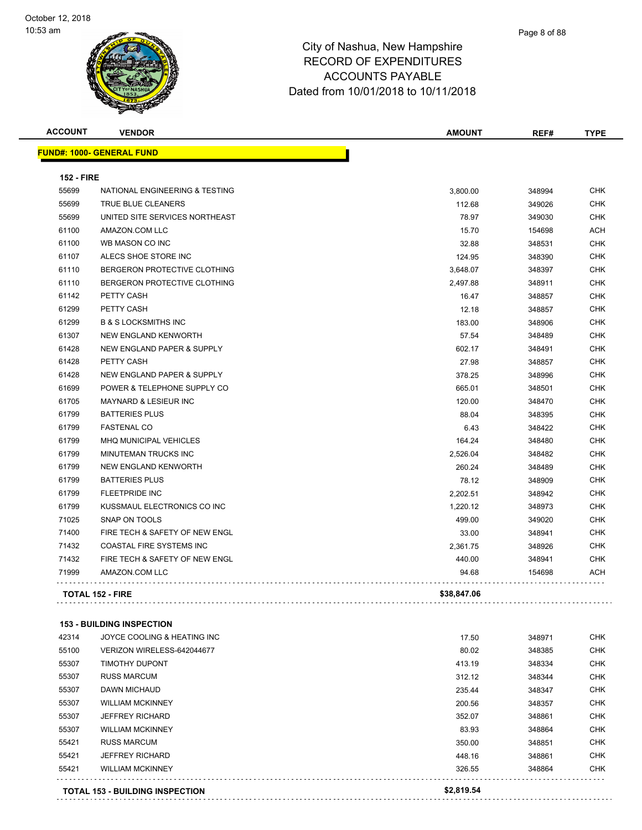| <b>ACCOUNT</b>    | <b>VENDOR</b>                    | <b>AMOUNT</b> | REF#   | <b>TYPE</b> |
|-------------------|----------------------------------|---------------|--------|-------------|
|                   | <b>FUND#: 1000- GENERAL FUND</b> |               |        |             |
| <b>152 - FIRE</b> |                                  |               |        |             |
| 55699             | NATIONAL ENGINEERING & TESTING   | 3,800.00      | 348994 | <b>CHK</b>  |
| 55699             | TRUE BLUE CLEANERS               | 112.68        | 349026 | CHK         |
| 55699             | UNITED SITE SERVICES NORTHEAST   | 78.97         | 349030 | <b>CHK</b>  |
| 61100             | AMAZON.COM LLC                   | 15.70         | 154698 | <b>ACH</b>  |
| 61100             | WB MASON CO INC                  | 32.88         | 348531 | <b>CHK</b>  |
| 61107             | ALECS SHOE STORE INC             | 124.95        | 348390 | <b>CHK</b>  |
| 61110             | BERGERON PROTECTIVE CLOTHING     | 3,648.07      | 348397 | <b>CHK</b>  |
| 61110             | BERGERON PROTECTIVE CLOTHING     | 2,497.88      | 348911 | <b>CHK</b>  |
| 61142             | PETTY CASH                       | 16.47         | 348857 | <b>CHK</b>  |
| 61299             | PETTY CASH                       | 12.18         | 348857 | <b>CHK</b>  |
| 61299             | <b>B &amp; S LOCKSMITHS INC</b>  | 183.00        | 348906 | <b>CHK</b>  |
| 61307             | NEW ENGLAND KENWORTH             | 57.54         | 348489 | <b>CHK</b>  |
| 61428             | NEW ENGLAND PAPER & SUPPLY       | 602.17        | 348491 | <b>CHK</b>  |
| 61428             | PETTY CASH                       | 27.98         | 348857 | <b>CHK</b>  |
| 61428             | NEW ENGLAND PAPER & SUPPLY       | 378.25        | 348996 | <b>CHK</b>  |
| 61699             | POWER & TELEPHONE SUPPLY CO      | 665.01        | 348501 | CHK         |
| 61705             | <b>MAYNARD &amp; LESIEUR INC</b> | 120.00        | 348470 | <b>CHK</b>  |
| 61799             | <b>BATTERIES PLUS</b>            | 88.04         | 348395 | <b>CHK</b>  |
| 61799             | <b>FASTENAL CO</b>               | 6.43          | 348422 | CHK         |
| 61799             | MHQ MUNICIPAL VEHICLES           | 164.24        | 348480 | <b>CHK</b>  |
| 61799             | MINUTEMAN TRUCKS INC             | 2,526.04      | 348482 | <b>CHK</b>  |
| 61799             | <b>NEW ENGLAND KENWORTH</b>      | 260.24        | 348489 | <b>CHK</b>  |
| 61799             | <b>BATTERIES PLUS</b>            | 78.12         | 348909 | <b>CHK</b>  |
| 61799             | <b>FLEETPRIDE INC</b>            | 2,202.51      | 348942 | <b>CHK</b>  |
| 61799             | KUSSMAUL ELECTRONICS CO INC      | 1,220.12      | 348973 | <b>CHK</b>  |
| 71025             | SNAP ON TOOLS                    | 499.00        | 349020 | <b>CHK</b>  |
| 71400             | FIRE TECH & SAFETY OF NEW ENGL   | 33.00         | 348941 | <b>CHK</b>  |
| 71432             | COASTAL FIRE SYSTEMS INC         | 2,361.75      | 348926 | <b>CHK</b>  |
| 71432             | FIRE TECH & SAFETY OF NEW ENGL   | 440.00        | 348941 | <b>CHK</b>  |
| 71999             | AMAZON.COM LLC                   | 94.68         | 154698 | ACH         |
|                   | <b>TOTAL 152 - FIRE</b>          | \$38,847.06   |        |             |
|                   |                                  |               |        |             |

#### **153 - BUILDING INSPECTION**

|       | <b>TOTAL 153 - BUILDING INSPECTION</b> | \$2.819.54 |        |            |
|-------|----------------------------------------|------------|--------|------------|
| 55421 | <b>WILLIAM MCKINNEY</b>                | 326.55     | 348864 | <b>CHK</b> |
| 55421 | <b>JEFFREY RICHARD</b>                 | 448.16     | 348861 | <b>CHK</b> |
| 55421 | <b>RUSS MARCUM</b>                     | 350.00     | 348851 | <b>CHK</b> |
| 55307 | <b>WILLIAM MCKINNEY</b>                | 83.93      | 348864 | <b>CHK</b> |
| 55307 | <b>JEFFREY RICHARD</b>                 | 352.07     | 348861 | <b>CHK</b> |
| 55307 | <b>WILLIAM MCKINNEY</b>                | 200.56     | 348357 | <b>CHK</b> |
| 55307 | <b>DAWN MICHAUD</b>                    | 235.44     | 348347 | <b>CHK</b> |
| 55307 | <b>RUSS MARCUM</b>                     | 312.12     | 348344 | <b>CHK</b> |
| 55307 | <b>TIMOTHY DUPONT</b>                  | 413.19     | 348334 | <b>CHK</b> |
| 55100 | VERIZON WIRELESS-642044677             | 80.02      | 348385 | <b>CHK</b> |
| 42314 | JOYCE COOLING & HEATING INC            | 17.50      | 348971 | <b>CHK</b> |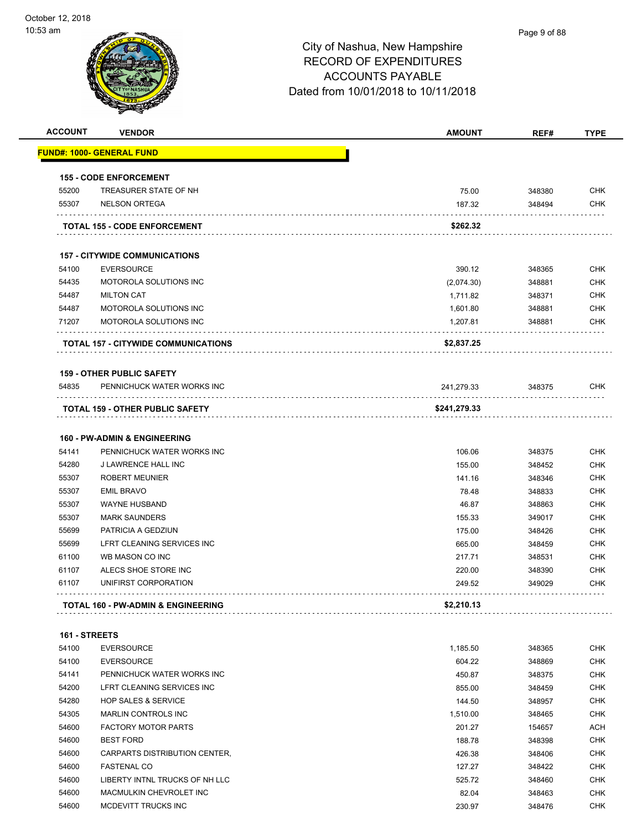| <b>ACCOUNT</b> | <b>VENDOR</b>                                   | <b>AMOUNT</b> | REF#   | <b>TYPE</b> |
|----------------|-------------------------------------------------|---------------|--------|-------------|
|                | <u> FUND#: 1000- GENERAL FUND</u>               |               |        |             |
|                | <b>155 - CODE ENFORCEMENT</b>                   |               |        |             |
| 55200          | TREASURER STATE OF NH                           | 75.00         | 348380 | <b>CHK</b>  |
| 55307          | <b>NELSON ORTEGA</b>                            | 187.32        | 348494 | <b>CHK</b>  |
|                | <b>TOTAL 155 - CODE ENFORCEMENT</b>             | \$262.32      |        |             |
|                | <b>157 - CITYWIDE COMMUNICATIONS</b>            |               |        |             |
| 54100          | <b>EVERSOURCE</b>                               | 390.12        | 348365 | <b>CHK</b>  |
| 54435          | MOTOROLA SOLUTIONS INC                          | (2,074.30)    | 348881 | <b>CHK</b>  |
| 54487          | <b>MILTON CAT</b>                               | 1,711.82      | 348371 | <b>CHK</b>  |
| 54487          | MOTOROLA SOLUTIONS INC                          | 1,601.80      | 348881 | <b>CHK</b>  |
| 71207          | MOTOROLA SOLUTIONS INC                          | 1,207.81      | 348881 | CHK         |
|                | <b>TOTAL 157 - CITYWIDE COMMUNICATIONS</b>      | \$2,837.25    |        |             |
|                | <b>159 - OTHER PUBLIC SAFETY</b>                |               |        |             |
| 54835          | PENNICHUCK WATER WORKS INC                      | 241,279.33    | 348375 | CHK         |
|                | TOTAL 159 - OTHER PUBLIC SAFETY                 | \$241,279.33  |        |             |
|                | <b>160 - PW-ADMIN &amp; ENGINEERING</b>         |               |        |             |
| 54141          | PENNICHUCK WATER WORKS INC                      | 106.06        | 348375 | <b>CHK</b>  |
| 54280          | J LAWRENCE HALL INC                             | 155.00        | 348452 | <b>CHK</b>  |
| 55307          | <b>ROBERT MEUNIER</b>                           | 141.16        | 348346 | <b>CHK</b>  |
| 55307          | <b>EMIL BRAVO</b>                               | 78.48         | 348833 | <b>CHK</b>  |
| 55307          | <b>WAYNE HUSBAND</b>                            | 46.87         | 348863 | <b>CHK</b>  |
| 55307          | <b>MARK SAUNDERS</b>                            | 155.33        | 349017 | <b>CHK</b>  |
| 55699          | PATRICIA A GEDZIUN                              | 175.00        | 348426 | <b>CHK</b>  |
| 55699          | LFRT CLEANING SERVICES INC                      | 665.00        | 348459 | <b>CHK</b>  |
| 61100          | WB MASON CO INC                                 | 217.71        | 348531 | <b>CHK</b>  |
| 61107          | ALECS SHOE STORE INC                            | 220.00        | 348390 | <b>CHK</b>  |
| 61107          | UNIFIRST CORPORATION                            | 249.52        | 349029 | <b>CHK</b>  |
|                | <b>TOTAL 160 - PW-ADMIN &amp; ENGINEERING</b>   | \$2,210.13    |        |             |
| 161 - STREETS  |                                                 |               |        |             |
| 54100          | <b>EVERSOURCE</b>                               | 1,185.50      | 348365 | <b>CHK</b>  |
|                |                                                 |               |        |             |
| 54100          | <b>EVERSOURCE</b><br>PENNICHUCK WATER WORKS INC | 604.22        | 348869 | <b>CHK</b>  |
| 54141          |                                                 | 450.87        | 348375 | <b>CHK</b>  |
| 54200          | LFRT CLEANING SERVICES INC                      | 855.00        | 348459 | <b>CHK</b>  |
| 54280          | <b>HOP SALES &amp; SERVICE</b>                  | 144.50        | 348957 | <b>CHK</b>  |
| 54305          | <b>MARLIN CONTROLS INC</b>                      | 1,510.00      | 348465 | <b>CHK</b>  |
| 54600          | <b>FACTORY MOTOR PARTS</b>                      | 201.27        | 154657 | <b>ACH</b>  |
| 54600          | <b>BEST FORD</b>                                | 188.78        | 348398 | CHK         |
| 54600          | CARPARTS DISTRIBUTION CENTER,                   | 426.38        | 348406 | CHK         |
| 54600          | <b>FASTENAL CO</b>                              | 127.27        | 348422 | CHK         |
| 54600          | LIBERTY INTNL TRUCKS OF NH LLC                  | 525.72        | 348460 | <b>CHK</b>  |
| 54600          | MACMULKIN CHEVROLET INC                         | 82.04         | 348463 | <b>CHK</b>  |
| 54600          | MCDEVITT TRUCKS INC                             | 230.97        | 348476 | CHK         |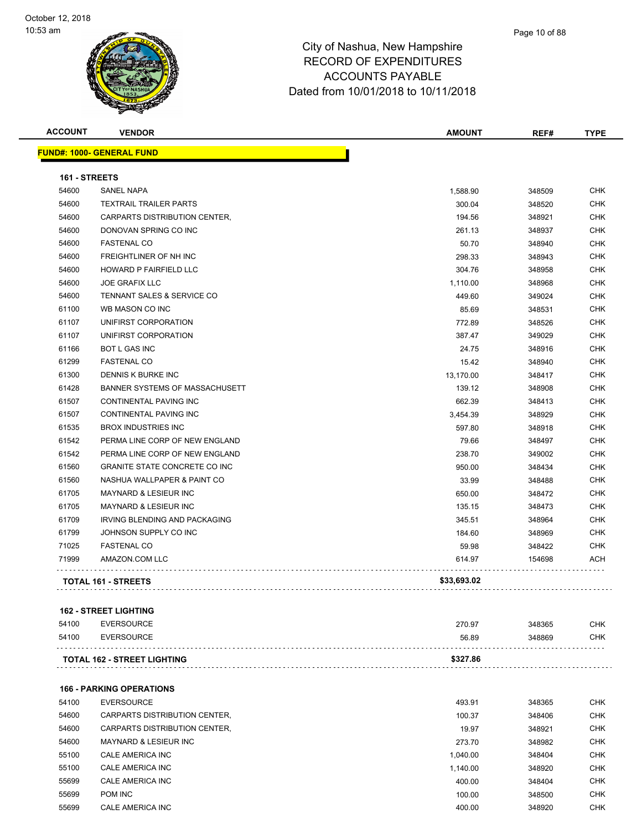

| <b>ACCOUNT</b> | <b>VENDOR</b>                        | <b>AMOUNT</b> | REF#   | <b>TYPE</b> |
|----------------|--------------------------------------|---------------|--------|-------------|
|                | <b>FUND#: 1000- GENERAL FUND</b>     |               |        |             |
| 161 - STREETS  |                                      |               |        |             |
| 54600          | <b>SANEL NAPA</b>                    | 1,588.90      | 348509 | <b>CHK</b>  |
| 54600          | <b>TEXTRAIL TRAILER PARTS</b>        | 300.04        | 348520 | <b>CHK</b>  |
| 54600          | CARPARTS DISTRIBUTION CENTER,        | 194.56        | 348921 | <b>CHK</b>  |
| 54600          | DONOVAN SPRING CO INC                | 261.13        | 348937 | <b>CHK</b>  |
| 54600          | <b>FASTENAL CO</b>                   | 50.70         | 348940 | <b>CHK</b>  |
| 54600          | <b>FREIGHTLINER OF NH INC</b>        | 298.33        | 348943 | <b>CHK</b>  |
| 54600          | HOWARD P FAIRFIELD LLC               | 304.76        | 348958 | <b>CHK</b>  |
| 54600          | <b>JOE GRAFIX LLC</b>                | 1,110.00      | 348968 | <b>CHK</b>  |
| 54600          | TENNANT SALES & SERVICE CO           | 449.60        | 349024 | <b>CHK</b>  |
| 61100          | WB MASON CO INC                      | 85.69         | 348531 | <b>CHK</b>  |
| 61107          | UNIFIRST CORPORATION                 | 772.89        | 348526 | <b>CHK</b>  |
| 61107          | UNIFIRST CORPORATION                 | 387.47        | 349029 | <b>CHK</b>  |
| 61166          | <b>BOT L GAS INC</b>                 | 24.75         | 348916 | <b>CHK</b>  |
| 61299          | <b>FASTENAL CO</b>                   | 15.42         | 348940 | <b>CHK</b>  |
| 61300          | DENNIS K BURKE INC                   | 13,170.00     | 348417 | <b>CHK</b>  |
| 61428          | BANNER SYSTEMS OF MASSACHUSETT       | 139.12        | 348908 | <b>CHK</b>  |
| 61507          | CONTINENTAL PAVING INC               | 662.39        | 348413 | <b>CHK</b>  |
| 61507          | CONTINENTAL PAVING INC               | 3,454.39      | 348929 | CHK         |
| 61535          | <b>BROX INDUSTRIES INC</b>           | 597.80        | 348918 | <b>CHK</b>  |
| 61542          | PERMA LINE CORP OF NEW ENGLAND       | 79.66         | 348497 | <b>CHK</b>  |
| 61542          | PERMA LINE CORP OF NEW ENGLAND       | 238.70        | 349002 | <b>CHK</b>  |
| 61560          | <b>GRANITE STATE CONCRETE CO INC</b> | 950.00        | 348434 | <b>CHK</b>  |
| 61560          | NASHUA WALLPAPER & PAINT CO          | 33.99         | 348488 | <b>CHK</b>  |
| 61705          | <b>MAYNARD &amp; LESIEUR INC</b>     | 650.00        | 348472 | <b>CHK</b>  |
| 61705          | MAYNARD & LESIEUR INC                | 135.15        | 348473 | <b>CHK</b>  |
| 61709          | <b>IRVING BLENDING AND PACKAGING</b> | 345.51        | 348964 | <b>CHK</b>  |
| 61799          | JOHNSON SUPPLY CO INC                | 184.60        | 348969 | <b>CHK</b>  |
| 71025          | <b>FASTENAL CO</b>                   | 59.98         | 348422 | <b>CHK</b>  |
| 71999          | AMAZON.COM LLC                       | 614.97        | 154698 | ACH         |
|                | <b>TOTAL 161 - STREETS</b>           | \$33,693.02   |        |             |
|                |                                      |               |        |             |

#### **162 - STREET LIGHTING**

| 54100 | EVERSOURCE                         | 270.97   | 348365 | <b>CHK</b> |
|-------|------------------------------------|----------|--------|------------|
| 54100 | EVERSOURCE                         | 56.89    | 348869 | <b>CHK</b> |
|       | <b>TOTAL 162 - STREET LIGHTING</b> | \$327.86 |        |            |

#### **166 - PARKING OPERATIONS**

| 54100 | <b>EVERSOURCE</b>             | 493.91   | 348365 | <b>CHK</b> |
|-------|-------------------------------|----------|--------|------------|
| 54600 | CARPARTS DISTRIBUTION CENTER. | 100.37   | 348406 | <b>CHK</b> |
| 54600 | CARPARTS DISTRIBUTION CENTER. | 19.97    | 348921 | <b>CHK</b> |
| 54600 | MAYNARD & LESIEUR INC         | 273.70   | 348982 | <b>CHK</b> |
| 55100 | CALE AMERICA INC              | 1.040.00 | 348404 | <b>CHK</b> |
| 55100 | CALE AMERICA INC              | 1.140.00 | 348920 | <b>CHK</b> |
| 55699 | CALE AMERICA INC              | 400.00   | 348404 | <b>CHK</b> |
| 55699 | POM INC                       | 100.00   | 348500 | <b>CHK</b> |
| 55699 | CALE AMERICA INC              | 400.00   | 348920 | <b>CHK</b> |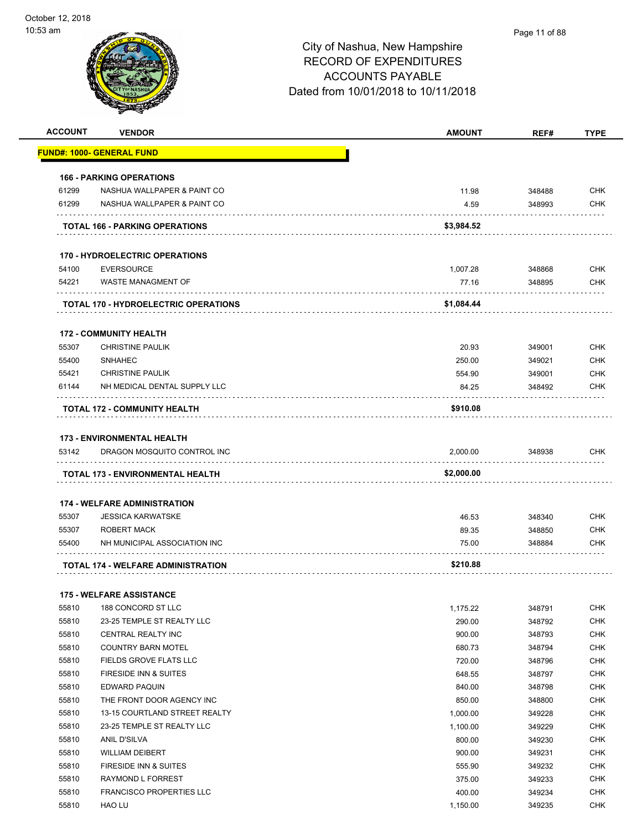| <b>ACCOUNT</b> | <b>VENDOR</b>                                                    | <b>AMOUNT</b> | REF#   | <b>TYPE</b> |
|----------------|------------------------------------------------------------------|---------------|--------|-------------|
|                | <u> FUND#: 1000- GENERAL FUND</u>                                |               |        |             |
|                | <b>166 - PARKING OPERATIONS</b>                                  |               |        |             |
| 61299          | NASHUA WALLPAPER & PAINT CO                                      | 11.98         | 348488 | <b>CHK</b>  |
| 61299          | NASHUA WALLPAPER & PAINT CO                                      | 4.59          | 348993 | CHK         |
|                | <b>TOTAL 166 - PARKING OPERATIONS</b>                            | \$3,984.52    |        |             |
|                | <b>170 - HYDROELECTRIC OPERATIONS</b>                            |               |        |             |
| 54100          | <b>EVERSOURCE</b>                                                | 1,007.28      | 348868 | <b>CHK</b>  |
| 54221          | WASTE MANAGMENT OF<br>.                                          | 77.16         | 348895 | <b>CHK</b>  |
|                | <b>TOTAL 170 - HYDROELECTRIC OPERATIONS</b>                      | \$1,084.44    |        |             |
|                | <b>172 - COMMUNITY HEALTH</b>                                    |               |        |             |
| 55307          | <b>CHRISTINE PAULIK</b>                                          | 20.93         | 349001 | <b>CHK</b>  |
| 55400          | <b>SNHAHEC</b>                                                   | 250.00        | 349021 | <b>CHK</b>  |
| 55421          | <b>CHRISTINE PAULIK</b>                                          | 554.90        | 349001 | CHK         |
| 61144          | NH MEDICAL DENTAL SUPPLY LLC                                     | 84.25         | 348492 | CHK         |
|                | <b>TOTAL 172 - COMMUNITY HEALTH</b>                              | \$910.08      |        |             |
|                |                                                                  |               |        |             |
| 53142          | <b>173 - ENVIRONMENTAL HEALTH</b><br>DRAGON MOSQUITO CONTROL INC | 2,000.00      | 348938 | <b>CHK</b>  |
|                |                                                                  |               |        |             |
|                | TOTAL 173 - ENVIRONMENTAL HEALTH                                 | \$2,000.00    |        |             |
|                | <b>174 - WELFARE ADMINISTRATION</b>                              |               |        |             |
| 55307          | <b>JESSICA KARWATSKE</b>                                         | 46.53         | 348340 | <b>CHK</b>  |
| 55307          | ROBERT MACK                                                      | 89.35         | 348850 | <b>CHK</b>  |
| 55400          | NH MUNICIPAL ASSOCIATION INC                                     | 75.00         | 348884 | CHK         |
|                | TOTAL 174 - WELFARE ADMINISTRATION                               | \$210.88      |        |             |
|                | <b>175 - WELFARE ASSISTANCE</b>                                  |               |        |             |
| 55810          | 188 CONCORD ST LLC                                               | 1,175.22      | 348791 | <b>CHK</b>  |
| 55810          | 23-25 TEMPLE ST REALTY LLC                                       | 290.00        | 348792 | <b>CHK</b>  |
| 55810          | CENTRAL REALTY INC                                               | 900.00        | 348793 | <b>CHK</b>  |
| 55810          | COUNTRY BARN MOTEL                                               | 680.73        | 348794 | <b>CHK</b>  |
| 55810          | FIELDS GROVE FLATS LLC                                           | 720.00        | 348796 | <b>CHK</b>  |
| 55810          | FIRESIDE INN & SUITES                                            | 648.55        | 348797 | <b>CHK</b>  |
| 55810          | EDWARD PAQUIN                                                    | 840.00        | 348798 | <b>CHK</b>  |
| 55810          | THE FRONT DOOR AGENCY INC                                        | 850.00        | 348800 | <b>CHK</b>  |
| 55810          | 13-15 COURTLAND STREET REALTY                                    | 1,000.00      | 349228 | <b>CHK</b>  |
| 55810          | 23-25 TEMPLE ST REALTY LLC                                       | 1,100.00      | 349229 | <b>CHK</b>  |
| 55810          | ANIL D'SILVA                                                     | 800.00        | 349230 | <b>CHK</b>  |
| 55810          | <b>WILLIAM DEIBERT</b>                                           | 900.00        | 349231 | <b>CHK</b>  |
| 55810          | FIRESIDE INN & SUITES                                            | 555.90        | 349232 | <b>CHK</b>  |
| 55810          | RAYMOND L FORREST                                                | 375.00        | 349233 | <b>CHK</b>  |
| 55810          | <b>FRANCISCO PROPERTIES LLC</b>                                  | 400.00        | 349234 | <b>CHK</b>  |
| 55810          | HAO LU                                                           | 1,150.00      | 349235 | <b>CHK</b>  |
|                |                                                                  |               |        |             |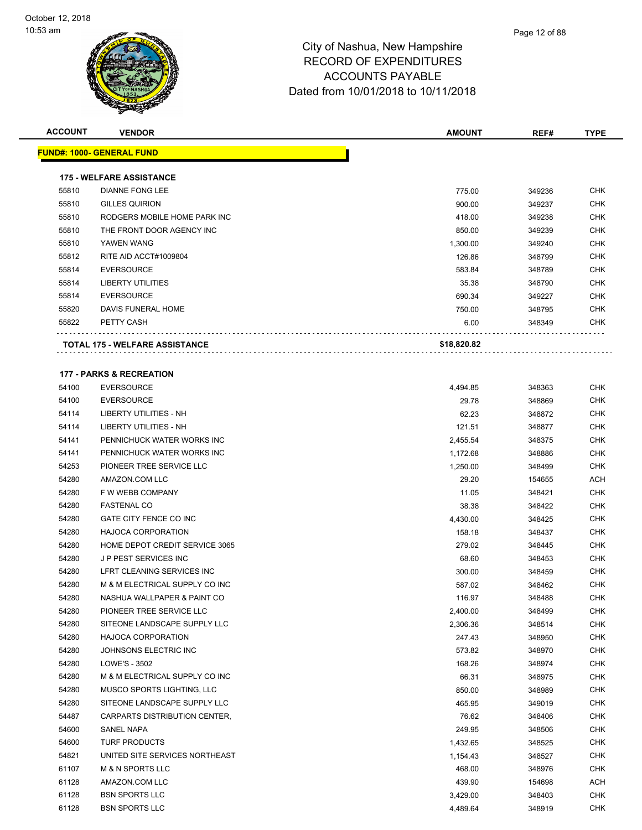

| <b>ACCOUNT</b> | <b>VENDOR</b>                         | <b>AMOUNT</b> | REF#   | <b>TYPE</b> |
|----------------|---------------------------------------|---------------|--------|-------------|
|                | <u> FUND#: 1000- GENERAL FUND</u>     |               |        |             |
|                |                                       |               |        |             |
|                | <b>175 - WELFARE ASSISTANCE</b>       |               |        |             |
| 55810          | <b>DIANNE FONG LEE</b>                | 775.00        | 349236 | <b>CHK</b>  |
| 55810          | <b>GILLES QUIRION</b>                 | 900.00        | 349237 | CHK         |
| 55810          | RODGERS MOBILE HOME PARK INC          | 418.00        | 349238 | CHK         |
| 55810          | THE FRONT DOOR AGENCY INC             | 850.00        | 349239 | <b>CHK</b>  |
| 55810          | YAWEN WANG                            | 1,300.00      | 349240 | CHK         |
| 55812          | RITE AID ACCT#1009804                 | 126.86        | 348799 | CHK         |
| 55814          | <b>EVERSOURCE</b>                     | 583.84        | 348789 | CHK         |
| 55814          | <b>LIBERTY UTILITIES</b>              | 35.38         | 348790 | CHK         |
| 55814          | <b>EVERSOURCE</b>                     | 690.34        | 349227 | <b>CHK</b>  |
| 55820          | DAVIS FUNERAL HOME                    | 750.00        | 348795 | CHK         |
| 55822          | PETTY CASH                            | 6.00          | 348349 | CHK         |
|                |                                       |               |        |             |
|                | <b>TOTAL 175 - WELFARE ASSISTANCE</b> | \$18,820.82   |        |             |
|                |                                       |               |        |             |
|                | <b>177 - PARKS &amp; RECREATION</b>   |               |        |             |
| 54100          | <b>EVERSOURCE</b>                     | 4,494.85      | 348363 | <b>CHK</b>  |
| 54100          | <b>EVERSOURCE</b>                     | 29.78         | 348869 | CHK         |
| 54114          | LIBERTY UTILITIES - NH                | 62.23         | 348872 | CHK         |
| 54114          | LIBERTY UTILITIES - NH                | 121.51        | 348877 | CHK         |
| 54141          | PENNICHUCK WATER WORKS INC            | 2,455.54      | 348375 | CHK         |
| 54141          | PENNICHUCK WATER WORKS INC            | 1,172.68      | 348886 | CHK         |
| 54253          | PIONEER TREE SERVICE LLC              | 1,250.00      | 348499 | CHK         |
| 54280          | AMAZON.COM LLC                        | 29.20         | 154655 | ACH         |
| 54280          | F W WEBB COMPANY                      | 11.05         | 348421 | <b>CHK</b>  |
| 54280          | <b>FASTENAL CO</b>                    | 38.38         | 348422 | CHK         |
| 54280          | GATE CITY FENCE CO INC                | 4,430.00      | 348425 | CHK         |
| 54280          | <b>HAJOCA CORPORATION</b>             | 158.18        | 348437 | <b>CHK</b>  |
| 54280          | HOME DEPOT CREDIT SERVICE 3065        | 279.02        | 348445 | CHK         |
| 54280          | JP PEST SERVICES INC                  | 68.60         | 348453 | CHK         |
| 54280          | LFRT CLEANING SERVICES INC            | 300.00        | 348459 | CHK         |
| 54280          | M & M ELECTRICAL SUPPLY CO INC        | 587.02        | 348462 | CHK         |
| 54280          | NASHUA WALLPAPER & PAINT CO           | 116.97        | 348488 | <b>CHK</b>  |
| 54280          | PIONEER TREE SERVICE LLC              | 2,400.00      | 348499 | CHK         |
| 54280          | SITEONE LANDSCAPE SUPPLY LLC          | 2,306.36      | 348514 | <b>CHK</b>  |
| 54280          | HAJOCA CORPORATION                    | 247.43        | 348950 | <b>CHK</b>  |
| 54280          | JOHNSONS ELECTRIC INC                 | 573.82        | 348970 | <b>CHK</b>  |
| 54280          | LOWE'S - 3502                         | 168.26        | 348974 | <b>CHK</b>  |
| 54280          | M & M ELECTRICAL SUPPLY CO INC        | 66.31         | 348975 | <b>CHK</b>  |
| 54280          | MUSCO SPORTS LIGHTING, LLC            | 850.00        | 348989 | CHK         |
| 54280          | SITEONE LANDSCAPE SUPPLY LLC          | 465.95        | 349019 | CHK         |
| 54487          | CARPARTS DISTRIBUTION CENTER,         | 76.62         | 348406 | CHK         |
| 54600          | SANEL NAPA                            | 249.95        | 348506 | CHK         |
| 54600          | <b>TURF PRODUCTS</b>                  | 1,432.65      | 348525 | <b>CHK</b>  |
| 54821          | UNITED SITE SERVICES NORTHEAST        | 1,154.43      | 348527 | CHK         |
| 61107          | <b>M &amp; N SPORTS LLC</b>           | 468.00        | 348976 | CHK         |
| 61128          | AMAZON.COM LLC                        | 439.90        | 154698 | ACH         |
| 61128          | <b>BSN SPORTS LLC</b>                 | 3,429.00      | 348403 | CHK         |
| 61128          | <b>BSN SPORTS LLC</b>                 | 4,489.64      | 348919 | <b>CHK</b>  |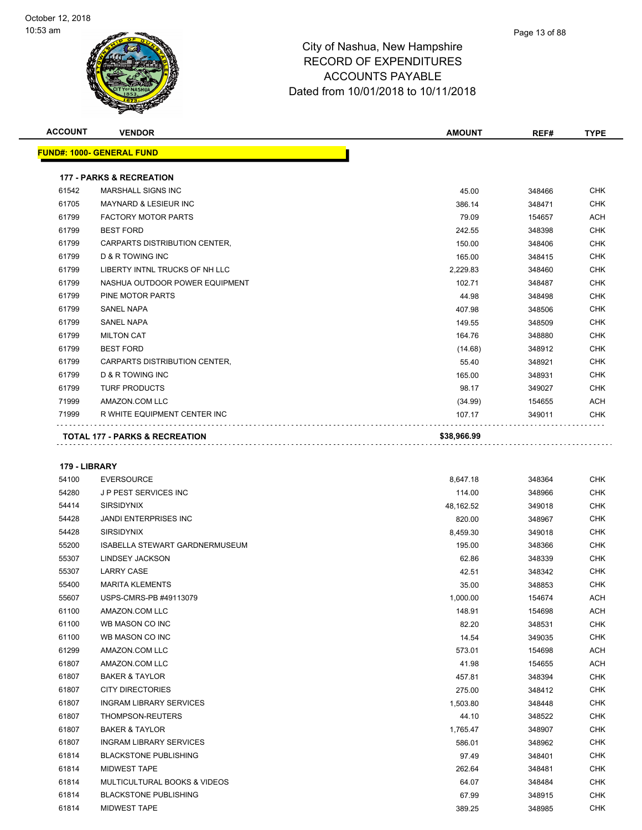| <b>ACCOUNT</b> | <b>VENDOR</b>                             | <b>AMOUNT</b>   | REF#   | <b>TYPE</b> |
|----------------|-------------------------------------------|-----------------|--------|-------------|
|                | <b>FUND#: 1000- GENERAL FUND</b>          |                 |        |             |
|                | <b>177 - PARKS &amp; RECREATION</b>       |                 |        |             |
| 61542          | MARSHALL SIGNS INC                        | 45.00           | 348466 | <b>CHK</b>  |
| 61705          | <b>MAYNARD &amp; LESIEUR INC</b>          | 386.14          | 348471 | <b>CHK</b>  |
| 61799          | <b>FACTORY MOTOR PARTS</b>                | 79.09           | 154657 | <b>ACH</b>  |
| 61799          | <b>BEST FORD</b>                          | 242.55          | 348398 | <b>CHK</b>  |
| 61799          | CARPARTS DISTRIBUTION CENTER,             | 150.00          | 348406 | <b>CHK</b>  |
| 61799          | <b>D &amp; R TOWING INC</b>               | 165.00          | 348415 | <b>CHK</b>  |
| 61799          | LIBERTY INTNL TRUCKS OF NH LLC            | 2.229.83        | 348460 | <b>CHK</b>  |
| 61799          | NASHUA OUTDOOR POWER EQUIPMENT            | 102.71          | 348487 | <b>CHK</b>  |
| 61799          | PINE MOTOR PARTS                          | 44.98           | 348498 | <b>CHK</b>  |
| 61799          | <b>SANEL NAPA</b>                         | 407.98          | 348506 | <b>CHK</b>  |
| 61799          | <b>SANEL NAPA</b>                         | 149.55          | 348509 | <b>CHK</b>  |
| 61799          | <b>MILTON CAT</b>                         | 164.76          | 348880 | <b>CHK</b>  |
| 61799          | <b>BEST FORD</b>                          | (14.68)         | 348912 | <b>CHK</b>  |
| 61799          | CARPARTS DISTRIBUTION CENTER,             | 55.40           | 348921 | <b>CHK</b>  |
| 61799          | <b>D &amp; R TOWING INC</b>               | 165.00          | 348931 | <b>CHK</b>  |
| 61799          | <b>TURF PRODUCTS</b>                      | 98.17           | 349027 | <b>CHK</b>  |
| 71999          | AMAZON.COM LLC                            | (34.99)         | 154655 | <b>ACH</b>  |
| 71999          | R WHITE EQUIPMENT CENTER INC              | 107.17          | 349011 | <b>CHK</b>  |
|                | <b>TOTAL 177 - PARKS &amp; RECREATION</b> | \$38,966.99     |        |             |
| 179 - LIBRARY  |                                           |                 |        |             |
| 54100          | EVERSOURCE                                | <b>8 647 18</b> | 348364 | <b>CHK</b>  |

| 179 - LIBRARY<br>54100<br><b>EVERSOURCE</b><br>8,647.18<br>348364<br>J P PEST SERVICES INC<br>54280<br>114.00<br>348966<br><b>SIRSIDYNIX</b><br>54414<br>349018<br>48,162.52<br><b>JANDI ENTERPRISES INC</b><br>54428<br>820.00<br>348967<br><b>SIRSIDYNIX</b><br>54428<br>8,459.30<br>349018<br>55200<br>ISABELLA STEWART GARDNERMUSEUM<br>195.00<br>348366<br>55307<br><b>LINDSEY JACKSON</b><br>62.86<br>348339<br>55307<br><b>LARRY CASE</b><br>42.51<br>348342<br><b>MARITA KLEMENTS</b><br>35.00<br>348853<br>55400<br>USPS-CMRS-PB #49113079<br>55607<br>1,000.00<br>154674<br>AMAZON.COM LLC<br>148.91<br>154698<br>61100<br>WB MASON CO INC<br>61100<br>82.20<br>348531<br>WB MASON CO INC<br>14.54<br>61100<br>349035<br>61299<br>AMAZON.COM LLC<br>573.01<br>154698<br>AMAZON.COM LLC<br>61807<br>41.98<br>154655<br>61807<br><b>BAKER &amp; TAYLOR</b><br>457.81<br>348394<br><b>CITY DIRECTORIES</b><br>61807<br>275.00<br>348412<br><b>INGRAM LIBRARY SERVICES</b><br>61807<br>1,503.80<br>348448<br>61807<br>THOMPSON-REUTERS<br>44.10<br>348522<br><b>BAKER &amp; TAYLOR</b><br>61807<br>1,765.47<br>348907<br>61807<br><b>INGRAM LIBRARY SERVICES</b><br>586.01<br>348962<br>61814<br><b>BLACKSTONE PUBLISHING</b><br>97.49<br>348401<br><b>MIDWEST TAPE</b><br>61814<br>262.64<br>348481<br><b>MULTICULTURAL BOOKS &amp; VIDEOS</b><br>64.07<br>61814<br>348484<br><b>BLACKSTONE PUBLISHING</b><br>67.99<br>61814<br>348915 |       | TOTAL 177 - PARKS & RECREATION | \$??`APP`AA |        |            |
|-----------------------------------------------------------------------------------------------------------------------------------------------------------------------------------------------------------------------------------------------------------------------------------------------------------------------------------------------------------------------------------------------------------------------------------------------------------------------------------------------------------------------------------------------------------------------------------------------------------------------------------------------------------------------------------------------------------------------------------------------------------------------------------------------------------------------------------------------------------------------------------------------------------------------------------------------------------------------------------------------------------------------------------------------------------------------------------------------------------------------------------------------------------------------------------------------------------------------------------------------------------------------------------------------------------------------------------------------------------------------------------------------------------------------------------------------|-------|--------------------------------|-------------|--------|------------|
|                                                                                                                                                                                                                                                                                                                                                                                                                                                                                                                                                                                                                                                                                                                                                                                                                                                                                                                                                                                                                                                                                                                                                                                                                                                                                                                                                                                                                                               |       |                                |             |        |            |
|                                                                                                                                                                                                                                                                                                                                                                                                                                                                                                                                                                                                                                                                                                                                                                                                                                                                                                                                                                                                                                                                                                                                                                                                                                                                                                                                                                                                                                               |       |                                |             |        | CHK        |
|                                                                                                                                                                                                                                                                                                                                                                                                                                                                                                                                                                                                                                                                                                                                                                                                                                                                                                                                                                                                                                                                                                                                                                                                                                                                                                                                                                                                                                               |       |                                |             |        | CHK        |
|                                                                                                                                                                                                                                                                                                                                                                                                                                                                                                                                                                                                                                                                                                                                                                                                                                                                                                                                                                                                                                                                                                                                                                                                                                                                                                                                                                                                                                               |       |                                |             |        | CHK        |
|                                                                                                                                                                                                                                                                                                                                                                                                                                                                                                                                                                                                                                                                                                                                                                                                                                                                                                                                                                                                                                                                                                                                                                                                                                                                                                                                                                                                                                               |       |                                |             |        | CHK        |
|                                                                                                                                                                                                                                                                                                                                                                                                                                                                                                                                                                                                                                                                                                                                                                                                                                                                                                                                                                                                                                                                                                                                                                                                                                                                                                                                                                                                                                               |       |                                |             |        | CHK        |
|                                                                                                                                                                                                                                                                                                                                                                                                                                                                                                                                                                                                                                                                                                                                                                                                                                                                                                                                                                                                                                                                                                                                                                                                                                                                                                                                                                                                                                               |       |                                |             |        | CHK        |
|                                                                                                                                                                                                                                                                                                                                                                                                                                                                                                                                                                                                                                                                                                                                                                                                                                                                                                                                                                                                                                                                                                                                                                                                                                                                                                                                                                                                                                               |       |                                |             |        | CHK        |
|                                                                                                                                                                                                                                                                                                                                                                                                                                                                                                                                                                                                                                                                                                                                                                                                                                                                                                                                                                                                                                                                                                                                                                                                                                                                                                                                                                                                                                               |       |                                |             |        | <b>CHK</b> |
|                                                                                                                                                                                                                                                                                                                                                                                                                                                                                                                                                                                                                                                                                                                                                                                                                                                                                                                                                                                                                                                                                                                                                                                                                                                                                                                                                                                                                                               |       |                                |             |        | <b>CHK</b> |
|                                                                                                                                                                                                                                                                                                                                                                                                                                                                                                                                                                                                                                                                                                                                                                                                                                                                                                                                                                                                                                                                                                                                                                                                                                                                                                                                                                                                                                               |       |                                |             |        | <b>ACH</b> |
|                                                                                                                                                                                                                                                                                                                                                                                                                                                                                                                                                                                                                                                                                                                                                                                                                                                                                                                                                                                                                                                                                                                                                                                                                                                                                                                                                                                                                                               |       |                                |             |        | <b>ACH</b> |
|                                                                                                                                                                                                                                                                                                                                                                                                                                                                                                                                                                                                                                                                                                                                                                                                                                                                                                                                                                                                                                                                                                                                                                                                                                                                                                                                                                                                                                               |       |                                |             |        | CHK        |
|                                                                                                                                                                                                                                                                                                                                                                                                                                                                                                                                                                                                                                                                                                                                                                                                                                                                                                                                                                                                                                                                                                                                                                                                                                                                                                                                                                                                                                               |       |                                |             |        | CHK        |
|                                                                                                                                                                                                                                                                                                                                                                                                                                                                                                                                                                                                                                                                                                                                                                                                                                                                                                                                                                                                                                                                                                                                                                                                                                                                                                                                                                                                                                               |       |                                |             |        | <b>ACH</b> |
|                                                                                                                                                                                                                                                                                                                                                                                                                                                                                                                                                                                                                                                                                                                                                                                                                                                                                                                                                                                                                                                                                                                                                                                                                                                                                                                                                                                                                                               |       |                                |             |        | <b>ACH</b> |
|                                                                                                                                                                                                                                                                                                                                                                                                                                                                                                                                                                                                                                                                                                                                                                                                                                                                                                                                                                                                                                                                                                                                                                                                                                                                                                                                                                                                                                               |       |                                |             |        | CHK        |
|                                                                                                                                                                                                                                                                                                                                                                                                                                                                                                                                                                                                                                                                                                                                                                                                                                                                                                                                                                                                                                                                                                                                                                                                                                                                                                                                                                                                                                               |       |                                |             |        | CHK        |
|                                                                                                                                                                                                                                                                                                                                                                                                                                                                                                                                                                                                                                                                                                                                                                                                                                                                                                                                                                                                                                                                                                                                                                                                                                                                                                                                                                                                                                               |       |                                |             |        | CHK        |
|                                                                                                                                                                                                                                                                                                                                                                                                                                                                                                                                                                                                                                                                                                                                                                                                                                                                                                                                                                                                                                                                                                                                                                                                                                                                                                                                                                                                                                               |       |                                |             |        | CHK        |
|                                                                                                                                                                                                                                                                                                                                                                                                                                                                                                                                                                                                                                                                                                                                                                                                                                                                                                                                                                                                                                                                                                                                                                                                                                                                                                                                                                                                                                               |       |                                |             |        | CHK        |
|                                                                                                                                                                                                                                                                                                                                                                                                                                                                                                                                                                                                                                                                                                                                                                                                                                                                                                                                                                                                                                                                                                                                                                                                                                                                                                                                                                                                                                               |       |                                |             |        | CHK        |
|                                                                                                                                                                                                                                                                                                                                                                                                                                                                                                                                                                                                                                                                                                                                                                                                                                                                                                                                                                                                                                                                                                                                                                                                                                                                                                                                                                                                                                               |       |                                |             |        | CHK        |
|                                                                                                                                                                                                                                                                                                                                                                                                                                                                                                                                                                                                                                                                                                                                                                                                                                                                                                                                                                                                                                                                                                                                                                                                                                                                                                                                                                                                                                               |       |                                |             |        | <b>CHK</b> |
|                                                                                                                                                                                                                                                                                                                                                                                                                                                                                                                                                                                                                                                                                                                                                                                                                                                                                                                                                                                                                                                                                                                                                                                                                                                                                                                                                                                                                                               |       |                                |             |        | <b>CHK</b> |
|                                                                                                                                                                                                                                                                                                                                                                                                                                                                                                                                                                                                                                                                                                                                                                                                                                                                                                                                                                                                                                                                                                                                                                                                                                                                                                                                                                                                                                               |       |                                |             |        | CHK        |
|                                                                                                                                                                                                                                                                                                                                                                                                                                                                                                                                                                                                                                                                                                                                                                                                                                                                                                                                                                                                                                                                                                                                                                                                                                                                                                                                                                                                                                               | 61814 | <b>MIDWEST TAPE</b>            | 389.25      | 348985 | CHK        |
|                                                                                                                                                                                                                                                                                                                                                                                                                                                                                                                                                                                                                                                                                                                                                                                                                                                                                                                                                                                                                                                                                                                                                                                                                                                                                                                                                                                                                                               |       |                                |             |        |            |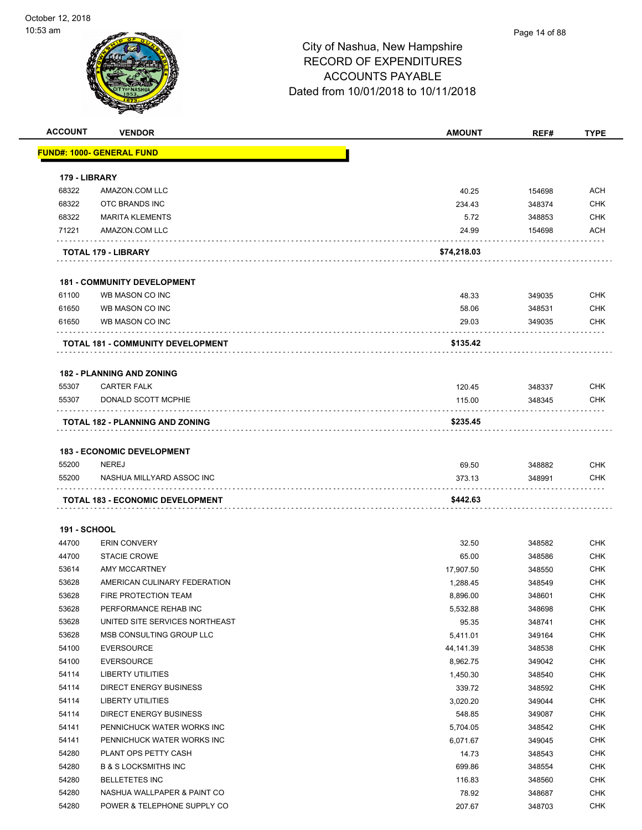| <b>ACCOUNT</b>      | <b>VENDOR</b>                            | <b>AMOUNT</b>      | REF#             | <b>TYPE</b> |
|---------------------|------------------------------------------|--------------------|------------------|-------------|
|                     | <u> FUND#: 1000- GENERAL FUND</u>        |                    |                  |             |
| 179 - LIBRARY       |                                          |                    |                  |             |
| 68322               | AMAZON.COM LLC                           | 40.25              | 154698           | ACH         |
| 68322               | OTC BRANDS INC                           | 234.43             | 348374           | <b>CHK</b>  |
| 68322               | <b>MARITA KLEMENTS</b>                   | 5.72               | 348853           | <b>CHK</b>  |
| 71221               | AMAZON.COM LLC                           | 24.99              | 154698           | <b>ACH</b>  |
|                     |                                          |                    |                  |             |
|                     | TOTAL 179 - LIBRARY                      | \$74,218.03        |                  |             |
|                     | <b>181 - COMMUNITY DEVELOPMENT</b>       |                    |                  |             |
| 61100               | WB MASON CO INC                          | 48.33              | 349035           | <b>CHK</b>  |
| 61650               | WB MASON CO INC                          | 58.06              | 348531           | <b>CHK</b>  |
| 61650               | WB MASON CO INC                          | 29.03              | 349035           | <b>CHK</b>  |
|                     | <b>TOTAL 181 - COMMUNITY DEVELOPMENT</b> | \$135.42           |                  |             |
|                     |                                          |                    |                  |             |
|                     | <b>182 - PLANNING AND ZONING</b>         |                    |                  |             |
| 55307               | <b>CARTER FALK</b>                       | 120.45             | 348337           | <b>CHK</b>  |
| 55307               | <b>DONALD SCOTT MCPHIE</b>               | 115.00             | 348345           | <b>CHK</b>  |
|                     | <b>TOTAL 182 - PLANNING AND ZONING</b>   | \$235.45           |                  |             |
|                     |                                          |                    |                  |             |
|                     | <b>183 - ECONOMIC DEVELOPMENT</b>        |                    |                  |             |
| 55200               | <b>NEREJ</b>                             | 69.50              | 348882           | <b>CHK</b>  |
| 55200               | NASHUA MILLYARD ASSOC INC                | 373.13             | 348991           | <b>CHK</b>  |
|                     | <b>TOTAL 183 - ECONOMIC DEVELOPMENT</b>  | \$442.63           |                  |             |
| <b>191 - SCHOOL</b> |                                          |                    |                  |             |
| 44700               | <b>ERIN CONVERY</b>                      | 32.50              | 348582           | <b>CHK</b>  |
| 44700               | <b>STACIE CROWE</b>                      | 65.00              | 348586           | <b>CHK</b>  |
| 53614               | AMY MCCARTNEY                            | 17,907.50          | 348550           | <b>CHK</b>  |
| 53628               | AMERICAN CULINARY FEDERATION             | 1,288.45           | 348549           | <b>CHK</b>  |
| 53628               | FIRE PROTECTION TEAM                     | 8,896.00           | 348601           | <b>CHK</b>  |
| 53628               | PERFORMANCE REHAB INC                    | 5,532.88           | 348698           | <b>CHK</b>  |
| 53628               | UNITED SITE SERVICES NORTHEAST           | 95.35              | 348741           | <b>CHK</b>  |
| 53628               | MSB CONSULTING GROUP LLC                 | 5,411.01           | 349164           | <b>CHK</b>  |
| 54100               | <b>EVERSOURCE</b>                        | 44,141.39          | 348538           | <b>CHK</b>  |
| 54100               | <b>EVERSOURCE</b>                        | 8,962.75           | 349042           | <b>CHK</b>  |
| 54114               | LIBERTY UTILITIES                        | 1,450.30           | 348540           | <b>CHK</b>  |
| 54114               | <b>DIRECT ENERGY BUSINESS</b>            | 339.72             | 348592           | <b>CHK</b>  |
| 54114               | LIBERTY UTILITIES                        | 3,020.20           | 349044           | <b>CHK</b>  |
| 54114               | <b>DIRECT ENERGY BUSINESS</b>            |                    |                  | <b>CHK</b>  |
| 54141               | PENNICHUCK WATER WORKS INC               | 548.85<br>5,704.05 | 349087<br>348542 | <b>CHK</b>  |
| 54141               | PENNICHUCK WATER WORKS INC               | 6,071.67           | 349045           | <b>CHK</b>  |
| 54280               | PLANT OPS PETTY CASH                     | 14.73              | 348543           | <b>CHK</b>  |
|                     | <b>B &amp; S LOCKSMITHS INC</b>          |                    |                  | <b>CHK</b>  |
| 54280<br>54280      |                                          | 699.86             | 348554           | <b>CHK</b>  |
|                     | <b>BELLETETES INC</b>                    | 116.83             | 348560           |             |
| 54280               | NASHUA WALLPAPER & PAINT CO              | 78.92              | 348687           | <b>CHK</b>  |
| 54280               | POWER & TELEPHONE SUPPLY CO              | 207.67             | 348703           | <b>CHK</b>  |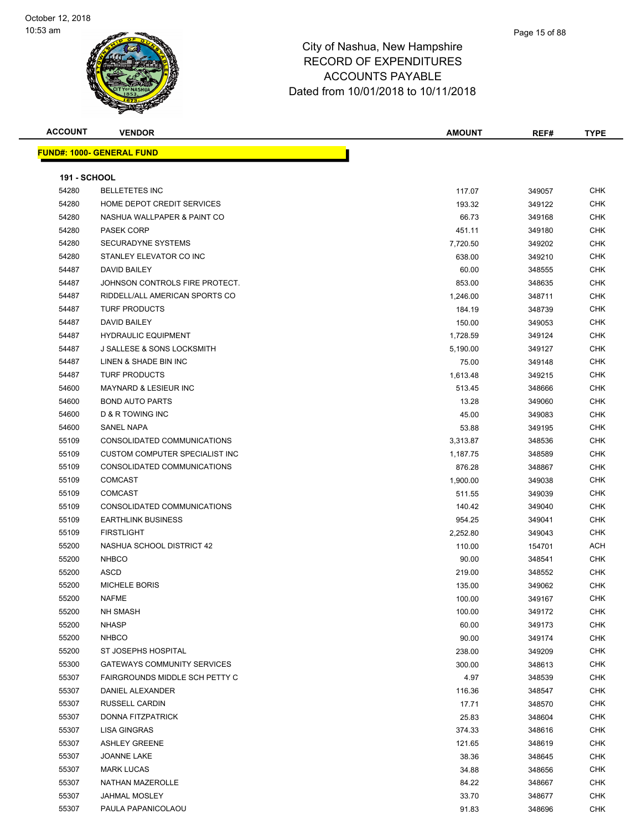

| <b>ACCOUNT</b>      | <b>VENDOR</b>                      | <b>AMOUNT</b> | REF#   | <b>TYPE</b> |
|---------------------|------------------------------------|---------------|--------|-------------|
|                     | <b>FUND#: 1000- GENERAL FUND</b>   |               |        |             |
|                     |                                    |               |        |             |
| <b>191 - SCHOOL</b> |                                    |               |        |             |
| 54280               | <b>BELLETETES INC</b>              | 117.07        | 349057 | <b>CHK</b>  |
| 54280               | HOME DEPOT CREDIT SERVICES         | 193.32        | 349122 | <b>CHK</b>  |
| 54280               | NASHUA WALLPAPER & PAINT CO        | 66.73         | 349168 | <b>CHK</b>  |
| 54280               | <b>PASEK CORP</b>                  | 451.11        | 349180 | <b>CHK</b>  |
| 54280               | SECURADYNE SYSTEMS                 | 7,720.50      | 349202 | <b>CHK</b>  |
| 54280               | STANLEY ELEVATOR CO INC            | 638.00        | 349210 | CHK         |
| 54487               | DAVID BAILEY                       | 60.00         | 348555 | <b>CHK</b>  |
| 54487               | JOHNSON CONTROLS FIRE PROTECT.     | 853.00        | 348635 | <b>CHK</b>  |
| 54487               | RIDDELL/ALL AMERICAN SPORTS CO     | 1,246.00      | 348711 | <b>CHK</b>  |
| 54487               | <b>TURF PRODUCTS</b>               | 184.19        | 348739 | <b>CHK</b>  |
| 54487               | DAVID BAILEY                       | 150.00        | 349053 | <b>CHK</b>  |
| 54487               | <b>HYDRAULIC EQUIPMENT</b>         | 1,728.59      | 349124 | <b>CHK</b>  |
| 54487               | J SALLESE & SONS LOCKSMITH         | 5,190.00      | 349127 | <b>CHK</b>  |
| 54487               | LINEN & SHADE BIN INC              | 75.00         | 349148 | <b>CHK</b>  |
| 54487               | <b>TURF PRODUCTS</b>               | 1,613.48      | 349215 | <b>CHK</b>  |
| 54600               | <b>MAYNARD &amp; LESIEUR INC</b>   | 513.45        | 348666 | <b>CHK</b>  |
| 54600               | <b>BOND AUTO PARTS</b>             | 13.28         | 349060 | CHK         |
| 54600               | D & R TOWING INC                   | 45.00         | 349083 | <b>CHK</b>  |
| 54600               | <b>SANEL NAPA</b>                  | 53.88         | 349195 | <b>CHK</b>  |
| 55109               | CONSOLIDATED COMMUNICATIONS        | 3,313.87      | 348536 | <b>CHK</b>  |
| 55109               | CUSTOM COMPUTER SPECIALIST INC     | 1,187.75      | 348589 | <b>CHK</b>  |
| 55109               | CONSOLIDATED COMMUNICATIONS        | 876.28        | 348867 | <b>CHK</b>  |
| 55109               | <b>COMCAST</b>                     | 1,900.00      | 349038 | CHK         |
| 55109               | <b>COMCAST</b>                     | 511.55        | 349039 | <b>CHK</b>  |
| 55109               | CONSOLIDATED COMMUNICATIONS        | 140.42        | 349040 | <b>CHK</b>  |
| 55109               | <b>EARTHLINK BUSINESS</b>          | 954.25        | 349041 | <b>CHK</b>  |
| 55109               | <b>FIRSTLIGHT</b>                  | 2,252.80      | 349043 | <b>CHK</b>  |
| 55200               | NASHUA SCHOOL DISTRICT 42          | 110.00        | 154701 | ACH         |
| 55200               | <b>NHBCO</b>                       | 90.00         | 348541 | <b>CHK</b>  |
| 55200               | <b>ASCD</b>                        | 219.00        | 348552 | <b>CHK</b>  |
| 55200               | <b>MICHELE BORIS</b>               | 135.00        | 349062 | <b>CHK</b>  |
| 55200               | <b>NAFME</b>                       | 100.00        | 349167 | <b>CHK</b>  |
| 55200               | <b>NH SMASH</b>                    | 100.00        | 349172 | <b>CHK</b>  |
| 55200               | <b>NHASP</b>                       | 60.00         | 349173 | <b>CHK</b>  |
| 55200               | <b>NHBCO</b>                       | 90.00         | 349174 | <b>CHK</b>  |
| 55200               | ST JOSEPHS HOSPITAL                | 238.00        | 349209 | <b>CHK</b>  |
| 55300               | <b>GATEWAYS COMMUNITY SERVICES</b> | 300.00        | 348613 | <b>CHK</b>  |
| 55307               | FAIRGROUNDS MIDDLE SCH PETTY C     | 4.97          | 348539 | <b>CHK</b>  |
| 55307               | DANIEL ALEXANDER                   | 116.36        | 348547 | <b>CHK</b>  |
| 55307               | <b>RUSSELL CARDIN</b>              | 17.71         | 348570 | <b>CHK</b>  |
| 55307               | <b>DONNA FITZPATRICK</b>           | 25.83         | 348604 | <b>CHK</b>  |
| 55307               | LISA GINGRAS                       | 374.33        | 348616 | <b>CHK</b>  |
| 55307               | <b>ASHLEY GREENE</b>               | 121.65        | 348619 | <b>CHK</b>  |
| 55307               | <b>JOANNE LAKE</b>                 | 38.36         | 348645 | <b>CHK</b>  |
| 55307               | <b>MARK LUCAS</b>                  | 34.88         | 348656 | <b>CHK</b>  |
| 55307               | NATHAN MAZEROLLE                   | 84.22         | 348667 | <b>CHK</b>  |
| 55307               | <b>JAHMAL MOSLEY</b>               | 33.70         | 348677 | <b>CHK</b>  |
| 55307               | PAULA PAPANICOLAOU                 | 91.83         | 348696 | <b>CHK</b>  |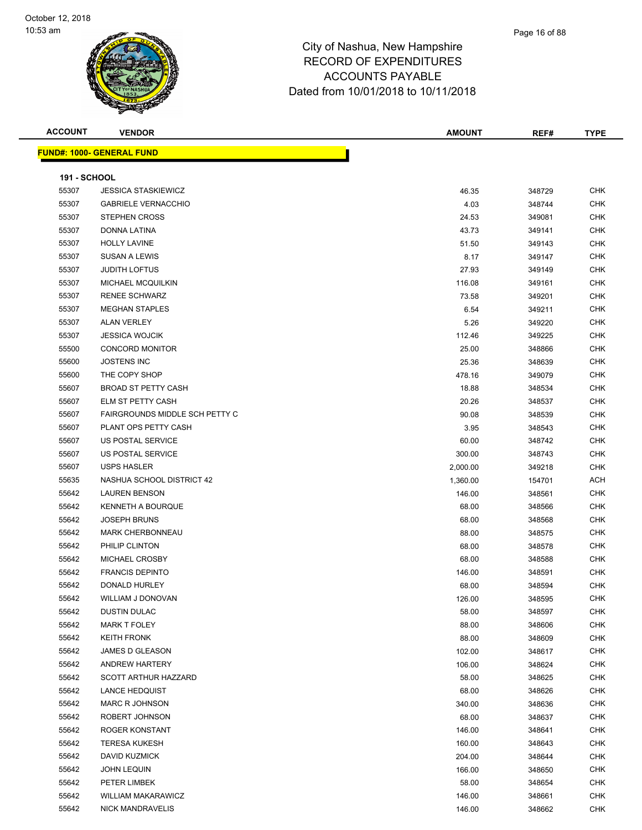#### Page 16 of 88

| <b>ACCOUNT</b>      | <b>VENDOR</b>                    | <b>AMOUNT</b> | REF#   | <b>TYPE</b> |
|---------------------|----------------------------------|---------------|--------|-------------|
|                     | <b>FUND#: 1000- GENERAL FUND</b> |               |        |             |
|                     |                                  |               |        |             |
| <b>191 - SCHOOL</b> |                                  |               |        |             |
| 55307               | <b>JESSICA STASKIEWICZ</b>       | 46.35         | 348729 | <b>CHK</b>  |
| 55307               | <b>GABRIELE VERNACCHIO</b>       | 4.03          | 348744 | <b>CHK</b>  |
| 55307               | <b>STEPHEN CROSS</b>             | 24.53         | 349081 | <b>CHK</b>  |
| 55307               | DONNA LATINA                     | 43.73         | 349141 | CHK         |
| 55307               | <b>HOLLY LAVINE</b>              | 51.50         | 349143 | <b>CHK</b>  |
| 55307               | <b>SUSAN A LEWIS</b>             | 8.17          | 349147 | <b>CHK</b>  |
| 55307               | <b>JUDITH LOFTUS</b>             | 27.93         | 349149 | <b>CHK</b>  |
| 55307               | MICHAEL MCQUILKIN                | 116.08        | 349161 | <b>CHK</b>  |
| 55307               | <b>RENEE SCHWARZ</b>             | 73.58         | 349201 | <b>CHK</b>  |
| 55307               | <b>MEGHAN STAPLES</b>            | 6.54          | 349211 | <b>CHK</b>  |
| 55307               | <b>ALAN VERLEY</b>               | 5.26          | 349220 | <b>CHK</b>  |
| 55307               | <b>JESSICA WOJCIK</b>            | 112.46        | 349225 | <b>CHK</b>  |
| 55500               | <b>CONCORD MONITOR</b>           | 25.00         | 348866 | <b>CHK</b>  |
| 55600               | <b>JOSTENS INC</b>               | 25.36         | 348639 | <b>CHK</b>  |
| 55600               | THE COPY SHOP                    | 478.16        | 349079 | <b>CHK</b>  |
| 55607               | <b>BROAD ST PETTY CASH</b>       | 18.88         | 348534 | <b>CHK</b>  |
| 55607               | <b>ELM ST PETTY CASH</b>         | 20.26         | 348537 | <b>CHK</b>  |
| 55607               | FAIRGROUNDS MIDDLE SCH PETTY C   | 90.08         | 348539 | <b>CHK</b>  |
| 55607               | PLANT OPS PETTY CASH             | 3.95          | 348543 | <b>CHK</b>  |
| 55607               | US POSTAL SERVICE                | 60.00         | 348742 | <b>CHK</b>  |
| 55607               | US POSTAL SERVICE                | 300.00        | 348743 | <b>CHK</b>  |
| 55607               | <b>USPS HASLER</b>               | 2,000.00      | 349218 | <b>CHK</b>  |
| 55635               | NASHUA SCHOOL DISTRICT 42        | 1,360.00      | 154701 | <b>ACH</b>  |
| 55642               | <b>LAUREN BENSON</b>             | 146.00        | 348561 | <b>CHK</b>  |
| 55642               | <b>KENNETH A BOURQUE</b>         | 68.00         | 348566 | <b>CHK</b>  |
| 55642               | <b>JOSEPH BRUNS</b>              | 68.00         | 348568 | <b>CHK</b>  |
| 55642               | <b>MARK CHERBONNEAU</b>          | 88.00         | 348575 | <b>CHK</b>  |
| 55642               | PHILIP CLINTON                   | 68.00         | 348578 | <b>CHK</b>  |
| 55642               | MICHAEL CROSBY                   | 68.00         | 348588 | <b>CHK</b>  |
| 55642               | <b>FRANCIS DEPINTO</b>           | 146.00        | 348591 | <b>CHK</b>  |
| 55642               | DONALD HURLEY                    | 68.00         | 348594 | <b>CHK</b>  |
| 55642               | WILLIAM J DONOVAN                | 126.00        | 348595 | <b>CHK</b>  |
| 55642               | <b>DUSTIN DULAC</b>              | 58.00         | 348597 | <b>CHK</b>  |
| 55642               | <b>MARK T FOLEY</b>              | 88.00         | 348606 | <b>CHK</b>  |
| 55642               | <b>KEITH FRONK</b>               | 88.00         | 348609 | <b>CHK</b>  |
| 55642               | JAMES D GLEASON                  | 102.00        | 348617 | <b>CHK</b>  |
| 55642               | ANDREW HARTERY                   | 106.00        | 348624 | <b>CHK</b>  |
| 55642               | <b>SCOTT ARTHUR HAZZARD</b>      | 58.00         | 348625 | CHK         |
| 55642               | <b>LANCE HEDQUIST</b>            | 68.00         | 348626 | <b>CHK</b>  |
| 55642               | <b>MARC R JOHNSON</b>            | 340.00        | 348636 | <b>CHK</b>  |
| 55642               | ROBERT JOHNSON                   | 68.00         | 348637 | <b>CHK</b>  |
| 55642               | ROGER KONSTANT                   | 146.00        | 348641 | <b>CHK</b>  |
| 55642               | <b>TERESA KUKESH</b>             | 160.00        | 348643 | <b>CHK</b>  |
| 55642               | <b>DAVID KUZMICK</b>             | 204.00        | 348644 | <b>CHK</b>  |
| 55642               | <b>JOHN LEQUIN</b>               | 166.00        | 348650 | <b>CHK</b>  |
| 55642               | PETER LIMBEK                     | 58.00         | 348654 | <b>CHK</b>  |
| 55642               | <b>WILLIAM MAKARAWICZ</b>        | 146.00        | 348661 | CHK         |
| 55642               | <b>NICK MANDRAVELIS</b>          | 146.00        | 348662 | <b>CHK</b>  |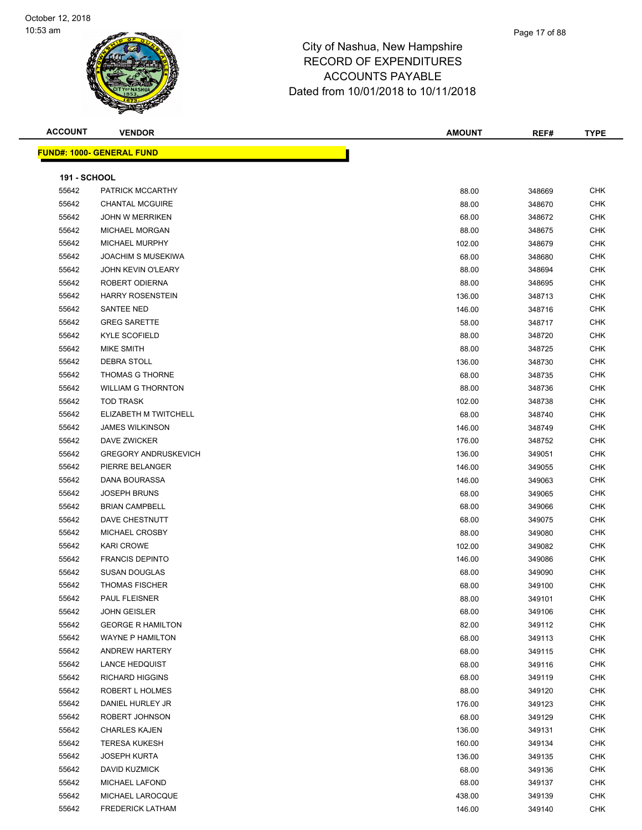#### Page 17 of 88

| <b>ACCOUNT</b>      | <b>VENDOR</b>                    | <b>AMOUNT</b> | REF#   | <b>TYPE</b> |
|---------------------|----------------------------------|---------------|--------|-------------|
|                     | <b>FUND#: 1000- GENERAL FUND</b> |               |        |             |
|                     |                                  |               |        |             |
| <b>191 - SCHOOL</b> |                                  |               |        |             |
| 55642               | PATRICK MCCARTHY                 | 88.00         | 348669 | <b>CHK</b>  |
| 55642               | <b>CHANTAL MCGUIRE</b>           | 88.00         | 348670 | <b>CHK</b>  |
| 55642               | <b>JOHN W MERRIKEN</b>           | 68.00         | 348672 | <b>CHK</b>  |
| 55642               | <b>MICHAEL MORGAN</b>            | 88.00         | 348675 | <b>CHK</b>  |
| 55642               | MICHAEL MURPHY                   | 102.00        | 348679 | <b>CHK</b>  |
| 55642               | <b>JOACHIM S MUSEKIWA</b>        | 68.00         | 348680 | <b>CHK</b>  |
| 55642               | <b>JOHN KEVIN O'LEARY</b>        | 88.00         | 348694 | <b>CHK</b>  |
| 55642               | ROBERT ODIERNA                   | 88.00         | 348695 | <b>CHK</b>  |
| 55642               | <b>HARRY ROSENSTEIN</b>          | 136.00        | 348713 | <b>CHK</b>  |
| 55642               | SANTEE NED                       | 146.00        | 348716 | <b>CHK</b>  |
| 55642               | <b>GREG SARETTE</b>              | 58.00         | 348717 | <b>CHK</b>  |
| 55642               | <b>KYLE SCOFIELD</b>             | 88.00         | 348720 | <b>CHK</b>  |
| 55642               | MIKE SMITH                       | 88.00         | 348725 | <b>CHK</b>  |
| 55642               | DEBRA STOLL                      | 136.00        | 348730 | <b>CHK</b>  |
| 55642               | <b>THOMAS G THORNE</b>           | 68.00         | 348735 | <b>CHK</b>  |
| 55642               | <b>WILLIAM G THORNTON</b>        | 88.00         | 348736 | <b>CHK</b>  |
| 55642               | <b>TOD TRASK</b>                 | 102.00        | 348738 | <b>CHK</b>  |
| 55642               | ELIZABETH M TWITCHELL            | 68.00         | 348740 | <b>CHK</b>  |
| 55642               | <b>JAMES WILKINSON</b>           | 146.00        | 348749 | <b>CHK</b>  |
| 55642               | DAVE ZWICKER                     | 176.00        | 348752 | <b>CHK</b>  |
| 55642               | <b>GREGORY ANDRUSKEVICH</b>      | 136.00        | 349051 | <b>CHK</b>  |
| 55642               | PIERRE BELANGER                  | 146.00        | 349055 | <b>CHK</b>  |
| 55642               | DANA BOURASSA                    | 146.00        | 349063 | <b>CHK</b>  |
| 55642               | <b>JOSEPH BRUNS</b>              | 68.00         | 349065 | <b>CHK</b>  |
| 55642               | <b>BRIAN CAMPBELL</b>            | 68.00         | 349066 | <b>CHK</b>  |
| 55642               | DAVE CHESTNUTT                   | 68.00         | 349075 | <b>CHK</b>  |
| 55642               | MICHAEL CROSBY                   | 88.00         | 349080 | <b>CHK</b>  |
| 55642               | <b>KARI CROWE</b>                | 102.00        | 349082 | <b>CHK</b>  |
| 55642               | <b>FRANCIS DEPINTO</b>           | 146.00        | 349086 | <b>CHK</b>  |
| 55642               | <b>SUSAN DOUGLAS</b>             | 68.00         | 349090 | <b>CHK</b>  |
| 55642               | <b>THOMAS FISCHER</b>            | 68.00         | 349100 | <b>CHK</b>  |
| 55642               | PAUL FLEISNER                    | 88.00         | 349101 | <b>CHK</b>  |
| 55642               | <b>JOHN GEISLER</b>              | 68.00         | 349106 | <b>CHK</b>  |
| 55642               | <b>GEORGE R HAMILTON</b>         | 82.00         | 349112 | <b>CHK</b>  |
| 55642               | <b>WAYNE P HAMILTON</b>          | 68.00         | 349113 | <b>CHK</b>  |
| 55642               | ANDREW HARTERY                   | 68.00         | 349115 | <b>CHK</b>  |
| 55642               | <b>LANCE HEDQUIST</b>            | 68.00         | 349116 | <b>CHK</b>  |
| 55642               | <b>RICHARD HIGGINS</b>           | 68.00         | 349119 | <b>CHK</b>  |
| 55642               | ROBERT L HOLMES                  | 88.00         | 349120 | <b>CHK</b>  |
| 55642               | DANIEL HURLEY JR                 | 176.00        | 349123 | CHK         |
| 55642               | ROBERT JOHNSON                   | 68.00         | 349129 | CHK         |
| 55642               | <b>CHARLES KAJEN</b>             | 136.00        | 349131 | <b>CHK</b>  |
| 55642               | <b>TERESA KUKESH</b>             | 160.00        | 349134 | <b>CHK</b>  |
| 55642               | <b>JOSEPH KURTA</b>              | 136.00        | 349135 | <b>CHK</b>  |
| 55642               | DAVID KUZMICK                    | 68.00         | 349136 | <b>CHK</b>  |
| 55642               | <b>MICHAEL LAFOND</b>            | 68.00         | 349137 | <b>CHK</b>  |
| 55642               | MICHAEL LAROCQUE                 | 438.00        | 349139 | <b>CHK</b>  |
| 55642               | <b>FREDERICK LATHAM</b>          | 146.00        | 349140 | <b>CHK</b>  |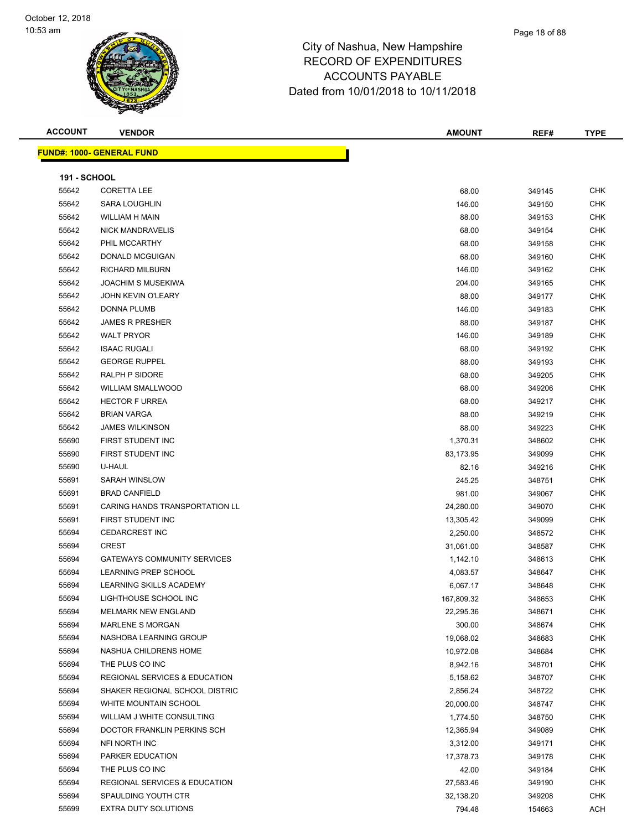#### Page 18 of 88

| <b>ACCOUNT</b>      | <b>VENDOR</b>                            | <b>AMOUNT</b> | REF#   | <b>TYPE</b> |
|---------------------|------------------------------------------|---------------|--------|-------------|
|                     | <b>FUND#: 1000- GENERAL FUND</b>         |               |        |             |
|                     |                                          |               |        |             |
| <b>191 - SCHOOL</b> |                                          |               |        |             |
| 55642               | <b>CORETTA LEE</b>                       | 68.00         | 349145 | <b>CHK</b>  |
| 55642               | <b>SARA LOUGHLIN</b>                     | 146.00        | 349150 | <b>CHK</b>  |
| 55642               | WILLIAM H MAIN                           | 88.00         | 349153 | <b>CHK</b>  |
| 55642               | <b>NICK MANDRAVELIS</b>                  | 68.00         | 349154 | <b>CHK</b>  |
| 55642               | PHIL MCCARTHY                            | 68.00         | 349158 | <b>CHK</b>  |
| 55642               | DONALD MCGUIGAN                          | 68.00         | 349160 | <b>CHK</b>  |
| 55642               | <b>RICHARD MILBURN</b>                   | 146.00        | 349162 | <b>CHK</b>  |
| 55642               | <b>JOACHIM S MUSEKIWA</b>                | 204.00        | 349165 | <b>CHK</b>  |
| 55642               | <b>JOHN KEVIN O'LEARY</b>                | 88.00         | 349177 | CHK         |
| 55642               | DONNA PLUMB                              | 146.00        | 349183 | <b>CHK</b>  |
| 55642               | <b>JAMES R PRESHER</b>                   | 88.00         | 349187 | <b>CHK</b>  |
| 55642               | <b>WALT PRYOR</b>                        | 146.00        | 349189 | <b>CHK</b>  |
| 55642               | <b>ISAAC RUGALI</b>                      | 68.00         | 349192 | CHK         |
| 55642               | <b>GEORGE RUPPEL</b>                     | 88.00         | 349193 | <b>CHK</b>  |
| 55642               | RALPH P SIDORE                           | 68.00         | 349205 | <b>CHK</b>  |
| 55642               | <b>WILLIAM SMALLWOOD</b>                 | 68.00         | 349206 | <b>CHK</b>  |
| 55642               | <b>HECTOR F URREA</b>                    | 68.00         | 349217 | <b>CHK</b>  |
| 55642               | <b>BRIAN VARGA</b>                       | 88.00         | 349219 | <b>CHK</b>  |
| 55642               | <b>JAMES WILKINSON</b>                   | 88.00         | 349223 | <b>CHK</b>  |
| 55690               | FIRST STUDENT INC                        | 1,370.31      | 348602 | <b>CHK</b>  |
| 55690               | FIRST STUDENT INC                        | 83,173.95     | 349099 | <b>CHK</b>  |
| 55690               | U-HAUL                                   | 82.16         | 349216 | <b>CHK</b>  |
| 55691               | SARAH WINSLOW                            | 245.25        | 348751 | <b>CHK</b>  |
| 55691               | <b>BRAD CANFIELD</b>                     | 981.00        | 349067 | <b>CHK</b>  |
| 55691               | CARING HANDS TRANSPORTATION LL           | 24,280.00     | 349070 | <b>CHK</b>  |
| 55691               | FIRST STUDENT INC                        | 13,305.42     | 349099 | <b>CHK</b>  |
| 55694               | <b>CEDARCREST INC</b>                    | 2,250.00      | 348572 | <b>CHK</b>  |
| 55694               | <b>CREST</b>                             | 31,061.00     | 348587 | <b>CHK</b>  |
| 55694               | <b>GATEWAYS COMMUNITY SERVICES</b>       | 1,142.10      | 348613 | <b>CHK</b>  |
| 55694               | LEARNING PREP SCHOOL                     | 4,083.57      | 348647 | <b>CHK</b>  |
| 55694               | LEARNING SKILLS ACADEMY                  | 6,067.17      | 348648 | <b>CHK</b>  |
| 55694               | LIGHTHOUSE SCHOOL INC                    | 167,809.32    | 348653 | CHK         |
| 55694               | MELMARK NEW ENGLAND                      | 22,295.36     | 348671 | <b>CHK</b>  |
| 55694               | MARLENE S MORGAN                         | 300.00        | 348674 | <b>CHK</b>  |
| 55694               | NASHOBA LEARNING GROUP                   | 19,068.02     | 348683 | <b>CHK</b>  |
| 55694               | NASHUA CHILDRENS HOME                    | 10,972.08     | 348684 | <b>CHK</b>  |
| 55694               | THE PLUS CO INC                          | 8,942.16      | 348701 | <b>CHK</b>  |
| 55694               | <b>REGIONAL SERVICES &amp; EDUCATION</b> | 5,158.62      | 348707 | <b>CHK</b>  |
| 55694               | SHAKER REGIONAL SCHOOL DISTRIC           | 2,856.24      | 348722 | <b>CHK</b>  |
| 55694               | WHITE MOUNTAIN SCHOOL                    | 20,000.00     | 348747 | CHK         |
| 55694               | WILLIAM J WHITE CONSULTING               | 1,774.50      | 348750 | CHK         |
| 55694               | DOCTOR FRANKLIN PERKINS SCH              | 12,365.94     | 349089 | <b>CHK</b>  |
| 55694               | NFI NORTH INC                            | 3,312.00      | 349171 | <b>CHK</b>  |
| 55694               | PARKER EDUCATION                         | 17,378.73     | 349178 | <b>CHK</b>  |
| 55694               | THE PLUS CO INC                          | 42.00         | 349184 | <b>CHK</b>  |
| 55694               | <b>REGIONAL SERVICES &amp; EDUCATION</b> | 27,583.46     | 349190 | CHK         |
| 55694               | SPAULDING YOUTH CTR                      | 32,138.20     | 349208 | CHK         |
| 55699               | EXTRA DUTY SOLUTIONS                     | 794.48        | 154663 | ACH         |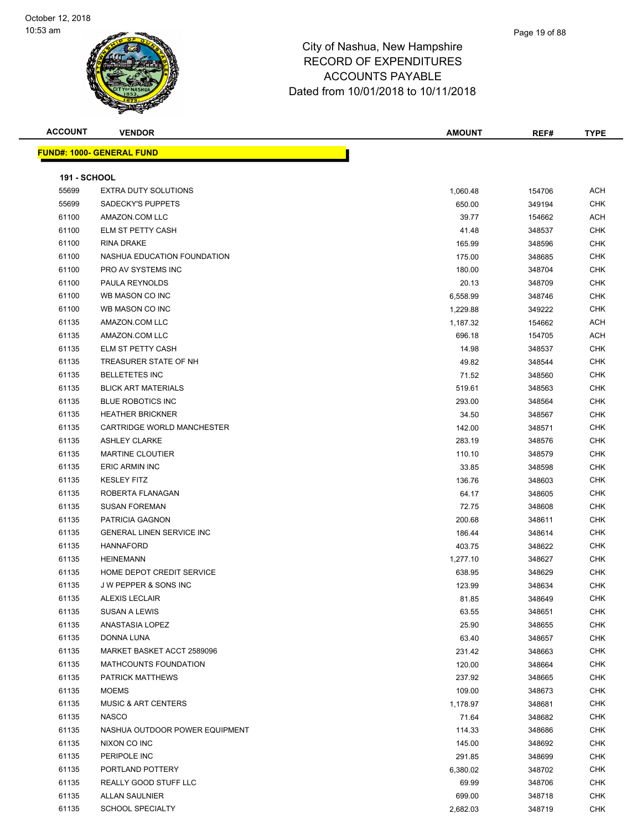#### Page 19 of 88

| <b>ACCOUNT</b>      | <b>VENDOR</b>                    | <b>AMOUNT</b> | REF#   | TYPE       |
|---------------------|----------------------------------|---------------|--------|------------|
|                     | <b>FUND#: 1000- GENERAL FUND</b> |               |        |            |
|                     |                                  |               |        |            |
| <b>191 - SCHOOL</b> |                                  |               |        |            |
| 55699               | <b>EXTRA DUTY SOLUTIONS</b>      | 1,060.48      | 154706 | ACH        |
| 55699               | SADECKY'S PUPPETS                | 650.00        | 349194 | <b>CHK</b> |
| 61100               | AMAZON.COM LLC                   | 39.77         | 154662 | ACH        |
| 61100               | ELM ST PETTY CASH                | 41.48         | 348537 | <b>CHK</b> |
| 61100               | RINA DRAKE                       | 165.99        | 348596 | <b>CHK</b> |
| 61100               | NASHUA EDUCATION FOUNDATION      | 175.00        | 348685 | <b>CHK</b> |
| 61100               | PRO AV SYSTEMS INC               | 180.00        | 348704 | <b>CHK</b> |
| 61100               | PAULA REYNOLDS                   | 20.13         | 348709 | <b>CHK</b> |
| 61100               | WB MASON CO INC                  | 6,558.99      | 348746 | <b>CHK</b> |
| 61100               | WB MASON CO INC                  | 1,229.88      | 349222 | <b>CHK</b> |
| 61135               | AMAZON.COM LLC                   | 1,187.32      | 154662 | ACH        |
| 61135               | AMAZON.COM LLC                   | 696.18        | 154705 | ACH        |
| 61135               | ELM ST PETTY CASH                | 14.98         | 348537 | <b>CHK</b> |
| 61135               | TREASURER STATE OF NH            | 49.82         | 348544 | <b>CHK</b> |
| 61135               | <b>BELLETETES INC</b>            | 71.52         | 348560 | <b>CHK</b> |
| 61135               | <b>BLICK ART MATERIALS</b>       | 519.61        | 348563 | <b>CHK</b> |
| 61135               | <b>BLUE ROBOTICS INC</b>         | 293.00        | 348564 | <b>CHK</b> |
| 61135               | <b>HEATHER BRICKNER</b>          | 34.50         | 348567 | <b>CHK</b> |
| 61135               | CARTRIDGE WORLD MANCHESTER       | 142.00        | 348571 | <b>CHK</b> |
| 61135               | <b>ASHLEY CLARKE</b>             | 283.19        | 348576 | <b>CHK</b> |
| 61135               | <b>MARTINE CLOUTIER</b>          | 110.10        | 348579 | CHK        |
| 61135               | <b>ERIC ARMIN INC</b>            | 33.85         | 348598 | CHK        |
| 61135               | <b>KESLEY FITZ</b>               | 136.76        | 348603 | <b>CHK</b> |
| 61135               | ROBERTA FLANAGAN                 | 64.17         | 348605 | <b>CHK</b> |
| 61135               | <b>SUSAN FOREMAN</b>             | 72.75         | 348608 | <b>CHK</b> |
| 61135               | PATRICIA GAGNON                  | 200.68        | 348611 | <b>CHK</b> |
| 61135               | <b>GENERAL LINEN SERVICE INC</b> | 186.44        | 348614 | CHK        |
| 61135               | <b>HANNAFORD</b>                 | 403.75        | 348622 | <b>CHK</b> |
| 61135               | <b>HEINEMANN</b>                 | 1,277.10      | 348627 | <b>CHK</b> |
| 61135               | HOME DEPOT CREDIT SERVICE        | 638.95        | 348629 | <b>CHK</b> |
| 61135               | J W PEPPER & SONS INC            | 123.99        | 348634 | <b>CHK</b> |
| 61135               | <b>ALEXIS LECLAIR</b>            | 81.85         | 348649 | CHK        |
| 61135               | SUSAN A LEWIS                    | 63.55         | 348651 | <b>CHK</b> |
| 61135               | ANASTASIA LOPEZ                  | 25.90         | 348655 | <b>CHK</b> |
| 61135               | <b>DONNA LUNA</b>                | 63.40         | 348657 | <b>CHK</b> |
| 61135               | MARKET BASKET ACCT 2589096       | 231.42        | 348663 | <b>CHK</b> |
| 61135               | MATHCOUNTS FOUNDATION            | 120.00        | 348664 | <b>CHK</b> |
| 61135               | PATRICK MATTHEWS                 | 237.92        | 348665 | <b>CHK</b> |
| 61135               | <b>MOEMS</b>                     | 109.00        | 348673 | <b>CHK</b> |
| 61135               | <b>MUSIC &amp; ART CENTERS</b>   | 1,178.97      | 348681 | <b>CHK</b> |
| 61135               | <b>NASCO</b>                     | 71.64         | 348682 | <b>CHK</b> |
| 61135               | NASHUA OUTDOOR POWER EQUIPMENT   | 114.33        | 348686 | <b>CHK</b> |
| 61135               | NIXON CO INC                     | 145.00        | 348692 | <b>CHK</b> |
| 61135               | PERIPOLE INC                     | 291.85        | 348699 | <b>CHK</b> |
| 61135               | PORTLAND POTTERY                 | 6,380.02      | 348702 | <b>CHK</b> |
| 61135               | REALLY GOOD STUFF LLC            | 69.99         | 348706 | <b>CHK</b> |
| 61135               | <b>ALLAN SAULNIER</b>            | 699.00        | 348718 | <b>CHK</b> |
| 61135               | <b>SCHOOL SPECIALTY</b>          | 2,682.03      | 348719 | <b>CHK</b> |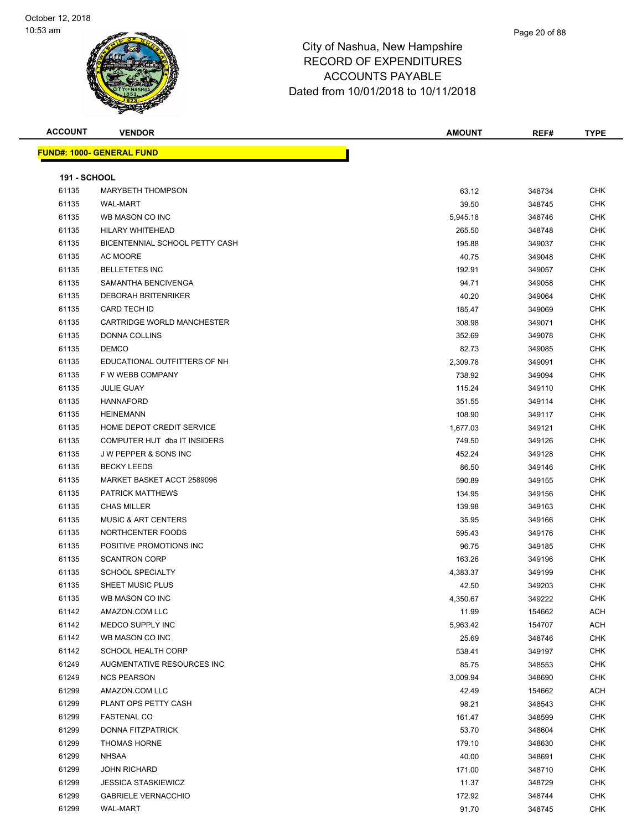| <b>ACCOUNT</b>      | <b>VENDOR</b>                     | <b>AMOUNT</b> | REF#   | <b>TYPE</b> |
|---------------------|-----------------------------------|---------------|--------|-------------|
|                     | <u> FUND#: 1000- GENERAL FUND</u> |               |        |             |
|                     |                                   |               |        |             |
| <b>191 - SCHOOL</b> |                                   |               |        |             |
| 61135               | <b>MARYBETH THOMPSON</b>          | 63.12         | 348734 | <b>CHK</b>  |
| 61135               | <b>WAL-MART</b>                   | 39.50         | 348745 | <b>CHK</b>  |
| 61135               | WB MASON CO INC                   | 5,945.18      | 348746 | <b>CHK</b>  |
| 61135               | HILARY WHITEHEAD                  | 265.50        | 348748 | <b>CHK</b>  |
| 61135               | BICENTENNIAL SCHOOL PETTY CASH    | 195.88        | 349037 | <b>CHK</b>  |
| 61135               | AC MOORE                          | 40.75         | 349048 | <b>CHK</b>  |
| 61135               | <b>BELLETETES INC</b>             | 192.91        | 349057 | <b>CHK</b>  |
| 61135               | SAMANTHA BENCIVENGA               | 94.71         | 349058 | <b>CHK</b>  |
| 61135               | <b>DEBORAH BRITENRIKER</b>        | 40.20         | 349064 | <b>CHK</b>  |
| 61135               | <b>CARD TECH ID</b>               | 185.47        | 349069 | <b>CHK</b>  |
| 61135               | CARTRIDGE WORLD MANCHESTER        | 308.98        | 349071 | <b>CHK</b>  |
| 61135               | <b>DONNA COLLINS</b>              | 352.69        | 349078 | <b>CHK</b>  |
| 61135               | <b>DEMCO</b>                      | 82.73         | 349085 | <b>CHK</b>  |
| 61135               | EDUCATIONAL OUTFITTERS OF NH      | 2,309.78      | 349091 | <b>CHK</b>  |
| 61135               | F W WEBB COMPANY                  | 738.92        | 349094 | <b>CHK</b>  |
| 61135               | <b>JULIE GUAY</b>                 | 115.24        | 349110 | <b>CHK</b>  |
| 61135               | <b>HANNAFORD</b>                  | 351.55        | 349114 | <b>CHK</b>  |
| 61135               | <b>HEINEMANN</b>                  | 108.90        | 349117 | <b>CHK</b>  |
| 61135               | HOME DEPOT CREDIT SERVICE         | 1,677.03      | 349121 | <b>CHK</b>  |
| 61135               | COMPUTER HUT dba IT INSIDERS      | 749.50        | 349126 | <b>CHK</b>  |
| 61135               | J W PEPPER & SONS INC             | 452.24        | 349128 | <b>CHK</b>  |
| 61135               | <b>BECKY LEEDS</b>                | 86.50         | 349146 | <b>CHK</b>  |
| 61135               | MARKET BASKET ACCT 2589096        | 590.89        | 349155 | <b>CHK</b>  |
| 61135               | PATRICK MATTHEWS                  | 134.95        | 349156 | <b>CHK</b>  |
| 61135               | <b>CHAS MILLER</b>                | 139.98        | 349163 | <b>CHK</b>  |
| 61135               | <b>MUSIC &amp; ART CENTERS</b>    | 35.95         | 349166 | <b>CHK</b>  |
| 61135               | NORTHCENTER FOODS                 | 595.43        | 349176 | <b>CHK</b>  |
| 61135               | POSITIVE PROMOTIONS INC           | 96.75         | 349185 | <b>CHK</b>  |
| 61135               | <b>SCANTRON CORP</b>              | 163.26        | 349196 | <b>CHK</b>  |
| 61135               | <b>SCHOOL SPECIALTY</b>           | 4,383.37      | 349199 | <b>CHK</b>  |
| 61135               | SHEET MUSIC PLUS                  | 42.50         | 349203 | <b>CHK</b>  |
| 61135               | WB MASON CO INC                   | 4,350.67      | 349222 | <b>CHK</b>  |
| 61142               | AMAZON.COM LLC                    | 11.99         | 154662 | ACH         |
| 61142               | MEDCO SUPPLY INC                  | 5,963.42      | 154707 | ACH         |
| 61142               | WB MASON CO INC                   | 25.69         | 348746 | <b>CHK</b>  |
| 61142               | <b>SCHOOL HEALTH CORP</b>         | 538.41        | 349197 | <b>CHK</b>  |
| 61249               | AUGMENTATIVE RESOURCES INC        | 85.75         | 348553 | <b>CHK</b>  |
| 61249               | <b>NCS PEARSON</b>                | 3,009.94      | 348690 | <b>CHK</b>  |
| 61299               | AMAZON.COM LLC                    | 42.49         | 154662 | ACH         |
| 61299               | PLANT OPS PETTY CASH              | 98.21         | 348543 | <b>CHK</b>  |
| 61299               | <b>FASTENAL CO</b>                | 161.47        | 348599 | <b>CHK</b>  |
| 61299               | <b>DONNA FITZPATRICK</b>          | 53.70         | 348604 | <b>CHK</b>  |
| 61299               | <b>THOMAS HORNE</b>               | 179.10        | 348630 | <b>CHK</b>  |
| 61299               | NHSAA                             | 40.00         | 348691 | <b>CHK</b>  |
| 61299               | <b>JOHN RICHARD</b>               | 171.00        | 348710 | <b>CHK</b>  |
| 61299               | <b>JESSICA STASKIEWICZ</b>        | 11.37         | 348729 | CHK         |
| 61299               | <b>GABRIELE VERNACCHIO</b>        | 172.92        | 348744 | CHK         |
| 61299               | <b>WAL-MART</b>                   | 91.70         | 348745 | <b>CHK</b>  |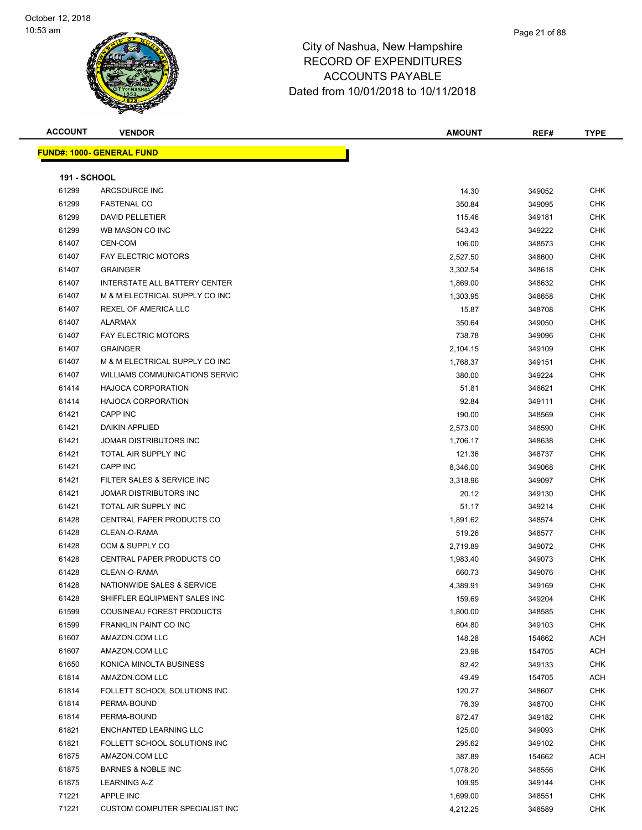#### Page 21 of 88

#### City of Nashua, New Hampshire RECORD OF EXPENDITURES ACCOUNTS PAYABLE Dated from 10/01/2018 to 10/11/2018

| <b>ACCOUNT</b> |  |
|----------------|--|
|----------------|--|

| ACCOUNT | <b>VENDOR</b>                    | <b>AMOUNT</b> | REF#   | <b>TYPE</b> |
|---------|----------------------------------|---------------|--------|-------------|
|         | <u> IND#: 1000- GENERAL FUND</u> |               |        |             |
|         | <b>191 - SCHOOL</b>              |               |        |             |
| 61299   | ARCSOURCE INC                    | 14.30         | 349052 | <b>CHK</b>  |
| 61299   | <b>FASTENAL CO</b>               | 350.84        | 349095 | <b>CHK</b>  |
| 61299   | <b>DAVID PELLETIER</b>           | 115.46        | 349181 | <b>CHK</b>  |
| 61299   | WB MASON CO INC                  | 543.43        | 349222 | <b>CHK</b>  |
| 61407   | CEN-COM                          | 106.00        | 348573 | <b>CHK</b>  |
|         |                                  |               |        |             |

|       | <b>FUND#: 1000- GENERAL FUND</b>     |          |        |            |
|-------|--------------------------------------|----------|--------|------------|
|       | <b>191 - SCHOOL</b>                  |          |        |            |
| 61299 | ARCSOURCE INC                        | 14.30    | 349052 | <b>CHK</b> |
| 61299 | <b>FASTENAL CO</b>                   | 350.84   | 349095 | CHK        |
| 61299 | <b>DAVID PELLETIER</b>               | 115.46   | 349181 | CHK        |
| 61299 | WB MASON CO INC                      | 543.43   | 349222 | <b>CHK</b> |
| 61407 | CEN-COM                              | 106.00   | 348573 | <b>CHK</b> |
| 61407 | <b>FAY ELECTRIC MOTORS</b>           | 2,527.50 | 348600 | CHK        |
| 61407 | <b>GRAINGER</b>                      | 3,302.54 | 348618 | CHK        |
| 61407 | <b>INTERSTATE ALL BATTERY CENTER</b> | 1,869.00 | 348632 | CHK        |
| 61407 | M & M ELECTRICAL SUPPLY CO INC       | 1,303.95 | 348658 | CHK        |
| 61407 | <b>REXEL OF AMERICA LLC</b>          | 15.87    | 348708 | <b>CHK</b> |
| 61407 | <b>ALARMAX</b>                       | 350.64   | 349050 | CHK        |
| 61407 | <b>FAY ELECTRIC MOTORS</b>           | 738.78   | 349096 | <b>CHK</b> |
| 61407 | <b>GRAINGER</b>                      | 2,104.15 | 349109 | CHK        |
| 61407 | M & M ELECTRICAL SUPPLY CO INC       | 1,768.37 | 349151 | CHK        |
| 61407 | WILLIAMS COMMUNICATIONS SERVIC       | 380.00   | 349224 | <b>CHK</b> |
| 61414 | <b>HAJOCA CORPORATION</b>            | 51.81    | 348621 | <b>CHK</b> |
| 61414 | <b>HAJOCA CORPORATION</b>            | 92.84    | 349111 | CHK        |
| 61421 | <b>CAPP INC</b>                      | 190.00   | 348569 | CHK        |
| 61421 | <b>DAIKIN APPLIED</b>                | 2,573.00 | 348590 | CHK        |
| 61421 | JOMAR DISTRIBUTORS INC               | 1,706.17 | 348638 | CHK        |
| 61421 | TOTAL AIR SUPPLY INC                 | 121.36   | 348737 | <b>CHK</b> |
| 61421 | <b>CAPP INC</b>                      | 8,346.00 | 349068 | <b>CHK</b> |
| 61421 | FILTER SALES & SERVICE INC           | 3,318.96 | 349097 | CHK        |
| 61421 | <b>JOMAR DISTRIBUTORS INC</b>        | 20.12    | 349130 | CHK        |
| 61421 | TOTAL AIR SUPPLY INC                 | 51.17    | 349214 | CHK        |

61428 CENTRAL PAPER PRODUCTS CO **1,891.62** 348574 CHK CLEAN-O-RAMA 519.26 348577 CHK CCM & SUPPLY CO 2,719.89 349072 CHK er and the Separate CENTRAL PAPER PRODUCTS CO and the Separate CHK in the Separate CHK in the Separate CHK in the Separate CHK CLEAN-O-RAMA 660.73 349076 CHK NATIONWIDE SALES & SERVICE 4,389.91 349169 CHK er 1428 SHIFFLER EQUIPMENT SALES INC 159.69 349204 CHK COUSINEAU FOREST PRODUCTS 1,800.00 348585 CHK FRANKLIN PAINT CO INC 604.80 349103 CHK AMAZON.COM LLC 148.28 154662 ACH AMAZON.COM LLC 23.98 154705 ACH KONICA MINOLTA BUSINESS 82.42 349133 CHK AMAZON.COM LLC 49.49 154705 ACH FOLLETT SCHOOL SOLUTIONS INC 120.27 348607 CHK PERMA-BOUND 76.39 348700 CHK PERMA-BOUND 872.47 349182 CHK ENCHANTED LEARNING LLC 125.00 349093 CHK FOLLETT SCHOOL SOLUTIONS INC 295.62 349102 CHK AMAZON.COM LLC 387.89 154662 ACH BARNES & NOBLE INC 1,078.20 348556 CHK LEARNING A-Z 109.95 349144 CHK APPLE INC 1,699.00 348551 CHK The Substitute CUSTOM COMPUTER SPECIALIST INC And the Substitute of the Substitute of the Substitute of the Substitute of the Substitute of the Substitute of the Substitute of the Substitute of the Substitute of the Substi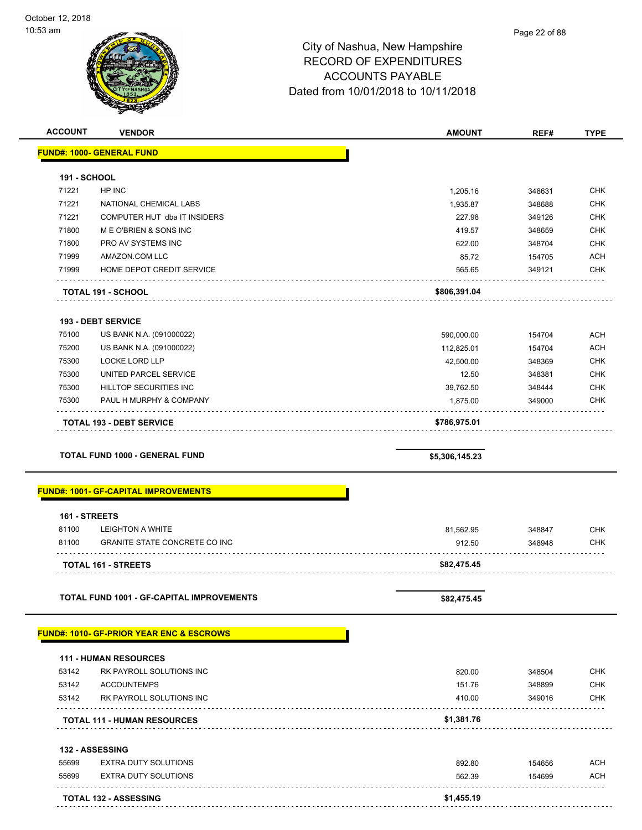

| <b>ACCOUNT</b>      | <b>VENDOR</b>                                       | <b>AMOUNT</b>  | REF#   | <b>TYPE</b> |
|---------------------|-----------------------------------------------------|----------------|--------|-------------|
|                     | <b>FUND#: 1000- GENERAL FUND</b>                    |                |        |             |
|                     |                                                     |                |        |             |
| <b>191 - SCHOOL</b> |                                                     |                |        |             |
| 71221               | HP INC                                              | 1,205.16       | 348631 | <b>CHK</b>  |
| 71221               | NATIONAL CHEMICAL LABS                              | 1,935.87       | 348688 | <b>CHK</b>  |
| 71221               | COMPUTER HUT dba IT INSIDERS                        | 227.98         | 349126 | <b>CHK</b>  |
| 71800               | M E O'BRIEN & SONS INC                              | 419.57         | 348659 | <b>CHK</b>  |
| 71800               | PRO AV SYSTEMS INC                                  | 622.00         | 348704 | <b>CHK</b>  |
| 71999               | AMAZON.COM LLC                                      | 85.72          | 154705 | <b>ACH</b>  |
| 71999               | HOME DEPOT CREDIT SERVICE                           | 565.65         | 349121 | <b>CHK</b>  |
|                     | <b>TOTAL 191 - SCHOOL</b>                           | \$806,391.04   |        |             |
|                     | <b>193 - DEBT SERVICE</b>                           |                |        |             |
| 75100               | US BANK N.A. (091000022)                            | 590,000.00     | 154704 | <b>ACH</b>  |
| 75200               | US BANK N.A. (091000022)                            | 112,825.01     | 154704 | <b>ACH</b>  |
| 75300               | <b>LOCKE LORD LLP</b>                               | 42,500.00      | 348369 | <b>CHK</b>  |
| 75300               | UNITED PARCEL SERVICE                               | 12.50          | 348381 | <b>CHK</b>  |
| 75300               | HILLTOP SECURITIES INC                              | 39,762.50      | 348444 | <b>CHK</b>  |
| 75300               | PAUL H MURPHY & COMPANY                             | 1,875.00       | 349000 | <b>CHK</b>  |
|                     | <b>TOTAL 193 - DEBT SERVICE</b>                     | \$786,975.01   |        |             |
|                     | <b>TOTAL FUND 1000 - GENERAL FUND</b>               | \$5,306,145.23 |        |             |
|                     |                                                     |                |        |             |
|                     | <b>FUND#: 1001- GF-CAPITAL IMPROVEMENTS</b>         |                |        |             |
| 161 - STREETS       |                                                     |                |        |             |
| 81100               | <b>LEIGHTON A WHITE</b>                             | 81,562.95      | 348847 | <b>CHK</b>  |
| 81100               | <b>GRANITE STATE CONCRETE CO INC</b>                | 912.50         | 348948 | <b>CHK</b>  |
|                     |                                                     |                |        |             |
|                     | <b>TOTAL 161 - STREETS</b>                          | \$82,475.45    |        |             |
|                     | TOTAL FUND 1001 - GF-CAPITAL IMPROVEMENTS           | \$82,475.45    |        |             |
|                     |                                                     |                |        |             |
|                     | <b>FUND#: 1010- GF-PRIOR YEAR ENC &amp; ESCROWS</b> |                |        |             |
|                     | <b>111 - HUMAN RESOURCES</b>                        |                |        |             |
| 53142               | RK PAYROLL SOLUTIONS INC                            | 820.00         | 348504 | <b>CHK</b>  |
| 53142               | <b>ACCOUNTEMPS</b>                                  | 151.76         | 348899 | <b>CHK</b>  |
| 53142               | RK PAYROLL SOLUTIONS INC                            | 410.00         | 349016 | <b>CHK</b>  |
|                     |                                                     |                |        |             |
|                     | <b>TOTAL 111 - HUMAN RESOURCES</b>                  | \$1,381.76     |        |             |
|                     | 132 - ASSESSING                                     |                |        |             |
| 55699               | <b>EXTRA DUTY SOLUTIONS</b>                         | 892.80         | 154656 | ACH         |
| 55699               | <b>EXTRA DUTY SOLUTIONS</b>                         | 562.39         | 154699 | ACH         |
|                     | <b>TOTAL 132 - ASSESSING</b>                        | \$1,455.19     |        |             |
|                     |                                                     |                |        |             |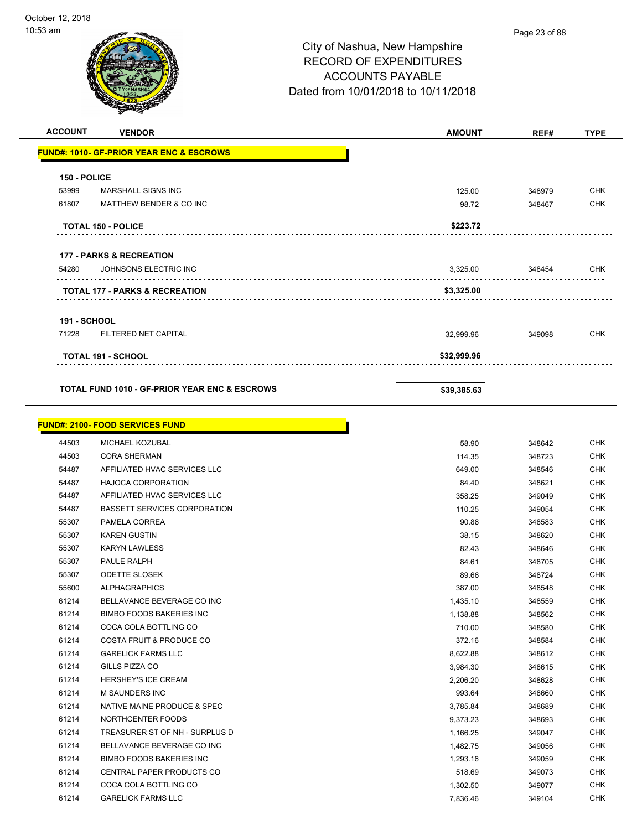| <b>ACCOUNT</b>      | <b>VENDOR</b>                                            | <b>AMOUNT</b>        | REF#             | <b>TYPE</b>              |
|---------------------|----------------------------------------------------------|----------------------|------------------|--------------------------|
|                     | <b>FUND#: 1010- GF-PRIOR YEAR ENC &amp; ESCROWS</b>      |                      |                  |                          |
|                     |                                                          |                      |                  |                          |
| 150 - POLICE        |                                                          |                      |                  |                          |
| 53999               | MARSHALL SIGNS INC                                       | 125.00               | 348979           | <b>CHK</b>               |
| 61807               | MATTHEW BENDER & CO INC                                  | 98.72                | 348467           | <b>CHK</b>               |
|                     |                                                          |                      |                  |                          |
|                     | <b>TOTAL 150 - POLICE</b>                                | \$223.72             |                  |                          |
|                     |                                                          |                      |                  |                          |
|                     | <b>177 - PARKS &amp; RECREATION</b>                      |                      |                  |                          |
| 54280               | JOHNSONS ELECTRIC INC                                    | 3,325.00             | 348454           | <b>CHK</b>               |
|                     |                                                          |                      |                  |                          |
|                     | TOTAL 177 - PARKS & RECREATION                           | \$3,325.00           |                  |                          |
|                     |                                                          |                      |                  |                          |
| <b>191 - SCHOOL</b> |                                                          |                      |                  |                          |
| 71228               | FILTERED NET CAPITAL                                     | 32,999.96            | 349098           | <b>CHK</b>               |
|                     |                                                          |                      |                  |                          |
|                     | TOTAL 191 - SCHOOL                                       | \$32,999.96          |                  |                          |
|                     |                                                          |                      |                  |                          |
|                     | <b>TOTAL FUND 1010 - GF-PRIOR YEAR ENC &amp; ESCROWS</b> | \$39,385.63          |                  |                          |
|                     |                                                          |                      |                  |                          |
|                     |                                                          |                      |                  |                          |
|                     | <b>FUND#: 2100- FOOD SERVICES FUND</b>                   |                      |                  |                          |
| 44503               | MICHAEL KOZUBAL                                          | 58.90                | 348642           | <b>CHK</b>               |
| 44503               | <b>CORA SHERMAN</b>                                      | 114.35               | 348723           | <b>CHK</b>               |
| 54487               | AFFILIATED HVAC SERVICES LLC                             | 649.00               | 348546           | <b>CHK</b>               |
| 54487               | <b>HAJOCA CORPORATION</b>                                | 84.40                | 348621           | <b>CHK</b>               |
| 54487               | AFFILIATED HVAC SERVICES LLC                             | 358.25               | 349049           | <b>CHK</b>               |
| 54487               | <b>BASSETT SERVICES CORPORATION</b>                      | 110.25               | 349054           | <b>CHK</b>               |
| 55307               | PAMELA CORREA                                            | 90.88                | 348583           | <b>CHK</b>               |
| 55307               | <b>KAREN GUSTIN</b>                                      | 38.15                | 348620           | <b>CHK</b>               |
| 55307               | <b>KARYN LAWLESS</b>                                     | 82.43                | 348646           | <b>CHK</b>               |
| 55307               | PAULE RALPH                                              | 84.61                | 348705           | CHK                      |
| 55307               | <b>ODETTE SLOSEK</b>                                     | 89.66                | 348724           | <b>CHK</b>               |
| 55600               | <b>ALPHAGRAPHICS</b>                                     | 387.00               | 348548           | <b>CHK</b>               |
| 61214               | BELLAVANCE BEVERAGE CO INC                               | 1,435.10             | 348559           | CHK                      |
| 61214               | <b>BIMBO FOODS BAKERIES INC</b>                          | 1,138.88             | 348562           | <b>CHK</b>               |
| 61214               | COCA COLA BOTTLING CO                                    | 710.00               | 348580           | <b>CHK</b>               |
| 61214               | COSTA FRUIT & PRODUCE CO                                 | 372.16               | 348584           | <b>CHK</b>               |
| 61214               | <b>GARELICK FARMS LLC</b>                                | 8,622.88             | 348612           | <b>CHK</b>               |
| 61214               | GILLS PIZZA CO                                           | 3,984.30             | 348615           | <b>CHK</b>               |
| 61214               | HERSHEY'S ICE CREAM<br>M SAUNDERS INC                    | 2,206.20             | 348628           | <b>CHK</b>               |
| 61214               | NATIVE MAINE PRODUCE & SPEC                              | 993.64               | 348660           | <b>CHK</b><br><b>CHK</b> |
| 61214<br>61214      | NORTHCENTER FOODS                                        | 3,785.84<br>9,373.23 | 348689<br>348693 | <b>CHK</b>               |
| 61214               | TREASURER ST OF NH - SURPLUS D                           | 1,166.25             | 349047           | <b>CHK</b>               |
| 61214               | BELLAVANCE BEVERAGE CO INC                               | 1,482.75             | 349056           | <b>CHK</b>               |
| 61214               | <b>BIMBO FOODS BAKERIES INC</b>                          | 1,293.16             | 349059           | <b>CHK</b>               |
| 61214               | CENTRAL PAPER PRODUCTS CO                                | 518.69               | 349073           | <b>CHK</b>               |
| 61214               | COCA COLA BOTTLING CO                                    | 1,302.50             | 349077           | <b>CHK</b>               |
| 61214               | <b>GARELICK FARMS LLC</b>                                | 7,836.46             | 349104           | <b>CHK</b>               |
|                     |                                                          |                      |                  |                          |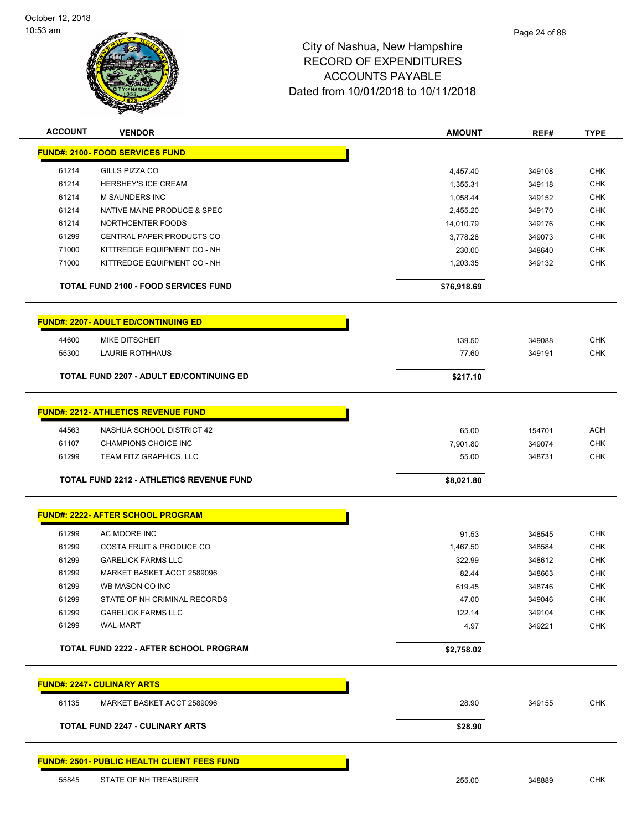

| <b>ACCOUNT</b> | <b>VENDOR</b>                                       | <b>AMOUNT</b>        | REF#             | <b>TYPE</b> |
|----------------|-----------------------------------------------------|----------------------|------------------|-------------|
|                | <b>FUND#: 2100- FOOD SERVICES FUND</b>              |                      |                  |             |
| 61214          | GILLS PIZZA CO                                      |                      |                  | <b>CHK</b>  |
| 61214          | HERSHEY'S ICE CREAM                                 | 4,457.40<br>1,355.31 | 349108<br>349118 | <b>CHK</b>  |
| 61214          | <b>M SAUNDERS INC</b>                               | 1,058.44             | 349152           | <b>CHK</b>  |
| 61214          | NATIVE MAINE PRODUCE & SPEC                         | 2,455.20             | 349170           | <b>CHK</b>  |
| 61214          | NORTHCENTER FOODS                                   | 14,010.79            | 349176           | <b>CHK</b>  |
| 61299          | CENTRAL PAPER PRODUCTS CO                           | 3,778.28             | 349073           | <b>CHK</b>  |
| 71000          | KITTREDGE EQUIPMENT CO - NH                         | 230.00               | 348640           | <b>CHK</b>  |
| 71000          | KITTREDGE EQUIPMENT CO - NH                         | 1,203.35             | 349132           | <b>CHK</b>  |
|                |                                                     |                      |                  |             |
|                | <b>TOTAL FUND 2100 - FOOD SERVICES FUND</b>         | \$76,918.69          |                  |             |
|                | <b>FUND#: 2207- ADULT ED/CONTINUING ED</b>          |                      |                  |             |
| 44600          | <b>MIKE DITSCHEIT</b>                               | 139.50               | 349088           | <b>CHK</b>  |
| 55300          | LAURIE ROTHHAUS                                     | 77.60                | 349191           | <b>CHK</b>  |
|                |                                                     |                      |                  |             |
|                | <b>TOTAL FUND 2207 - ADULT ED/CONTINUING ED</b>     | \$217.10             |                  |             |
|                | <b>FUND#: 2212- ATHLETICS REVENUE FUND</b>          |                      |                  |             |
| 44563          | NASHUA SCHOOL DISTRICT 42                           | 65.00                | 154701           | <b>ACH</b>  |
| 61107          | CHAMPIONS CHOICE INC                                | 7,901.80             | 349074           | <b>CHK</b>  |
| 61299          | TEAM FITZ GRAPHICS, LLC                             | 55.00                | 348731           | <b>CHK</b>  |
|                |                                                     |                      |                  |             |
|                | <b>TOTAL FUND 2212 - ATHLETICS REVENUE FUND</b>     | \$8,021.80           |                  |             |
|                | <b>FUND#: 2222- AFTER SCHOOL PROGRAM</b>            |                      |                  |             |
|                |                                                     |                      |                  | <b>CHK</b>  |
| 61299<br>61299 | AC MOORE INC<br><b>COSTA FRUIT &amp; PRODUCE CO</b> | 91.53                | 348545<br>348584 | <b>CHK</b>  |
| 61299          | <b>GARELICK FARMS LLC</b>                           | 1,467.50<br>322.99   | 348612           | <b>CHK</b>  |
| 61299          | MARKET BASKET ACCT 2589096                          | 82.44                | 348663           | <b>CHK</b>  |
| 61299          | WB MASON CO INC                                     | 619.45               | 348746           | <b>CHK</b>  |
| 61299          | STATE OF NH CRIMINAL RECORDS                        | 47.00                | 349046           | <b>CHK</b>  |
| 61299          | <b>GARELICK FARMS LLC</b>                           | 122.14               | 349104           | <b>CHK</b>  |
| 61299          | <b>WAL-MART</b>                                     | 4.97                 | 349221           | <b>CHK</b>  |
|                | <b>TOTAL FUND 2222 - AFTER SCHOOL PROGRAM</b>       | \$2,758.02           |                  |             |
|                |                                                     |                      |                  |             |
|                | <b>FUND#: 2247- CULINARY ARTS</b>                   |                      |                  |             |
| 61135          | MARKET BASKET ACCT 2589096                          | 28.90                | 349155           | <b>CHK</b>  |
|                | <b>TOTAL FUND 2247 - CULINARY ARTS</b>              | \$28.90              |                  |             |
|                | <b>FUND#: 2501- PUBLIC HEALTH CLIENT FEES FUND</b>  |                      |                  |             |
| 55845          | STATE OF NH TREASURER                               | 255.00               | 348889           | <b>CHK</b>  |
|                |                                                     |                      |                  |             |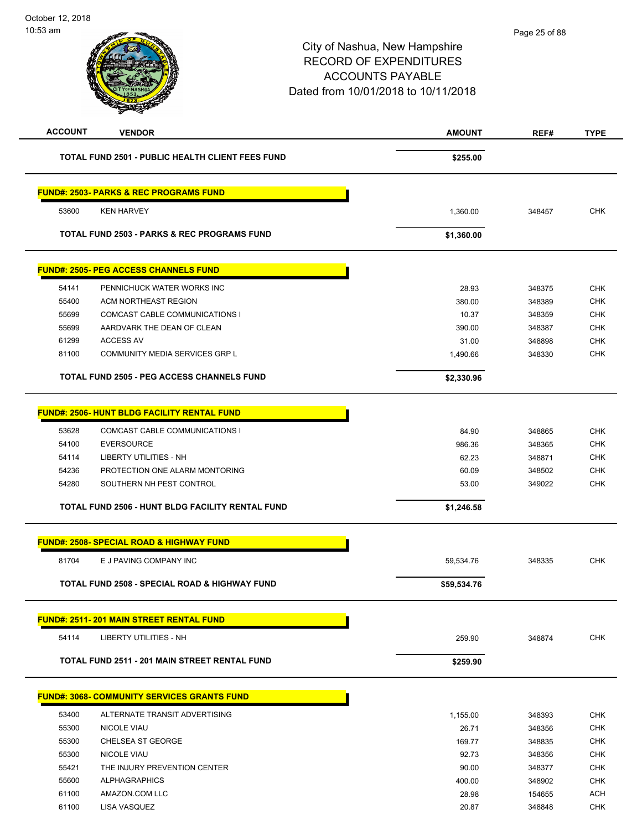| REF#<br><b>TYPE</b>  |
|----------------------|
|                      |
|                      |
|                      |
| <b>CHK</b><br>348457 |
|                      |
|                      |
| <b>CHK</b><br>348375 |
| <b>CHK</b><br>348389 |
| 348359<br><b>CHK</b> |
| <b>CHK</b><br>348387 |
| <b>CHK</b><br>348898 |
| <b>CHK</b><br>348330 |
|                      |
|                      |
| <b>CHK</b><br>348865 |
| <b>CHK</b><br>348365 |
| <b>CHK</b><br>348871 |
| <b>CHK</b><br>348502 |
| <b>CHK</b><br>349022 |
|                      |
|                      |
| <b>CHK</b><br>348335 |
|                      |
|                      |
| CHK<br>348874        |
|                      |
|                      |
| <b>CHK</b><br>348393 |
| 348356<br><b>CHK</b> |
| <b>CHK</b><br>348835 |
| <b>CHK</b><br>348356 |
| <b>CHK</b><br>348377 |
| <b>CHK</b><br>348902 |
| <b>ACH</b><br>154655 |
| 348848<br><b>CHK</b> |
|                      |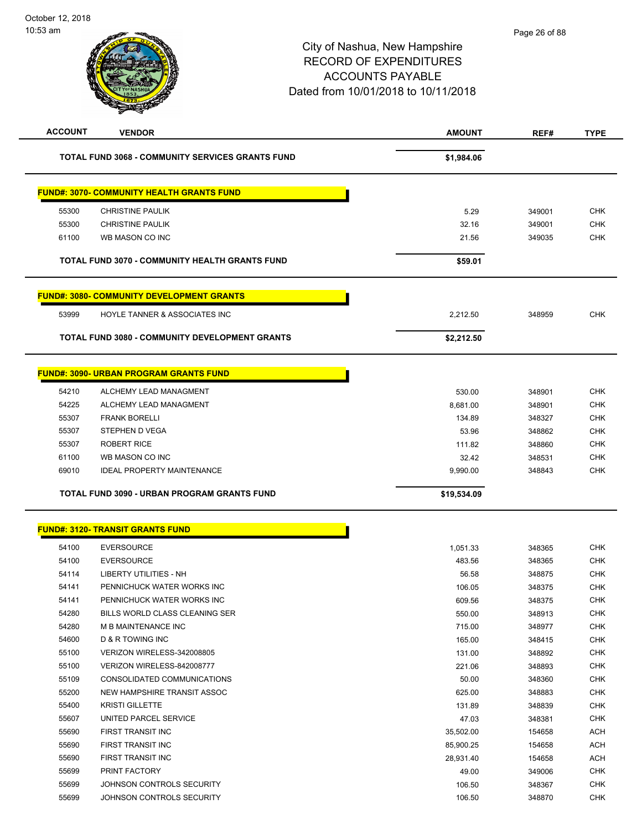| <b>ACCOUNT</b> | <b>VENDOR</b>                                           | <b>AMOUNT</b>  | REF#   | <b>TYPE</b>              |
|----------------|---------------------------------------------------------|----------------|--------|--------------------------|
|                | <b>TOTAL FUND 3068 - COMMUNITY SERVICES GRANTS FUND</b> | \$1,984.06     |        |                          |
|                | <b>FUND#: 3070- COMMUNITY HEALTH GRANTS FUND</b>        |                |        |                          |
|                |                                                         |                |        |                          |
| 55300          | <b>CHRISTINE PAULIK</b>                                 | 5.29           | 349001 | <b>CHK</b><br><b>CHK</b> |
| 55300<br>61100 | <b>CHRISTINE PAULIK</b><br>WB MASON CO INC              | 32.16<br>21.56 | 349001 | <b>CHK</b>               |
|                |                                                         |                | 349035 |                          |
|                | TOTAL FUND 3070 - COMMUNITY HEALTH GRANTS FUND          | \$59.01        |        |                          |
|                | <u> FUND#: 3080- COMMUNITY DEVELOPMENT GRANTS</u>       |                |        |                          |
| 53999          | HOYLE TANNER & ASSOCIATES INC                           | 2,212.50       | 348959 | <b>CHK</b>               |
|                | <b>TOTAL FUND 3080 - COMMUNITY DEVELOPMENT GRANTS</b>   | \$2,212.50     |        |                          |
|                |                                                         |                |        |                          |
|                | <b>FUND#: 3090- URBAN PROGRAM GRANTS FUND</b>           |                |        |                          |
| 54210          | ALCHEMY LEAD MANAGMENT                                  | 530.00         | 348901 | <b>CHK</b>               |
| 54225          | ALCHEMY LEAD MANAGMENT                                  | 8,681.00       | 348901 | <b>CHK</b>               |
| 55307          | <b>FRANK BORELLI</b>                                    | 134.89         | 348327 | <b>CHK</b>               |
| 55307          | STEPHEN D VEGA                                          | 53.96          | 348862 | <b>CHK</b>               |
| 55307          | <b>ROBERT RICE</b>                                      | 111.82         | 348860 | <b>CHK</b>               |
| 61100          | WB MASON CO INC                                         | 32.42          | 348531 | <b>CHK</b>               |
| 69010          | <b>IDEAL PROPERTY MAINTENANCE</b>                       | 9,990.00       | 348843 | <b>CHK</b>               |
|                | TOTAL FUND 3090 - URBAN PROGRAM GRANTS FUND             | \$19,534.09    |        |                          |
|                |                                                         |                |        |                          |
|                | <b>FUND#: 3120- TRANSIT GRANTS FUND</b>                 |                |        |                          |
| 54100          | <b>EVERSOURCE</b>                                       | 1,051.33       | 348365 | <b>CHK</b>               |
| 54100          | <b>EVERSOURCE</b>                                       | 483.56         | 348365 | <b>CHK</b>               |
| 54114          | LIBERTY UTILITIES - NH                                  | 56.58          | 348875 | <b>CHK</b>               |
| 54141          | PENNICHUCK WATER WORKS INC                              | 106.05         | 348375 | <b>CHK</b>               |
| 54141          | PENNICHUCK WATER WORKS INC                              | 609.56         | 348375 | <b>CHK</b>               |
| 54280          | BILLS WORLD CLASS CLEANING SER                          | 550.00         | 348913 | <b>CHK</b>               |
| 54280          | M B MAINTENANCE INC                                     | 715.00         | 348977 | <b>CHK</b>               |
| 54600          | D & R TOWING INC                                        | 165.00         | 348415 | <b>CHK</b>               |
| 55100          | VERIZON WIRELESS-342008805                              | 131.00         | 348892 | <b>CHK</b>               |
| 55100          | VERIZON WIRELESS-842008777                              | 221.06         | 348893 | <b>CHK</b>               |
| 55109          | CONSOLIDATED COMMUNICATIONS                             | 50.00          | 348360 | <b>CHK</b>               |
| 55200          | NEW HAMPSHIRE TRANSIT ASSOC                             | 625.00         | 348883 | <b>CHK</b>               |
| 55400          | <b>KRISTI GILLETTE</b>                                  | 131.89         | 348839 | CHK                      |
| 55607          | UNITED PARCEL SERVICE                                   | 47.03          | 348381 | <b>CHK</b>               |
| 55690          | FIRST TRANSIT INC                                       | 35,502.00      | 154658 | ACH                      |
| 55690          | FIRST TRANSIT INC                                       | 85,900.25      | 154658 | ACH                      |
| 55690          | FIRST TRANSIT INC                                       | 28,931.40      | 154658 | <b>ACH</b>               |
| 55699          | PRINT FACTORY                                           | 49.00          | 349006 | CHK                      |
| 55699<br>55699 | JOHNSON CONTROLS SECURITY<br>JOHNSON CONTROLS SECURITY  | 106.50         | 348367 | CHK<br><b>CHK</b>        |
|                |                                                         | 106.50         | 348870 |                          |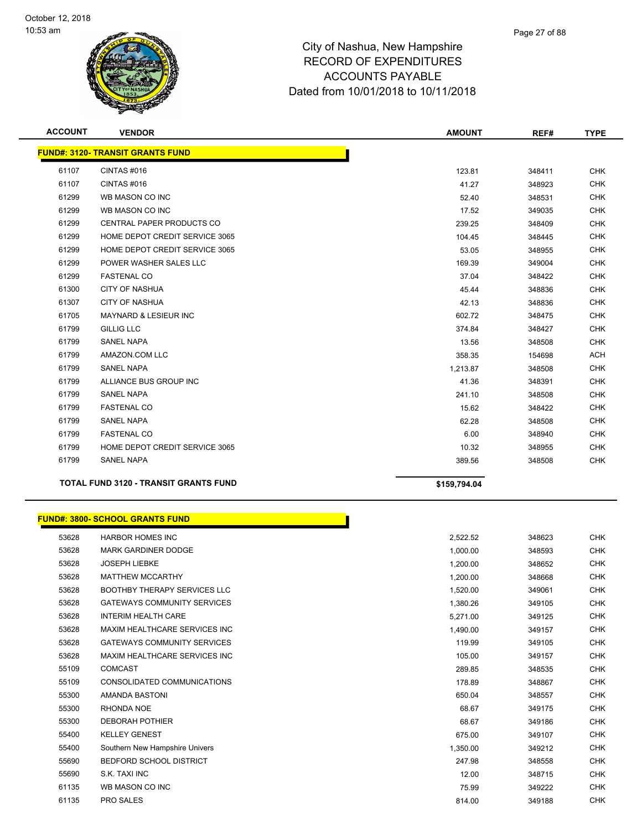

| <b>ACCOUNT</b> | <b>VENDOR</b>                                | <b>AMOUNT</b> | REF#   | <b>TYPE</b> |  |  |
|----------------|----------------------------------------------|---------------|--------|-------------|--|--|
|                | <b>FUND#: 3120- TRANSIT GRANTS FUND</b>      |               |        |             |  |  |
| 61107          | CINTAS#016                                   | 123.81        | 348411 | <b>CHK</b>  |  |  |
| 61107          | CINTAS#016                                   | 41.27         | 348923 | <b>CHK</b>  |  |  |
| 61299          | WB MASON CO INC                              | 52.40         | 348531 | <b>CHK</b>  |  |  |
| 61299          | WB MASON CO INC                              | 17.52         | 349035 | <b>CHK</b>  |  |  |
| 61299          | CENTRAL PAPER PRODUCTS CO                    | 239.25        | 348409 | <b>CHK</b>  |  |  |
| 61299          | HOME DEPOT CREDIT SERVICE 3065               | 104.45        | 348445 | <b>CHK</b>  |  |  |
| 61299          | HOME DEPOT CREDIT SERVICE 3065               | 53.05         | 348955 | <b>CHK</b>  |  |  |
| 61299          | POWER WASHER SALES LLC                       | 169.39        | 349004 | <b>CHK</b>  |  |  |
| 61299          | <b>FASTENAL CO</b>                           | 37.04         | 348422 | <b>CHK</b>  |  |  |
| 61300          | <b>CITY OF NASHUA</b>                        | 45.44         | 348836 | <b>CHK</b>  |  |  |
| 61307          | <b>CITY OF NASHUA</b>                        | 42.13         | 348836 | <b>CHK</b>  |  |  |
| 61705          | <b>MAYNARD &amp; LESIEUR INC</b>             | 602.72        | 348475 | <b>CHK</b>  |  |  |
| 61799          | <b>GILLIG LLC</b>                            | 374.84        | 348427 | <b>CHK</b>  |  |  |
| 61799          | <b>SANEL NAPA</b>                            | 13.56         | 348508 | <b>CHK</b>  |  |  |
| 61799          | AMAZON.COM LLC                               | 358.35        | 154698 | <b>ACH</b>  |  |  |
| 61799          | <b>SANEL NAPA</b>                            | 1,213.87      | 348508 | <b>CHK</b>  |  |  |
| 61799          | ALLIANCE BUS GROUP INC                       | 41.36         | 348391 | <b>CHK</b>  |  |  |
| 61799          | <b>SANEL NAPA</b>                            | 241.10        | 348508 | <b>CHK</b>  |  |  |
| 61799          | <b>FASTENAL CO</b>                           | 15.62         | 348422 | <b>CHK</b>  |  |  |
| 61799          | <b>SANEL NAPA</b>                            | 62.28         | 348508 | <b>CHK</b>  |  |  |
| 61799          | <b>FASTENAL CO</b>                           | 6.00          | 348940 | <b>CHK</b>  |  |  |
| 61799          | HOME DEPOT CREDIT SERVICE 3065               | 10.32         | 348955 | <b>CHK</b>  |  |  |
| 61799          | <b>SANEL NAPA</b>                            | 389.56        | 348508 | <b>CHK</b>  |  |  |
|                | <b>TOTAL FUND 3120 - TRANSIT GRANTS FUND</b> | \$159.794.04  |        |             |  |  |

# **FUND#: 3800- SCHOOL GRANTS FUND**

|       | <u> JND#: 3800- SCHOOL GRANTS FUND</u> |          |        |
|-------|----------------------------------------|----------|--------|
| 53628 | <b>HARBOR HOMES INC</b>                | 2,522.52 | 348623 |
| 53628 | <b>MARK GARDINER DODGE</b>             | 1,000.00 | 348593 |
| 53628 | <b>JOSEPH LIEBKE</b>                   | 1,200.00 | 348652 |
| 53628 | <b>MATTHEW MCCARTHY</b>                | 1,200.00 | 348668 |
| 53628 | <b>BOOTHBY THERAPY SERVICES LLC</b>    | 1,520.00 | 349061 |
| 53628 | <b>GATEWAYS COMMUNITY SERVICES</b>     | 1,380.26 | 349105 |
| 53628 | <b>INTERIM HEALTH CARE</b>             | 5,271.00 | 349125 |
| 53628 | MAXIM HEALTHCARE SERVICES INC          | 1,490.00 | 349157 |
| 53628 | <b>GATEWAYS COMMUNITY SERVICES</b>     | 119.99   | 349105 |
| 53628 | MAXIM HEALTHCARE SERVICES INC          | 105.00   | 349157 |
| 55109 | <b>COMCAST</b>                         | 289.85   | 348535 |
| 55109 | CONSOLIDATED COMMUNICATIONS            | 178.89   | 348867 |
| 55300 | <b>AMANDA BASTONI</b>                  | 650.04   | 348557 |
| 55300 | RHONDA NOE                             | 68.67    | 349175 |
| 55300 | <b>DEBORAH POTHIER</b>                 | 68.67    | 349186 |
| 55400 | <b>KELLEY GENEST</b>                   | 675.00   | 349107 |
| 55400 | Southern New Hampshire Univers         | 1,350.00 | 349212 |
| 55690 | <b>BEDFORD SCHOOL DISTRICT</b>         | 247.98   | 348558 |
| 55690 | S.K. TAXI INC                          | 12.00    | 348715 |
| 61135 | WB MASON CO INC                        | 75.99    | 349222 |
| 61135 | <b>PRO SALES</b>                       | 814.00   | 349188 |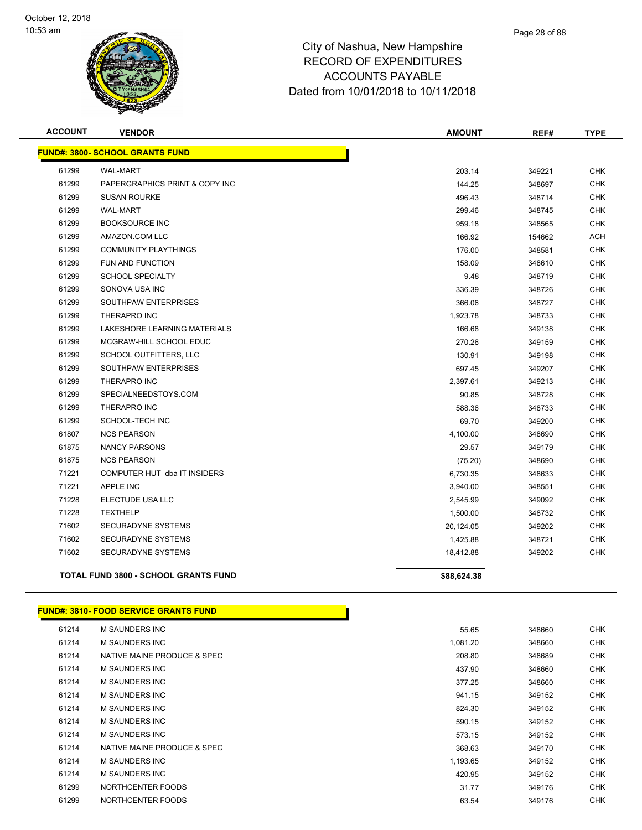

| <b>ACCOUNT</b> | <b>VENDOR</b>                               | <b>AMOUNT</b> | REF#   | <b>TYPE</b> |
|----------------|---------------------------------------------|---------------|--------|-------------|
|                | <b>FUND#: 3800- SCHOOL GRANTS FUND</b>      |               |        |             |
| 61299          | <b>WAL-MART</b>                             | 203.14        | 349221 | <b>CHK</b>  |
| 61299          | PAPERGRAPHICS PRINT & COPY INC              | 144.25        | 348697 | <b>CHK</b>  |
| 61299          | <b>SUSAN ROURKE</b>                         | 496.43        | 348714 | <b>CHK</b>  |
| 61299          | <b>WAL-MART</b>                             | 299.46        | 348745 | <b>CHK</b>  |
| 61299          | <b>BOOKSOURCE INC</b>                       | 959.18        | 348565 | CHK         |
| 61299          | AMAZON.COM LLC                              | 166.92        | 154662 | ACH         |
| 61299          | <b>COMMUNITY PLAYTHINGS</b>                 | 176.00        | 348581 | <b>CHK</b>  |
| 61299          | FUN AND FUNCTION                            | 158.09        | 348610 | <b>CHK</b>  |
| 61299          | <b>SCHOOL SPECIALTY</b>                     | 9.48          | 348719 | <b>CHK</b>  |
| 61299          | SONOVA USA INC                              | 336.39        | 348726 | <b>CHK</b>  |
| 61299          | SOUTHPAW ENTERPRISES                        | 366.06        | 348727 | <b>CHK</b>  |
| 61299          | <b>THERAPRO INC</b>                         | 1,923.78      | 348733 | <b>CHK</b>  |
| 61299          | LAKESHORE LEARNING MATERIALS                | 166.68        | 349138 | <b>CHK</b>  |
| 61299          | MCGRAW-HILL SCHOOL EDUC                     | 270.26        | 349159 | <b>CHK</b>  |
| 61299          | SCHOOL OUTFITTERS, LLC                      | 130.91        | 349198 | <b>CHK</b>  |
| 61299          | SOUTHPAW ENTERPRISES                        | 697.45        | 349207 | <b>CHK</b>  |
| 61299          | <b>THERAPRO INC</b>                         | 2,397.61      | 349213 | <b>CHK</b>  |
| 61299          | SPECIALNEEDSTOYS.COM                        | 90.85         | 348728 | <b>CHK</b>  |
| 61299          | THERAPRO INC                                | 588.36        | 348733 | <b>CHK</b>  |
| 61299          | SCHOOL-TECH INC                             | 69.70         | 349200 | <b>CHK</b>  |
| 61807          | <b>NCS PEARSON</b>                          | 4,100.00      | 348690 | <b>CHK</b>  |
| 61875          | <b>NANCY PARSONS</b>                        | 29.57         | 349179 | <b>CHK</b>  |
| 61875          | <b>NCS PEARSON</b>                          | (75.20)       | 348690 | CHK         |
| 71221          | COMPUTER HUT dba IT INSIDERS                | 6,730.35      | 348633 | CHK         |
| 71221          | <b>APPLE INC</b>                            | 3,940.00      | 348551 | <b>CHK</b>  |
| 71228          | ELECTUDE USA LLC                            | 2,545.99      | 349092 | <b>CHK</b>  |
| 71228          | <b>TEXTHELP</b>                             | 1,500.00      | 348732 | <b>CHK</b>  |
| 71602          | SECURADYNE SYSTEMS                          | 20,124.05     | 349202 | <b>CHK</b>  |
| 71602          | SECURADYNE SYSTEMS                          | 1,425.88      | 348721 | <b>CHK</b>  |
| 71602          | <b>SECURADYNE SYSTEMS</b>                   | 18,412.88     | 349202 | CHK         |
|                | <b>TOTAL FUND 3800 - SCHOOL GRANTS FUND</b> | \$88,624.38   |        |             |

#### **FUND#: 3810- FOOD SERVICE GRANTS FUND**

| 61214 | M SAUNDERS INC              | 55.65    | 348660 | <b>CHK</b> |
|-------|-----------------------------|----------|--------|------------|
| 61214 | M SAUNDERS INC              | 1,081.20 | 348660 | <b>CHK</b> |
| 61214 | NATIVE MAINE PRODUCE & SPEC | 208.80   | 348689 | <b>CHK</b> |
| 61214 | M SAUNDERS INC              | 437.90   | 348660 | <b>CHK</b> |
| 61214 | <b>M SAUNDERS INC</b>       | 377.25   | 348660 | <b>CHK</b> |
| 61214 | <b>M SAUNDERS INC</b>       | 941.15   | 349152 | <b>CHK</b> |
| 61214 | M SAUNDERS INC              | 824.30   | 349152 | <b>CHK</b> |
| 61214 | <b>M SAUNDERS INC</b>       | 590.15   | 349152 | <b>CHK</b> |
| 61214 | <b>M SAUNDERS INC</b>       | 573.15   | 349152 | <b>CHK</b> |
| 61214 | NATIVE MAINE PRODUCE & SPEC | 368.63   | 349170 | <b>CHK</b> |
| 61214 | <b>M SAUNDERS INC</b>       | 1,193.65 | 349152 | <b>CHK</b> |
| 61214 | M SAUNDERS INC              | 420.95   | 349152 | <b>CHK</b> |
| 61299 | NORTHCENTER FOODS           | 31.77    | 349176 | <b>CHK</b> |
| 61299 | NORTHCENTER FOODS           | 63.54    | 349176 | <b>CHK</b> |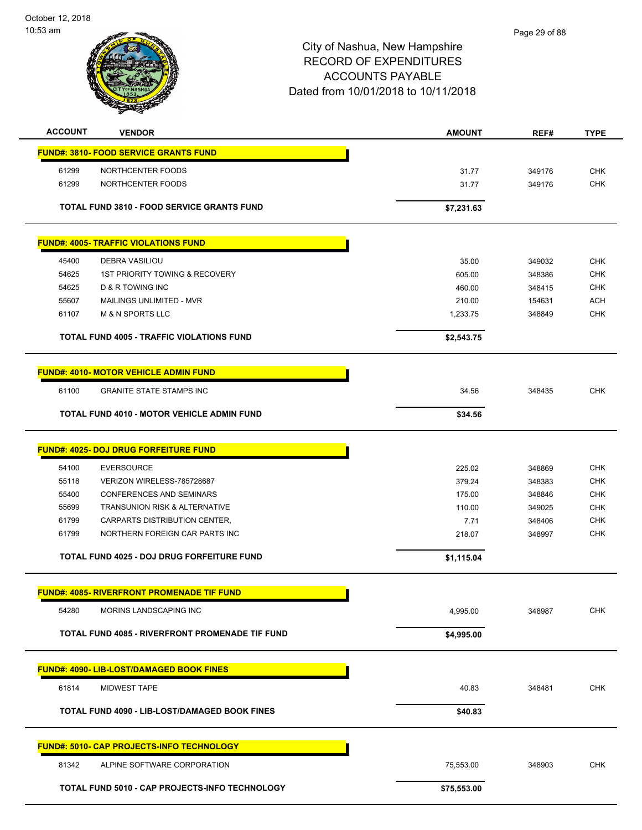October 12, 2018 10:53 am



| <b>ACCOUNT</b> | <b>VENDOR</b>                                     | <b>AMOUNT</b> | REF#   | <b>TYPE</b> |
|----------------|---------------------------------------------------|---------------|--------|-------------|
|                | <b>FUND#: 3810- FOOD SERVICE GRANTS FUND</b>      |               |        |             |
| 61299          | NORTHCENTER FOODS                                 | 31.77         | 349176 | <b>CHK</b>  |
| 61299          | NORTHCENTER FOODS                                 | 31.77         | 349176 | <b>CHK</b>  |
|                |                                                   |               |        |             |
|                | <b>TOTAL FUND 3810 - FOOD SERVICE GRANTS FUND</b> | \$7,231.63    |        |             |
|                | <b>FUND#: 4005- TRAFFIC VIOLATIONS FUND</b>       |               |        |             |
|                |                                                   |               |        |             |
| 45400          | <b>DEBRA VASILIOU</b>                             | 35.00         | 349032 | <b>CHK</b>  |
| 54625          | <b>1ST PRIORITY TOWING &amp; RECOVERY</b>         | 605.00        | 348386 | <b>CHK</b>  |
| 54625          | <b>D &amp; R TOWING INC</b>                       | 460.00        | 348415 | <b>CHK</b>  |
| 55607          | MAILINGS UNLIMITED - MVR                          | 210.00        | 154631 | <b>ACH</b>  |
| 61107          | <b>M &amp; N SPORTS LLC</b>                       | 1,233.75      | 348849 | <b>CHK</b>  |
|                | <b>TOTAL FUND 4005 - TRAFFIC VIOLATIONS FUND</b>  | \$2,543.75    |        |             |
|                | <b>FUND#: 4010- MOTOR VEHICLE ADMIN FUND</b>      |               |        |             |
|                |                                                   |               |        |             |
| 61100          | <b>GRANITE STATE STAMPS INC</b>                   | 34.56         | 348435 | <b>CHK</b>  |
|                | <b>TOTAL FUND 4010 - MOTOR VEHICLE ADMIN FUND</b> | \$34.56       |        |             |
|                | <b>FUND#: 4025- DOJ DRUG FORFEITURE FUND</b>      |               |        |             |
| 54100          | <b>EVERSOURCE</b>                                 | 225.02        | 348869 | <b>CHK</b>  |
| 55118          | VERIZON WIRELESS-785728687                        | 379.24        | 348383 | <b>CHK</b>  |
| 55400          | <b>CONFERENCES AND SEMINARS</b>                   | 175.00        | 348846 | <b>CHK</b>  |
| 55699          | <b>TRANSUNION RISK &amp; ALTERNATIVE</b>          | 110.00        | 349025 | <b>CHK</b>  |
| 61799          | CARPARTS DISTRIBUTION CENTER,                     | 7.71          | 348406 | <b>CHK</b>  |
| 61799          | NORTHERN FOREIGN CAR PARTS INC                    | 218.07        | 348997 | <b>CHK</b>  |
|                |                                                   |               |        |             |
|                | <b>TOTAL FUND 4025 - DOJ DRUG FORFEITURE FUND</b> | \$1,115.04    |        |             |
|                | <b>FUND#: 4085- RIVERFRONT PROMENADE TIF FUND</b> |               |        |             |
| 54280          | MORINS LANDSCAPING INC                            | 4,995.00      | 348987 | <b>CHK</b>  |
|                | TOTAL FUND 4085 - RIVERFRONT PROMENADE TIF FUND   | \$4,995.00    |        |             |
|                | <b>FUND#: 4090- LIB-LOST/DAMAGED BOOK FINES</b>   |               |        |             |
|                |                                                   |               |        |             |
| 61814          | MIDWEST TAPE                                      | 40.83         | 348481 | <b>CHK</b>  |
|                | TOTAL FUND 4090 - LIB-LOST/DAMAGED BOOK FINES     | \$40.83       |        |             |
|                | <b>FUND#: 5010- CAP PROJECTS-INFO TECHNOLOGY</b>  |               |        |             |
| 81342          | ALPINE SOFTWARE CORPORATION                       | 75,553.00     | 348903 | <b>CHK</b>  |
|                | TOTAL FUND 5010 - CAP PROJECTS-INFO TECHNOLOGY    | \$75,553.00   |        |             |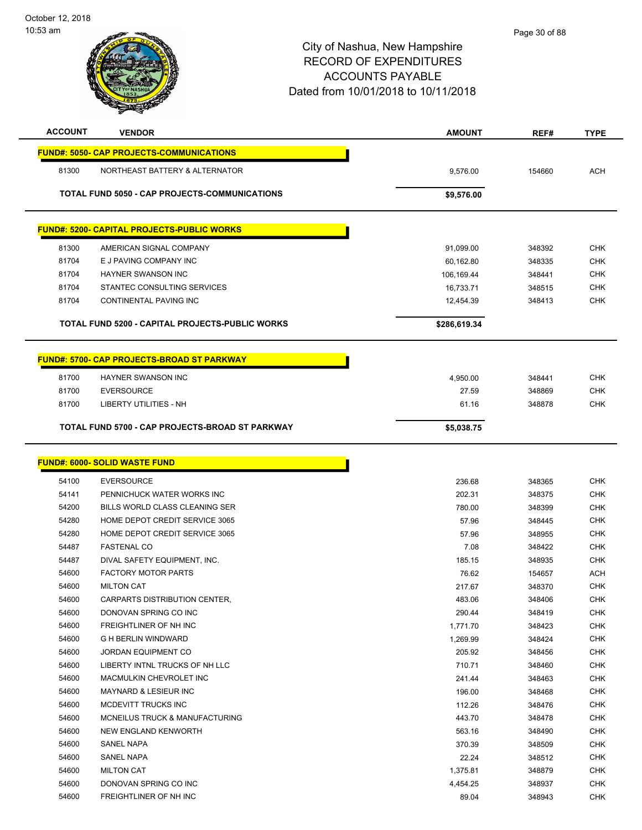

| <b>ACCOUNT</b> | <b>VENDOR</b>                                        | <b>AMOUNT</b> | REF#   | <b>TYPE</b> |
|----------------|------------------------------------------------------|---------------|--------|-------------|
|                | <b>FUND#: 5050- CAP PROJECTS-COMMUNICATIONS</b>      |               |        |             |
| 81300          | NORTHEAST BATTERY & ALTERNATOR                       | 9,576.00      | 154660 | <b>ACH</b>  |
|                |                                                      |               |        |             |
|                | <b>TOTAL FUND 5050 - CAP PROJECTS-COMMUNICATIONS</b> | \$9,576.00    |        |             |
|                | <b>FUND#: 5200- CAPITAL PROJECTS-PUBLIC WORKS</b>    |               |        |             |
|                |                                                      |               |        |             |
| 81300          | AMERICAN SIGNAL COMPANY                              | 91,099.00     | 348392 | <b>CHK</b>  |
| 81704          | E J PAVING COMPANY INC                               | 60,162.80     | 348335 | <b>CHK</b>  |
| 81704          | <b>HAYNER SWANSON INC</b>                            | 106,169.44    | 348441 | <b>CHK</b>  |
| 81704          | STANTEC CONSULTING SERVICES                          | 16,733.71     | 348515 | <b>CHK</b>  |
| 81704          | CONTINENTAL PAVING INC                               | 12,454.39     | 348413 | <b>CHK</b>  |
|                | TOTAL FUND 5200 - CAPITAL PROJECTS-PUBLIC WORKS      | \$286,619.34  |        |             |
|                | <b>FUND#: 5700- CAP PROJECTS-BROAD ST PARKWAY</b>    |               |        |             |
|                |                                                      |               |        |             |
| 81700          | HAYNER SWANSON INC                                   | 4,950.00      | 348441 | <b>CHK</b>  |
| 81700          | <b>EVERSOURCE</b>                                    | 27.59         | 348869 | <b>CHK</b>  |
| 81700          | LIBERTY UTILITIES - NH                               | 61.16         | 348878 | <b>CHK</b>  |
|                | TOTAL FUND 5700 - CAP PROJECTS-BROAD ST PARKWAY      | \$5,038.75    |        |             |
|                | <b>FUND#: 6000- SOLID WASTE FUND</b>                 |               |        |             |
| 54100          | <b>EVERSOURCE</b>                                    | 236.68        | 348365 | <b>CHK</b>  |
| 54141          | PENNICHUCK WATER WORKS INC                           | 202.31        | 348375 | <b>CHK</b>  |
| 54200          | BILLS WORLD CLASS CLEANING SER                       | 780.00        | 348399 | <b>CHK</b>  |
| 54280          | HOME DEPOT CREDIT SERVICE 3065                       | 57.96         | 348445 | <b>CHK</b>  |
| 54280          | HOME DEPOT CREDIT SERVICE 3065                       | 57.96         | 348955 | <b>CHK</b>  |
| 54487          | <b>FASTENAL CO</b>                                   | 7.08          | 348422 | <b>CHK</b>  |
| 54487          | DIVAL SAFETY EQUIPMENT, INC.                         | 185.15        | 348935 | <b>CHK</b>  |
| 54600          | <b>FACTORY MOTOR PARTS</b>                           | 76.62         | 154657 | <b>ACH</b>  |
| 54600          | <b>MILTON CAT</b>                                    | 217.67        | 348370 | <b>CHK</b>  |
| 54600          | CARPARTS DISTRIBUTION CENTER,                        | 483.06        | 348406 | <b>CHK</b>  |
| 54600          | DONOVAN SPRING CO INC                                | 290.44        | 348419 | CHK         |
| 54600          | FREIGHTLINER OF NH INC                               | 1,771.70      | 348423 | <b>CHK</b>  |
| 54600          | <b>G H BERLIN WINDWARD</b>                           | 1,269.99      | 348424 | <b>CHK</b>  |
| 54600          | <b>JORDAN EQUIPMENT CO</b>                           | 205.92        | 348456 | <b>CHK</b>  |
| 54600          | LIBERTY INTNL TRUCKS OF NH LLC                       | 710.71        | 348460 | <b>CHK</b>  |
| 54600          | MACMULKIN CHEVROLET INC                              | 241.44        | 348463 | <b>CHK</b>  |
| 54600          | <b>MAYNARD &amp; LESIEUR INC</b>                     | 196.00        | 348468 | <b>CHK</b>  |
| 54600          | MCDEVITT TRUCKS INC                                  | 112.26        | 348476 | <b>CHK</b>  |
| 54600          | MCNEILUS TRUCK & MANUFACTURING                       | 443.70        | 348478 | <b>CHK</b>  |
| 54600          | NEW ENGLAND KENWORTH                                 | 563.16        | 348490 | <b>CHK</b>  |
| 54600          | SANEL NAPA                                           | 370.39        | 348509 | <b>CHK</b>  |
| 54600          | SANEL NAPA                                           | 22.24         | 348512 | <b>CHK</b>  |
| 54600          | <b>MILTON CAT</b>                                    | 1,375.81      | 348879 | <b>CHK</b>  |
| 54600          | DONOVAN SPRING CO INC                                | 4,454.25      | 348937 | <b>CHK</b>  |
| 54600          | FREIGHTLINER OF NH INC                               | 89.04         | 348943 | <b>CHK</b>  |
|                |                                                      |               |        |             |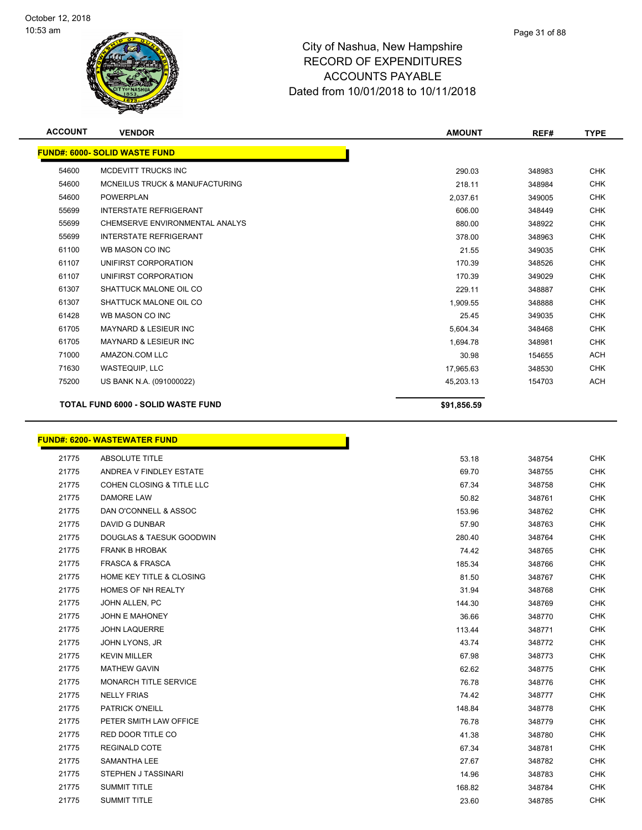

| <b>ACCOUNT</b> | <b>VENDOR</b>                             | <b>AMOUNT</b> | REF#   | <b>TYPE</b> |
|----------------|-------------------------------------------|---------------|--------|-------------|
|                | <b>FUND#: 6000- SOLID WASTE FUND</b>      |               |        |             |
| 54600          | MCDEVITT TRUCKS INC                       | 290.03        | 348983 | <b>CHK</b>  |
| 54600          | <b>MCNEILUS TRUCK &amp; MANUFACTURING</b> | 218.11        | 348984 | <b>CHK</b>  |
| 54600          | <b>POWERPLAN</b>                          | 2,037.61      | 349005 | <b>CHK</b>  |
| 55699          | <b>INTERSTATE REFRIGERANT</b>             | 606.00        | 348449 | <b>CHK</b>  |
| 55699          | CHEMSERVE ENVIRONMENTAL ANALYS            | 880.00        | 348922 | <b>CHK</b>  |
| 55699          | <b>INTERSTATE REFRIGERANT</b>             | 378.00        | 348963 | <b>CHK</b>  |
| 61100          | WB MASON CO INC                           | 21.55         | 349035 | <b>CHK</b>  |
| 61107          | UNIFIRST CORPORATION                      | 170.39        | 348526 | <b>CHK</b>  |
| 61107          | UNIFIRST CORPORATION                      | 170.39        | 349029 | <b>CHK</b>  |
| 61307          | SHATTUCK MALONE OIL CO                    | 229.11        | 348887 | <b>CHK</b>  |
| 61307          | SHATTUCK MALONE OIL CO                    | 1,909.55      | 348888 | <b>CHK</b>  |
| 61428          | WB MASON CO INC                           | 25.45         | 349035 | <b>CHK</b>  |
| 61705          | <b>MAYNARD &amp; LESIEUR INC</b>          | 5,604.34      | 348468 | <b>CHK</b>  |
| 61705          | <b>MAYNARD &amp; LESIEUR INC</b>          | 1,694.78      | 348981 | <b>CHK</b>  |
| 71000          | AMAZON.COM LLC                            | 30.98         | 154655 | <b>ACH</b>  |
| 71630          | WASTEQUIP, LLC                            | 17,965.63     | 348530 | <b>CHK</b>  |
| 75200          | US BANK N.A. (091000022)                  | 45,203.13     | 154703 | <b>ACH</b>  |
|                | <b>TOTAL FUND 6000 - SOLID WASTE FUND</b> | \$91,856.59   |        |             |

# **FUND#: 6200- WASTEWATER FUND**

|       | <u> JND#: 6200- WASTEWATER FUND</u>  |        |
|-------|--------------------------------------|--------|
| 21775 | <b>ABSOLUTE TITLE</b>                | 53.18  |
| 21775 | ANDREA V FINDLEY ESTATE              | 69.70  |
| 21775 | <b>COHEN CLOSING &amp; TITLE LLC</b> | 67.34  |
| 21775 | <b>DAMORE LAW</b>                    | 50.82  |
| 21775 | DAN O'CONNELL & ASSOC                | 153.96 |
| 21775 | <b>DAVID G DUNBAR</b>                | 57.90  |
| 21775 | DOUGLAS & TAESUK GOODWIN             | 280.40 |
| 21775 | <b>FRANK B HROBAK</b>                | 74.42  |
| 21775 | <b>FRASCA &amp; FRASCA</b>           | 185.34 |
| 21775 | HOME KEY TITLE & CLOSING             | 81.50  |
| 21775 | HOMES OF NH REALTY                   | 31.94  |
| 21775 | JOHN ALLEN, PC                       | 144.30 |
| 21775 | <b>JOHN E MAHONEY</b>                | 36.66  |
| 21775 | <b>JOHN LAQUERRE</b>                 | 113.44 |
| 21775 | JOHN LYONS, JR                       | 43.74  |
| 21775 | <b>KEVIN MILLER</b>                  | 67.98  |
| 21775 | <b>MATHEW GAVIN</b>                  | 62.62  |
| 21775 | MONARCH TITLE SERVICE                | 76.78  |
| 21775 | <b>NELLY FRIAS</b>                   | 74.42  |
| 21775 | PATRICK O'NEILL                      | 148.84 |
| 21775 | PETER SMITH LAW OFFICE               | 76.78  |
| 21775 | RED DOOR TITLE CO                    | 41.38  |
| 21775 | <b>REGINALD COTE</b>                 | 67.34  |
| 21775 | <b>SAMANTHA LEE</b>                  | 27.67  |
| 21775 | STEPHEN J TASSINARI                  | 14.96  |
| 21775 | <b>SUMMIT TITLE</b>                  | 168.82 |
| 21775 | <b>SUMMIT TITLE</b>                  | 23.60  |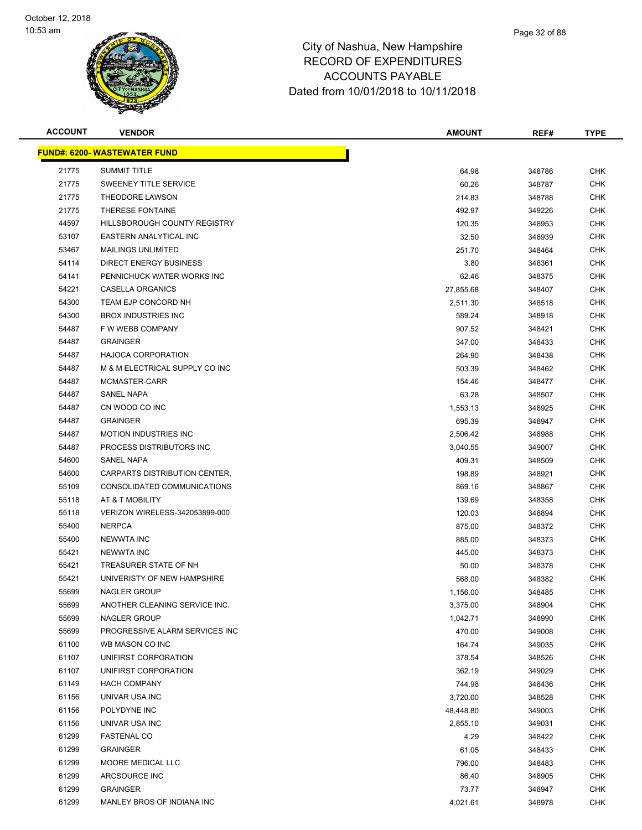

| <b>ACCOUNT</b> | <b>VENDOR</b>                       | <b>AMOUNT</b> | REF#   | <b>TYPE</b> |
|----------------|-------------------------------------|---------------|--------|-------------|
|                | <b>FUND#: 6200- WASTEWATER FUND</b> |               |        |             |
| 21775          | <b>SUMMIT TITLE</b>                 | 64.98         | 348786 | <b>CHK</b>  |
| 21775          | <b>SWEENEY TITLE SERVICE</b>        | 60.26         | 348787 | <b>CHK</b>  |
| 21775          | THEODORE LAWSON                     | 214.83        | 348788 | <b>CHK</b>  |
| 21775          | THERESE FONTAINE                    | 492.97        | 349226 | <b>CHK</b>  |
| 44597          | HILLSBOROUGH COUNTY REGISTRY        | 120.35        | 348953 | <b>CHK</b>  |
| 53107          | EASTERN ANALYTICAL INC              | 32.50         | 348939 | <b>CHK</b>  |
| 53467          | <b>MAILINGS UNLIMITED</b>           | 251.70        | 348464 | <b>CHK</b>  |
| 54114          | DIRECT ENERGY BUSINESS              | 3.80          | 348361 | <b>CHK</b>  |
| 54141          | PENNICHUCK WATER WORKS INC          | 62.46         | 348375 | <b>CHK</b>  |
| 54221          | CASELLA ORGANICS                    | 27,855.68     | 348407 | <b>CHK</b>  |
| 54300          | TEAM EJP CONCORD NH                 | 2,511.30      | 348518 | CHK         |
| 54300          | <b>BROX INDUSTRIES INC</b>          | 589.24        | 348918 | <b>CHK</b>  |
| 54487          | F W WEBB COMPANY                    | 907.52        | 348421 | <b>CHK</b>  |
| 54487          | <b>GRAINGER</b>                     | 347.00        | 348433 | <b>CHK</b>  |
| 54487          | <b>HAJOCA CORPORATION</b>           | 264.90        | 348438 | <b>CHK</b>  |
| 54487          | M & M ELECTRICAL SUPPLY CO INC      | 503.39        | 348462 | <b>CHK</b>  |
| 54487          | MCMASTER-CARR                       | 154.46        | 348477 | <b>CHK</b>  |
| 54487          | <b>SANEL NAPA</b>                   | 63.28         | 348507 | <b>CHK</b>  |
| 54487          | CN WOOD CO INC                      | 1,553.13      | 348925 | <b>CHK</b>  |
| 54487          | <b>GRAINGER</b>                     | 695.39        | 348947 | <b>CHK</b>  |
| 54487          | <b>MOTION INDUSTRIES INC</b>        | 2,506.42      | 348988 | <b>CHK</b>  |
| 54487          | PROCESS DISTRIBUTORS INC            | 3,040.55      | 349007 | <b>CHK</b>  |
| 54600          | SANEL NAPA                          | 409.31        | 348509 | <b>CHK</b>  |
| 54600          | CARPARTS DISTRIBUTION CENTER,       | 198.89        | 348921 | <b>CHK</b>  |
| 55109          | CONSOLIDATED COMMUNICATIONS         | 869.16        | 348867 | <b>CHK</b>  |
| 55118          | AT & T MOBILITY                     | 139.69        | 348358 | <b>CHK</b>  |
| 55118          | VERIZON WIRELESS-342053899-000      | 120.03        | 348894 | <b>CHK</b>  |
| 55400          | <b>NERPCA</b>                       | 875.00        | 348372 | <b>CHK</b>  |
| 55400          | <b>NEWWTA INC</b>                   | 885.00        | 348373 | <b>CHK</b>  |
| 55421          | <b>NEWWTA INC</b>                   | 445.00        | 348373 | <b>CHK</b>  |
| 55421          | TREASURER STATE OF NH               | 50.00         | 348378 | <b>CHK</b>  |
| 55421          | UNIVERISTY OF NEW HAMPSHIRE         | 568.00        | 348382 | <b>CHK</b>  |
| 55699          | <b>NAGLER GROUP</b>                 | 1,156.00      | 348485 | <b>CHK</b>  |
| 55699          | ANOTHER CLEANING SERVICE INC.       | 3,375.00      | 348904 | <b>CHK</b>  |
| 55699          | NAGLER GROUP                        | 1,042.71      | 348990 | <b>CHK</b>  |
| 55699          | PROGRESSIVE ALARM SERVICES INC      | 470.00        | 349008 | <b>CHK</b>  |
| 61100          | WB MASON CO INC                     | 164.74        | 349035 | <b>CHK</b>  |
| 61107          | UNIFIRST CORPORATION                | 378.54        | 348526 | <b>CHK</b>  |
| 61107          | UNIFIRST CORPORATION                | 362.19        | 349029 | <b>CHK</b>  |
| 61149          | <b>HACH COMPANY</b>                 | 744.98        | 348436 | <b>CHK</b>  |
| 61156          | UNIVAR USA INC                      | 3,720.00      | 348528 | <b>CHK</b>  |
| 61156          | POLYDYNE INC                        | 48,448.80     | 349003 | <b>CHK</b>  |
| 61156          | UNIVAR USA INC                      | 2,855.10      | 349031 | <b>CHK</b>  |
| 61299          | <b>FASTENAL CO</b>                  | 4.29          | 348422 | <b>CHK</b>  |
| 61299          | <b>GRAINGER</b>                     | 61.05         | 348433 | <b>CHK</b>  |
| 61299          | MOORE MEDICAL LLC                   | 796.00        | 348483 | <b>CHK</b>  |
| 61299          | ARCSOURCE INC                       | 86.40         | 348905 | CHK         |
| 61299          | <b>GRAINGER</b>                     | 73.77         | 348947 | <b>CHK</b>  |
| 61299          | MANLEY BROS OF INDIANA INC          | 4,021.61      | 348978 | <b>CHK</b>  |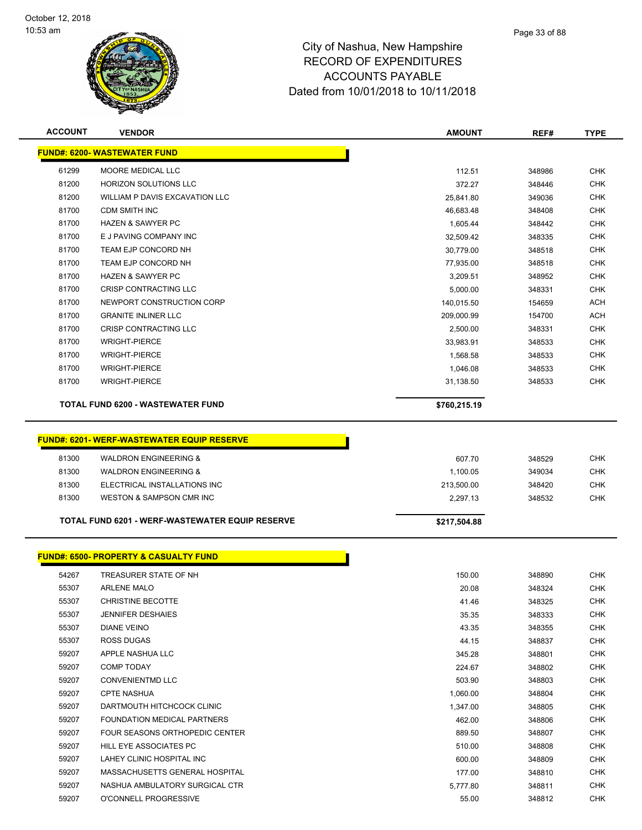

| <b>ACCOUNT</b> | <b>VENDOR</b>                                    | <b>AMOUNT</b>   | REF#             | <b>TYPE</b> |
|----------------|--------------------------------------------------|-----------------|------------------|-------------|
|                | <b>FUND#: 6200- WASTEWATER FUND</b>              |                 |                  |             |
| 61299          | MOORE MEDICAL LLC                                | 112.51          | 348986           | <b>CHK</b>  |
| 81200          | <b>HORIZON SOLUTIONS LLC</b>                     | 372.27          | 348446           | <b>CHK</b>  |
| 81200          | WILLIAM P DAVIS EXCAVATION LLC                   | 25,841.80       | 349036           | <b>CHK</b>  |
| 81700          | <b>CDM SMITH INC</b>                             | 46,683.48       | 348408           | <b>CHK</b>  |
| 81700          | <b>HAZEN &amp; SAWYER PC</b>                     | 1,605.44        | 348442           | <b>CHK</b>  |
| 81700          | E J PAVING COMPANY INC                           | 32,509.42       | 348335           | <b>CHK</b>  |
| 81700          | TEAM EJP CONCORD NH                              | 30,779.00       | 348518           | <b>CHK</b>  |
| 81700          | TEAM EJP CONCORD NH                              | 77,935.00       | 348518           | <b>CHK</b>  |
| 81700          | <b>HAZEN &amp; SAWYER PC</b>                     | 3,209.51        | 348952           | <b>CHK</b>  |
| 81700          | CRISP CONTRACTING LLC                            | 5,000.00        | 348331           | <b>CHK</b>  |
| 81700          | NEWPORT CONSTRUCTION CORP                        | 140,015.50      | 154659           | <b>ACH</b>  |
| 81700          | <b>GRANITE INLINER LLC</b>                       | 209,000.99      | 154700           | <b>ACH</b>  |
| 81700          | CRISP CONTRACTING LLC                            | 2,500.00        | 348331           | <b>CHK</b>  |
| 81700          | <b>WRIGHT-PIERCE</b>                             | 33,983.91       | 348533           | <b>CHK</b>  |
| 81700          | <b>WRIGHT-PIERCE</b>                             | 1,568.58        | 348533           | <b>CHK</b>  |
| 81700          | <b>WRIGHT-PIERCE</b>                             | 1,046.08        | 348533           | <b>CHK</b>  |
| 81700          | <b>WRIGHT-PIERCE</b>                             | 31,138.50       | 348533           | <b>CHK</b>  |
|                | <b>TOTAL FUND 6200 - WASTEWATER FUND</b>         | \$760,215.19    |                  |             |
|                | <b>FUND#: 6201-WERF-WASTEWATER EQUIP RESERVE</b> |                 |                  |             |
|                |                                                  |                 |                  |             |
| 81300          | <b>WALDRON ENGINEERING &amp;</b>                 | 607.70          | 348529           | <b>CHK</b>  |
| 81300          | <b>WALDRON ENGINEERING &amp;</b>                 | 1,100.05        | 349034           | <b>CHK</b>  |
| 81300          | ELECTRICAL INSTALLATIONS INC                     | 213,500.00      | 348420           | <b>CHK</b>  |
| 81300          | WESTON & SAMPSON CMR INC                         | 2,297.13        | 348532           | <b>CHK</b>  |
|                | TOTAL FUND 6201 - WERF-WASTEWATER EQUIP RESERVE  | \$217,504.88    |                  |             |
|                | <b>FUND#: 6500- PROPERTY &amp; CASUALTY FUND</b> |                 |                  |             |
| 54267          | TREASURER STATE OF NH                            |                 |                  | <b>CHK</b>  |
| 55307          | <b>ARLENE MALO</b>                               | 150.00<br>20.08 | 348890<br>348324 | <b>CHK</b>  |
| 55307          | <b>CHRISTINE BECOTTE</b>                         |                 |                  | CHK         |
| 55307          | <b>JENNIFER DESHAIES</b>                         | 41.46<br>35.35  | 348325<br>348333 | <b>CHK</b>  |
| 55307          | <b>DIANE VEINO</b>                               | 43.35           | 348355           | <b>CHK</b>  |
| 55307          | ROSS DUGAS                                       | 44.15           | 348837           | <b>CHK</b>  |
| 59207          | APPLE NASHUA LLC                                 | 345.28          | 348801           | <b>CHK</b>  |
| 59207          | <b>COMP TODAY</b>                                | 224.67          | 348802           | <b>CHK</b>  |
| 59207          | <b>CONVENIENTMD LLC</b>                          | 503.90          | 348803           | CHK         |
| 59207          | <b>CPTE NASHUA</b>                               | 1,060.00        | 348804           | <b>CHK</b>  |
| 59207          | DARTMOUTH HITCHCOCK CLINIC                       | 1,347.00        | 348805           | CHK         |
| 59207          | FOUNDATION MEDICAL PARTNERS                      | 462.00          | 348806           | <b>CHK</b>  |
| 59207          | <b>FOUR SEASONS ORTHOPEDIC CENTER</b>            | 889.50          | 348807           | <b>CHK</b>  |
| 59207          | HILL EYE ASSOCIATES PC                           | 510.00          | 348808           | <b>CHK</b>  |
| 59207          | LAHEY CLINIC HOSPITAL INC                        | 600.00          | 348809           | <b>CHK</b>  |
| 59207          | MASSACHUSETTS GENERAL HOSPITAL                   | 177.00          | 348810           | <b>CHK</b>  |
| 59207          | NASHUA AMBULATORY SURGICAL CTR                   | 5,777.80        | 348811           | <b>CHK</b>  |
| 59207          | O'CONNELL PROGRESSIVE                            | 55.00           | 348812           | <b>CHK</b>  |
|                |                                                  |                 |                  |             |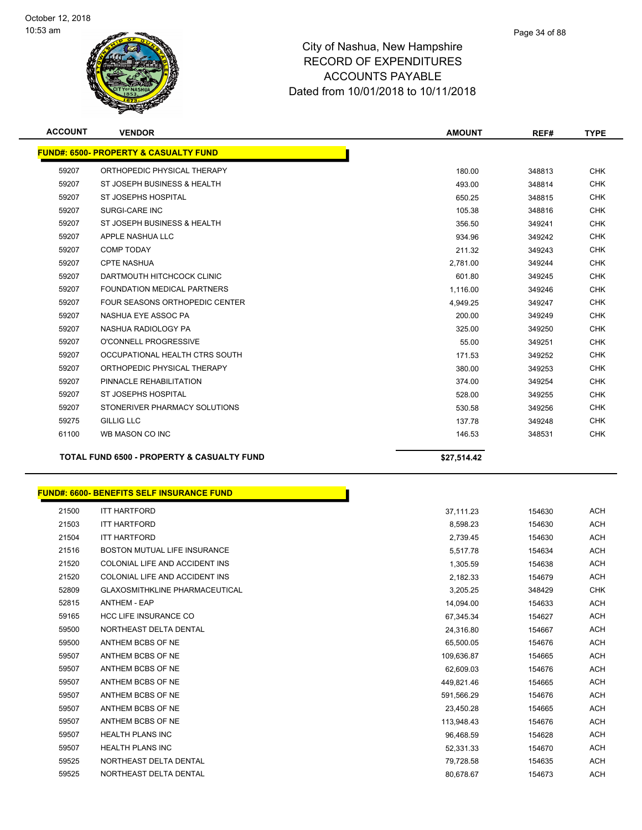

| <b>ACCOUNT</b> | <b>VENDOR</b>                                         | <b>AMOUNT</b> | REF#   | <b>TYPE</b> |
|----------------|-------------------------------------------------------|---------------|--------|-------------|
|                | <b>FUND#: 6500- PROPERTY &amp; CASUALTY FUND</b>      |               |        |             |
| 59207          | ORTHOPEDIC PHYSICAL THERAPY                           | 180.00        | 348813 | <b>CHK</b>  |
| 59207          | ST JOSEPH BUSINESS & HEALTH                           | 493.00        | 348814 | <b>CHK</b>  |
| 59207          | ST JOSEPHS HOSPITAL                                   | 650.25        | 348815 | <b>CHK</b>  |
| 59207          | <b>SURGI-CARE INC</b>                                 | 105.38        | 348816 | <b>CHK</b>  |
| 59207          | ST JOSEPH BUSINESS & HEALTH                           | 356.50        | 349241 | <b>CHK</b>  |
| 59207          | APPLE NASHUA LLC                                      | 934.96        | 349242 | <b>CHK</b>  |
| 59207          | <b>COMP TODAY</b>                                     | 211.32        | 349243 | <b>CHK</b>  |
| 59207          | <b>CPTE NASHUA</b>                                    | 2,781.00      | 349244 | <b>CHK</b>  |
| 59207          | DARTMOUTH HITCHCOCK CLINIC                            | 601.80        | 349245 | <b>CHK</b>  |
| 59207          | <b>FOUNDATION MEDICAL PARTNERS</b>                    | 1,116.00      | 349246 | <b>CHK</b>  |
| 59207          | FOUR SEASONS ORTHOPEDIC CENTER                        | 4,949.25      | 349247 | <b>CHK</b>  |
| 59207          | NASHUA EYE ASSOC PA                                   | 200.00        | 349249 | <b>CHK</b>  |
| 59207          | NASHUA RADIOLOGY PA                                   | 325.00        | 349250 | <b>CHK</b>  |
| 59207          | O'CONNELL PROGRESSIVE                                 | 55.00         | 349251 | <b>CHK</b>  |
| 59207          | OCCUPATIONAL HEALTH CTRS SOUTH                        | 171.53        | 349252 | <b>CHK</b>  |
| 59207          | ORTHOPEDIC PHYSICAL THERAPY                           | 380.00        | 349253 | <b>CHK</b>  |
| 59207          | PINNACLE REHABILITATION                               | 374.00        | 349254 | <b>CHK</b>  |
| 59207          | <b>ST JOSEPHS HOSPITAL</b>                            | 528.00        | 349255 | <b>CHK</b>  |
| 59207          | STONERIVER PHARMACY SOLUTIONS                         | 530.58        | 349256 | <b>CHK</b>  |
| 59275          | <b>GILLIG LLC</b>                                     | 137.78        | 349248 | <b>CHK</b>  |
| 61100          | WB MASON CO INC                                       | 146.53        | 348531 | <b>CHK</b>  |
|                | <b>TOTAL FUND 6500 - PROPERTY &amp; CASUALTY FUND</b> | \$27,514.42   |        |             |

|       | <b>FUND#: 6600- BENEFITS SELF INSURANCE FUND</b> |            |        |
|-------|--------------------------------------------------|------------|--------|
| 21500 | <b>ITT HARTFORD</b>                              | 37,111.23  | 154630 |
| 21503 | <b>ITT HARTFORD</b>                              | 8,598.23   | 154630 |
| 21504 | <b>ITT HARTFORD</b>                              | 2,739.45   | 154630 |
| 21516 | BOSTON MUTUAL LIFE INSURANCE                     | 5,517.78   | 154634 |
| 21520 | COLONIAL LIFE AND ACCIDENT INS                   | 1,305.59   | 154638 |
| 21520 | COLONIAL LIFE AND ACCIDENT INS                   | 2,182.33   | 154679 |
| 52809 | <b>GLAXOSMITHKLINE PHARMACEUTICAL</b>            | 3,205.25   | 348429 |
| 52815 | <b>ANTHEM - EAP</b>                              | 14.094.00  | 154633 |
| 59165 | <b>HCC LIFE INSURANCE CO</b>                     | 67,345.34  | 154627 |
| 59500 | NORTHEAST DELTA DENTAL                           | 24,316.80  | 154667 |
| 59500 | ANTHEM BCBS OF NE                                | 65.500.05  | 154676 |
| 59507 | ANTHEM BCBS OF NE                                | 109,636.87 | 154665 |
| 59507 | ANTHEM BCBS OF NE                                | 62.609.03  | 154676 |
| 59507 | ANTHEM BCBS OF NE                                | 449,821.46 | 154665 |
| 59507 | ANTHEM BCBS OF NE                                | 591,566.29 | 154676 |
| 59507 | ANTHEM BCBS OF NE                                | 23,450.28  | 154665 |
| 59507 | ANTHEM BCBS OF NE                                | 113,948.43 | 154676 |
| 59507 | <b>HEALTH PLANS INC</b>                          | 96,468.59  | 154628 |
| 59507 | <b>HEALTH PLANS INC</b>                          | 52,331.33  | 154670 |
| 59525 | NORTHEAST DELTA DENTAL                           | 79,728.58  | 154635 |
| 59525 | NORTHEAST DELTA DENTAL                           | 80,678.67  | 154673 |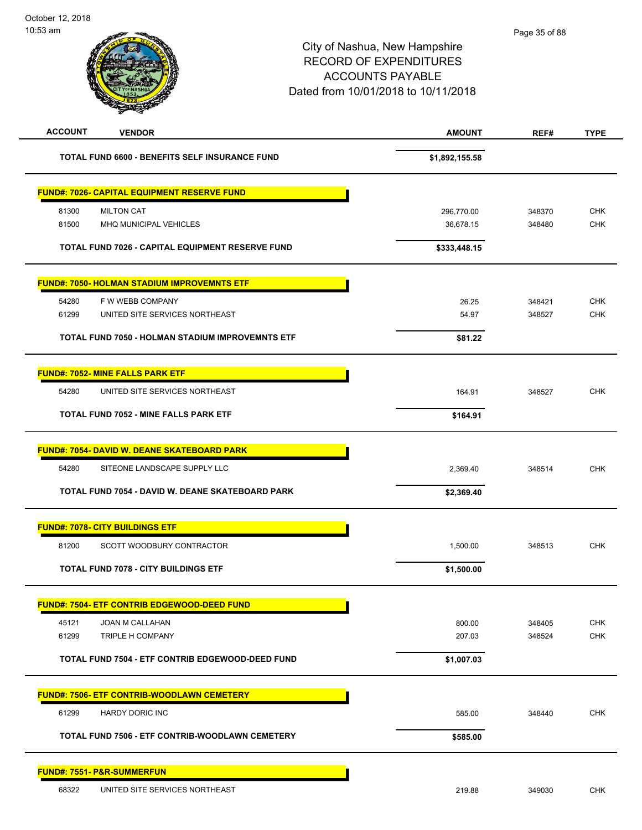| <b>ACCOUNT</b><br><b>VENDOR</b>                         | <b>AMOUNT</b>  | REF#   | <b>TYPE</b> |
|---------------------------------------------------------|----------------|--------|-------------|
| <b>TOTAL FUND 6600 - BENEFITS SELF INSURANCE FUND</b>   | \$1,892,155.58 |        |             |
| <b>FUND#: 7026- CAPITAL EQUIPMENT RESERVE FUND</b>      |                |        |             |
| 81300<br><b>MILTON CAT</b>                              | 296,770.00     | 348370 | <b>CHK</b>  |
| 81500<br>MHQ MUNICIPAL VEHICLES                         | 36,678.15      | 348480 | CHK         |
| <b>TOTAL FUND 7026 - CAPITAL EQUIPMENT RESERVE FUND</b> | \$333,448.15   |        |             |
| <b>FUND#: 7050- HOLMAN STADIUM IMPROVEMNTS ETF</b>      |                |        |             |
| 54280<br>F W WEBB COMPANY                               | 26.25          | 348421 | <b>CHK</b>  |
| 61299<br>UNITED SITE SERVICES NORTHEAST                 | 54.97          | 348527 | <b>CHK</b>  |
| TOTAL FUND 7050 - HOLMAN STADIUM IMPROVEMNTS ETF        | \$81.22        |        |             |
| <b>FUND#: 7052- MINE FALLS PARK ETF</b>                 |                |        |             |
| 54280<br>UNITED SITE SERVICES NORTHEAST                 | 164.91         | 348527 | <b>CHK</b>  |
|                                                         |                |        |             |
| TOTAL FUND 7052 - MINE FALLS PARK ETF                   | \$164.91       |        |             |
| <b>FUND#: 7054- DAVID W. DEANE SKATEBOARD PARK</b>      |                |        |             |
| 54280<br>SITEONE LANDSCAPE SUPPLY LLC                   | 2,369.40       | 348514 | <b>CHK</b>  |
| TOTAL FUND 7054 - DAVID W. DEANE SKATEBOARD PARK        | \$2,369.40     |        |             |
| <b>FUND#: 7078- CITY BUILDINGS ETF</b>                  |                |        |             |
| 81200<br>SCOTT WOODBURY CONTRACTOR                      | 1,500.00       | 348513 | <b>CHK</b>  |
| <b>TOTAL FUND 7078 - CITY BUILDINGS ETF</b>             | \$1,500.00     |        |             |
| <b>FUND#: 7504- ETF CONTRIB EDGEWOOD-DEED FUND</b>      |                |        |             |
| 45121<br><b>JOAN M CALLAHAN</b>                         | 800.00         | 348405 | <b>CHK</b>  |
| 61299<br>TRIPLE H COMPANY                               | 207.03         | 348524 | CHK         |
| TOTAL FUND 7504 - ETF CONTRIB EDGEWOOD-DEED FUND        | \$1,007.03     |        |             |
| <u> FUND#: 7506- ETF CONTRIB-WOODLAWN CEMETERY</u>      |                |        |             |
| 61299<br><b>HARDY DORIC INC</b>                         | 585.00         | 348440 | <b>CHK</b>  |
| TOTAL FUND 7506 - ETF CONTRIB-WOODLAWN CEMETERY         | \$585.00       |        |             |
| <b>FUND#: 7551- P&amp;R-SUMMERFUN</b>                   |                |        |             |
| 68322<br>UNITED SITE SERVICES NORTHEAST                 | 219.88         | 349030 | CHK         |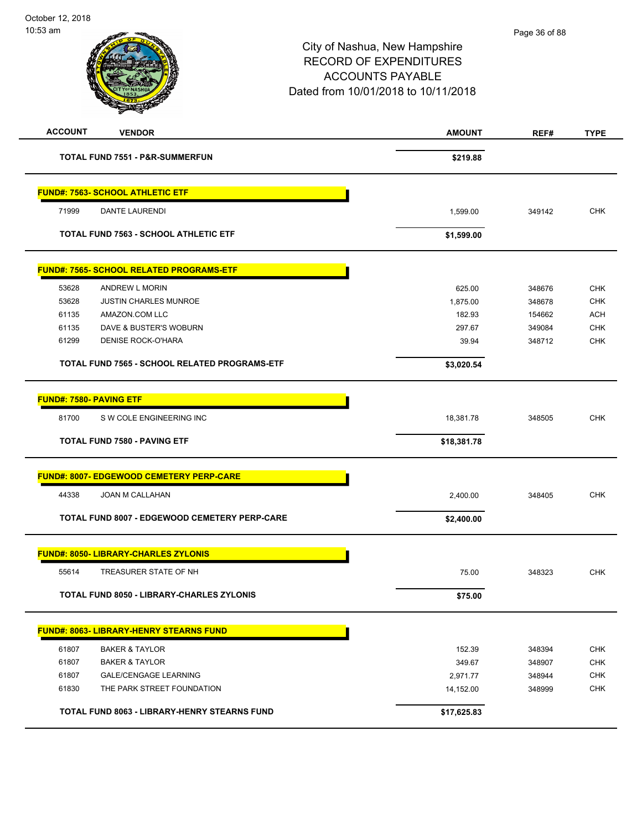| <b>ACCOUNT</b>                               | <b>VENDOR</b>                                          | <b>AMOUNT</b>      | REF#             | <b>TYPE</b>              |
|----------------------------------------------|--------------------------------------------------------|--------------------|------------------|--------------------------|
|                                              | <b>TOTAL FUND 7551 - P&amp;R-SUMMERFUN</b>             | \$219.88           |                  |                          |
|                                              | <b>FUND#: 7563- SCHOOL ATHLETIC ETF</b>                |                    |                  |                          |
| 71999                                        | <b>DANTE LAURENDI</b>                                  | 1,599.00           | 349142           | <b>CHK</b>               |
| <b>TOTAL FUND 7563 - SCHOOL ATHLETIC ETF</b> |                                                        | \$1,599.00         |                  |                          |
|                                              | <b>FUND#: 7565- SCHOOL RELATED PROGRAMS-ETF</b>        |                    |                  |                          |
| 53628                                        | ANDREW L MORIN                                         | 625.00             | 348676           | <b>CHK</b>               |
| 53628                                        | <b>JUSTIN CHARLES MUNROE</b>                           | 1,875.00           | 348678           | <b>CHK</b>               |
| 61135                                        | AMAZON.COM LLC                                         | 182.93             | 154662           | <b>ACH</b>               |
| 61135                                        | DAVE & BUSTER'S WOBURN                                 | 297.67             | 349084           | <b>CHK</b>               |
| 61299                                        | <b>DENISE ROCK-O'HARA</b>                              | 39.94              | 348712           | <b>CHK</b>               |
|                                              | <b>TOTAL FUND 7565 - SCHOOL RELATED PROGRAMS-ETF</b>   |                    |                  |                          |
| <b>FUND#: 7580- PAVING ETF</b>               |                                                        |                    |                  |                          |
| 81700                                        | S W COLE ENGINEERING INC                               | 18,381.78          | 348505           | <b>CHK</b>               |
|                                              |                                                        |                    |                  |                          |
|                                              | <b>TOTAL FUND 7580 - PAVING ETF</b>                    | \$18,381.78        |                  |                          |
|                                              | <b>FUND#: 8007- EDGEWOOD CEMETERY PERP-CARE</b>        |                    |                  |                          |
| 44338                                        | JOAN M CALLAHAN                                        | 2,400.00           | 348405           | <b>CHK</b>               |
|                                              | <b>TOTAL FUND 8007 - EDGEWOOD CEMETERY PERP-CARE</b>   | \$2,400.00         |                  |                          |
|                                              | <b>FUND#: 8050- LIBRARY-CHARLES ZYLONIS</b>            |                    |                  |                          |
| 55614                                        | TREASURER STATE OF NH                                  | 75.00              | 348323           | <b>CHK</b>               |
|                                              | TOTAL FUND 8050 - LIBRARY-CHARLES ZYLONIS              | \$75.00            |                  |                          |
|                                              | FUND#: 8063- LIBRARY-HENRY STEARNS FUND                |                    |                  |                          |
|                                              |                                                        |                    |                  |                          |
| 61807<br>61807                               | <b>BAKER &amp; TAYLOR</b><br><b>BAKER &amp; TAYLOR</b> | 152.39             | 348394           | <b>CHK</b><br><b>CHK</b> |
| 61807                                        | <b>GALE/CENGAGE LEARNING</b>                           | 349.67<br>2,971.77 | 348907           | <b>CHK</b>               |
| 61830                                        | THE PARK STREET FOUNDATION                             | 14,152.00          | 348944<br>348999 | <b>CHK</b>               |
|                                              |                                                        |                    |                  |                          |
|                                              | TOTAL FUND 8063 - LIBRARY-HENRY STEARNS FUND           | \$17,625.83        |                  |                          |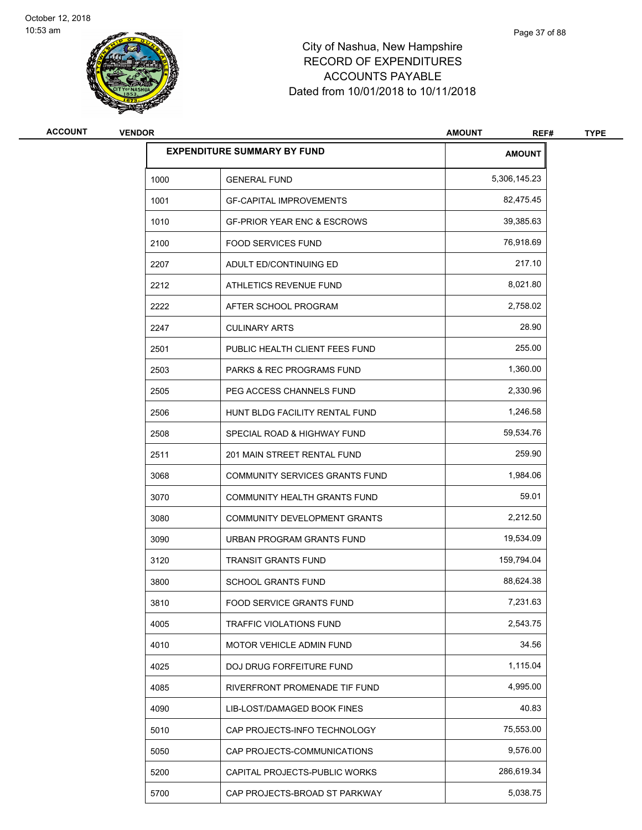

# City of Nashua, New Hampshire RECORD OF EXPENDITURES ACCOUNTS PAYABLE Dated from 10/01/2018 to 10/11/2018

| <b>ACCOUNT</b> | <b>VENDOR</b> |                                        | <b>AMOUNT</b><br>REF# | <b>TYPE</b> |
|----------------|---------------|----------------------------------------|-----------------------|-------------|
|                |               | <b>EXPENDITURE SUMMARY BY FUND</b>     | <b>AMOUNT</b>         |             |
|                | 1000          | <b>GENERAL FUND</b>                    | 5,306,145.23          |             |
|                | 1001          | <b>GF-CAPITAL IMPROVEMENTS</b>         | 82,475.45             |             |
|                | 1010          | <b>GF-PRIOR YEAR ENC &amp; ESCROWS</b> | 39,385.63             |             |
|                | 2100          | <b>FOOD SERVICES FUND</b>              | 76,918.69             |             |
|                | 2207          | ADULT ED/CONTINUING ED                 | 217.10                |             |
|                | 2212          | ATHLETICS REVENUE FUND                 | 8,021.80              |             |
|                | 2222          | AFTER SCHOOL PROGRAM                   | 2,758.02              |             |
|                | 2247          | <b>CULINARY ARTS</b>                   | 28.90                 |             |
|                | 2501          | PUBLIC HEALTH CLIENT FEES FUND         | 255.00                |             |
|                | 2503          | PARKS & REC PROGRAMS FUND              | 1,360.00              |             |
|                | 2505          | PEG ACCESS CHANNELS FUND               | 2,330.96              |             |
|                | 2506          | HUNT BLDG FACILITY RENTAL FUND         | 1,246.58              |             |
|                | 2508          | SPECIAL ROAD & HIGHWAY FUND            | 59,534.76             |             |
|                | 2511          | 201 MAIN STREET RENTAL FUND            | 259.90                |             |
|                | 3068          | COMMUNITY SERVICES GRANTS FUND         | 1,984.06              |             |
|                | 3070          | COMMUNITY HEALTH GRANTS FUND           | 59.01                 |             |
|                | 3080          | COMMUNITY DEVELOPMENT GRANTS           | 2,212.50              |             |
|                | 3090          | URBAN PROGRAM GRANTS FUND              | 19,534.09             |             |
|                | 3120          | <b>TRANSIT GRANTS FUND</b>             | 159,794.04            |             |
|                | 3800          | <b>SCHOOL GRANTS FUND</b>              | 88,624.38             |             |
|                | 3810          | FOOD SERVICE GRANTS FUND               | 7,231.63              |             |
|                | 4005          | <b>TRAFFIC VIOLATIONS FUND</b>         | 2,543.75              |             |
|                | 4010          | MOTOR VEHICLE ADMIN FUND               | 34.56                 |             |
|                | 4025          | DOJ DRUG FORFEITURE FUND               | 1,115.04              |             |
|                | 4085          | RIVERFRONT PROMENADE TIF FUND          | 4,995.00              |             |
|                | 4090          | LIB-LOST/DAMAGED BOOK FINES            | 40.83                 |             |
|                | 5010          | CAP PROJECTS-INFO TECHNOLOGY           | 75,553.00             |             |
|                | 5050          | CAP PROJECTS-COMMUNICATIONS            | 9,576.00              |             |
|                | 5200          | CAPITAL PROJECTS-PUBLIC WORKS          | 286,619.34            |             |
|                | 5700          | CAP PROJECTS-BROAD ST PARKWAY          | 5,038.75              |             |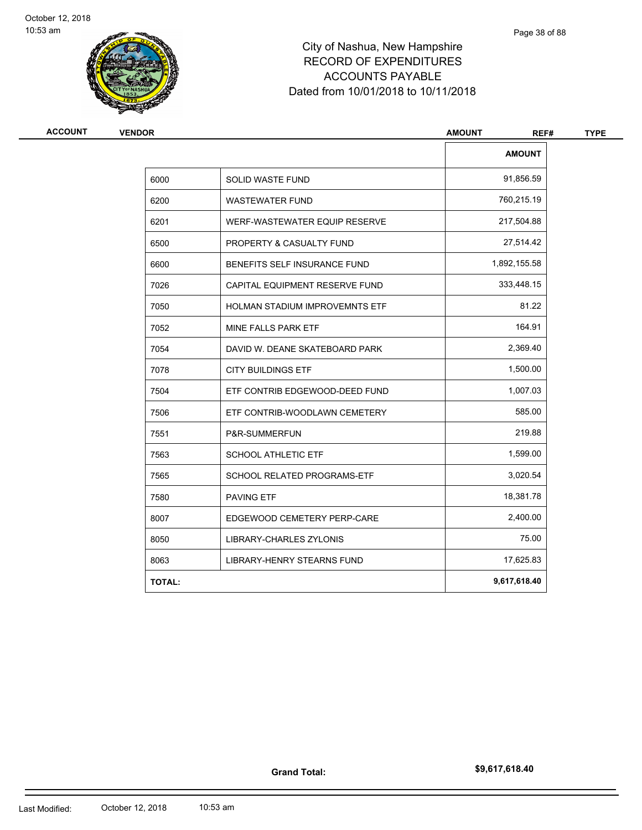

# City of Nashua, New Hampshire RECORD OF EXPENDITURES ACCOUNTS PAYABLE Dated from 10/01/2018 to 10/11/2018

| <b>VENDOR</b> |                                       | <b>AMOUNT</b><br>REF# |  |
|---------------|---------------------------------------|-----------------------|--|
|               |                                       | <b>AMOUNT</b>         |  |
| 6000          | SOLID WASTE FUND                      | 91,856.59             |  |
| 6200          | <b>WASTEWATER FUND</b>                | 760,215.19            |  |
| 6201          | WERF-WASTEWATER EQUIP RESERVE         | 217,504.88            |  |
| 6500          | PROPERTY & CASUALTY FUND              | 27,514.42             |  |
| 6600          | BENEFITS SELF INSURANCE FUND          | 1,892,155.58          |  |
| 7026          | CAPITAL EQUIPMENT RESERVE FUND        | 333,448.15            |  |
| 7050          | <b>HOLMAN STADIUM IMPROVEMNTS ETF</b> | 81.22                 |  |
| 7052          | MINE FALLS PARK ETF                   | 164.91                |  |
| 7054          | DAVID W. DEANE SKATEBOARD PARK        | 2,369.40              |  |
| 7078          | <b>CITY BUILDINGS ETF</b>             | 1,500.00              |  |
| 7504          | ETF CONTRIB EDGEWOOD-DEED FUND        | 1,007.03              |  |
| 7506          | ETF CONTRIB-WOODLAWN CEMETERY         | 585.00                |  |
| 7551          | P&R-SUMMERFUN                         | 219.88                |  |
| 7563          | <b>SCHOOL ATHLETIC ETF</b>            | 1,599.00              |  |
| 7565          | SCHOOL RELATED PROGRAMS-ETF           | 3,020.54              |  |
| 7580          | <b>PAVING ETF</b>                     | 18,381.78             |  |
| 8007          | EDGEWOOD CEMETERY PERP-CARE           | 2,400.00              |  |
| 8050          | <b>LIBRARY-CHARLES ZYLONIS</b>        | 75.00                 |  |
| 8063          | LIBRARY-HENRY STEARNS FUND            | 17,625.83             |  |
| <b>TOTAL:</b> |                                       | 9,617,618.40          |  |

**Grand Total:**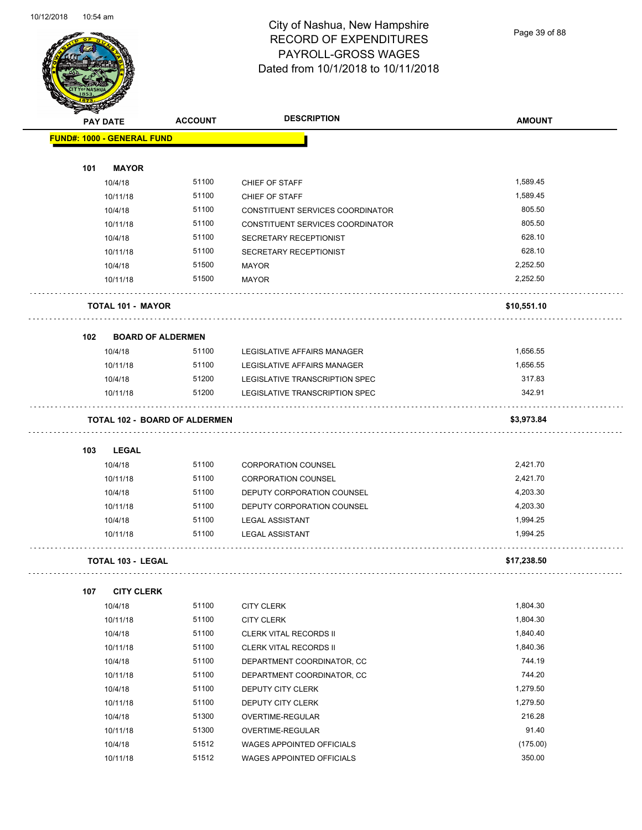Page 39 of 88

|                 |                                      | <b>DESCRIPTION</b> |                                  |               |
|-----------------|--------------------------------------|--------------------|----------------------------------|---------------|
| <b>PAY DATE</b> |                                      | <b>ACCOUNT</b>     |                                  | <b>AMOUNT</b> |
|                 | <b>FUND#: 1000 - GENERAL FUND</b>    |                    |                                  |               |
|                 |                                      |                    |                                  |               |
| 101             | <b>MAYOR</b>                         |                    |                                  |               |
|                 | 10/4/18                              | 51100              | CHIEF OF STAFF                   | 1,589.45      |
|                 | 10/11/18                             | 51100              | CHIEF OF STAFF                   | 1,589.45      |
|                 | 10/4/18                              | 51100              | CONSTITUENT SERVICES COORDINATOR | 805.50        |
|                 | 10/11/18                             | 51100              | CONSTITUENT SERVICES COORDINATOR | 805.50        |
|                 | 10/4/18                              | 51100              | SECRETARY RECEPTIONIST           | 628.10        |
|                 | 10/11/18                             | 51100              | SECRETARY RECEPTIONIST           | 628.10        |
|                 | 10/4/18                              | 51500              | MAYOR                            | 2,252.50      |
|                 | 10/11/18                             | 51500              | <b>MAYOR</b>                     | 2,252.50      |
|                 | <b>TOTAL 101 - MAYOR</b>             |                    |                                  | \$10,551.10   |
| 102             | <b>BOARD OF ALDERMEN</b>             |                    |                                  |               |
|                 | 10/4/18                              | 51100              | LEGISLATIVE AFFAIRS MANAGER      | 1,656.55      |
|                 | 10/11/18                             | 51100              | LEGISLATIVE AFFAIRS MANAGER      | 1,656.55      |
|                 | 10/4/18                              | 51200              | LEGISLATIVE TRANSCRIPTION SPEC   | 317.83        |
|                 | 10/11/18                             | 51200              | LEGISLATIVE TRANSCRIPTION SPEC   | 342.91        |
|                 | <b>TOTAL 102 - BOARD OF ALDERMEN</b> |                    |                                  | \$3,973.84    |
|                 |                                      |                    |                                  |               |
| 103             | LEGAL                                |                    |                                  |               |
|                 | 10/4/18                              | 51100              | <b>CORPORATION COUNSEL</b>       | 2,421.70      |
|                 | 10/11/18                             | 51100              | <b>CORPORATION COUNSEL</b>       | 2,421.70      |
|                 | 10/4/18                              | 51100              | DEPUTY CORPORATION COUNSEL       | 4,203.30      |
|                 | 10/11/18                             | 51100              | DEPUTY CORPORATION COUNSEL       | 4,203.30      |
|                 | 10/4/18                              | 51100              | <b>LEGAL ASSISTANT</b>           | 1,994.25      |
|                 | 10/11/18                             | 51100              | <b>LEGAL ASSISTANT</b>           | 1,994.25      |
|                 | <b>TOTAL 103 - LEGAL</b>             |                    |                                  | \$17,238.50   |
| 107             | <b>CITY CLERK</b>                    |                    |                                  |               |
|                 | 10/4/18                              | 51100              | <b>CITY CLERK</b>                | 1,804.30      |
|                 | 10/11/18                             | 51100              | <b>CITY CLERK</b>                | 1,804.30      |
|                 | 10/4/18                              | 51100              | <b>CLERK VITAL RECORDS II</b>    | 1,840.40      |
|                 | 10/11/18                             | 51100              | <b>CLERK VITAL RECORDS II</b>    | 1,840.36      |
|                 | 10/4/18                              | 51100              | DEPARTMENT COORDINATOR, CC       | 744.19        |
|                 | 10/11/18                             | 51100              | DEPARTMENT COORDINATOR, CC       | 744.20        |
|                 | 10/4/18                              | 51100              | DEPUTY CITY CLERK                | 1,279.50      |
|                 | 10/11/18                             | 51100              | DEPUTY CITY CLERK                | 1,279.50      |
|                 | 10/4/18                              | 51300              | OVERTIME-REGULAR                 | 216.28        |
|                 | 10/11/18                             | 51300              | OVERTIME-REGULAR                 | 91.40         |
|                 | 10/4/18                              | 51512              | WAGES APPOINTED OFFICIALS        | (175.00)      |

10/11/18 51512 WAGES APPOINTED OFFICIALS 350.00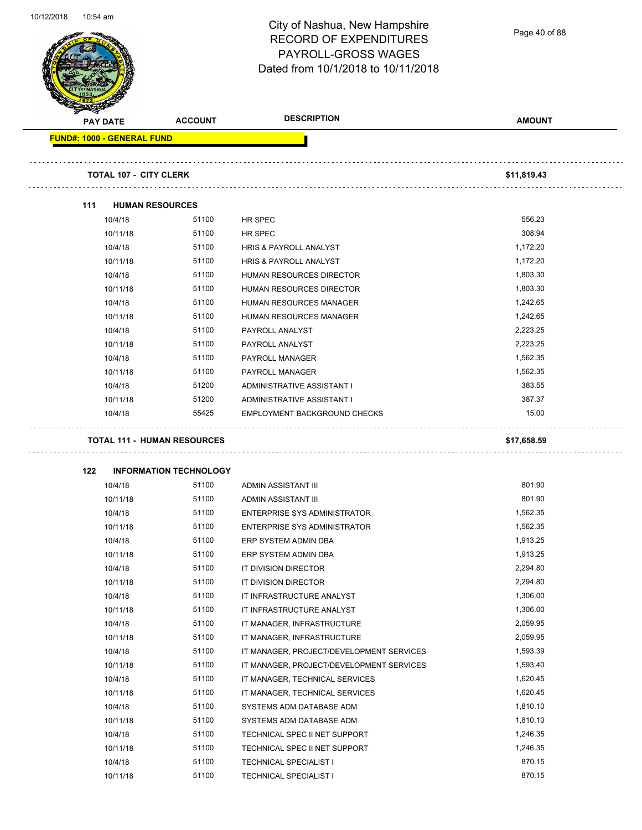

| <b>PAY DATE</b>                   | <b>ACCOUNT</b>                         | <b>DESCRIPTION</b>                       | <b>AMOUNT</b> |
|-----------------------------------|----------------------------------------|------------------------------------------|---------------|
| <b>FUND#: 1000 - GENERAL FUND</b> |                                        |                                          |               |
|                                   |                                        |                                          |               |
| <b>TOTAL 107 - CITY CLERK</b>     |                                        |                                          | \$11,819.43   |
| 111                               | <b>HUMAN RESOURCES</b>                 |                                          |               |
| 10/4/18                           | 51100                                  | HR SPEC                                  | 556.23        |
| 10/11/18                          | 51100                                  | HR SPEC                                  | 308.94        |
| 10/4/18                           | 51100                                  | <b>HRIS &amp; PAYROLL ANALYST</b>        | 1,172.20      |
| 10/11/18                          | 51100                                  | <b>HRIS &amp; PAYROLL ANALYST</b>        | 1,172.20      |
| 10/4/18                           | 51100                                  | HUMAN RESOURCES DIRECTOR                 | 1,803.30      |
| 10/11/18                          | 51100                                  | HUMAN RESOURCES DIRECTOR                 | 1,803.30      |
| 10/4/18                           | 51100                                  | HUMAN RESOURCES MANAGER                  | 1,242.65      |
| 10/11/18                          | 51100                                  | HUMAN RESOURCES MANAGER                  | 1,242.65      |
| 10/4/18                           | 51100                                  | PAYROLL ANALYST                          | 2,223.25      |
| 10/11/18                          | 51100                                  | PAYROLL ANALYST                          | 2,223.25      |
| 10/4/18                           | 51100                                  | <b>PAYROLL MANAGER</b>                   | 1,562.35      |
| 10/11/18                          | 51100                                  | <b>PAYROLL MANAGER</b>                   | 1,562.35      |
| 10/4/18                           | 51200                                  | ADMINISTRATIVE ASSISTANT I               | 383.55        |
| 10/11/18                          | 51200                                  | ADMINISTRATIVE ASSISTANT I               | 387.37        |
| 10/4/18                           | 55425                                  | EMPLOYMENT BACKGROUND CHECKS             | 15.00         |
|                                   | <b>TOTAL 111 - HUMAN RESOURCES</b>     |                                          | \$17,658.59   |
|                                   |                                        |                                          |               |
| 122<br>10/4/18                    | <b>INFORMATION TECHNOLOGY</b><br>51100 | ADMIN ASSISTANT III                      | 801.90        |
| 10/11/18                          | 51100                                  | ADMIN ASSISTANT III                      | 801.90        |
| 10/4/18                           | 51100                                  | ENTERPRISE SYS ADMINISTRATOR             | 1,562.35      |
| 10/11/18                          | 51100                                  | ENTERPRISE SYS ADMINISTRATOR             | 1,562.35      |
| 10/4/18                           | 51100                                  | ERP SYSTEM ADMIN DBA                     | 1,913.25      |
| 10/11/18                          | 51100                                  | ERP SYSTEM ADMIN DBA                     | 1,913.25      |
| 10/4/18                           | 51100                                  | IT DIVISION DIRECTOR                     | 2,294.80      |
| 10/11/18                          | 51100                                  | IT DIVISION DIRECTOR                     | 2,294.80      |
| 10/4/18                           | 51100                                  | IT INFRASTRUCTURE ANALYST                | 1,306.00      |
| 10/11/18                          | 51100                                  | IT INFRASTRUCTURE ANALYST                | 1,306.00      |
| 10/4/18                           | 51100                                  | IT MANAGER, INFRASTRUCTURE               | 2,059.95      |
| 10/11/18                          | 51100                                  | IT MANAGER, INFRASTRUCTURE               | 2,059.95      |
|                                   | 51100                                  |                                          | 1,593.39      |
| 10/4/18                           | 51100                                  | IT MANAGER, PROJECT/DEVELOPMENT SERVICES | 1,593.40      |
| 10/11/18                          |                                        | IT MANAGER, PROJECT/DEVELOPMENT SERVICES |               |
| 10/4/18                           | 51100                                  | IT MANAGER, TECHNICAL SERVICES           | 1,620.45      |
| 10/11/18                          | 51100                                  | IT MANAGER, TECHNICAL SERVICES           | 1,620.45      |
| 10/4/18                           | 51100                                  | SYSTEMS ADM DATABASE ADM                 | 1,810.10      |
| 10/11/18                          | 51100                                  | SYSTEMS ADM DATABASE ADM                 | 1,810.10      |
| 10/4/18                           | 51100                                  | TECHNICAL SPEC II NET SUPPORT            | 1,246.35      |
| 10/11/18                          | 51100                                  | TECHNICAL SPEC II NET SUPPORT            | 1,246.35      |
| 10/4/18                           | 51100                                  | <b>TECHNICAL SPECIALIST I</b>            | 870.15        |
| 10/11/18                          | 51100                                  | <b>TECHNICAL SPECIALIST I</b>            | 870.15        |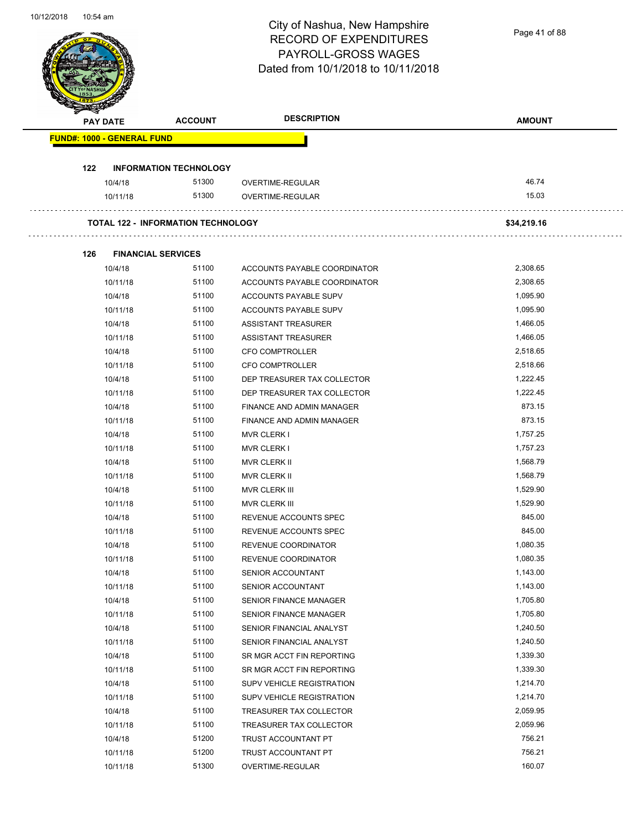Page 41 of 88

| <b>FUND#: 1000 - GENERAL FUND</b><br>122<br><b>INFORMATION TECHNOLOGY</b><br>51300<br>10/4/18<br>OVERTIME-REGULAR<br>51300<br>OVERTIME-REGULAR<br>10/11/18<br><b>TOTAL 122 - INFORMATION TECHNOLOGY</b><br>126<br><b>FINANCIAL SERVICES</b><br>10/4/18<br>51100<br>ACCOUNTS PAYABLE COORDINATOR<br>10/11/18<br>51100<br>ACCOUNTS PAYABLE COORDINATOR<br>51100<br>10/4/18<br>ACCOUNTS PAYABLE SUPV<br>51100<br>10/11/18<br>ACCOUNTS PAYABLE SUPV<br>51100<br>10/4/18<br>ASSISTANT TREASURER<br>10/11/18<br>51100<br>ASSISTANT TREASURER<br>10/4/18<br>51100<br><b>CFO COMPTROLLER</b><br>51100<br>10/11/18<br><b>CFO COMPTROLLER</b><br>51100<br>10/4/18<br>DEP TREASURER TAX COLLECTOR<br>51100<br>10/11/18<br>DEP TREASURER TAX COLLECTOR<br>10/4/18<br>51100<br>FINANCE AND ADMIN MANAGER<br>10/11/18<br>51100<br>FINANCE AND ADMIN MANAGER<br>51100<br>10/4/18<br><b>MVR CLERK I</b><br>51100<br>10/11/18<br><b>MVR CLERK I</b><br>51100<br>10/4/18<br>MVR CLERK II<br>10/11/18<br>51100<br>MVR CLERK II<br>10/4/18<br>51100<br>MVR CLERK III<br>10/11/18<br>51100<br>MVR CLERK III<br>51100<br>10/4/18<br>REVENUE ACCOUNTS SPEC<br>51100<br>10/11/18<br>REVENUE ACCOUNTS SPEC<br>10/4/18<br>51100<br>REVENUE COORDINATOR<br>51100<br>10/11/18<br>REVENUE COORDINATOR<br>51100<br>10/4/18<br>SENIOR ACCOUNTANT<br>51100<br>10/11/18<br>SENIOR ACCOUNTANT<br>51100<br>10/4/18<br>SENIOR FINANCE MANAGER<br>10/11/18<br>51100<br>SENIOR FINANCE MANAGER<br>10/4/18<br>51100<br>SENIOR FINANCIAL ANALYST<br>51100<br>10/11/18<br>SENIOR FINANCIAL ANALYST<br>51100<br>10/4/18<br>SR MGR ACCT FIN REPORTING<br>51100<br>10/11/18<br>SR MGR ACCT FIN REPORTING | 46.74<br>15.03<br>\$34,219.16<br>2,308.65 |
|--------------------------------------------------------------------------------------------------------------------------------------------------------------------------------------------------------------------------------------------------------------------------------------------------------------------------------------------------------------------------------------------------------------------------------------------------------------------------------------------------------------------------------------------------------------------------------------------------------------------------------------------------------------------------------------------------------------------------------------------------------------------------------------------------------------------------------------------------------------------------------------------------------------------------------------------------------------------------------------------------------------------------------------------------------------------------------------------------------------------------------------------------------------------------------------------------------------------------------------------------------------------------------------------------------------------------------------------------------------------------------------------------------------------------------------------------------------------------------------------------------------------------------------------------------------------------------------------------------------------------------------------------------------|-------------------------------------------|
|                                                                                                                                                                                                                                                                                                                                                                                                                                                                                                                                                                                                                                                                                                                                                                                                                                                                                                                                                                                                                                                                                                                                                                                                                                                                                                                                                                                                                                                                                                                                                                                                                                                              |                                           |
|                                                                                                                                                                                                                                                                                                                                                                                                                                                                                                                                                                                                                                                                                                                                                                                                                                                                                                                                                                                                                                                                                                                                                                                                                                                                                                                                                                                                                                                                                                                                                                                                                                                              |                                           |
|                                                                                                                                                                                                                                                                                                                                                                                                                                                                                                                                                                                                                                                                                                                                                                                                                                                                                                                                                                                                                                                                                                                                                                                                                                                                                                                                                                                                                                                                                                                                                                                                                                                              |                                           |
|                                                                                                                                                                                                                                                                                                                                                                                                                                                                                                                                                                                                                                                                                                                                                                                                                                                                                                                                                                                                                                                                                                                                                                                                                                                                                                                                                                                                                                                                                                                                                                                                                                                              |                                           |
|                                                                                                                                                                                                                                                                                                                                                                                                                                                                                                                                                                                                                                                                                                                                                                                                                                                                                                                                                                                                                                                                                                                                                                                                                                                                                                                                                                                                                                                                                                                                                                                                                                                              |                                           |
|                                                                                                                                                                                                                                                                                                                                                                                                                                                                                                                                                                                                                                                                                                                                                                                                                                                                                                                                                                                                                                                                                                                                                                                                                                                                                                                                                                                                                                                                                                                                                                                                                                                              |                                           |
|                                                                                                                                                                                                                                                                                                                                                                                                                                                                                                                                                                                                                                                                                                                                                                                                                                                                                                                                                                                                                                                                                                                                                                                                                                                                                                                                                                                                                                                                                                                                                                                                                                                              |                                           |
|                                                                                                                                                                                                                                                                                                                                                                                                                                                                                                                                                                                                                                                                                                                                                                                                                                                                                                                                                                                                                                                                                                                                                                                                                                                                                                                                                                                                                                                                                                                                                                                                                                                              |                                           |
|                                                                                                                                                                                                                                                                                                                                                                                                                                                                                                                                                                                                                                                                                                                                                                                                                                                                                                                                                                                                                                                                                                                                                                                                                                                                                                                                                                                                                                                                                                                                                                                                                                                              | 2,308.65                                  |
|                                                                                                                                                                                                                                                                                                                                                                                                                                                                                                                                                                                                                                                                                                                                                                                                                                                                                                                                                                                                                                                                                                                                                                                                                                                                                                                                                                                                                                                                                                                                                                                                                                                              | 1,095.90                                  |
|                                                                                                                                                                                                                                                                                                                                                                                                                                                                                                                                                                                                                                                                                                                                                                                                                                                                                                                                                                                                                                                                                                                                                                                                                                                                                                                                                                                                                                                                                                                                                                                                                                                              | 1,095.90                                  |
|                                                                                                                                                                                                                                                                                                                                                                                                                                                                                                                                                                                                                                                                                                                                                                                                                                                                                                                                                                                                                                                                                                                                                                                                                                                                                                                                                                                                                                                                                                                                                                                                                                                              | 1,466.05                                  |
|                                                                                                                                                                                                                                                                                                                                                                                                                                                                                                                                                                                                                                                                                                                                                                                                                                                                                                                                                                                                                                                                                                                                                                                                                                                                                                                                                                                                                                                                                                                                                                                                                                                              | 1,466.05                                  |
|                                                                                                                                                                                                                                                                                                                                                                                                                                                                                                                                                                                                                                                                                                                                                                                                                                                                                                                                                                                                                                                                                                                                                                                                                                                                                                                                                                                                                                                                                                                                                                                                                                                              | 2,518.65                                  |
|                                                                                                                                                                                                                                                                                                                                                                                                                                                                                                                                                                                                                                                                                                                                                                                                                                                                                                                                                                                                                                                                                                                                                                                                                                                                                                                                                                                                                                                                                                                                                                                                                                                              | 2,518.66                                  |
|                                                                                                                                                                                                                                                                                                                                                                                                                                                                                                                                                                                                                                                                                                                                                                                                                                                                                                                                                                                                                                                                                                                                                                                                                                                                                                                                                                                                                                                                                                                                                                                                                                                              | 1,222.45                                  |
|                                                                                                                                                                                                                                                                                                                                                                                                                                                                                                                                                                                                                                                                                                                                                                                                                                                                                                                                                                                                                                                                                                                                                                                                                                                                                                                                                                                                                                                                                                                                                                                                                                                              | 1,222.45                                  |
|                                                                                                                                                                                                                                                                                                                                                                                                                                                                                                                                                                                                                                                                                                                                                                                                                                                                                                                                                                                                                                                                                                                                                                                                                                                                                                                                                                                                                                                                                                                                                                                                                                                              | 873.15                                    |
|                                                                                                                                                                                                                                                                                                                                                                                                                                                                                                                                                                                                                                                                                                                                                                                                                                                                                                                                                                                                                                                                                                                                                                                                                                                                                                                                                                                                                                                                                                                                                                                                                                                              | 873.15                                    |
|                                                                                                                                                                                                                                                                                                                                                                                                                                                                                                                                                                                                                                                                                                                                                                                                                                                                                                                                                                                                                                                                                                                                                                                                                                                                                                                                                                                                                                                                                                                                                                                                                                                              | 1,757.25                                  |
|                                                                                                                                                                                                                                                                                                                                                                                                                                                                                                                                                                                                                                                                                                                                                                                                                                                                                                                                                                                                                                                                                                                                                                                                                                                                                                                                                                                                                                                                                                                                                                                                                                                              | 1,757.23                                  |
|                                                                                                                                                                                                                                                                                                                                                                                                                                                                                                                                                                                                                                                                                                                                                                                                                                                                                                                                                                                                                                                                                                                                                                                                                                                                                                                                                                                                                                                                                                                                                                                                                                                              | 1,568.79                                  |
|                                                                                                                                                                                                                                                                                                                                                                                                                                                                                                                                                                                                                                                                                                                                                                                                                                                                                                                                                                                                                                                                                                                                                                                                                                                                                                                                                                                                                                                                                                                                                                                                                                                              | 1,568.79                                  |
|                                                                                                                                                                                                                                                                                                                                                                                                                                                                                                                                                                                                                                                                                                                                                                                                                                                                                                                                                                                                                                                                                                                                                                                                                                                                                                                                                                                                                                                                                                                                                                                                                                                              | 1,529.90                                  |
|                                                                                                                                                                                                                                                                                                                                                                                                                                                                                                                                                                                                                                                                                                                                                                                                                                                                                                                                                                                                                                                                                                                                                                                                                                                                                                                                                                                                                                                                                                                                                                                                                                                              | 1,529.90                                  |
|                                                                                                                                                                                                                                                                                                                                                                                                                                                                                                                                                                                                                                                                                                                                                                                                                                                                                                                                                                                                                                                                                                                                                                                                                                                                                                                                                                                                                                                                                                                                                                                                                                                              | 845.00                                    |
|                                                                                                                                                                                                                                                                                                                                                                                                                                                                                                                                                                                                                                                                                                                                                                                                                                                                                                                                                                                                                                                                                                                                                                                                                                                                                                                                                                                                                                                                                                                                                                                                                                                              | 845.00                                    |
|                                                                                                                                                                                                                                                                                                                                                                                                                                                                                                                                                                                                                                                                                                                                                                                                                                                                                                                                                                                                                                                                                                                                                                                                                                                                                                                                                                                                                                                                                                                                                                                                                                                              | 1,080.35                                  |
|                                                                                                                                                                                                                                                                                                                                                                                                                                                                                                                                                                                                                                                                                                                                                                                                                                                                                                                                                                                                                                                                                                                                                                                                                                                                                                                                                                                                                                                                                                                                                                                                                                                              | 1,080.35                                  |
|                                                                                                                                                                                                                                                                                                                                                                                                                                                                                                                                                                                                                                                                                                                                                                                                                                                                                                                                                                                                                                                                                                                                                                                                                                                                                                                                                                                                                                                                                                                                                                                                                                                              | 1,143.00                                  |
|                                                                                                                                                                                                                                                                                                                                                                                                                                                                                                                                                                                                                                                                                                                                                                                                                                                                                                                                                                                                                                                                                                                                                                                                                                                                                                                                                                                                                                                                                                                                                                                                                                                              | 1,143.00                                  |
|                                                                                                                                                                                                                                                                                                                                                                                                                                                                                                                                                                                                                                                                                                                                                                                                                                                                                                                                                                                                                                                                                                                                                                                                                                                                                                                                                                                                                                                                                                                                                                                                                                                              | 1,705.80                                  |
|                                                                                                                                                                                                                                                                                                                                                                                                                                                                                                                                                                                                                                                                                                                                                                                                                                                                                                                                                                                                                                                                                                                                                                                                                                                                                                                                                                                                                                                                                                                                                                                                                                                              | 1,705.80                                  |
|                                                                                                                                                                                                                                                                                                                                                                                                                                                                                                                                                                                                                                                                                                                                                                                                                                                                                                                                                                                                                                                                                                                                                                                                                                                                                                                                                                                                                                                                                                                                                                                                                                                              | 1,240.50                                  |
|                                                                                                                                                                                                                                                                                                                                                                                                                                                                                                                                                                                                                                                                                                                                                                                                                                                                                                                                                                                                                                                                                                                                                                                                                                                                                                                                                                                                                                                                                                                                                                                                                                                              | 1,240.50                                  |
|                                                                                                                                                                                                                                                                                                                                                                                                                                                                                                                                                                                                                                                                                                                                                                                                                                                                                                                                                                                                                                                                                                                                                                                                                                                                                                                                                                                                                                                                                                                                                                                                                                                              | 1,339.30                                  |
|                                                                                                                                                                                                                                                                                                                                                                                                                                                                                                                                                                                                                                                                                                                                                                                                                                                                                                                                                                                                                                                                                                                                                                                                                                                                                                                                                                                                                                                                                                                                                                                                                                                              | 1,339.30                                  |
| 10/4/18<br>51100<br>SUPV VEHICLE REGISTRATION                                                                                                                                                                                                                                                                                                                                                                                                                                                                                                                                                                                                                                                                                                                                                                                                                                                                                                                                                                                                                                                                                                                                                                                                                                                                                                                                                                                                                                                                                                                                                                                                                | 1,214.70                                  |
| 10/11/18<br>51100<br>SUPV VEHICLE REGISTRATION                                                                                                                                                                                                                                                                                                                                                                                                                                                                                                                                                                                                                                                                                                                                                                                                                                                                                                                                                                                                                                                                                                                                                                                                                                                                                                                                                                                                                                                                                                                                                                                                               | 1,214.70                                  |
| 51100<br>10/4/18<br>TREASURER TAX COLLECTOR                                                                                                                                                                                                                                                                                                                                                                                                                                                                                                                                                                                                                                                                                                                                                                                                                                                                                                                                                                                                                                                                                                                                                                                                                                                                                                                                                                                                                                                                                                                                                                                                                  | 2,059.95                                  |
| 51100<br>10/11/18<br>TREASURER TAX COLLECTOR                                                                                                                                                                                                                                                                                                                                                                                                                                                                                                                                                                                                                                                                                                                                                                                                                                                                                                                                                                                                                                                                                                                                                                                                                                                                                                                                                                                                                                                                                                                                                                                                                 |                                           |
| 51200<br>10/4/18<br>TRUST ACCOUNTANT PT                                                                                                                                                                                                                                                                                                                                                                                                                                                                                                                                                                                                                                                                                                                                                                                                                                                                                                                                                                                                                                                                                                                                                                                                                                                                                                                                                                                                                                                                                                                                                                                                                      | 2,059.96                                  |
| 10/11/18<br>51200<br>TRUST ACCOUNTANT PT                                                                                                                                                                                                                                                                                                                                                                                                                                                                                                                                                                                                                                                                                                                                                                                                                                                                                                                                                                                                                                                                                                                                                                                                                                                                                                                                                                                                                                                                                                                                                                                                                     | 756.21                                    |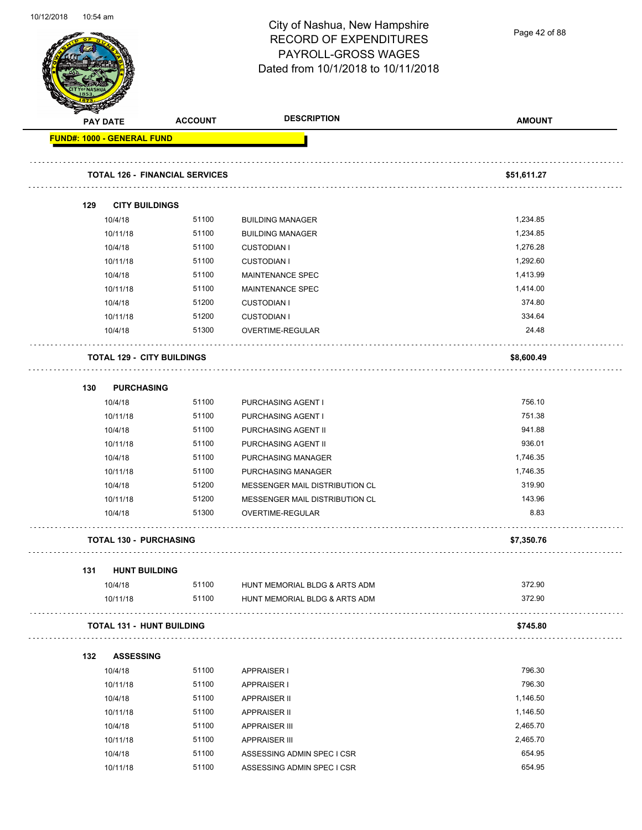

Page 42 of 88

|     | <b>PAY DATE</b>                   | <b>ACCOUNT</b>                        | <b>DESCRIPTION</b>             | <b>AMOUNT</b> |
|-----|-----------------------------------|---------------------------------------|--------------------------------|---------------|
|     | <b>FUND#: 1000 - GENERAL FUND</b> |                                       |                                |               |
|     |                                   | <b>TOTAL 126 - FINANCIAL SERVICES</b> |                                | \$51,611.27   |
| 129 |                                   | <b>CITY BUILDINGS</b>                 |                                |               |
|     | 10/4/18                           | 51100                                 | <b>BUILDING MANAGER</b>        | 1,234.85      |
|     | 10/11/18                          | 51100                                 | <b>BUILDING MANAGER</b>        | 1,234.85      |
|     | 10/4/18                           | 51100                                 | <b>CUSTODIAN I</b>             | 1,276.28      |
|     | 10/11/18                          | 51100                                 | <b>CUSTODIAN I</b>             | 1,292.60      |
|     | 10/4/18                           | 51100                                 | MAINTENANCE SPEC               | 1,413.99      |
|     | 10/11/18                          | 51100                                 | MAINTENANCE SPEC               | 1,414.00      |
|     | 10/4/18                           | 51200                                 | <b>CUSTODIAN I</b>             | 374.80        |
|     | 10/11/18                          | 51200                                 | <b>CUSTODIAN I</b>             | 334.64        |
|     | 10/4/18                           | 51300                                 | OVERTIME-REGULAR               | 24.48         |
|     |                                   | <b>TOTAL 129 - CITY BUILDINGS</b>     |                                | \$8,600.49    |
| 130 |                                   | <b>PURCHASING</b>                     |                                |               |
|     | 10/4/18                           | 51100                                 | PURCHASING AGENT I             | 756.10        |
|     | 10/11/18                          | 51100                                 | PURCHASING AGENT I             | 751.38        |
|     | 10/4/18                           | 51100                                 | PURCHASING AGENT II            | 941.88        |
|     | 10/11/18                          | 51100                                 | PURCHASING AGENT II            | 936.01        |
|     | 10/4/18                           | 51100                                 | PURCHASING MANAGER             | 1,746.35      |
|     | 10/11/18                          | 51100                                 | PURCHASING MANAGER             | 1,746.35      |
|     | 10/4/18                           | 51200                                 | MESSENGER MAIL DISTRIBUTION CL | 319.90        |
|     | 10/11/18                          | 51200                                 | MESSENGER MAIL DISTRIBUTION CL | 143.96        |
|     | 10/4/18                           | 51300                                 | OVERTIME-REGULAR               | 8.83          |
|     |                                   | <b>TOTAL 130 - PURCHASING</b>         |                                | \$7,350.76    |
| 131 |                                   | <b>HUNT BUILDING</b>                  |                                |               |
|     | 10/4/18                           | 51100                                 | HUNT MEMORIAL BLDG & ARTS ADM  | 372.90        |
|     | 10/11/18                          | 51100                                 | HUNT MEMORIAL BLDG & ARTS ADM  | 372.90        |
|     |                                   | <b>TOTAL 131 - HUNT BUILDING</b>      |                                | \$745.80      |
| 132 | <b>ASSESSING</b>                  |                                       |                                |               |
|     | 10/4/18                           | 51100                                 | <b>APPRAISER I</b>             | 796.30        |
|     | 10/11/18                          | 51100                                 | <b>APPRAISER I</b>             | 796.30        |
|     | 10/4/18                           | 51100                                 | <b>APPRAISER II</b>            | 1,146.50      |
|     | 10/11/18                          | 51100                                 | <b>APPRAISER II</b>            | 1,146.50      |
|     | 10/4/18                           | 51100                                 | <b>APPRAISER III</b>           | 2,465.70      |
|     | 10/11/18                          | 51100                                 | <b>APPRAISER III</b>           | 2,465.70      |
|     | 10/4/18                           | 51100                                 | ASSESSING ADMIN SPEC I CSR     | 654.95        |
|     | 10/11/18                          | 51100                                 | ASSESSING ADMIN SPEC I CSR     | 654.95        |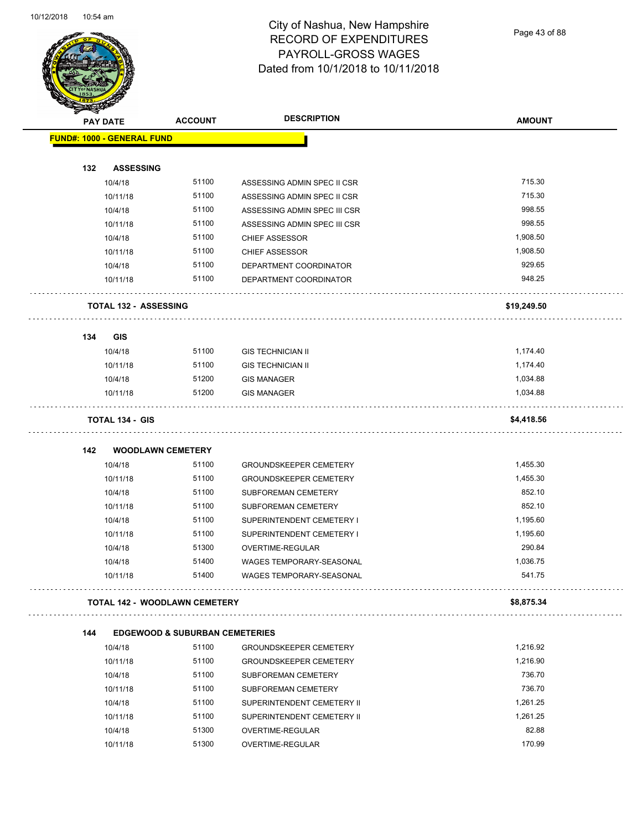

Page 43 of 88

| <b>STATES DE</b> |                                   |                                           |                                                              |               |
|------------------|-----------------------------------|-------------------------------------------|--------------------------------------------------------------|---------------|
|                  | <b>PAY DATE</b>                   | <b>ACCOUNT</b>                            | <b>DESCRIPTION</b>                                           | <b>AMOUNT</b> |
|                  | <b>FUND#: 1000 - GENERAL FUND</b> |                                           |                                                              |               |
| 132              | <b>ASSESSING</b>                  |                                           |                                                              |               |
|                  | 10/4/18                           | 51100                                     | ASSESSING ADMIN SPEC II CSR                                  | 715.30        |
|                  | 10/11/18                          | 51100                                     | ASSESSING ADMIN SPEC II CSR                                  | 715.30        |
|                  | 10/4/18                           | 51100                                     |                                                              | 998.55        |
|                  |                                   | 51100                                     | ASSESSING ADMIN SPEC III CSR<br>ASSESSING ADMIN SPEC III CSR | 998.55        |
|                  | 10/11/18                          | 51100                                     |                                                              | 1,908.50      |
|                  | 10/4/18<br>10/11/18               | 51100                                     | <b>CHIEF ASSESSOR</b>                                        | 1,908.50      |
|                  |                                   |                                           | CHIEF ASSESSOR                                               | 929.65        |
|                  | 10/4/18<br>10/11/18               | 51100<br>51100                            | DEPARTMENT COORDINATOR<br>DEPARTMENT COORDINATOR             | 948.25        |
|                  | <b>TOTAL 132 - ASSESSING</b>      |                                           |                                                              | \$19,249.50   |
|                  |                                   |                                           |                                                              |               |
| 134              | <b>GIS</b>                        |                                           |                                                              |               |
|                  | 10/4/18                           | 51100                                     | <b>GIS TECHNICIAN II</b>                                     | 1,174.40      |
|                  | 10/11/18                          | 51100                                     | <b>GIS TECHNICIAN II</b>                                     | 1,174.40      |
|                  | 10/4/18                           | 51200                                     | <b>GIS MANAGER</b>                                           | 1,034.88      |
|                  | 10/11/18                          | 51200                                     | <b>GIS MANAGER</b>                                           | 1,034.88      |
|                  | <b>TOTAL 134 - GIS</b>            |                                           |                                                              | \$4,418.56    |
| 142              | <b>WOODLAWN CEMETERY</b>          |                                           |                                                              |               |
|                  | 10/4/18                           | 51100                                     | <b>GROUNDSKEEPER CEMETERY</b>                                | 1,455.30      |
|                  | 10/11/18                          | 51100                                     | <b>GROUNDSKEEPER CEMETERY</b>                                | 1,455.30      |
|                  | 10/4/18                           | 51100                                     | SUBFOREMAN CEMETERY                                          | 852.10        |
|                  | 10/11/18                          | 51100                                     | SUBFOREMAN CEMETERY                                          | 852.10        |
|                  | 10/4/18                           | 51100                                     | SUPERINTENDENT CEMETERY I                                    | 1,195.60      |
|                  | 10/11/18                          | 51100                                     | SUPERINTENDENT CEMETERY I                                    | 1,195.60      |
|                  | 10/4/18                           | 51300                                     | OVERTIME-REGULAR                                             | 290.84        |
|                  | 10/4/18                           | 51400                                     | WAGES TEMPORARY-SEASONAL                                     | 1,036.75      |
|                  | 10/11/18                          | 51400                                     | WAGES TEMPORARY-SEASONAL                                     | 541.75        |
|                  |                                   | <b>TOTAL 142 - WOODLAWN CEMETERY</b>      |                                                              | \$8,875.34    |
| 144              |                                   | <b>EDGEWOOD &amp; SUBURBAN CEMETERIES</b> |                                                              |               |
|                  | 10/4/18                           | 51100                                     | <b>GROUNDSKEEPER CEMETERY</b>                                | 1,216.92      |
|                  | 10/11/18                          | 51100                                     | <b>GROUNDSKEEPER CEMETERY</b>                                | 1,216.90      |
|                  | 10/4/18                           | 51100                                     | SUBFOREMAN CEMETERY                                          | 736.70        |
|                  | 10/11/18                          | 51100                                     | SUBFOREMAN CEMETERY                                          | 736.70        |
|                  | 10/4/18                           | 51100                                     | SUPERINTENDENT CEMETERY II                                   | 1,261.25      |
|                  | 10/11/18                          | 51100                                     | SUPERINTENDENT CEMETERY II                                   | 1,261.25      |
|                  |                                   |                                           |                                                              |               |
|                  | 10/4/18                           | 51300                                     | OVERTIME-REGULAR                                             | 82.88         |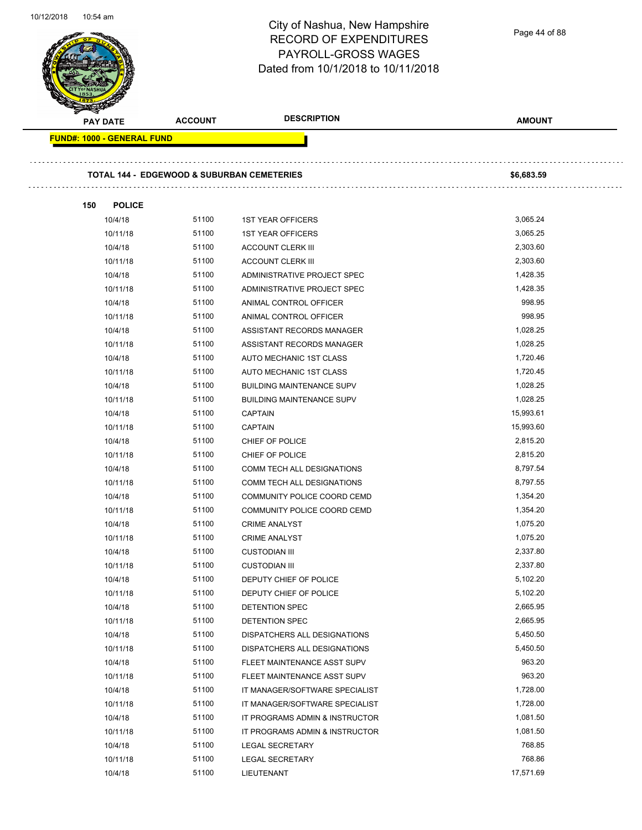÷.

### City of Nashua, New Hampshire RECORD OF EXPENDITURES PAYROLL-GROSS WAGES Dated from 10/1/2018 to 10/11/2018

| <b>PAY DATE</b>                   | <b>ACCOUNT</b> | <b>DESCRIPTION</b>                                    | <b>AMOUNT</b> |
|-----------------------------------|----------------|-------------------------------------------------------|---------------|
| <b>FUND#: 1000 - GENERAL FUND</b> |                |                                                       |               |
|                                   |                |                                                       |               |
|                                   |                | <b>TOTAL 144 - EDGEWOOD &amp; SUBURBAN CEMETERIES</b> | \$6,683.59    |
| 150<br><b>POLICE</b>              |                |                                                       |               |
| 10/4/18                           | 51100          | <b>1ST YEAR OFFICERS</b>                              | 3,065.24      |
| 10/11/18                          | 51100          | <b>1ST YEAR OFFICERS</b>                              | 3,065.25      |
| 10/4/18                           | 51100          | <b>ACCOUNT CLERK III</b>                              | 2,303.60      |
| 10/11/18                          | 51100          | <b>ACCOUNT CLERK III</b>                              | 2,303.60      |
| 10/4/18                           | 51100          | ADMINISTRATIVE PROJECT SPEC                           | 1,428.35      |
| 10/11/18                          | 51100          | ADMINISTRATIVE PROJECT SPEC                           | 1,428.35      |
| 10/4/18                           | 51100          | ANIMAL CONTROL OFFICER                                | 998.95        |
| 10/11/18                          | 51100          | ANIMAL CONTROL OFFICER                                | 998.95        |
| 10/4/18                           | 51100          | ASSISTANT RECORDS MANAGER                             | 1,028.25      |
| 10/11/18                          | 51100          | ASSISTANT RECORDS MANAGER                             | 1,028.25      |
| 10/4/18                           | 51100          | AUTO MECHANIC 1ST CLASS                               | 1,720.46      |
| 10/11/18                          | 51100          | AUTO MECHANIC 1ST CLASS                               | 1,720.45      |
| 10/4/18                           | 51100          | <b>BUILDING MAINTENANCE SUPV</b>                      | 1,028.25      |
| 10/11/18                          | 51100          | <b>BUILDING MAINTENANCE SUPV</b>                      | 1,028.25      |
| 10/4/18                           | 51100          | <b>CAPTAIN</b>                                        | 15,993.61     |
| 10/11/18                          | 51100          | <b>CAPTAIN</b>                                        | 15,993.60     |
| 10/4/18                           | 51100          | CHIEF OF POLICE                                       | 2,815.20      |
| 10/11/18                          | 51100          | CHIEF OF POLICE                                       | 2,815.20      |
| 10/4/18                           | 51100          | COMM TECH ALL DESIGNATIONS                            | 8,797.54      |
| 10/11/18                          | 51100          | COMM TECH ALL DESIGNATIONS                            | 8,797.55      |
| 10/4/18                           | 51100          | COMMUNITY POLICE COORD CEMD                           | 1,354.20      |
| 10/11/18                          | 51100          | COMMUNITY POLICE COORD CEMD                           | 1,354.20      |
| 10/4/18                           | 51100          | <b>CRIME ANALYST</b>                                  | 1,075.20      |
| 10/11/18                          | 51100          | <b>CRIME ANALYST</b>                                  | 1,075.20      |
| 10/4/18                           | 51100          | <b>CUSTODIAN III</b>                                  | 2,337.80      |
| 10/11/18                          | 51100          | <b>CUSTODIAN III</b>                                  | 2,337.80      |
| 10/4/18                           | 51100          | DEPUTY CHIEF OF POLICE                                | 5,102.20      |
| 10/11/18                          | 51100          | DEPUTY CHIEF OF POLICE                                | 5,102.20      |
| 10/4/18                           | 51100          | <b>DETENTION SPEC</b>                                 | 2,665.95      |
| 10/11/18                          | 51100          | DETENTION SPEC                                        | 2,665.95      |
| 10/4/18                           | 51100          | DISPATCHERS ALL DESIGNATIONS                          | 5,450.50      |
| 10/11/18                          | 51100          | DISPATCHERS ALL DESIGNATIONS                          | 5,450.50      |
| 10/4/18                           | 51100          | FLEET MAINTENANCE ASST SUPV                           | 963.20        |
| 10/11/18                          | 51100          | FLEET MAINTENANCE ASST SUPV                           | 963.20        |
| 10/4/18                           | 51100          | IT MANAGER/SOFTWARE SPECIALIST                        | 1,728.00      |
| 10/11/18                          | 51100          | IT MANAGER/SOFTWARE SPECIALIST                        | 1,728.00      |
| 10/4/18                           | 51100          | IT PROGRAMS ADMIN & INSTRUCTOR                        | 1,081.50      |
| 10/11/18                          | 51100          | IT PROGRAMS ADMIN & INSTRUCTOR                        | 1,081.50      |
| 10/4/18                           | 51100          | <b>LEGAL SECRETARY</b>                                | 768.85        |
| 10/11/18                          | 51100          | <b>LEGAL SECRETARY</b>                                | 768.86        |
| 10/4/18                           | 51100          | LIEUTENANT                                            | 17,571.69     |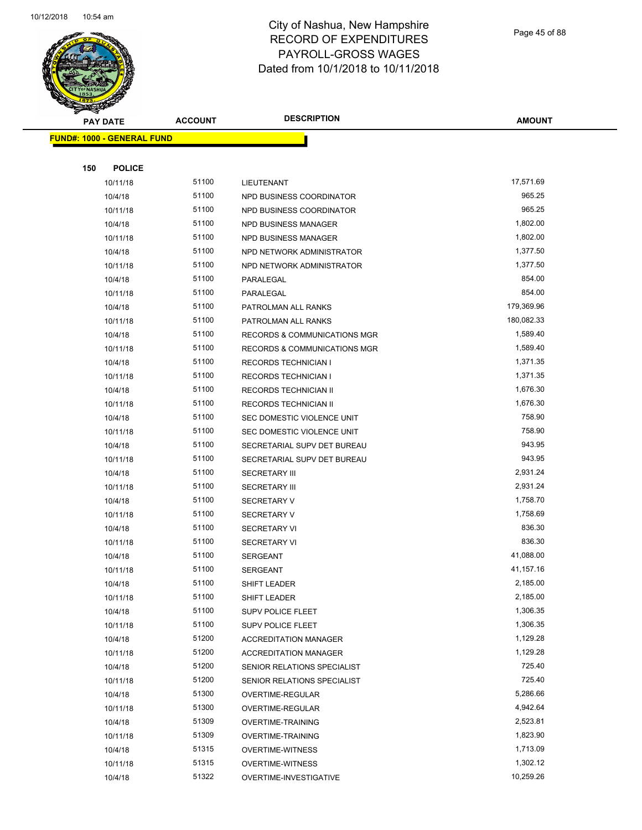

Page 45 of 88

| <b>PAY DATE</b>                   | <b>ACCOUNT</b> | <b>DESCRIPTION</b>                                 | <b>AMOUNT</b>        |
|-----------------------------------|----------------|----------------------------------------------------|----------------------|
| <b>FUND#: 1000 - GENERAL FUND</b> |                |                                                    |                      |
|                                   |                |                                                    |                      |
| 150<br><b>POLICE</b>              |                |                                                    |                      |
| 10/11/18                          | 51100          | LIEUTENANT                                         | 17,571.69            |
| 10/4/18                           | 51100          | NPD BUSINESS COORDINATOR                           | 965.25               |
| 10/11/18                          | 51100          | NPD BUSINESS COORDINATOR                           | 965.25               |
| 10/4/18                           | 51100          | NPD BUSINESS MANAGER                               | 1,802.00             |
| 10/11/18                          | 51100          | NPD BUSINESS MANAGER                               | 1,802.00             |
| 10/4/18                           | 51100          | NPD NETWORK ADMINISTRATOR                          | 1,377.50             |
| 10/11/18                          | 51100          | NPD NETWORK ADMINISTRATOR                          | 1,377.50             |
| 10/4/18                           | 51100          | PARALEGAL                                          | 854.00               |
| 10/11/18                          | 51100          | PARALEGAL                                          | 854.00               |
| 10/4/18                           | 51100          | PATROLMAN ALL RANKS                                | 179,369.96           |
| 10/11/18                          | 51100          | PATROLMAN ALL RANKS                                | 180,082.33           |
| 10/4/18                           | 51100          | RECORDS & COMMUNICATIONS MGR                       | 1,589.40             |
| 10/11/18                          | 51100          | <b>RECORDS &amp; COMMUNICATIONS MGR</b>            | 1,589.40             |
| 10/4/18                           | 51100          | <b>RECORDS TECHNICIAN I</b>                        | 1,371.35             |
| 10/11/18                          | 51100          | <b>RECORDS TECHNICIAN I</b>                        | 1,371.35             |
| 10/4/18                           | 51100          | <b>RECORDS TECHNICIAN II</b>                       | 1,676.30             |
| 10/11/18                          | 51100          | <b>RECORDS TECHNICIAN II</b>                       | 1,676.30             |
| 10/4/18                           | 51100          | SEC DOMESTIC VIOLENCE UNIT                         | 758.90               |
| 10/11/18                          | 51100          | SEC DOMESTIC VIOLENCE UNIT                         | 758.90               |
| 10/4/18                           | 51100          | SECRETARIAL SUPV DET BUREAU                        | 943.95               |
| 10/11/18                          | 51100          | SECRETARIAL SUPV DET BUREAU                        | 943.95               |
| 10/4/18                           | 51100          | <b>SECRETARY III</b>                               | 2,931.24             |
| 10/11/18                          | 51100          | <b>SECRETARY III</b>                               | 2,931.24             |
| 10/4/18                           | 51100          | <b>SECRETARY V</b>                                 | 1,758.70             |
| 10/11/18                          | 51100          | <b>SECRETARY V</b>                                 | 1,758.69             |
| 10/4/18                           | 51100          | <b>SECRETARY VI</b>                                | 836.30               |
| 10/11/18                          | 51100          | <b>SECRETARY VI</b>                                | 836.30               |
| 10/4/18                           | 51100          | <b>SERGEANT</b>                                    | 41,088.00            |
| 10/11/18                          | 51100          | <b>SERGEANT</b>                                    | 41,157.16            |
| 10/4/18                           | 51100          | SHIFT LEADER                                       | 2,185.00             |
| 10/11/18                          | 51100          | SHIFT LEADER                                       | 2,185.00             |
| 10/4/18                           | 51100          | SUPV POLICE FLEET                                  | 1,306.35             |
| 10/11/18                          | 51100          | <b>SUPV POLICE FLEET</b>                           | 1,306.35             |
| 10/4/18                           | 51200          | <b>ACCREDITATION MANAGER</b>                       | 1,129.28             |
| 10/11/18                          | 51200          | <b>ACCREDITATION MANAGER</b>                       | 1,129.28             |
| 10/4/18                           | 51200          | SENIOR RELATIONS SPECIALIST                        | 725.40               |
| 10/11/18                          | 51200          | SENIOR RELATIONS SPECIALIST                        | 725.40               |
| 10/4/18                           | 51300          | OVERTIME-REGULAR                                   | 5,286.66             |
| 10/11/18                          | 51300<br>51309 | OVERTIME-REGULAR                                   | 4,942.64<br>2,523.81 |
| 10/4/18                           | 51309          | <b>OVERTIME-TRAINING</b>                           | 1,823.90             |
| 10/11/18<br>10/4/18               | 51315          | <b>OVERTIME-TRAINING</b>                           | 1,713.09             |
| 10/11/18                          | 51315          | <b>OVERTIME-WITNESS</b><br><b>OVERTIME-WITNESS</b> | 1,302.12             |
| 10/4/18                           | 51322          | OVERTIME-INVESTIGATIVE                             | 10,259.26            |
|                                   |                |                                                    |                      |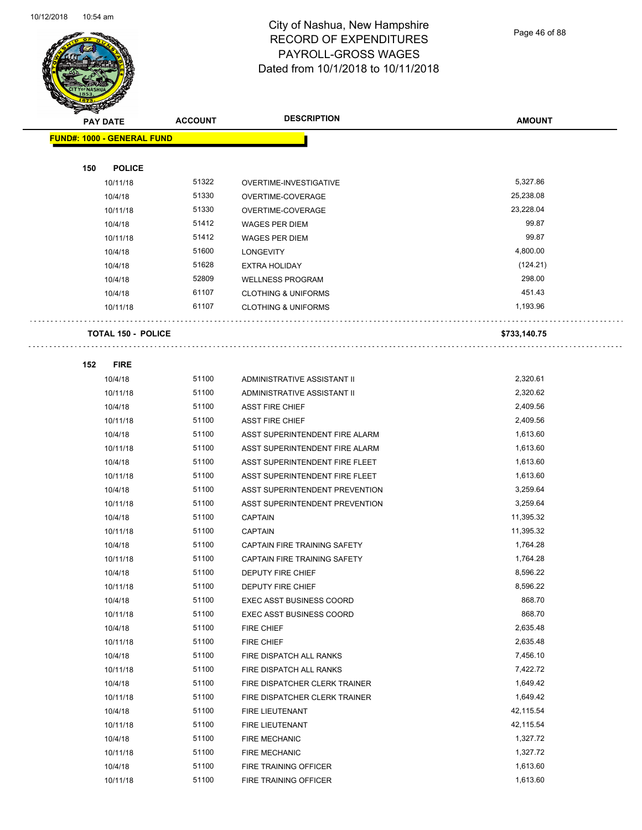$\overline{\phantom{0}}$ 



#### City of Nashua, New Hampshire RECORD OF EXPENDITURES PAYROLL-GROSS WAGES Dated from 10/1/2018 to 10/11/2018

Page 46 of 88

| T<br>$\tilde{\phantom{a}}$<br><b>PAY DATE</b> | <b>ACCOUNT</b>            | <b>DESCRIPTION</b>                                    | <b>AMOUNT</b>         |
|-----------------------------------------------|---------------------------|-------------------------------------------------------|-----------------------|
| <b>FUND#: 1000 - GENERAL FUND</b>             |                           |                                                       |                       |
|                                               |                           |                                                       |                       |
| 150                                           | <b>POLICE</b>             |                                                       |                       |
| 10/11/18                                      | 51322                     | OVERTIME-INVESTIGATIVE                                | 5,327.86              |
| 10/4/18                                       | 51330                     | OVERTIME-COVERAGE                                     | 25,238.08             |
| 10/11/18                                      | 51330                     | OVERTIME-COVERAGE                                     | 23,228.04             |
| 10/4/18                                       | 51412                     | WAGES PER DIEM                                        | 99.87                 |
| 10/11/18                                      | 51412                     | <b>WAGES PER DIEM</b>                                 | 99.87                 |
| 10/4/18                                       | 51600                     | <b>LONGEVITY</b>                                      | 4,800.00              |
| 10/4/18                                       | 51628                     | EXTRA HOLIDAY                                         | (124.21)              |
| 10/4/18                                       | 52809                     | <b>WELLNESS PROGRAM</b>                               | 298.00                |
| 10/4/18                                       | 61107                     | <b>CLOTHING &amp; UNIFORMS</b>                        | 451.43                |
| 10/11/18                                      | 61107                     | <b>CLOTHING &amp; UNIFORMS</b>                        | 1,193.96              |
|                                               |                           |                                                       |                       |
|                                               | <b>TOTAL 150 - POLICE</b> |                                                       | \$733,140.75          |
|                                               |                           |                                                       |                       |
| 152                                           | <b>FIRE</b><br>51100      |                                                       |                       |
| 10/4/18                                       | 51100                     | ADMINISTRATIVE ASSISTANT II                           | 2,320.61<br>2,320.62  |
| 10/11/18                                      |                           | ADMINISTRATIVE ASSISTANT II                           |                       |
| 10/4/18                                       | 51100<br>51100            | <b>ASST FIRE CHIEF</b>                                | 2,409.56              |
| 10/11/18                                      | 51100                     | <b>ASST FIRE CHIEF</b>                                | 2,409.56<br>1,613.60  |
| 10/4/18                                       | 51100                     | ASST SUPERINTENDENT FIRE ALARM                        |                       |
| 10/11/18                                      | 51100                     | ASST SUPERINTENDENT FIRE ALARM                        | 1,613.60<br>1,613.60  |
| 10/4/18                                       |                           | ASST SUPERINTENDENT FIRE FLEET                        |                       |
| 10/11/18                                      | 51100                     | ASST SUPERINTENDENT FIRE FLEET                        | 1,613.60              |
| 10/4/18                                       | 51100                     | ASST SUPERINTENDENT PREVENTION                        | 3,259.64              |
| 10/11/18                                      | 51100<br>51100            | ASST SUPERINTENDENT PREVENTION                        | 3,259.64<br>11,395.32 |
| 10/4/18                                       | 51100                     | <b>CAPTAIN</b>                                        | 11,395.32             |
| 10/11/18                                      |                           | <b>CAPTAIN</b><br><b>CAPTAIN FIRE TRAINING SAFETY</b> |                       |
| 10/4/18                                       | 51100                     |                                                       | 1,764.28              |
| 10/11/18                                      | 51100                     | CAPTAIN FIRE TRAINING SAFETY                          | 1,764.28              |
| 10/4/18                                       | 51100                     | <b>DEPUTY FIRE CHIEF</b>                              | 8,596.22              |
| 10/11/18                                      | 51100<br>51100            | DEPUTY FIRE CHIEF                                     | 8,596.22<br>868.70    |
| 10/4/18                                       |                           | <b>EXEC ASST BUSINESS COORD</b>                       |                       |
| 10/11/18                                      | 51100                     | <b>EXEC ASST BUSINESS COORD</b>                       | 868.70                |
| 10/4/18                                       | 51100                     | <b>FIRE CHIEF</b>                                     | 2,635.48              |
| 10/11/18                                      | 51100<br>51100            | FIRE CHIEF                                            | 2,635.48              |
| 10/4/18                                       | 51100                     | FIRE DISPATCH ALL RANKS                               | 7,456.10              |
| 10/11/18                                      |                           | FIRE DISPATCH ALL RANKS                               | 7,422.72              |
| 10/4/18                                       | 51100                     | FIRE DISPATCHER CLERK TRAINER                         | 1,649.42              |
| 10/11/18                                      | 51100                     | FIRE DISPATCHER CLERK TRAINER                         | 1,649.42              |
| 10/4/18                                       | 51100                     | FIRE LIEUTENANT                                       | 42,115.54             |
| 10/11/18                                      | 51100                     | FIRE LIEUTENANT                                       | 42,115.54             |
| 10/4/18                                       | 51100                     | <b>FIRE MECHANIC</b>                                  | 1,327.72              |
| 10/11/18                                      | 51100                     | <b>FIRE MECHANIC</b>                                  | 1,327.72              |
| 10/4/18                                       | 51100                     | FIRE TRAINING OFFICER                                 | 1,613.60              |
| 10/11/18                                      | 51100                     | FIRE TRAINING OFFICER                                 | 1,613.60              |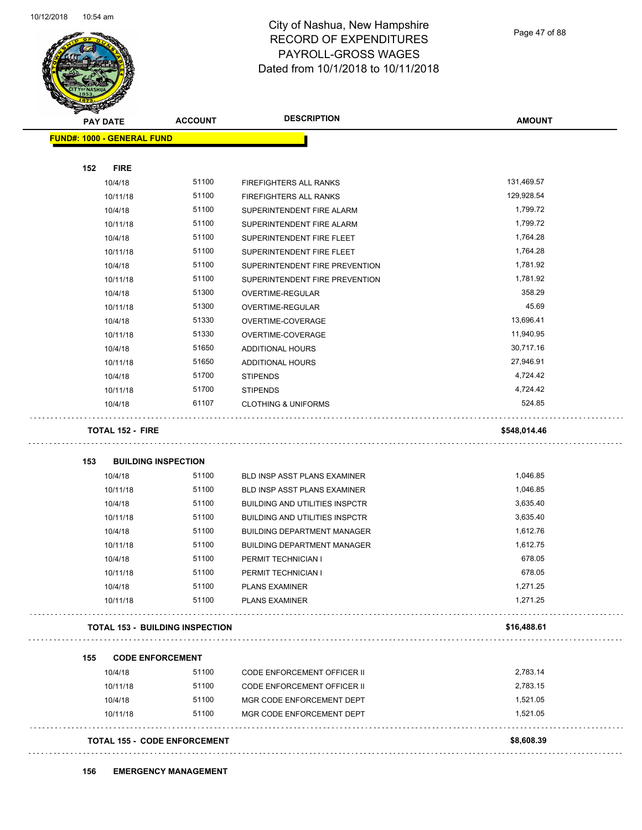

Page 47 of 88

| <b>PAY DATE</b> |                                   |                                        |                                       |               |
|-----------------|-----------------------------------|----------------------------------------|---------------------------------------|---------------|
|                 |                                   | <b>ACCOUNT</b>                         | <b>DESCRIPTION</b>                    | <b>AMOUNT</b> |
|                 | <b>FUND#: 1000 - GENERAL FUND</b> |                                        |                                       |               |
|                 |                                   |                                        |                                       |               |
| 152             | <b>FIRE</b>                       |                                        |                                       |               |
|                 | 10/4/18                           | 51100                                  | FIREFIGHTERS ALL RANKS                | 131,469.57    |
|                 | 10/11/18                          | 51100                                  | FIREFIGHTERS ALL RANKS                | 129,928.54    |
|                 | 10/4/18                           | 51100                                  | SUPERINTENDENT FIRE ALARM             | 1,799.72      |
|                 | 10/11/18                          | 51100                                  | SUPERINTENDENT FIRE ALARM             | 1,799.72      |
|                 | 10/4/18                           | 51100                                  | SUPERINTENDENT FIRE FLEET             | 1,764.28      |
|                 | 10/11/18                          | 51100                                  | SUPERINTENDENT FIRE FLEET             | 1,764.28      |
|                 | 10/4/18                           | 51100                                  | SUPERINTENDENT FIRE PREVENTION        | 1,781.92      |
|                 | 10/11/18                          | 51100                                  | SUPERINTENDENT FIRE PREVENTION        | 1,781.92      |
|                 | 10/4/18                           | 51300                                  | OVERTIME-REGULAR                      | 358.29        |
|                 | 10/11/18                          | 51300                                  | OVERTIME-REGULAR                      | 45.69         |
|                 | 10/4/18                           | 51330                                  | OVERTIME-COVERAGE                     | 13,696.41     |
|                 | 10/11/18                          | 51330                                  | OVERTIME-COVERAGE                     | 11,940.95     |
|                 | 10/4/18                           | 51650                                  | <b>ADDITIONAL HOURS</b>               | 30,717.16     |
|                 | 10/11/18                          | 51650                                  | <b>ADDITIONAL HOURS</b>               | 27,946.91     |
|                 | 10/4/18                           | 51700                                  | <b>STIPENDS</b>                       | 4,724.42      |
|                 | 10/11/18                          | 51700                                  | <b>STIPENDS</b>                       | 4,724.42      |
|                 | 10/4/18                           | 61107                                  | <b>CLOTHING &amp; UNIFORMS</b>        | 524.85        |
|                 | <b>TOTAL 152 - FIRE</b>           |                                        |                                       | \$548,014.46  |
|                 |                                   |                                        |                                       |               |
| 153             | <b>BUILDING INSPECTION</b>        |                                        |                                       |               |
|                 | 10/4/18                           | 51100                                  | BLD INSP ASST PLANS EXAMINER          | 1,046.85      |
|                 | 10/11/18                          | 51100                                  | BLD INSP ASST PLANS EXAMINER          | 1,046.85      |
|                 | 10/4/18                           | 51100                                  | <b>BUILDING AND UTILITIES INSPCTR</b> | 3,635.40      |
|                 | 10/11/18                          | 51100                                  | <b>BUILDING AND UTILITIES INSPCTR</b> | 3,635.40      |
|                 | 10/4/18                           | 51100                                  | <b>BUILDING DEPARTMENT MANAGER</b>    | 1,612.76      |
|                 | 10/11/18                          | 51100                                  | <b>BUILDING DEPARTMENT MANAGER</b>    | 1,612.75      |
|                 | 10/4/18                           | 51100                                  | PERMIT TECHNICIAN I                   | 678.05        |
|                 | 10/11/18                          | 51100                                  | PERMIT TECHNICIAN I                   | 678.05        |
|                 | 10/4/18                           | 51100                                  | <b>PLANS EXAMINER</b>                 | 1,271.25      |
|                 | 10/11/18                          | 51100                                  | <b>PLANS EXAMINER</b>                 | 1,271.25      |
|                 |                                   | <b>TOTAL 153 - BUILDING INSPECTION</b> |                                       | \$16,488.61   |
|                 |                                   |                                        |                                       |               |
| 155             | <b>CODE ENFORCEMENT</b>           |                                        |                                       |               |
|                 | 10/4/18                           | 51100                                  | CODE ENFORCEMENT OFFICER II           | 2,783.14      |
|                 | 10/11/18                          | 51100                                  | <b>CODE ENFORCEMENT OFFICER II</b>    | 2,783.15      |
|                 | 10/4/18                           | 51100                                  | MGR CODE ENFORCEMENT DEPT             | 1,521.05      |
|                 | 10/11/18                          | 51100                                  | MGR CODE ENFORCEMENT DEPT             | 1,521.05      |

**156 EMERGENCY MANAGEMENT**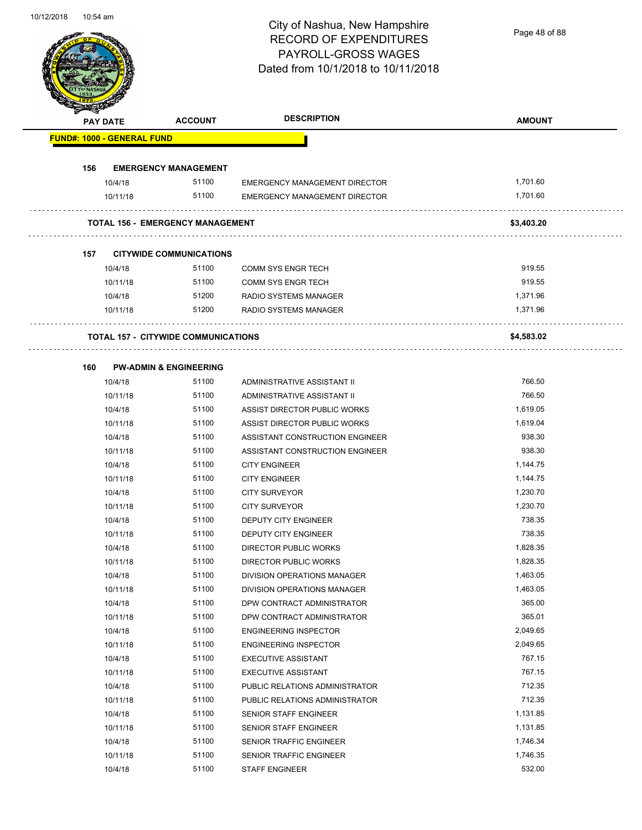Page 48 of 88

| <b>PAY DATE</b>                   |          | <b>ACCOUNT</b>                             | <b>DESCRIPTION</b>              | <b>AMOUNT</b> |
|-----------------------------------|----------|--------------------------------------------|---------------------------------|---------------|
| <b>FUND#: 1000 - GENERAL FUND</b> |          |                                            |                                 |               |
| 156                               |          | <b>EMERGENCY MANAGEMENT</b>                |                                 |               |
|                                   | 10/4/18  | 51100                                      | EMERGENCY MANAGEMENT DIRECTOR   | 1.701.60      |
|                                   | 10/11/18 | 51100                                      | EMERGENCY MANAGEMENT DIRECTOR   | 1,701.60      |
|                                   |          | <b>TOTAL 156 - EMERGENCY MANAGEMENT</b>    |                                 | \$3,403.20    |
| 157                               |          | <b>CITYWIDE COMMUNICATIONS</b>             |                                 |               |
|                                   | 10/4/18  | 51100                                      | <b>COMM SYS ENGR TECH</b>       | 919.55        |
|                                   | 10/11/18 | 51100                                      | COMM SYS ENGR TECH              | 919.55        |
|                                   | 10/4/18  | 51200                                      | RADIO SYSTEMS MANAGER           | 1,371.96      |
|                                   | 10/11/18 | 51200                                      | RADIO SYSTEMS MANAGER           | 1,371.96      |
|                                   |          | <b>TOTAL 157 - CITYWIDE COMMUNICATIONS</b> |                                 | \$4,583.02    |
| 160                               |          | <b>PW-ADMIN &amp; ENGINEERING</b>          |                                 |               |
|                                   | 10/4/18  | 51100                                      | ADMINISTRATIVE ASSISTANT II     | 766.50        |
|                                   | 10/11/18 | 51100                                      | ADMINISTRATIVE ASSISTANT II     | 766.50        |
|                                   | 10/4/18  | 51100                                      | ASSIST DIRECTOR PUBLIC WORKS    | 1,619.05      |
|                                   | 10/11/18 | 51100                                      | ASSIST DIRECTOR PUBLIC WORKS    | 1,619.04      |
|                                   | 10/4/18  | 51100                                      | ASSISTANT CONSTRUCTION ENGINEER | 938.30        |
|                                   | 10/11/18 | 51100                                      | ASSISTANT CONSTRUCTION ENGINEER | 938.30        |
|                                   | 10/4/18  | 51100                                      | <b>CITY ENGINEER</b>            | 1,144.75      |
|                                   | 10/11/18 | 51100                                      | <b>CITY ENGINEER</b>            | 1,144.75      |
|                                   | 10/4/18  | 51100                                      | <b>CITY SURVEYOR</b>            | 1,230.70      |
|                                   | 10/11/18 | 51100                                      | <b>CITY SURVEYOR</b>            | 1,230.70      |
|                                   | 10/4/18  | 51100                                      | <b>DEPUTY CITY ENGINEER</b>     | 738.35        |
|                                   | 10/11/18 | 51100                                      | DEPUTY CITY ENGINEER            | 738.35        |
|                                   | 10/4/18  | 51100                                      | DIRECTOR PUBLIC WORKS           | 1,828.35      |
|                                   | 10/11/18 | 51100                                      | DIRECTOR PUBLIC WORKS           | 1,828.35      |
|                                   | 10/4/18  | 51100                                      | DIVISION OPERATIONS MANAGER     | 1,463.05      |
|                                   | 10/11/18 | 51100                                      | DIVISION OPERATIONS MANAGER     | 1,463.05      |
|                                   | 10/4/18  | 51100                                      | DPW CONTRACT ADMINISTRATOR      | 365.00        |
|                                   | 10/11/18 | 51100                                      | DPW CONTRACT ADMINISTRATOR      | 365.01        |
|                                   | 10/4/18  | 51100                                      | <b>ENGINEERING INSPECTOR</b>    | 2,049.65      |
|                                   | 10/11/18 | 51100                                      | <b>ENGINEERING INSPECTOR</b>    | 2,049.65      |
|                                   | 10/4/18  | 51100                                      | <b>EXECUTIVE ASSISTANT</b>      | 767.15        |
|                                   | 10/11/18 | 51100                                      | <b>EXECUTIVE ASSISTANT</b>      | 767.15        |
|                                   | 10/4/18  | 51100                                      | PUBLIC RELATIONS ADMINISTRATOR  | 712.35        |
|                                   | 10/11/18 | 51100                                      | PUBLIC RELATIONS ADMINISTRATOR  | 712.35        |
|                                   | 10/4/18  | 51100                                      | SENIOR STAFF ENGINEER           | 1,131.85      |
|                                   | 10/11/18 | 51100                                      | SENIOR STAFF ENGINEER           | 1,131.85      |
|                                   | 10/4/18  | 51100                                      | SENIOR TRAFFIC ENGINEER         | 1,746.34      |
|                                   | 10/11/18 | 51100                                      | SENIOR TRAFFIC ENGINEER         | 1,746.35      |
|                                   |          |                                            |                                 | 532.00        |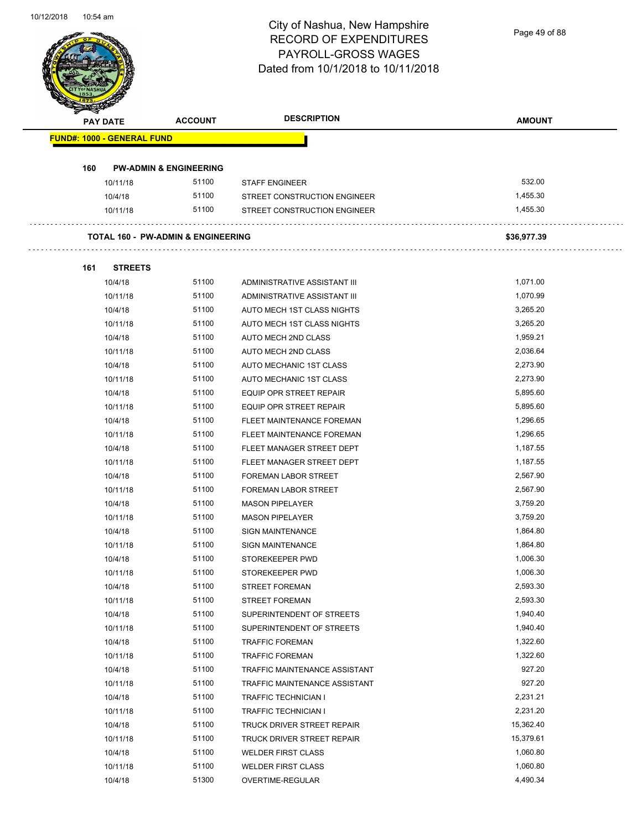Page 49 of 88

| <b>PAY DATE</b> |                                   | <b>ACCOUNT</b>                                | <b>DESCRIPTION</b>             | <b>AMOUNT</b> |
|-----------------|-----------------------------------|-----------------------------------------------|--------------------------------|---------------|
|                 | <b>FUND#: 1000 - GENERAL FUND</b> |                                               |                                |               |
| 160             |                                   | <b>PW-ADMIN &amp; ENGINEERING</b>             |                                |               |
|                 | 10/11/18                          | 51100                                         | <b>STAFF ENGINEER</b>          | 532.00        |
|                 | 10/4/18                           | 51100                                         | STREET CONSTRUCTION ENGINEER   | 1,455.30      |
|                 | 10/11/18                          | 51100                                         | STREET CONSTRUCTION ENGINEER   | 1,455.30      |
|                 |                                   | <b>TOTAL 160 - PW-ADMIN &amp; ENGINEERING</b> |                                | \$36,977.39   |
| 161             | <b>STREETS</b>                    |                                               |                                |               |
|                 | 10/4/18                           | 51100                                         | ADMINISTRATIVE ASSISTANT III   | 1,071.00      |
|                 | 10/11/18                          | 51100                                         | ADMINISTRATIVE ASSISTANT III   | 1,070.99      |
|                 | 10/4/18                           | 51100                                         | AUTO MECH 1ST CLASS NIGHTS     | 3,265.20      |
|                 | 10/11/18                          | 51100                                         | AUTO MECH 1ST CLASS NIGHTS     | 3,265.20      |
|                 | 10/4/18                           | 51100                                         | AUTO MECH 2ND CLASS            | 1,959.21      |
|                 | 10/11/18                          | 51100                                         | AUTO MECH 2ND CLASS            | 2,036.64      |
|                 | 10/4/18                           | 51100                                         | AUTO MECHANIC 1ST CLASS        | 2,273.90      |
|                 | 10/11/18                          | 51100                                         | AUTO MECHANIC 1ST CLASS        | 2,273.90      |
|                 | 10/4/18                           | 51100                                         | EQUIP OPR STREET REPAIR        | 5,895.60      |
|                 | 10/11/18                          | 51100                                         | <b>EQUIP OPR STREET REPAIR</b> | 5,895.60      |
|                 | 10/4/18                           | 51100                                         | FLEET MAINTENANCE FOREMAN      | 1,296.65      |
|                 | 10/11/18                          | 51100                                         | FLEET MAINTENANCE FOREMAN      | 1,296.65      |
|                 | 10/4/18                           | 51100                                         | FLEET MANAGER STREET DEPT      | 1,187.55      |
|                 | 10/11/18                          | 51100                                         | FLEET MANAGER STREET DEPT      | 1,187.55      |
|                 | 10/4/18                           | 51100                                         | <b>FOREMAN LABOR STREET</b>    | 2,567.90      |
|                 | 10/11/18                          | 51100                                         | <b>FOREMAN LABOR STREET</b>    | 2,567.90      |
|                 | 10/4/18                           | 51100                                         | <b>MASON PIPELAYER</b>         | 3,759.20      |
|                 | 10/11/18                          | 51100                                         | <b>MASON PIPELAYER</b>         | 3,759.20      |
|                 | 10/4/18                           | 51100                                         | <b>SIGN MAINTENANCE</b>        | 1,864.80      |
|                 | 10/11/18                          | 51100                                         | <b>SIGN MAINTENANCE</b>        | 1.864.80      |
|                 | 10/4/18                           | 51100                                         | STOREKEEPER PWD                | 1,006.30      |
|                 | 10/11/18                          | 51100                                         | STOREKEEPER PWD                | 1,006.30      |
|                 | 10/4/18                           | 51100                                         | STREET FOREMAN                 | 2,593.30      |
|                 | 10/11/18                          | 51100                                         | <b>STREET FOREMAN</b>          | 2,593.30      |
|                 | 10/4/18                           | 51100                                         | SUPERINTENDENT OF STREETS      | 1,940.40      |
|                 | 10/11/18                          | 51100                                         | SUPERINTENDENT OF STREETS      | 1,940.40      |
|                 | 10/4/18                           | 51100                                         | <b>TRAFFIC FOREMAN</b>         | 1,322.60      |
|                 | 10/11/18                          | 51100                                         | <b>TRAFFIC FOREMAN</b>         | 1,322.60      |
|                 | 10/4/18                           | 51100                                         | TRAFFIC MAINTENANCE ASSISTANT  | 927.20        |
|                 | 10/11/18                          | 51100                                         | TRAFFIC MAINTENANCE ASSISTANT  | 927.20        |
|                 | 10/4/18                           | 51100                                         | TRAFFIC TECHNICIAN I           | 2,231.21      |
|                 | 10/11/18                          | 51100                                         | <b>TRAFFIC TECHNICIAN I</b>    | 2,231.20      |
|                 | 10/4/18                           | 51100                                         | TRUCK DRIVER STREET REPAIR     | 15,362.40     |
|                 | 10/11/18                          | 51100                                         | TRUCK DRIVER STREET REPAIR     | 15,379.61     |
|                 | 10/4/18                           | 51100                                         | <b>WELDER FIRST CLASS</b>      | 1,060.80      |
|                 | 10/11/18                          | 51100                                         | <b>WELDER FIRST CLASS</b>      | 1,060.80      |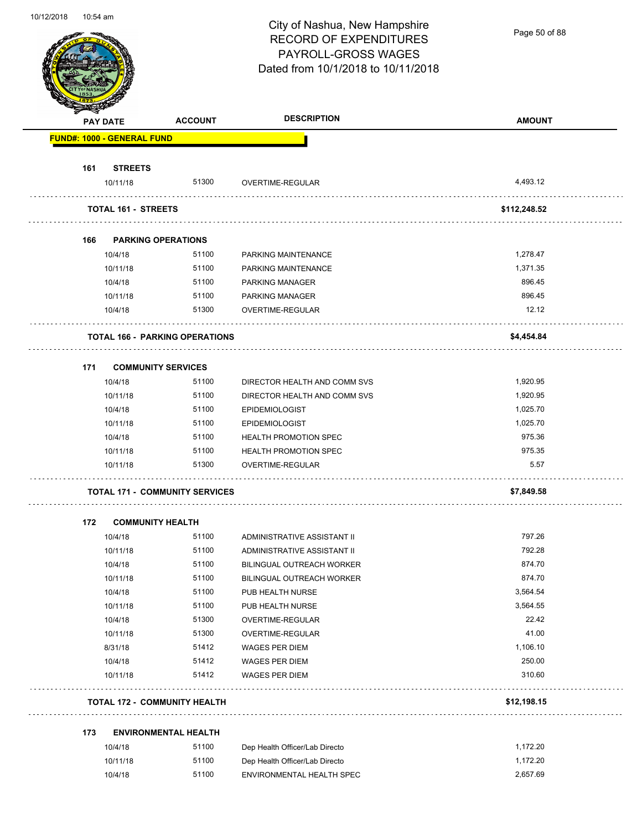Page 50 of 88

|     | <b>PAY DATE</b>                       | <b>ACCOUNT</b> | <b>DESCRIPTION</b>             | <b>AMOUNT</b> |
|-----|---------------------------------------|----------------|--------------------------------|---------------|
|     | <b>FUND#: 1000 - GENERAL FUND</b>     |                |                                |               |
| 161 | <b>STREETS</b>                        |                |                                |               |
|     | 10/11/18                              | 51300          | OVERTIME-REGULAR               | 4,493.12      |
|     | <b>TOTAL 161 - STREETS</b>            |                |                                | \$112,248.52  |
|     |                                       |                |                                |               |
| 166 | <b>PARKING OPERATIONS</b><br>10/4/18  | 51100          | PARKING MAINTENANCE            | 1,278.47      |
|     | 10/11/18                              | 51100          | PARKING MAINTENANCE            | 1,371.35      |
|     | 10/4/18                               | 51100          | PARKING MANAGER                | 896.45        |
|     | 10/11/18                              | 51100          | PARKING MANAGER                | 896.45        |
|     | 10/4/18                               | 51300          | OVERTIME-REGULAR               | 12.12         |
|     | <b>TOTAL 166 - PARKING OPERATIONS</b> |                |                                | \$4,454.84    |
|     |                                       |                |                                |               |
| 171 | <b>COMMUNITY SERVICES</b><br>10/4/18  | 51100          | DIRECTOR HEALTH AND COMM SVS   | 1,920.95      |
|     | 10/11/18                              | 51100          | DIRECTOR HEALTH AND COMM SVS   | 1,920.95      |
|     | 10/4/18                               | 51100          | <b>EPIDEMIOLOGIST</b>          | 1,025.70      |
|     | 10/11/18                              | 51100          | <b>EPIDEMIOLOGIST</b>          | 1,025.70      |
|     | 10/4/18                               | 51100          | <b>HEALTH PROMOTION SPEC</b>   | 975.36        |
|     | 10/11/18                              | 51100          | <b>HEALTH PROMOTION SPEC</b>   | 975.35        |
|     | 10/11/18                              | 51300          | OVERTIME-REGULAR               | 5.57          |
|     |                                       |                |                                |               |
|     | <b>TOTAL 171 - COMMUNITY SERVICES</b> |                |                                | \$7,849.58    |
| 172 | <b>COMMUNITY HEALTH</b>               |                |                                |               |
|     | 10/4/18                               | 51100          | ADMINISTRATIVE ASSISTANT II    | 797.26        |
|     | 10/11/18                              | 51100          | ADMINISTRATIVE ASSISTANT II    | 792.28        |
|     | 10/4/18                               | 51100          | BILINGUAL OUTREACH WORKER      | 874.70        |
|     | 10/11/18                              | 51100          | BILINGUAL OUTREACH WORKER      | 874.70        |
|     | 10/4/18                               | 51100          | PUB HEALTH NURSE               | 3,564.54      |
|     | 10/11/18                              | 51100          | PUB HEALTH NURSE               | 3,564.55      |
|     | 10/4/18                               | 51300          | OVERTIME-REGULAR               | 22.42         |
|     | 10/11/18                              | 51300          | OVERTIME-REGULAR               | 41.00         |
|     | 8/31/18                               | 51412          | WAGES PER DIEM                 | 1,106.10      |
|     | 10/4/18                               | 51412          | WAGES PER DIEM                 | 250.00        |
|     | 10/11/18                              | 51412          | WAGES PER DIEM                 | 310.60        |
|     | <b>TOTAL 172 - COMMUNITY HEALTH</b>   |                |                                | \$12,198.15   |
|     | <b>ENVIRONMENTAL HEALTH</b>           |                |                                |               |
| 173 |                                       |                |                                |               |
|     | 10/4/18                               | 51100          | Dep Health Officer/Lab Directo | 1,172.20      |
|     | 10/11/18                              | 51100          | Dep Health Officer/Lab Directo | 1,172.20      |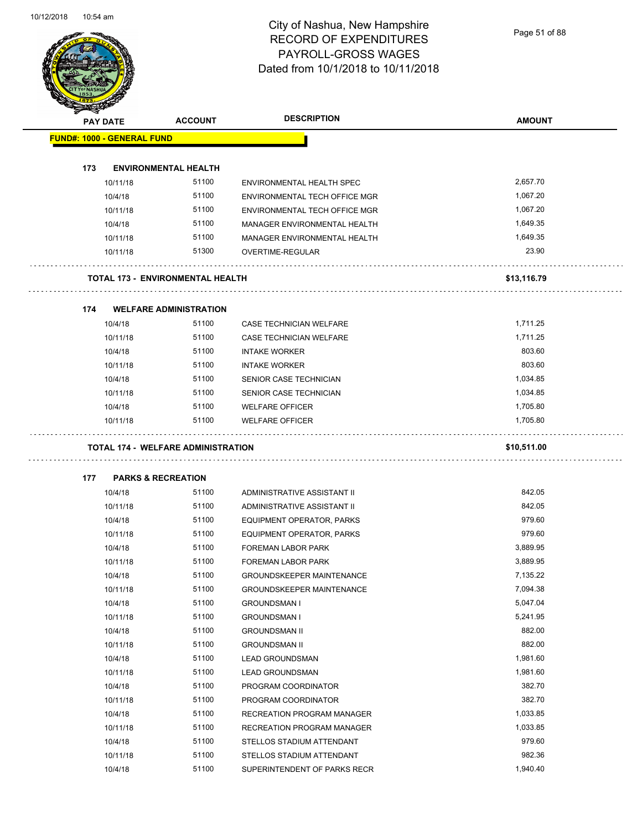Page 51 of 88

| <b>PAY DATE</b>                   | <b>ACCOUNT</b>                            | <b>DESCRIPTION</b>               | <b>AMOUNT</b> |
|-----------------------------------|-------------------------------------------|----------------------------------|---------------|
| <b>FUND#: 1000 - GENERAL FUND</b> |                                           |                                  |               |
| 173                               | <b>ENVIRONMENTAL HEALTH</b>               |                                  |               |
| 10/11/18                          | 51100                                     | ENVIRONMENTAL HEALTH SPEC        | 2,657.70      |
| 10/4/18                           | 51100                                     | ENVIRONMENTAL TECH OFFICE MGR    | 1,067.20      |
| 10/11/18                          | 51100                                     | ENVIRONMENTAL TECH OFFICE MGR    | 1,067.20      |
| 10/4/18                           | 51100                                     | MANAGER ENVIRONMENTAL HEALTH     | 1,649.35      |
| 10/11/18                          | 51100                                     | MANAGER ENVIRONMENTAL HEALTH     | 1,649.35      |
| 10/11/18                          | 51300                                     | OVERTIME-REGULAR                 | 23.90         |
|                                   |                                           |                                  |               |
|                                   | <b>TOTAL 173 - ENVIRONMENTAL HEALTH</b>   |                                  | \$13,116.79   |
| 174                               | <b>WELFARE ADMINISTRATION</b>             |                                  |               |
| 10/4/18                           | 51100                                     | CASE TECHNICIAN WELFARE          | 1,711.25      |
| 10/11/18                          | 51100                                     | CASE TECHNICIAN WELFARE          | 1,711.25      |
| 10/4/18                           | 51100                                     | <b>INTAKE WORKER</b>             | 803.60        |
| 10/11/18                          | 51100                                     | <b>INTAKE WORKER</b>             | 803.60        |
| 10/4/18                           | 51100                                     | SENIOR CASE TECHNICIAN           | 1,034.85      |
| 10/11/18                          | 51100                                     | SENIOR CASE TECHNICIAN           | 1,034.85      |
| 10/4/18                           | 51100                                     | <b>WELFARE OFFICER</b>           | 1,705.80      |
| 10/11/18                          | 51100                                     | <b>WELFARE OFFICER</b>           | 1,705.80      |
|                                   | <b>TOTAL 174 - WELFARE ADMINISTRATION</b> |                                  | \$10,511.00   |
|                                   |                                           |                                  |               |
| 177                               | <b>PARKS &amp; RECREATION</b>             |                                  |               |
| 10/4/18                           | 51100                                     | ADMINISTRATIVE ASSISTANT II      | 842.05        |
| 10/11/18                          | 51100                                     | ADMINISTRATIVE ASSISTANT II      | 842.05        |
| 10/4/18                           | 51100                                     | EQUIPMENT OPERATOR, PARKS        | 979.60        |
| 10/11/18                          | 51100                                     | <b>EQUIPMENT OPERATOR, PARKS</b> | 979.60        |
| 10/4/18                           | 51100                                     | <b>FOREMAN LABOR PARK</b>        | 3,889.95      |
| 10/11/18                          | 51100                                     | <b>FOREMAN LABOR PARK</b>        | 3.889.95      |
| 10/4/18                           | 51100                                     | <b>GROUNDSKEEPER MAINTENANCE</b> | 7,135.22      |
| 10/11/18                          | 51100                                     | <b>GROUNDSKEEPER MAINTENANCE</b> | 7,094.38      |
| 10/4/18                           | 51100                                     | <b>GROUNDSMAN I</b>              | 5,047.04      |
| 10/11/18                          | 51100                                     | <b>GROUNDSMAN I</b>              | 5,241.95      |
|                                   | 51100                                     | <b>GROUNDSMAN II</b>             | 882.00        |
| 10/4/18                           |                                           |                                  |               |
| 10/11/18                          | 51100                                     | <b>GROUNDSMAN II</b>             | 882.00        |
| 10/4/18                           | 51100                                     | <b>LEAD GROUNDSMAN</b>           | 1,981.60      |
| 10/11/18                          | 51100                                     | <b>LEAD GROUNDSMAN</b>           | 1,981.60      |
| 10/4/18                           | 51100                                     | PROGRAM COORDINATOR              | 382.70        |
| 10/11/18                          | 51100                                     | PROGRAM COORDINATOR              | 382.70        |
| 10/4/18                           | 51100                                     | RECREATION PROGRAM MANAGER       | 1,033.85      |
| 10/11/18                          | 51100                                     | RECREATION PROGRAM MANAGER       | 1,033.85      |
| 10/4/18                           | 51100                                     | STELLOS STADIUM ATTENDANT        | 979.60        |
| 10/11/18                          | 51100                                     | STELLOS STADIUM ATTENDANT        | 982.36        |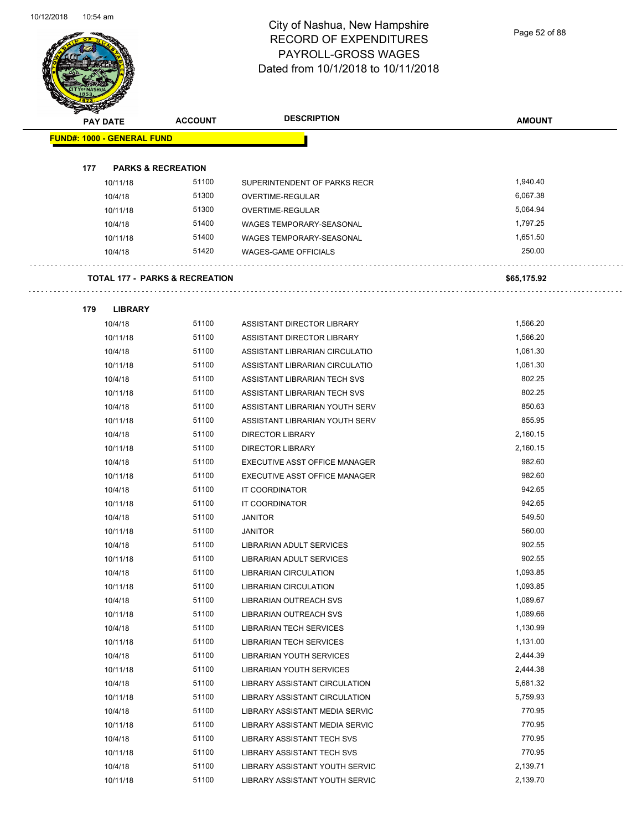$\overline{\phantom{a}}$ 

# City of Nashua, New Hampshire RECORD OF EXPENDITURES PAYROLL-GROSS WAGES Dated from 10/1/2018 to 10/11/2018

|     | <b>PAY DATE</b>                   | <b>ACCOUNT</b>                            | <b>DESCRIPTION</b>              | <b>AMOUNT</b> |
|-----|-----------------------------------|-------------------------------------------|---------------------------------|---------------|
|     | <b>FUND#: 1000 - GENERAL FUND</b> |                                           |                                 |               |
|     |                                   |                                           |                                 |               |
| 177 |                                   | <b>PARKS &amp; RECREATION</b>             |                                 |               |
|     | 10/11/18                          | 51100                                     | SUPERINTENDENT OF PARKS RECR    | 1,940.40      |
|     | 10/4/18                           | 51300                                     | OVERTIME-REGULAR                | 6,067.38      |
|     | 10/11/18                          | 51300                                     | OVERTIME-REGULAR                | 5.064.94      |
|     | 10/4/18                           | 51400                                     | WAGES TEMPORARY-SEASONAL        | 1,797.25      |
|     | 10/11/18                          | 51400                                     | WAGES TEMPORARY-SEASONAL        | 1,651.50      |
|     | 10/4/18                           | 51420                                     | WAGES-GAME OFFICIALS            | 250.00        |
|     |                                   | <b>TOTAL 177 - PARKS &amp; RECREATION</b> |                                 | \$65,175.92   |
| 179 | <b>LIBRARY</b>                    |                                           |                                 |               |
|     | 10/4/18                           | 51100                                     | ASSISTANT DIRECTOR LIBRARY      | 1,566.20      |
|     | 10/11/18                          | 51100                                     | ASSISTANT DIRECTOR LIBRARY      | 1,566.20      |
|     | 10/4/18                           | 51100                                     | ASSISTANT LIBRARIAN CIRCULATIO  | 1,061.30      |
|     | 10/11/18                          | 51100                                     | ASSISTANT LIBRARIAN CIRCULATIO  | 1,061.30      |
|     | 10/4/18                           | 51100                                     | ASSISTANT LIBRARIAN TECH SVS    | 802.25        |
|     | 10/11/18                          | 51100                                     | ASSISTANT LIBRARIAN TECH SVS    | 802.25        |
|     | 10/4/18                           | 51100                                     | ASSISTANT LIBRARIAN YOUTH SERV  | 850.63        |
|     | 10/11/18                          | 51100                                     | ASSISTANT LIBRARIAN YOUTH SERV  | 855.95        |
|     | 10/4/18                           | 51100                                     | <b>DIRECTOR LIBRARY</b>         | 2,160.15      |
|     | 10/11/18                          | 51100                                     | <b>DIRECTOR LIBRARY</b>         | 2,160.15      |
|     | 10/4/18                           | 51100                                     | EXECUTIVE ASST OFFICE MANAGER   | 982.60        |
|     | 10/11/18                          | 51100                                     | EXECUTIVE ASST OFFICE MANAGER   | 982.60        |
|     | 10/4/18                           | 51100                                     | IT COORDINATOR                  | 942.65        |
|     | 10/11/18                          | 51100                                     | <b>IT COORDINATOR</b>           | 942.65        |
|     | 10/4/18                           | 51100                                     | <b>JANITOR</b>                  | 549.50        |
|     | 10/11/18                          | 51100                                     | <b>JANITOR</b>                  | 560.00        |
|     | 10/4/18                           | 51100                                     | LIBRARIAN ADULT SERVICES        | 902.55        |
|     | 10/11/18                          | 51100                                     | LIBRARIAN ADULT SERVICES        | 902.55        |
|     | 10/4/18                           | 51100                                     | <b>LIBRARIAN CIRCULATION</b>    | 1,093.85      |
|     | 10/11/18                          | 51100                                     | <b>LIBRARIAN CIRCULATION</b>    | 1,093.85      |
|     | 10/4/18                           | 51100                                     | LIBRARIAN OUTREACH SVS          | 1,089.67      |
|     | 10/11/18                          | 51100                                     | <b>LIBRARIAN OUTREACH SVS</b>   | 1,089.66      |
|     | 10/4/18                           | 51100                                     | LIBRARIAN TECH SERVICES         | 1,130.99      |
|     | 10/11/18                          | 51100                                     | LIBRARIAN TECH SERVICES         | 1,131.00      |
|     | 10/4/18                           | 51100                                     | <b>LIBRARIAN YOUTH SERVICES</b> | 2,444.39      |
|     | 10/11/18                          | 51100                                     | LIBRARIAN YOUTH SERVICES        | 2,444.38      |
|     | 10/4/18                           | 51100                                     | LIBRARY ASSISTANT CIRCULATION   | 5,681.32      |
|     | 10/11/18                          | 51100                                     | LIBRARY ASSISTANT CIRCULATION   | 5,759.93      |
|     | 10/4/18                           | 51100                                     | LIBRARY ASSISTANT MEDIA SERVIC  | 770.95        |
|     | 10/11/18                          | 51100                                     | LIBRARY ASSISTANT MEDIA SERVIC  | 770.95        |
|     | 10/4/18                           | 51100                                     | LIBRARY ASSISTANT TECH SVS      | 770.95        |
|     | 10/11/18                          | 51100                                     | LIBRARY ASSISTANT TECH SVS      | 770.95        |
|     | 10/4/18                           | 51100                                     | LIBRARY ASSISTANT YOUTH SERVIC  | 2,139.71      |
|     | 10/11/18                          | 51100                                     | LIBRARY ASSISTANT YOUTH SERVIC  | 2,139.70      |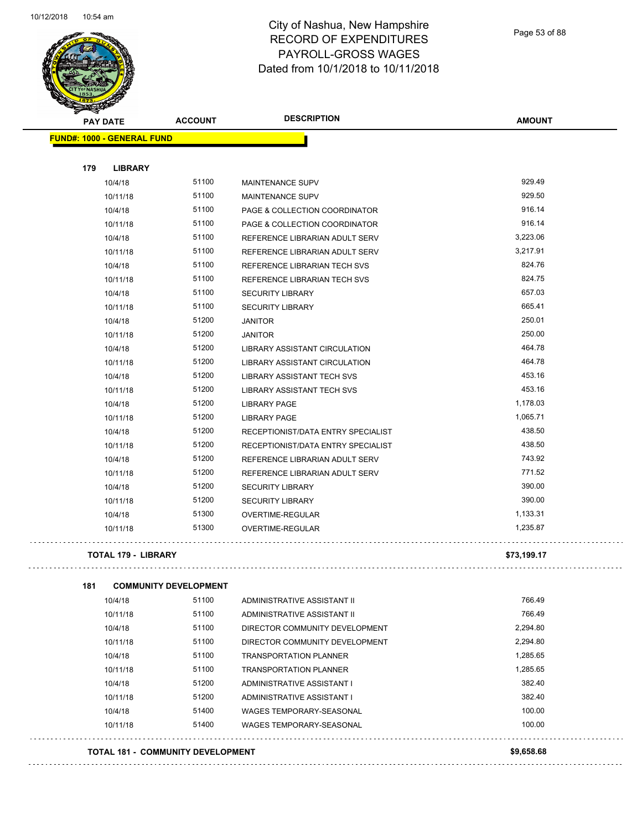

Page 53 of 88

| <b>SANGRAN</b><br><b>PAY DATE</b>   | <b>ACCOUNT</b> | <b>DESCRIPTION</b>                 | <b>AMOUNT</b> |
|-------------------------------------|----------------|------------------------------------|---------------|
| <b>FUND#: 1000 - GENERAL FUND</b>   |                |                                    |               |
|                                     |                |                                    |               |
| 179<br><b>LIBRARY</b>               |                |                                    |               |
| 10/4/18                             | 51100          | <b>MAINTENANCE SUPV</b>            | 929.49        |
| 10/11/18                            | 51100          | <b>MAINTENANCE SUPV</b>            | 929.50        |
| 10/4/18                             | 51100          | PAGE & COLLECTION COORDINATOR      | 916.14        |
| 10/11/18                            | 51100          | PAGE & COLLECTION COORDINATOR      | 916.14        |
| 10/4/18                             | 51100          | REFERENCE LIBRARIAN ADULT SERV     | 3,223.06      |
| 10/11/18                            | 51100          | REFERENCE LIBRARIAN ADULT SERV     | 3,217.91      |
| 10/4/18                             | 51100          | REFERENCE LIBRARIAN TECH SVS       | 824.76        |
| 10/11/18                            | 51100          | REFERENCE LIBRARIAN TECH SVS       | 824.75        |
| 10/4/18                             | 51100          | <b>SECURITY LIBRARY</b>            | 657.03        |
| 10/11/18                            | 51100          | <b>SECURITY LIBRARY</b>            | 665.41        |
| 10/4/18                             | 51200          | <b>JANITOR</b>                     | 250.01        |
| 10/11/18                            | 51200          | <b>JANITOR</b>                     | 250.00        |
| 10/4/18                             | 51200          | LIBRARY ASSISTANT CIRCULATION      | 464.78        |
| 10/11/18                            | 51200          | LIBRARY ASSISTANT CIRCULATION      | 464.78        |
| 10/4/18                             | 51200          | <b>LIBRARY ASSISTANT TECH SVS</b>  | 453.16        |
| 10/11/18                            | 51200          | <b>LIBRARY ASSISTANT TECH SVS</b>  | 453.16        |
| 10/4/18                             | 51200          | <b>LIBRARY PAGE</b>                | 1,178.03      |
| 10/11/18                            | 51200          | <b>LIBRARY PAGE</b>                | 1,065.71      |
| 10/4/18                             | 51200          | RECEPTIONIST/DATA ENTRY SPECIALIST | 438.50        |
| 10/11/18                            | 51200          | RECEPTIONIST/DATA ENTRY SPECIALIST | 438.50        |
| 10/4/18                             | 51200          | REFERENCE LIBRARIAN ADULT SERV     | 743.92        |
| 10/11/18                            | 51200          | REFERENCE LIBRARIAN ADULT SERV     | 771.52        |
| 10/4/18                             | 51200          | <b>SECURITY LIBRARY</b>            | 390.00        |
| 10/11/18                            | 51200          | <b>SECURITY LIBRARY</b>            | 390.00        |
| 10/4/18                             | 51300          | <b>OVERTIME-REGULAR</b>            | 1,133.31      |
| 10/11/18                            | 51300          | OVERTIME-REGULAR                   | 1,235.87      |
| <b>TOTAL 179 - LIBRARY</b>          |                |                                    | \$73,199.17   |
| 181<br><b>COMMUNITY DEVELOPMENT</b> |                |                                    |               |
| 10/4/18                             | 51100          | ADMINISTRATIVE ASSISTANT II        | 766.49        |
| 10/11/18                            | 51100          | ADMINISTRATIVE ASSISTANT II        | 766.49        |
| 10/4/18                             | 51100          | DIRECTOR COMMUNITY DEVELOPMENT     | 2,294.80      |
| 10/11/18                            | 51100          | DIRECTOR COMMUNITY DEVELOPMENT     | 2,294.80      |
| 10/4/18                             | 51100          | TRANSPORTATION PI ANNER            | 1.285.65      |

| 10/4/18  | 51100 | ADMINISTRATIVE ASSISTANT II     | 766.49   |
|----------|-------|---------------------------------|----------|
| 10/11/18 | 51100 | ADMINISTRATIVE ASSISTANT II     | 766.49   |
| 10/4/18  | 51100 | DIRECTOR COMMUNITY DEVELOPMENT  | 2,294.80 |
| 10/11/18 | 51100 | DIRECTOR COMMUNITY DEVELOPMENT  | 2.294.80 |
| 10/4/18  | 51100 | <b>TRANSPORTATION PLANNER</b>   | 1.285.65 |
| 10/11/18 | 51100 | <b>TRANSPORTATION PLANNER</b>   | 1,285.65 |
| 10/4/18  | 51200 | ADMINISTRATIVE ASSISTANT I      | 382.40   |
| 10/11/18 | 51200 | ADMINISTRATIVE ASSISTANT I      | 382.40   |
| 10/4/18  | 51400 | <b>WAGES TEMPORARY-SEASONAL</b> | 100.00   |
| 10/11/18 | 51400 | WAGES TEMPORARY-SEASONAL        | 100.00   |
|          |       |                                 |          |

#### **TOTAL 181 - COMMUNITY DEVELOPMENT \$9,658.68**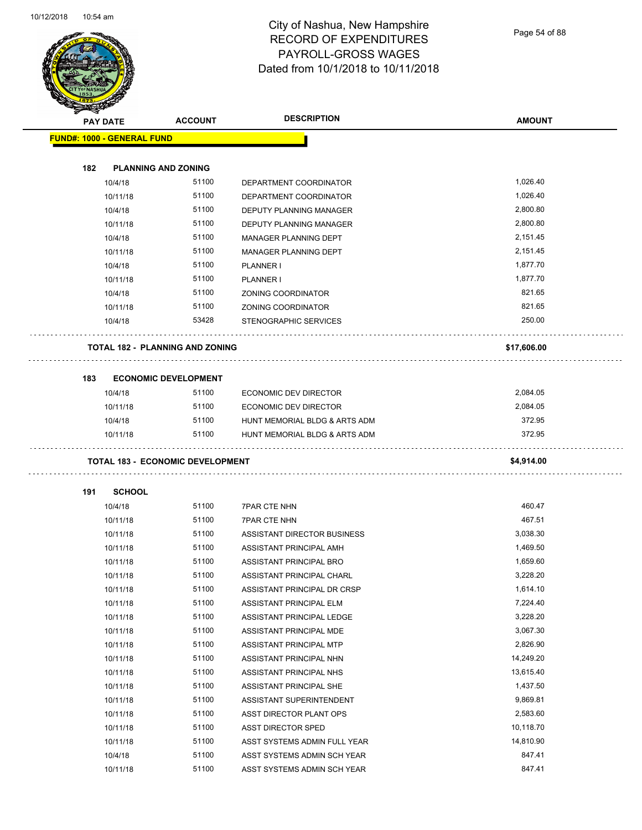

Page 54 of 88

|     | <b>PAY DATE</b>                   | <b>ACCOUNT</b>                          | <b>DESCRIPTION</b>             | <b>AMOUNT</b> |
|-----|-----------------------------------|-----------------------------------------|--------------------------------|---------------|
|     | <b>FUND#: 1000 - GENERAL FUND</b> |                                         |                                |               |
|     |                                   |                                         |                                |               |
| 182 |                                   | <b>PLANNING AND ZONING</b>              |                                |               |
|     | 10/4/18                           | 51100                                   | DEPARTMENT COORDINATOR         | 1,026.40      |
|     | 10/11/18                          | 51100                                   | DEPARTMENT COORDINATOR         | 1,026.40      |
|     | 10/4/18                           | 51100                                   | DEPUTY PLANNING MANAGER        | 2,800.80      |
|     | 10/11/18                          | 51100                                   | <b>DEPUTY PLANNING MANAGER</b> | 2,800.80      |
|     | 10/4/18                           | 51100                                   | MANAGER PLANNING DEPT          | 2,151.45      |
|     | 10/11/18                          | 51100                                   | MANAGER PLANNING DEPT          | 2,151.45      |
|     | 10/4/18                           | 51100                                   | <b>PLANNER I</b>               | 1,877.70      |
|     | 10/11/18                          | 51100                                   | PLANNER I                      | 1,877.70      |
|     | 10/4/18                           | 51100                                   | ZONING COORDINATOR             | 821.65        |
|     | 10/11/18                          | 51100                                   | ZONING COORDINATOR             | 821.65        |
|     | 10/4/18                           | 53428                                   | STENOGRAPHIC SERVICES          | 250.00        |
|     |                                   | <b>TOTAL 182 - PLANNING AND ZONING</b>  |                                | \$17,606.00   |
| 183 |                                   | <b>ECONOMIC DEVELOPMENT</b>             |                                |               |
|     | 10/4/18                           | 51100                                   | ECONOMIC DEV DIRECTOR          | 2,084.05      |
|     | 10/11/18                          | 51100                                   | ECONOMIC DEV DIRECTOR          | 2,084.05      |
|     | 10/4/18                           | 51100                                   | HUNT MEMORIAL BLDG & ARTS ADM  | 372.95        |
|     | 10/11/18                          | 51100                                   | HUNT MEMORIAL BLDG & ARTS ADM  | 372.95        |
|     |                                   |                                         |                                |               |
|     |                                   | <b>TOTAL 183 - ECONOMIC DEVELOPMENT</b> |                                | \$4,914.00    |
| 191 | <b>SCHOOL</b>                     |                                         |                                |               |
|     | 10/4/18                           | 51100                                   | <b>7PAR CTE NHN</b>            | 460.47        |
|     | 10/11/18                          | 51100                                   | <b>7PAR CTE NHN</b>            | 467.51        |
|     | 10/11/18                          | 51100                                   | ASSISTANT DIRECTOR BUSINESS    | 3,038.30      |
|     | 10/11/18                          | 51100                                   | ASSISTANT PRINCIPAL AMH        | 1,469.50      |
|     | 10/11/18                          | 51100                                   | ASSISTANT PRINCIPAL BRO        | 1,659.60      |
|     | 10/11/18                          | 51100                                   | ASSISTANT PRINCIPAL CHARL      | 3,228.20      |
|     | 10/11/18                          | 51100                                   | ASSISTANT PRINCIPAL DR CRSP    | 1,614.10      |
|     | 10/11/18                          | 51100                                   | ASSISTANT PRINCIPAL ELM        | 7,224.40      |
|     | 10/11/18                          | 51100                                   | ASSISTANT PRINCIPAL LEDGE      | 3,228.20      |
|     | 10/11/18                          | 51100                                   | ASSISTANT PRINCIPAL MDE        | 3,067.30      |
|     | 10/11/18                          | 51100                                   | ASSISTANT PRINCIPAL MTP        | 2,826.90      |
|     | 10/11/18                          | 51100                                   | ASSISTANT PRINCIPAL NHN        | 14,249.20     |
|     | 10/11/18                          | 51100                                   | ASSISTANT PRINCIPAL NHS        | 13,615.40     |
|     | 10/11/18                          | 51100                                   | ASSISTANT PRINCIPAL SHE        | 1,437.50      |
|     | 10/11/18                          | 51100                                   | ASSISTANT SUPERINTENDENT       | 9,869.81      |
|     | 10/11/18                          | 51100                                   | ASST DIRECTOR PLANT OPS        | 2,583.60      |
|     | 10/11/18                          | 51100                                   | ASST DIRECTOR SPED             | 10,118.70     |
|     |                                   |                                         |                                |               |
|     | 10/11/18                          | 51100                                   | ASST SYSTEMS ADMIN FULL YEAR   | 14,810.90     |
|     | 10/4/18                           | 51100                                   | ASST SYSTEMS ADMIN SCH YEAR    | 847.41        |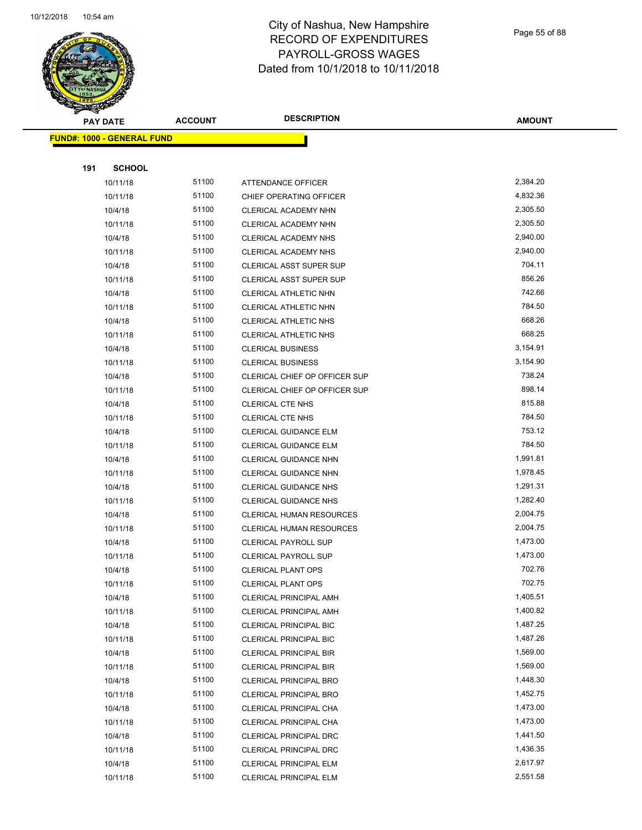

Page 55 of 88

| <b>PAY DATE</b>                   | <b>ACCOUNT</b> | <b>DESCRIPTION</b>                   | <b>AMOUNT</b> |
|-----------------------------------|----------------|--------------------------------------|---------------|
| <b>FUND#: 1000 - GENERAL FUND</b> |                |                                      |               |
|                                   |                |                                      |               |
| 191<br><b>SCHOOL</b>              |                |                                      |               |
| 10/11/18                          | 51100          | <b>ATTENDANCE OFFICER</b>            | 2,384.20      |
| 10/11/18                          | 51100          | CHIEF OPERATING OFFICER              | 4,832.36      |
| 10/4/18                           | 51100          | CLERICAL ACADEMY NHN                 | 2,305.50      |
| 10/11/18                          | 51100          | CLERICAL ACADEMY NHN                 | 2,305.50      |
| 10/4/18                           | 51100          | CLERICAL ACADEMY NHS                 | 2,940.00      |
| 10/11/18                          | 51100          | CLERICAL ACADEMY NHS                 | 2,940.00      |
| 10/4/18                           | 51100          | CLERICAL ASST SUPER SUP              | 704.11        |
| 10/11/18                          | 51100          | <b>CLERICAL ASST SUPER SUP</b>       | 856.26        |
| 10/4/18                           | 51100          | CLERICAL ATHLETIC NHN                | 742.66        |
| 10/11/18                          | 51100          | CLERICAL ATHLETIC NHN                | 784.50        |
| 10/4/18                           | 51100          | <b>CLERICAL ATHLETIC NHS</b>         | 668.26        |
| 10/11/18                          | 51100          | CLERICAL ATHLETIC NHS                | 668.25        |
| 10/4/18                           | 51100          | <b>CLERICAL BUSINESS</b>             | 3,154.91      |
| 10/11/18                          | 51100          | <b>CLERICAL BUSINESS</b>             | 3,154.90      |
| 10/4/18                           | 51100          | <b>CLERICAL CHIEF OP OFFICER SUP</b> | 738.24        |
| 10/11/18                          | 51100          | CLERICAL CHIEF OP OFFICER SUP        | 898.14        |
| 10/4/18                           | 51100          | CLERICAL CTE NHS                     | 815.88        |
| 10/11/18                          | 51100          | <b>CLERICAL CTE NHS</b>              | 784.50        |
| 10/4/18                           | 51100          | CLERICAL GUIDANCE ELM                | 753.12        |
| 10/11/18                          | 51100          | <b>CLERICAL GUIDANCE ELM</b>         | 784.50        |
| 10/4/18                           | 51100          | CLERICAL GUIDANCE NHN                | 1,991.81      |
| 10/11/18                          | 51100          | CLERICAL GUIDANCE NHN                | 1,978.45      |
| 10/4/18                           | 51100          | <b>CLERICAL GUIDANCE NHS</b>         | 1,291.31      |
| 10/11/18                          | 51100          | <b>CLERICAL GUIDANCE NHS</b>         | 1,282.40      |
| 10/4/18                           | 51100          | <b>CLERICAL HUMAN RESOURCES</b>      | 2,004.75      |
| 10/11/18                          | 51100          | <b>CLERICAL HUMAN RESOURCES</b>      | 2,004.75      |
| 10/4/18                           | 51100          | <b>CLERICAL PAYROLL SUP</b>          | 1,473.00      |
| 10/11/18                          | 51100          | <b>CLERICAL PAYROLL SUP</b>          | 1,473.00      |
| 10/4/18                           | 51100          | <b>CLERICAL PLANT OPS</b>            | 702.76        |
| 10/11/18                          | 51100          | CLERICAL PLANT OPS                   | 702.75        |
| 10/4/18                           | 51100          | <b>CLERICAL PRINCIPAL AMH</b>        | 1,405.51      |
| 10/11/18                          | 51100          | <b>CLERICAL PRINCIPAL AMH</b>        | 1,400.82      |
| 10/4/18                           | 51100          | CLERICAL PRINCIPAL BIC               | 1,487.25      |
| 10/11/18                          | 51100          | CLERICAL PRINCIPAL BIC               | 1,487.26      |
| 10/4/18                           | 51100          | <b>CLERICAL PRINCIPAL BIR</b>        | 1,569.00      |
| 10/11/18                          | 51100          | <b>CLERICAL PRINCIPAL BIR</b>        | 1,569.00      |
| 10/4/18                           | 51100          | <b>CLERICAL PRINCIPAL BRO</b>        | 1,448.30      |
| 10/11/18                          | 51100          | CLERICAL PRINCIPAL BRO               | 1,452.75      |
| 10/4/18                           | 51100          | CLERICAL PRINCIPAL CHA               | 1,473.00      |
| 10/11/18                          | 51100          | CLERICAL PRINCIPAL CHA               | 1,473.00      |
| 10/4/18                           | 51100          | CLERICAL PRINCIPAL DRC               | 1,441.50      |
| 10/11/18                          | 51100          | CLERICAL PRINCIPAL DRC               | 1,436.35      |
| 10/4/18                           | 51100          | CLERICAL PRINCIPAL ELM               | 2,617.97      |
| 10/11/18                          | 51100          | CLERICAL PRINCIPAL ELM               | 2,551.58      |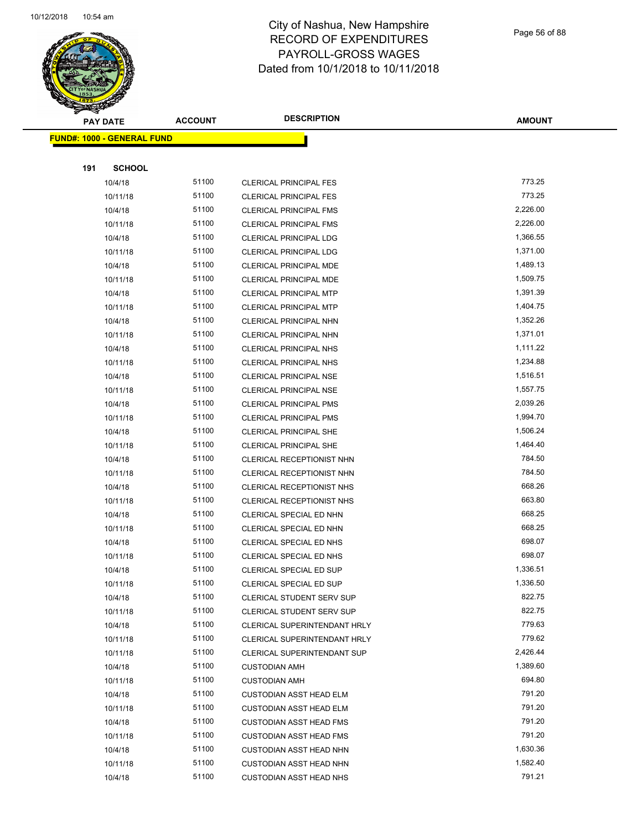

Page 56 of 88

| <b>PAY DATE</b>                   |                     | <b>ACCOUNT</b> | <b>DESCRIPTION</b>                                           | <b>AMOUNT</b>    |
|-----------------------------------|---------------------|----------------|--------------------------------------------------------------|------------------|
| <b>FUND#: 1000 - GENERAL FUND</b> |                     |                |                                                              |                  |
|                                   |                     |                |                                                              |                  |
| 191                               | <b>SCHOOL</b>       |                |                                                              |                  |
|                                   | 10/4/18             | 51100          | <b>CLERICAL PRINCIPAL FES</b>                                | 773.25           |
|                                   | 10/11/18            | 51100          | <b>CLERICAL PRINCIPAL FES</b>                                | 773.25           |
|                                   | 10/4/18             | 51100          | <b>CLERICAL PRINCIPAL FMS</b>                                | 2,226.00         |
|                                   | 10/11/18            | 51100          | <b>CLERICAL PRINCIPAL FMS</b>                                | 2,226.00         |
|                                   | 10/4/18             | 51100          | <b>CLERICAL PRINCIPAL LDG</b>                                | 1,366.55         |
|                                   | 10/11/18            | 51100          | <b>CLERICAL PRINCIPAL LDG</b>                                | 1,371.00         |
|                                   | 10/4/18             | 51100          | CLERICAL PRINCIPAL MDE                                       | 1,489.13         |
|                                   | 10/11/18            | 51100          | CLERICAL PRINCIPAL MDE                                       | 1,509.75         |
|                                   | 10/4/18             | 51100          | <b>CLERICAL PRINCIPAL MTP</b>                                | 1,391.39         |
|                                   | 10/11/18            | 51100          | <b>CLERICAL PRINCIPAL MTP</b>                                | 1,404.75         |
|                                   | 10/4/18             | 51100          | <b>CLERICAL PRINCIPAL NHN</b>                                | 1,352.26         |
|                                   | 10/11/18            | 51100          | <b>CLERICAL PRINCIPAL NHN</b>                                | 1,371.01         |
|                                   | 10/4/18             | 51100          | <b>CLERICAL PRINCIPAL NHS</b>                                | 1,111.22         |
|                                   | 10/11/18            | 51100          | <b>CLERICAL PRINCIPAL NHS</b>                                | 1,234.88         |
|                                   | 10/4/18             | 51100          | <b>CLERICAL PRINCIPAL NSE</b>                                | 1,516.51         |
|                                   | 10/11/18            | 51100          | <b>CLERICAL PRINCIPAL NSE</b>                                | 1,557.75         |
|                                   | 10/4/18             | 51100          | <b>CLERICAL PRINCIPAL PMS</b>                                | 2,039.26         |
|                                   | 10/11/18            | 51100          | <b>CLERICAL PRINCIPAL PMS</b>                                | 1,994.70         |
|                                   | 10/4/18             | 51100          | <b>CLERICAL PRINCIPAL SHE</b>                                | 1,506.24         |
|                                   | 10/11/18            | 51100          | <b>CLERICAL PRINCIPAL SHE</b>                                | 1,464.40         |
|                                   | 10/4/18             | 51100          | CLERICAL RECEPTIONIST NHN                                    | 784.50           |
|                                   | 10/11/18            | 51100          | CLERICAL RECEPTIONIST NHN                                    | 784.50           |
|                                   | 10/4/18             | 51100          | CLERICAL RECEPTIONIST NHS                                    | 668.26           |
|                                   | 10/11/18            | 51100          | CLERICAL RECEPTIONIST NHS                                    | 663.80           |
|                                   | 10/4/18             | 51100          | CLERICAL SPECIAL ED NHN                                      | 668.25           |
|                                   | 10/11/18            | 51100          | CLERICAL SPECIAL ED NHN                                      | 668.25           |
|                                   | 10/4/18             | 51100          | CLERICAL SPECIAL ED NHS                                      | 698.07           |
|                                   | 10/11/18            | 51100          | CLERICAL SPECIAL ED NHS                                      | 698.07           |
|                                   | 10/4/18             | 51100          | CLERICAL SPECIAL ED SUP                                      | 1,336.51         |
|                                   | 10/11/18            | 51100          | <b>CLERICAL SPECIAL ED SUP</b>                               | 1,336.50         |
|                                   | 10/4/18             | 51100          | <b>CLERICAL STUDENT SERV SUP</b>                             | 822.75           |
|                                   | 10/11/18            | 51100          | <b>CLERICAL STUDENT SERV SUP</b>                             | 822.75           |
|                                   | 10/4/18             | 51100<br>51100 | CLERICAL SUPERINTENDANT HRLY<br>CLERICAL SUPERINTENDANT HRLY | 779.63<br>779.62 |
|                                   | 10/11/18            | 51100          |                                                              | 2,426.44         |
|                                   | 10/11/18<br>10/4/18 | 51100          | CLERICAL SUPERINTENDANT SUP<br><b>CUSTODIAN AMH</b>          | 1,389.60         |
|                                   | 10/11/18            | 51100          | <b>CUSTODIAN AMH</b>                                         | 694.80           |
|                                   | 10/4/18             | 51100          | <b>CUSTODIAN ASST HEAD ELM</b>                               | 791.20           |
|                                   | 10/11/18            | 51100          | <b>CUSTODIAN ASST HEAD ELM</b>                               | 791.20           |
|                                   | 10/4/18             | 51100          | <b>CUSTODIAN ASST HEAD FMS</b>                               | 791.20           |
|                                   | 10/11/18            | 51100          | <b>CUSTODIAN ASST HEAD FMS</b>                               | 791.20           |
|                                   | 10/4/18             | 51100          | <b>CUSTODIAN ASST HEAD NHN</b>                               | 1,630.36         |
|                                   | 10/11/18            | 51100          | <b>CUSTODIAN ASST HEAD NHN</b>                               | 1,582.40         |
|                                   | 10/4/18             | 51100          | <b>CUSTODIAN ASST HEAD NHS</b>                               | 791.21           |
|                                   |                     |                |                                                              |                  |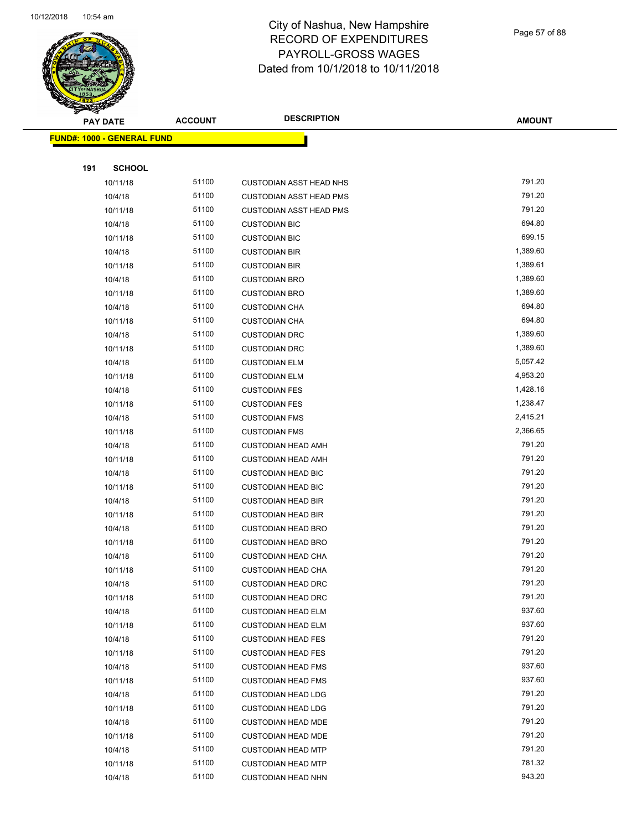

Page 57 of 88

|     | <b>PAY DATE</b>                   | <b>ACCOUNT</b> | <b>DESCRIPTION</b>             | <b>AMOUNT</b> |
|-----|-----------------------------------|----------------|--------------------------------|---------------|
|     | <b>FUND#: 1000 - GENERAL FUND</b> |                |                                |               |
|     |                                   |                |                                |               |
| 191 | <b>SCHOOL</b>                     |                |                                |               |
|     | 10/11/18                          | 51100          | <b>CUSTODIAN ASST HEAD NHS</b> | 791.20        |
|     | 10/4/18                           | 51100          | <b>CUSTODIAN ASST HEAD PMS</b> | 791.20        |
|     | 10/11/18                          | 51100          | <b>CUSTODIAN ASST HEAD PMS</b> | 791.20        |
|     | 10/4/18                           | 51100          | <b>CUSTODIAN BIC</b>           | 694.80        |
|     | 10/11/18                          | 51100          | <b>CUSTODIAN BIC</b>           | 699.15        |
|     | 10/4/18                           | 51100          | <b>CUSTODIAN BIR</b>           | 1,389.60      |
|     | 10/11/18                          | 51100          | <b>CUSTODIAN BIR</b>           | 1,389.61      |
|     | 10/4/18                           | 51100          | <b>CUSTODIAN BRO</b>           | 1,389.60      |
|     | 10/11/18                          | 51100          | <b>CUSTODIAN BRO</b>           | 1,389.60      |
|     | 10/4/18                           | 51100          | <b>CUSTODIAN CHA</b>           | 694.80        |
|     | 10/11/18                          | 51100          | <b>CUSTODIAN CHA</b>           | 694.80        |
|     | 10/4/18                           | 51100          | <b>CUSTODIAN DRC</b>           | 1,389.60      |
|     | 10/11/18                          | 51100          | <b>CUSTODIAN DRC</b>           | 1,389.60      |
|     | 10/4/18                           | 51100          | <b>CUSTODIAN ELM</b>           | 5,057.42      |
|     | 10/11/18                          | 51100          | <b>CUSTODIAN ELM</b>           | 4,953.20      |
|     | 10/4/18                           | 51100          | <b>CUSTODIAN FES</b>           | 1,428.16      |
|     | 10/11/18                          | 51100          | <b>CUSTODIAN FES</b>           | 1,238.47      |
|     | 10/4/18                           | 51100          | <b>CUSTODIAN FMS</b>           | 2,415.21      |
|     | 10/11/18                          | 51100          | <b>CUSTODIAN FMS</b>           | 2,366.65      |
|     | 10/4/18                           | 51100          | <b>CUSTODIAN HEAD AMH</b>      | 791.20        |
|     | 10/11/18                          | 51100          | <b>CUSTODIAN HEAD AMH</b>      | 791.20        |
|     | 10/4/18                           | 51100          | <b>CUSTODIAN HEAD BIC</b>      | 791.20        |
|     | 10/11/18                          | 51100          | <b>CUSTODIAN HEAD BIC</b>      | 791.20        |
|     | 10/4/18                           | 51100          | <b>CUSTODIAN HEAD BIR</b>      | 791.20        |
|     | 10/11/18                          | 51100          | <b>CUSTODIAN HEAD BIR</b>      | 791.20        |
|     | 10/4/18                           | 51100          | <b>CUSTODIAN HEAD BRO</b>      | 791.20        |
|     | 10/11/18                          | 51100          | <b>CUSTODIAN HEAD BRO</b>      | 791.20        |
|     | 10/4/18                           | 51100          | <b>CUSTODIAN HEAD CHA</b>      | 791.20        |
|     | 10/11/18                          | 51100          | <b>CUSTODIAN HEAD CHA</b>      | 791.20        |
|     | 10/4/18                           | 51100          | <b>CUSTODIAN HEAD DRC</b>      | 791.20        |
|     | 10/11/18                          | 51100          | <b>CUSTODIAN HEAD DRC</b>      | 791.20        |
|     | 10/4/18                           | 51100          | <b>CUSTODIAN HEAD ELM</b>      | 937.60        |
|     | 10/11/18                          | 51100          | <b>CUSTODIAN HEAD ELM</b>      | 937.60        |
|     | 10/4/18                           | 51100          | <b>CUSTODIAN HEAD FES</b>      | 791.20        |
|     | 10/11/18                          | 51100          | <b>CUSTODIAN HEAD FES</b>      | 791.20        |
|     | 10/4/18                           | 51100          | <b>CUSTODIAN HEAD FMS</b>      | 937.60        |
|     | 10/11/18                          | 51100          | <b>CUSTODIAN HEAD FMS</b>      | 937.60        |
|     | 10/4/18                           | 51100          | <b>CUSTODIAN HEAD LDG</b>      | 791.20        |
|     | 10/11/18                          | 51100          | <b>CUSTODIAN HEAD LDG</b>      | 791.20        |
|     | 10/4/18                           | 51100          | <b>CUSTODIAN HEAD MDE</b>      | 791.20        |
|     | 10/11/18                          | 51100          | <b>CUSTODIAN HEAD MDE</b>      | 791.20        |
|     | 10/4/18                           | 51100          | <b>CUSTODIAN HEAD MTP</b>      | 791.20        |
|     | 10/11/18                          | 51100          | <b>CUSTODIAN HEAD MTP</b>      | 781.32        |
|     | 10/4/18                           | 51100          | <b>CUSTODIAN HEAD NHN</b>      | 943.20        |
|     |                                   |                |                                |               |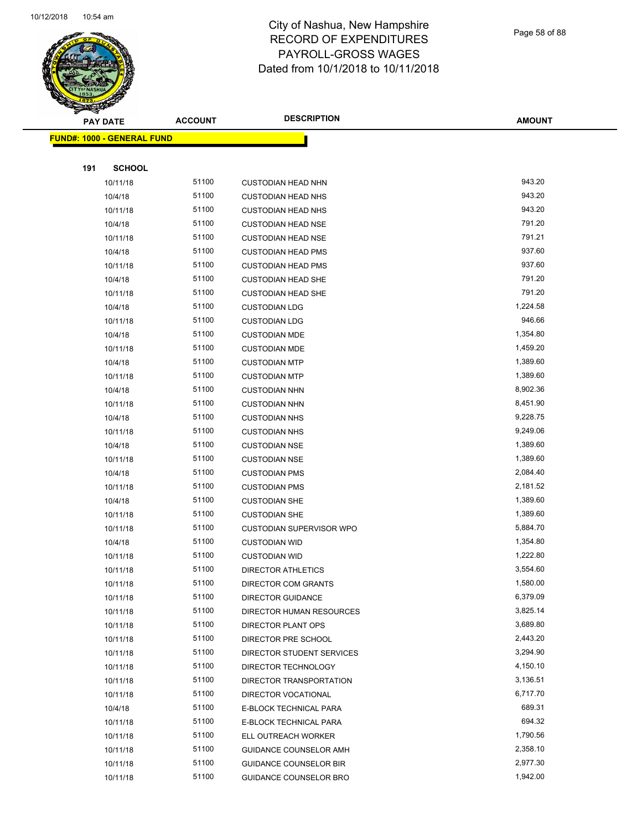

Page 58 of 88

|     | <b>PAY DATE</b>                   | <b>ACCOUNT</b> | <b>DESCRIPTION</b>              | <b>AMOUNT</b> |
|-----|-----------------------------------|----------------|---------------------------------|---------------|
|     | <b>FUND#: 1000 - GENERAL FUND</b> |                |                                 |               |
|     |                                   |                |                                 |               |
| 191 | <b>SCHOOL</b>                     |                |                                 |               |
|     | 10/11/18                          | 51100          | <b>CUSTODIAN HEAD NHN</b>       | 943.20        |
|     | 10/4/18                           | 51100          | <b>CUSTODIAN HEAD NHS</b>       | 943.20        |
|     | 10/11/18                          | 51100          | <b>CUSTODIAN HEAD NHS</b>       | 943.20        |
|     | 10/4/18                           | 51100          | <b>CUSTODIAN HEAD NSE</b>       | 791.20        |
|     | 10/11/18                          | 51100          | <b>CUSTODIAN HEAD NSE</b>       | 791.21        |
|     | 10/4/18                           | 51100          | <b>CUSTODIAN HEAD PMS</b>       | 937.60        |
|     | 10/11/18                          | 51100          | <b>CUSTODIAN HEAD PMS</b>       | 937.60        |
|     | 10/4/18                           | 51100          | <b>CUSTODIAN HEAD SHE</b>       | 791.20        |
|     | 10/11/18                          | 51100          | <b>CUSTODIAN HEAD SHE</b>       | 791.20        |
|     | 10/4/18                           | 51100          | <b>CUSTODIAN LDG</b>            | 1,224.58      |
|     | 10/11/18                          | 51100          | <b>CUSTODIAN LDG</b>            | 946.66        |
|     | 10/4/18                           | 51100          | <b>CUSTODIAN MDE</b>            | 1,354.80      |
|     | 10/11/18                          | 51100          | <b>CUSTODIAN MDE</b>            | 1,459.20      |
|     | 10/4/18                           | 51100          | <b>CUSTODIAN MTP</b>            | 1,389.60      |
|     | 10/11/18                          | 51100          | <b>CUSTODIAN MTP</b>            | 1,389.60      |
|     | 10/4/18                           | 51100          | <b>CUSTODIAN NHN</b>            | 8,902.36      |
|     | 10/11/18                          | 51100          | <b>CUSTODIAN NHN</b>            | 8,451.90      |
|     | 10/4/18                           | 51100          | <b>CUSTODIAN NHS</b>            | 9,228.75      |
|     | 10/11/18                          | 51100          | <b>CUSTODIAN NHS</b>            | 9,249.06      |
|     | 10/4/18                           | 51100          | <b>CUSTODIAN NSE</b>            | 1,389.60      |
|     | 10/11/18                          | 51100          | <b>CUSTODIAN NSE</b>            | 1,389.60      |
|     | 10/4/18                           | 51100          | <b>CUSTODIAN PMS</b>            | 2,084.40      |
|     | 10/11/18                          | 51100          | <b>CUSTODIAN PMS</b>            | 2,181.52      |
|     | 10/4/18                           | 51100          | <b>CUSTODIAN SHE</b>            | 1,389.60      |
|     | 10/11/18                          | 51100          | <b>CUSTODIAN SHE</b>            | 1,389.60      |
|     | 10/11/18                          | 51100          | <b>CUSTODIAN SUPERVISOR WPO</b> | 5,884.70      |
|     | 10/4/18                           | 51100          | <b>CUSTODIAN WID</b>            | 1,354.80      |
|     | 10/11/18                          | 51100          | <b>CUSTODIAN WID</b>            | 1,222.80      |
|     | 10/11/18                          | 51100          | <b>DIRECTOR ATHLETICS</b>       | 3,554.60      |
|     | 10/11/18                          | 51100          | DIRECTOR COM GRANTS             | 1,580.00      |
|     | 10/11/18                          | 51100          | <b>DIRECTOR GUIDANCE</b>        | 6,379.09      |
|     | 10/11/18                          | 51100          | DIRECTOR HUMAN RESOURCES        | 3,825.14      |
|     | 10/11/18                          | 51100          | DIRECTOR PLANT OPS              | 3,689.80      |
|     | 10/11/18                          | 51100          | DIRECTOR PRE SCHOOL             | 2,443.20      |
|     | 10/11/18                          | 51100          | DIRECTOR STUDENT SERVICES       | 3,294.90      |
|     | 10/11/18                          | 51100          | DIRECTOR TECHNOLOGY             | 4,150.10      |
|     | 10/11/18                          | 51100          | DIRECTOR TRANSPORTATION         | 3,136.51      |
|     | 10/11/18                          | 51100          | DIRECTOR VOCATIONAL             | 6,717.70      |
|     | 10/4/18                           | 51100          | E-BLOCK TECHNICAL PARA          | 689.31        |
|     | 10/11/18                          | 51100          | E-BLOCK TECHNICAL PARA          | 694.32        |
|     | 10/11/18                          | 51100          | ELL OUTREACH WORKER             | 1,790.56      |
|     | 10/11/18                          | 51100          | GUIDANCE COUNSELOR AMH          | 2,358.10      |
|     | 10/11/18                          | 51100          | <b>GUIDANCE COUNSELOR BIR</b>   | 2,977.30      |
|     | 10/11/18                          | 51100          | <b>GUIDANCE COUNSELOR BRO</b>   | 1,942.00      |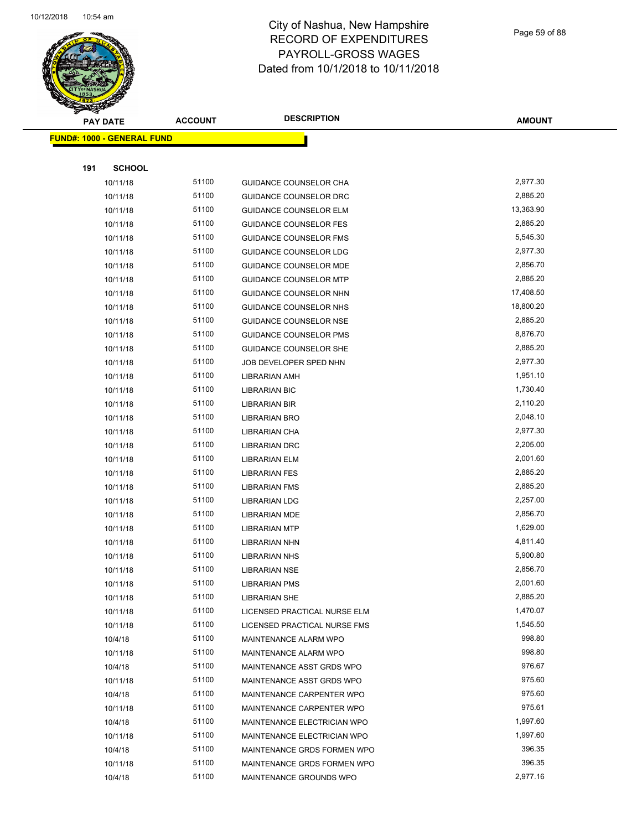

Page 59 of 88

| <b>PAY DATE</b>                   | <b>ACCOUNT</b> | <b>DESCRIPTION</b>            | <b>AMOUNT</b> |
|-----------------------------------|----------------|-------------------------------|---------------|
| <b>FUND#: 1000 - GENERAL FUND</b> |                |                               |               |
|                                   |                |                               |               |
| 191<br><b>SCHOOL</b>              |                |                               |               |
| 10/11/18                          | 51100          | <b>GUIDANCE COUNSELOR CHA</b> | 2,977.30      |
| 10/11/18                          | 51100          | GUIDANCE COUNSELOR DRC        | 2,885.20      |
| 10/11/18                          | 51100          | GUIDANCE COUNSELOR ELM        | 13,363.90     |
| 10/11/18                          | 51100          | <b>GUIDANCE COUNSELOR FES</b> | 2,885.20      |
| 10/11/18                          | 51100          | <b>GUIDANCE COUNSELOR FMS</b> | 5,545.30      |
| 10/11/18                          | 51100          | <b>GUIDANCE COUNSELOR LDG</b> | 2,977.30      |
| 10/11/18                          | 51100          | <b>GUIDANCE COUNSELOR MDE</b> | 2,856.70      |
| 10/11/18                          | 51100          | <b>GUIDANCE COUNSELOR MTP</b> | 2,885.20      |
| 10/11/18                          | 51100          | GUIDANCE COUNSELOR NHN        | 17,408.50     |
| 10/11/18                          | 51100          | GUIDANCE COUNSELOR NHS        | 18,800.20     |
| 10/11/18                          | 51100          | <b>GUIDANCE COUNSELOR NSE</b> | 2,885.20      |
| 10/11/18                          | 51100          | <b>GUIDANCE COUNSELOR PMS</b> | 8,876.70      |
| 10/11/18                          | 51100          | <b>GUIDANCE COUNSELOR SHE</b> | 2,885.20      |
| 10/11/18                          | 51100          | JOB DEVELOPER SPED NHN        | 2,977.30      |
| 10/11/18                          | 51100          | <b>LIBRARIAN AMH</b>          | 1,951.10      |
| 10/11/18                          | 51100          | <b>LIBRARIAN BIC</b>          | 1,730.40      |
| 10/11/18                          | 51100          | LIBRARIAN BIR                 | 2,110.20      |
| 10/11/18                          | 51100          | <b>LIBRARIAN BRO</b>          | 2,048.10      |
| 10/11/18                          | 51100          | LIBRARIAN CHA                 | 2,977.30      |
| 10/11/18                          | 51100          | <b>LIBRARIAN DRC</b>          | 2,205.00      |
| 10/11/18                          | 51100          | LIBRARIAN ELM                 | 2,001.60      |
| 10/11/18                          | 51100          | <b>LIBRARIAN FES</b>          | 2,885.20      |
| 10/11/18                          | 51100          | <b>LIBRARIAN FMS</b>          | 2,885.20      |
| 10/11/18                          | 51100          | LIBRARIAN LDG                 | 2,257.00      |
| 10/11/18                          | 51100          | <b>LIBRARIAN MDE</b>          | 2,856.70      |
| 10/11/18                          | 51100          | <b>LIBRARIAN MTP</b>          | 1,629.00      |
| 10/11/18                          | 51100          | <b>LIBRARIAN NHN</b>          | 4,811.40      |
| 10/11/18                          | 51100          | <b>LIBRARIAN NHS</b>          | 5,900.80      |
| 10/11/18                          | 51100          | <b>LIBRARIAN NSE</b>          | 2,856.70      |
| 10/11/18                          | 51100          | <b>LIBRARIAN PMS</b>          | 2,001.60      |
| 10/11/18                          | 51100          | <b>LIBRARIAN SHE</b>          | 2,885.20      |
| 10/11/18                          | 51100          | LICENSED PRACTICAL NURSE ELM  | 1,470.07      |
| 10/11/18                          | 51100          | LICENSED PRACTICAL NURSE FMS  | 1,545.50      |
| 10/4/18                           | 51100          | MAINTENANCE ALARM WPO         | 998.80        |
| 10/11/18                          | 51100          | MAINTENANCE ALARM WPO         | 998.80        |
| 10/4/18                           | 51100          | MAINTENANCE ASST GRDS WPO     | 976.67        |
| 10/11/18                          | 51100          | MAINTENANCE ASST GRDS WPO     | 975.60        |
| 10/4/18                           | 51100          | MAINTENANCE CARPENTER WPO     | 975.60        |
| 10/11/18                          | 51100          | MAINTENANCE CARPENTER WPO     | 975.61        |
| 10/4/18                           | 51100          | MAINTENANCE ELECTRICIAN WPO   | 1,997.60      |
| 10/11/18                          | 51100          | MAINTENANCE ELECTRICIAN WPO   | 1,997.60      |
| 10/4/18                           | 51100          | MAINTENANCE GRDS FORMEN WPO   | 396.35        |
| 10/11/18                          | 51100          | MAINTENANCE GRDS FORMEN WPO   | 396.35        |
| 10/4/18                           | 51100          | MAINTENANCE GROUNDS WPO       | 2,977.16      |
|                                   |                |                               |               |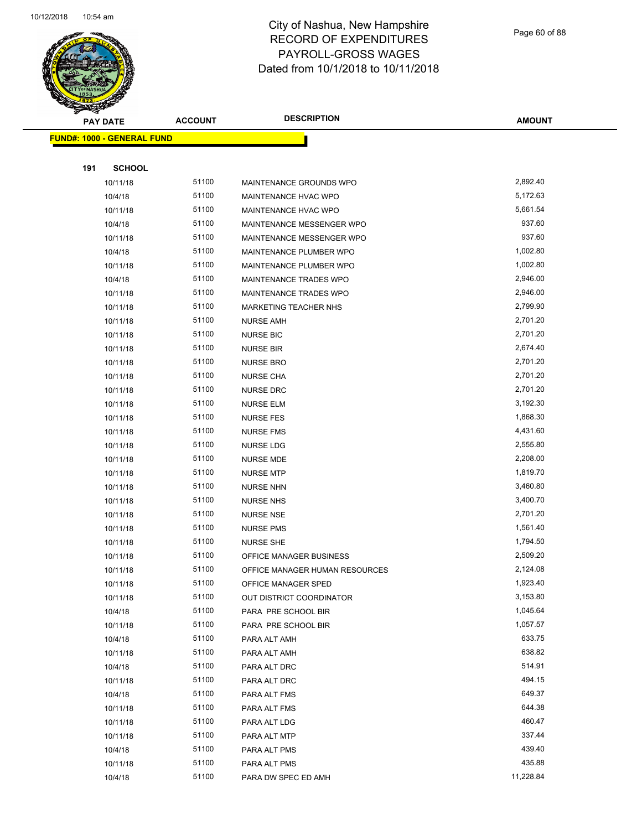

Page 60 of 88

| <b>PAY DATE</b>                   | <b>ACCOUNT</b> | <b>DESCRIPTION</b>             | <b>AMOUNT</b>    |
|-----------------------------------|----------------|--------------------------------|------------------|
| <b>FUND#: 1000 - GENERAL FUND</b> |                |                                |                  |
|                                   |                |                                |                  |
| 191<br><b>SCHOOL</b>              |                |                                |                  |
| 10/11/18                          | 51100          | MAINTENANCE GROUNDS WPO        | 2,892.40         |
| 10/4/18                           | 51100          | MAINTENANCE HVAC WPO           | 5,172.63         |
| 10/11/18                          | 51100          | MAINTENANCE HVAC WPO           | 5,661.54         |
| 10/4/18                           | 51100          | MAINTENANCE MESSENGER WPO      | 937.60           |
| 10/11/18                          | 51100          | MAINTENANCE MESSENGER WPO      | 937.60           |
| 10/4/18                           | 51100          | MAINTENANCE PLUMBER WPO        | 1,002.80         |
| 10/11/18                          | 51100          | MAINTENANCE PLUMBER WPO        | 1,002.80         |
| 10/4/18                           | 51100          | MAINTENANCE TRADES WPO         | 2,946.00         |
| 10/11/18                          | 51100          | MAINTENANCE TRADES WPO         | 2,946.00         |
| 10/11/18                          | 51100          | MARKETING TEACHER NHS          | 2,799.90         |
| 10/11/18                          | 51100          | <b>NURSE AMH</b>               | 2,701.20         |
| 10/11/18                          | 51100          | <b>NURSE BIC</b>               | 2,701.20         |
| 10/11/18                          | 51100          | <b>NURSE BIR</b>               | 2,674.40         |
| 10/11/18                          | 51100          | <b>NURSE BRO</b>               | 2,701.20         |
| 10/11/18                          | 51100          | <b>NURSE CHA</b>               | 2,701.20         |
| 10/11/18                          | 51100          | <b>NURSE DRC</b>               | 2,701.20         |
| 10/11/18                          | 51100          | <b>NURSE ELM</b>               | 3,192.30         |
| 10/11/18                          | 51100          | <b>NURSE FES</b>               | 1,868.30         |
| 10/11/18                          | 51100          | <b>NURSE FMS</b>               | 4,431.60         |
| 10/11/18                          | 51100          | NURSE LDG                      | 2,555.80         |
| 10/11/18                          | 51100          | <b>NURSE MDE</b>               | 2,208.00         |
| 10/11/18                          | 51100          | <b>NURSE MTP</b>               | 1,819.70         |
| 10/11/18                          | 51100          | <b>NURSE NHN</b>               | 3,460.80         |
| 10/11/18                          | 51100          | <b>NURSE NHS</b>               | 3,400.70         |
| 10/11/18                          | 51100          | <b>NURSE NSE</b>               | 2,701.20         |
| 10/11/18                          | 51100          | <b>NURSE PMS</b>               | 1,561.40         |
| 10/11/18                          | 51100          | <b>NURSE SHE</b>               | 1,794.50         |
| 10/11/18                          | 51100          | <b>OFFICE MANAGER BUSINESS</b> | 2,509.20         |
| 10/11/18                          | 51100          | OFFICE MANAGER HUMAN RESOURCES | 2,124.08         |
| 10/11/18                          | 51100          | OFFICE MANAGER SPED            | 1,923.40         |
| 10/11/18                          | 51100          | OUT DISTRICT COORDINATOR       | 3,153.80         |
| 10/4/18                           | 51100          | PARA PRE SCHOOL BIR            | 1,045.64         |
| 10/11/18                          | 51100          | PARA PRE SCHOOL BIR            | 1,057.57         |
| 10/4/18                           | 51100          | PARA ALT AMH                   | 633.75           |
| 10/11/18                          | 51100          | PARA ALT AMH                   | 638.82           |
| 10/4/18                           | 51100          | PARA ALT DRC                   | 514.91           |
| 10/11/18                          | 51100          | PARA ALT DRC                   | 494.15           |
| 10/4/18                           | 51100          | PARA ALT FMS                   | 649.37           |
| 10/11/18                          | 51100          | PARA ALT FMS                   | 644.38           |
| 10/11/18                          | 51100          | PARA ALT LDG                   | 460.47<br>337.44 |
| 10/11/18                          | 51100          | PARA ALT MTP                   | 439.40           |
| 10/4/18                           | 51100          | PARA ALT PMS                   |                  |
| 10/11/18                          | 51100          | PARA ALT PMS                   | 435.88           |
| 10/4/18                           | 51100          | PARA DW SPEC ED AMH            | 11,228.84        |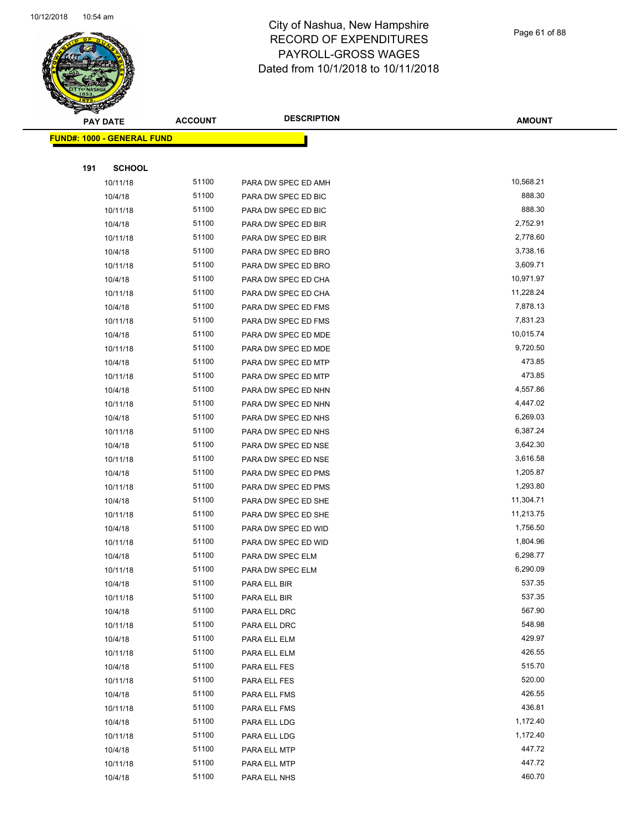

Page 61 of 88

|     | <b>PAY DATE</b>                   | <b>ACCOUNT</b> | <b>DESCRIPTION</b>  | <b>AMOUNT</b>      |
|-----|-----------------------------------|----------------|---------------------|--------------------|
|     | <b>FUND#: 1000 - GENERAL FUND</b> |                |                     |                    |
|     |                                   |                |                     |                    |
| 191 | <b>SCHOOL</b>                     |                |                     |                    |
|     | 10/11/18                          | 51100          | PARA DW SPEC ED AMH | 10,568.21          |
|     | 10/4/18                           | 51100          | PARA DW SPEC ED BIC | 888.30             |
|     | 10/11/18                          | 51100          | PARA DW SPEC ED BIC | 888.30             |
|     | 10/4/18                           | 51100          | PARA DW SPEC ED BIR | 2,752.91           |
|     | 10/11/18                          | 51100          | PARA DW SPEC ED BIR | 2,778.60           |
|     | 10/4/18                           | 51100          | PARA DW SPEC ED BRO | 3,738.16           |
|     | 10/11/18                          | 51100          | PARA DW SPEC ED BRO | 3,609.71           |
|     | 10/4/18                           | 51100          | PARA DW SPEC ED CHA | 10,971.97          |
|     | 10/11/18                          | 51100          | PARA DW SPEC ED CHA | 11,228.24          |
|     | 10/4/18                           | 51100          | PARA DW SPEC ED FMS | 7,878.13           |
|     | 10/11/18                          | 51100          | PARA DW SPEC ED FMS | 7,831.23           |
|     | 10/4/18                           | 51100          | PARA DW SPEC ED MDE | 10,015.74          |
|     | 10/11/18                          | 51100          | PARA DW SPEC ED MDE | 9,720.50           |
|     | 10/4/18                           | 51100          | PARA DW SPEC ED MTP | 473.85             |
|     | 10/11/18                          | 51100          | PARA DW SPEC ED MTP | 473.85             |
|     | 10/4/18                           | 51100          | PARA DW SPEC ED NHN | 4,557.86           |
|     | 10/11/18                          | 51100          | PARA DW SPEC ED NHN | 4,447.02           |
|     | 10/4/18                           | 51100          | PARA DW SPEC ED NHS | 6,269.03           |
|     | 10/11/18                          | 51100          | PARA DW SPEC ED NHS | 6,387.24           |
|     | 10/4/18                           | 51100          | PARA DW SPEC ED NSE | 3,642.30           |
|     | 10/11/18                          | 51100          | PARA DW SPEC ED NSE | 3,616.58           |
|     | 10/4/18                           | 51100          | PARA DW SPEC ED PMS | 1,205.87           |
|     | 10/11/18                          | 51100          | PARA DW SPEC ED PMS | 1,293.80           |
|     | 10/4/18                           | 51100          | PARA DW SPEC ED SHE | 11,304.71          |
|     | 10/11/18                          | 51100          | PARA DW SPEC ED SHE | 11,213.75          |
|     | 10/4/18                           | 51100          | PARA DW SPEC ED WID | 1,756.50           |
|     | 10/11/18                          | 51100          | PARA DW SPEC ED WID | 1,804.96           |
|     | 10/4/18                           | 51100          | PARA DW SPEC ELM    | 6,298.77           |
|     | 10/11/18                          | 51100          | PARA DW SPEC ELM    | 6,290.09           |
|     | 10/4/18                           | 51100          | PARA ELL BIR        | 537.35             |
|     | 10/11/18                          | 51100          | PARA ELL BIR        | 537.35             |
|     | 10/4/18                           | 51100          | PARA ELL DRC        | 567.90             |
|     | 10/11/18                          | 51100          | PARA ELL DRC        | 548.98             |
|     | 10/4/18                           | 51100          | PARA ELL ELM        | 429.97             |
|     | 10/11/18                          | 51100          | PARA ELL ELM        | 426.55             |
|     | 10/4/18                           | 51100          | PARA ELL FES        | 515.70             |
|     | 10/11/18                          | 51100          | PARA ELL FES        | 520.00             |
|     | 10/4/18                           | 51100          | PARA ELL FMS        | 426.55             |
|     | 10/11/18                          | 51100          | PARA ELL FMS        | 436.81             |
|     | 10/4/18                           | 51100          | PARA ELL LDG        | 1,172.40           |
|     | 10/11/18                          | 51100<br>51100 | PARA ELL LDG        | 1,172.40<br>447.72 |
|     | 10/4/18                           |                | PARA ELL MTP        |                    |
|     | 10/11/18                          | 51100          | PARA ELL MTP        | 447.72<br>460.70   |
|     | 10/4/18                           | 51100          | PARA ELL NHS        |                    |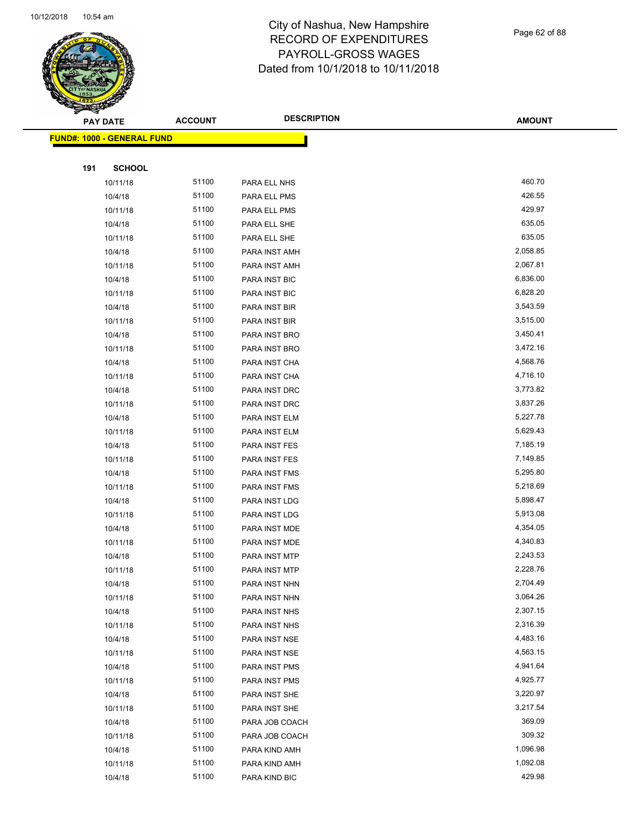

Page 62 of 88

|     | <b>PAY DATE</b>                   | <b>ACCOUNT</b> | <b>DESCRIPTION</b> | <b>AMOUNT</b> |
|-----|-----------------------------------|----------------|--------------------|---------------|
|     | <b>FUND#: 1000 - GENERAL FUND</b> |                |                    |               |
|     |                                   |                |                    |               |
| 191 | <b>SCHOOL</b>                     |                |                    |               |
|     | 10/11/18                          | 51100          | PARA ELL NHS       | 460.70        |
|     | 10/4/18                           | 51100          | PARA ELL PMS       | 426.55        |
|     | 10/11/18                          | 51100          | PARA ELL PMS       | 429.97        |
|     | 10/4/18                           | 51100          | PARA ELL SHE       | 635.05        |
|     | 10/11/18                          | 51100          | PARA ELL SHE       | 635.05        |
|     | 10/4/18                           | 51100          | PARA INST AMH      | 2,058.85      |
|     | 10/11/18                          | 51100          | PARA INST AMH      | 2,067.81      |
|     | 10/4/18                           | 51100          | PARA INST BIC      | 6,836.00      |
|     | 10/11/18                          | 51100          | PARA INST BIC      | 6,828.20      |
|     | 10/4/18                           | 51100          | PARA INST BIR      | 3,543.59      |
|     | 10/11/18                          | 51100          | PARA INST BIR      | 3,515.00      |
|     | 10/4/18                           | 51100          | PARA INST BRO      | 3,450.41      |
|     | 10/11/18                          | 51100          | PARA INST BRO      | 3,472.16      |
|     | 10/4/18                           | 51100          | PARA INST CHA      | 4,568.76      |
|     | 10/11/18                          | 51100          | PARA INST CHA      | 4,716.10      |
|     | 10/4/18                           | 51100          | PARA INST DRC      | 3,773.82      |
|     | 10/11/18                          | 51100          | PARA INST DRC      | 3,837.26      |
|     | 10/4/18                           | 51100          | PARA INST ELM      | 5,227.78      |
|     | 10/11/18                          | 51100          | PARA INST ELM      | 5,629.43      |
|     | 10/4/18                           | 51100          | PARA INST FES      | 7,185.19      |
|     | 10/11/18                          | 51100          | PARA INST FES      | 7,149.85      |
|     | 10/4/18                           | 51100          | PARA INST FMS      | 5,295.80      |
|     | 10/11/18                          | 51100          | PARA INST FMS      | 5,218.69      |
|     | 10/4/18                           | 51100          | PARA INST LDG      | 5,898.47      |
|     | 10/11/18                          | 51100          | PARA INST LDG      | 5,913.08      |
|     | 10/4/18                           | 51100          | PARA INST MDE      | 4,354.05      |
|     | 10/11/18                          | 51100          | PARA INST MDE      | 4,340.83      |
|     | 10/4/18                           | 51100          | PARA INST MTP      | 2,243.53      |
|     | 10/11/18                          | 51100          | PARA INST MTP      | 2,228.76      |
|     | 10/4/18                           | 51100          | PARA INST NHN      | 2,704.49      |
|     | 10/11/18                          | 51100          | PARA INST NHN      | 3,064.26      |
|     | 10/4/18                           | 51100          | PARA INST NHS      | 2,307.15      |
|     | 10/11/18                          | 51100          | PARA INST NHS      | 2,316.39      |
|     | 10/4/18                           | 51100          | PARA INST NSE      | 4,483.16      |
|     | 10/11/18                          | 51100          | PARA INST NSE      | 4,563.15      |
|     | 10/4/18                           | 51100          | PARA INST PMS      | 4,941.64      |
|     | 10/11/18                          | 51100          | PARA INST PMS      | 4,925.77      |
|     | 10/4/18                           | 51100          | PARA INST SHE      | 3,220.97      |
|     | 10/11/18                          | 51100          | PARA INST SHE      | 3,217.54      |
|     | 10/4/18                           | 51100          | PARA JOB COACH     | 369.09        |
|     | 10/11/18                          | 51100          | PARA JOB COACH     | 309.32        |
|     | 10/4/18                           | 51100          | PARA KIND AMH      | 1,096.98      |
|     | 10/11/18                          | 51100          | PARA KIND AMH      | 1,092.08      |
|     | 10/4/18                           | 51100          | PARA KIND BIC      | 429.98        |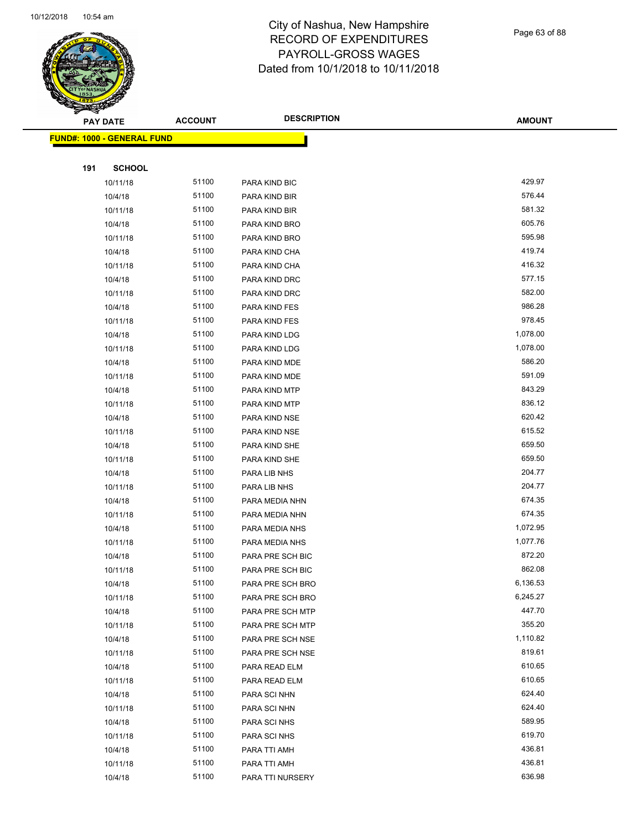

Page 63 of 88

|     | <b>PAY DATE</b>                   | <b>ACCOUNT</b> | <b>DESCRIPTION</b>           | <b>AMOUNT</b>    |
|-----|-----------------------------------|----------------|------------------------------|------------------|
|     | <b>FUND#: 1000 - GENERAL FUND</b> |                |                              |                  |
|     |                                   |                |                              |                  |
| 191 | <b>SCHOOL</b>                     |                |                              |                  |
|     | 10/11/18                          | 51100          | PARA KIND BIC                | 429.97           |
|     | 10/4/18                           | 51100          | PARA KIND BIR                | 576.44           |
|     | 10/11/18                          | 51100          | PARA KIND BIR                | 581.32           |
|     | 10/4/18                           | 51100          | PARA KIND BRO                | 605.76           |
|     | 10/11/18                          | 51100          | PARA KIND BRO                | 595.98           |
|     | 10/4/18                           | 51100          | PARA KIND CHA                | 419.74           |
|     | 10/11/18                          | 51100          | PARA KIND CHA                | 416.32           |
|     | 10/4/18                           | 51100          | PARA KIND DRC                | 577.15           |
|     | 10/11/18                          | 51100          | PARA KIND DRC                | 582.00           |
|     | 10/4/18                           | 51100          | PARA KIND FES                | 986.28           |
|     | 10/11/18                          | 51100          | PARA KIND FES                | 978.45           |
|     | 10/4/18                           | 51100          | PARA KIND LDG                | 1,078.00         |
|     | 10/11/18                          | 51100          | PARA KIND LDG                | 1,078.00         |
|     | 10/4/18                           | 51100          | PARA KIND MDE                | 586.20           |
|     | 10/11/18                          | 51100          | PARA KIND MDE                | 591.09           |
|     | 10/4/18                           | 51100          | PARA KIND MTP                | 843.29           |
|     | 10/11/18                          | 51100          | PARA KIND MTP                | 836.12           |
|     | 10/4/18                           | 51100          | PARA KIND NSE                | 620.42           |
|     | 10/11/18                          | 51100          | PARA KIND NSE                | 615.52           |
|     | 10/4/18                           | 51100          | PARA KIND SHE                | 659.50           |
|     | 10/11/18                          | 51100          | PARA KIND SHE                | 659.50           |
|     | 10/4/18                           | 51100          | PARA LIB NHS                 | 204.77           |
|     | 10/11/18                          | 51100          | PARA LIB NHS                 | 204.77           |
|     | 10/4/18                           | 51100          | PARA MEDIA NHN               | 674.35           |
|     | 10/11/18                          | 51100          | PARA MEDIA NHN               | 674.35           |
|     | 10/4/18                           | 51100          | PARA MEDIA NHS               | 1,072.95         |
|     | 10/11/18                          | 51100          | PARA MEDIA NHS               | 1,077.76         |
|     | 10/4/18                           | 51100          | PARA PRE SCH BIC             | 872.20           |
|     | 10/11/18                          | 51100          | PARA PRE SCH BIC             | 862.08           |
|     | 10/4/18                           | 51100          | PARA PRE SCH BRO             | 6,136.53         |
|     | 10/11/18                          | 51100          | PARA PRE SCH BRO             | 6,245.27         |
|     | 10/4/18                           | 51100          | PARA PRE SCH MTP             | 447.70           |
|     | 10/11/18                          | 51100          | PARA PRE SCH MTP             | 355.20           |
|     | 10/4/18                           | 51100          | PARA PRE SCH NSE             | 1,110.82         |
|     | 10/11/18                          | 51100          | PARA PRE SCH NSE             | 819.61           |
|     | 10/4/18                           | 51100          | PARA READ ELM                | 610.65           |
|     | 10/11/18                          | 51100          | PARA READ ELM                | 610.65           |
|     | 10/4/18                           | 51100          | PARA SCI NHN                 | 624.40<br>624.40 |
|     | 10/11/18                          | 51100          | PARA SCI NHN                 |                  |
|     | 10/4/18                           | 51100<br>51100 | PARA SCI NHS                 | 589.95<br>619.70 |
|     | 10/11/18                          | 51100          | PARA SCI NHS                 | 436.81           |
|     | 10/4/18<br>10/11/18               | 51100          | PARA TTI AMH<br>PARA TTI AMH | 436.81           |
|     | 10/4/18                           | 51100          | PARA TTI NURSERY             | 636.98           |
|     |                                   |                |                              |                  |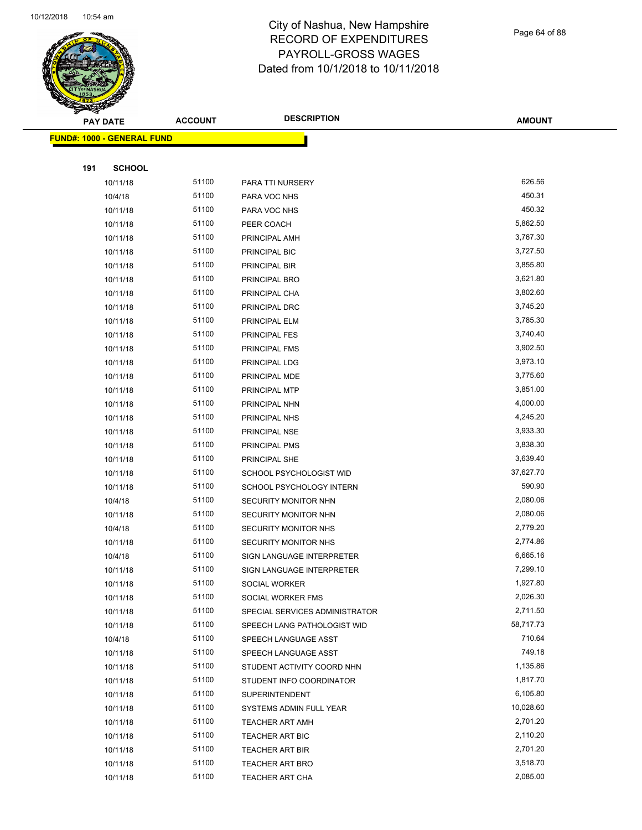

Page 64 of 88

| ◅<br><b>PAY DATE</b>              | <b>ACCOUNT</b> | <b>DESCRIPTION</b>                                  | <b>AMOUNT</b>        |
|-----------------------------------|----------------|-----------------------------------------------------|----------------------|
| <b>FUND#: 1000 - GENERAL FUND</b> |                |                                                     |                      |
|                                   |                |                                                     |                      |
| 191<br><b>SCHOOL</b>              |                |                                                     |                      |
| 10/11/18                          | 51100          | PARA TTI NURSERY                                    | 626.56               |
| 10/4/18                           | 51100          | PARA VOC NHS                                        | 450.31               |
| 10/11/18                          | 51100          | PARA VOC NHS                                        | 450.32               |
| 10/11/18                          | 51100          | PEER COACH                                          | 5,862.50             |
| 10/11/18                          | 51100          | PRINCIPAL AMH                                       | 3,767.30             |
| 10/11/18                          | 51100          | PRINCIPAL BIC                                       | 3,727.50             |
| 10/11/18                          | 51100          | PRINCIPAL BIR                                       | 3,855.80             |
| 10/11/18                          | 51100          | PRINCIPAL BRO                                       | 3,621.80             |
| 10/11/18                          | 51100          | PRINCIPAL CHA                                       | 3,802.60             |
| 10/11/18                          | 51100          | PRINCIPAL DRC                                       | 3,745.20             |
| 10/11/18                          | 51100          | PRINCIPAL ELM                                       | 3,785.30             |
| 10/11/18                          | 51100          | PRINCIPAL FES                                       | 3,740.40             |
| 10/11/18                          | 51100          | PRINCIPAL FMS                                       | 3,902.50             |
| 10/11/18                          | 51100          | PRINCIPAL LDG                                       | 3,973.10             |
| 10/11/18                          | 51100          | PRINCIPAL MDE                                       | 3,775.60             |
| 10/11/18                          | 51100          | PRINCIPAL MTP                                       | 3,851.00             |
| 10/11/18                          | 51100          | PRINCIPAL NHN                                       | 4,000.00             |
| 10/11/18                          | 51100          | PRINCIPAL NHS                                       | 4,245.20             |
| 10/11/18                          | 51100          | PRINCIPAL NSE                                       | 3,933.30             |
| 10/11/18                          | 51100          | PRINCIPAL PMS                                       | 3,838.30             |
| 10/11/18                          | 51100          | PRINCIPAL SHE                                       | 3,639.40             |
| 10/11/18                          | 51100          | SCHOOL PSYCHOLOGIST WID                             | 37,627.70            |
| 10/11/18                          | 51100          | SCHOOL PSYCHOLOGY INTERN                            | 590.90               |
| 10/4/18                           | 51100          | SECURITY MONITOR NHN                                | 2,080.06             |
| 10/11/18                          | 51100          | SECURITY MONITOR NHN                                | 2,080.06             |
| 10/4/18                           | 51100          | SECURITY MONITOR NHS                                | 2,779.20             |
| 10/11/18                          | 51100          | SECURITY MONITOR NHS                                | 2,774.86             |
| 10/4/18                           | 51100          | SIGN LANGUAGE INTERPRETER                           | 6,665.16             |
| 10/11/18                          | 51100<br>51100 | SIGN LANGUAGE INTERPRETER                           | 7,299.10             |
| 10/11/18                          | 51100          | SOCIAL WORKER                                       | 1,927.80<br>2,026.30 |
| 10/11/18<br>10/11/18              | 51100          | SOCIAL WORKER FMS<br>SPECIAL SERVICES ADMINISTRATOR | 2,711.50             |
| 10/11/18                          | 51100          | SPEECH LANG PATHOLOGIST WID                         | 58,717.73            |
| 10/4/18                           | 51100          | SPEECH LANGUAGE ASST                                | 710.64               |
| 10/11/18                          | 51100          | SPEECH LANGUAGE ASST                                | 749.18               |
| 10/11/18                          | 51100          | STUDENT ACTIVITY COORD NHN                          | 1,135.86             |
| 10/11/18                          | 51100          | STUDENT INFO COORDINATOR                            | 1,817.70             |
| 10/11/18                          | 51100          | <b>SUPERINTENDENT</b>                               | 6,105.80             |
| 10/11/18                          | 51100          | SYSTEMS ADMIN FULL YEAR                             | 10,028.60            |
| 10/11/18                          | 51100          | <b>TEACHER ART AMH</b>                              | 2,701.20             |
| 10/11/18                          | 51100          | TEACHER ART BIC                                     | 2,110.20             |
| 10/11/18                          | 51100          | <b>TEACHER ART BIR</b>                              | 2,701.20             |
| 10/11/18                          | 51100          | TEACHER ART BRO                                     | 3,518.70             |
| 10/11/18                          | 51100          | TEACHER ART CHA                                     | 2,085.00             |
|                                   |                |                                                     |                      |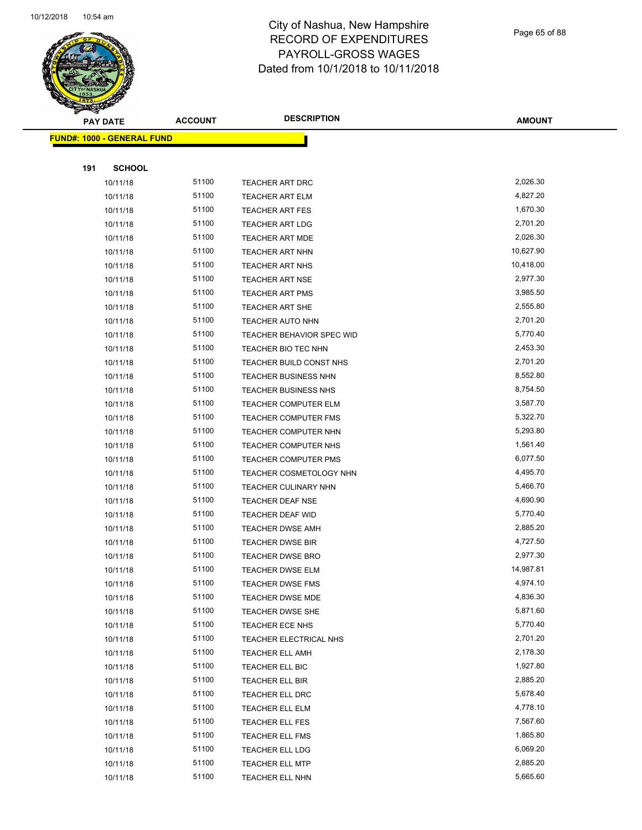

Page 65 of 88

|     | <b>PAY DATE</b>                   | <b>ACCOUNT</b> | <b>DESCRIPTION</b>               | <b>AMOUNT</b> |
|-----|-----------------------------------|----------------|----------------------------------|---------------|
|     | <b>FUND#: 1000 - GENERAL FUND</b> |                |                                  |               |
|     |                                   |                |                                  |               |
| 191 | <b>SCHOOL</b>                     |                |                                  |               |
|     | 10/11/18                          | 51100          | <b>TEACHER ART DRC</b>           | 2,026.30      |
|     | 10/11/18                          | 51100          | <b>TEACHER ART ELM</b>           | 4,827.20      |
|     | 10/11/18                          | 51100          | <b>TEACHER ART FES</b>           | 1,670.30      |
|     | 10/11/18                          | 51100          | <b>TEACHER ART LDG</b>           | 2,701.20      |
|     | 10/11/18                          | 51100          | TEACHER ART MDE                  | 2,026.30      |
|     | 10/11/18                          | 51100          | <b>TEACHER ART NHN</b>           | 10,627.90     |
|     | 10/11/18                          | 51100          | TEACHER ART NHS                  | 10,418.00     |
|     | 10/11/18                          | 51100          | <b>TEACHER ART NSE</b>           | 2,977.30      |
|     | 10/11/18                          | 51100          | <b>TEACHER ART PMS</b>           | 3,985.50      |
|     | 10/11/18                          | 51100          | TEACHER ART SHE                  | 2,555.80      |
|     | 10/11/18                          | 51100          | <b>TEACHER AUTO NHN</b>          | 2,701.20      |
|     | 10/11/18                          | 51100          | <b>TEACHER BEHAVIOR SPEC WID</b> | 5,770.40      |
|     | 10/11/18                          | 51100          | TEACHER BIO TEC NHN              | 2,453.30      |
|     | 10/11/18                          | 51100          | TEACHER BUILD CONST NHS          | 2,701.20      |
|     | 10/11/18                          | 51100          | TEACHER BUSINESS NHN             | 8,552.80      |
|     | 10/11/18                          | 51100          | TEACHER BUSINESS NHS             | 8,754.50      |
|     | 10/11/18                          | 51100          | <b>TEACHER COMPUTER ELM</b>      | 3,587.70      |
|     | 10/11/18                          | 51100          | TEACHER COMPUTER FMS             | 5,322.70      |
|     | 10/11/18                          | 51100          | <b>TEACHER COMPUTER NHN</b>      | 5,293.80      |
|     | 10/11/18                          | 51100          | TEACHER COMPUTER NHS             | 1,561.40      |
|     | 10/11/18                          | 51100          | <b>TEACHER COMPUTER PMS</b>      | 6,077.50      |
|     | 10/11/18                          | 51100          | TEACHER COSMETOLOGY NHN          | 4,495.70      |
|     | 10/11/18                          | 51100          | <b>TEACHER CULINARY NHN</b>      | 5,466.70      |
|     | 10/11/18                          | 51100          | <b>TEACHER DEAF NSE</b>          | 4,690.90      |
|     | 10/11/18                          | 51100          | TEACHER DEAF WID                 | 5,770.40      |
|     | 10/11/18                          | 51100          | <b>TEACHER DWSE AMH</b>          | 2,885.20      |
|     | 10/11/18                          | 51100          | <b>TEACHER DWSE BIR</b>          | 4,727.50      |
|     | 10/11/18                          | 51100          | <b>TEACHER DWSE BRO</b>          | 2,977.30      |
|     | 10/11/18                          | 51100          | TEACHER DWSE ELM                 | 14,987.81     |
|     | 10/11/18                          | 51100          | TEACHER DWSE FMS                 | 4,974.10      |
|     | 10/11/18                          | 51100          | <b>TEACHER DWSE MDE</b>          | 4,836.30      |
|     | 10/11/18                          | 51100          | TEACHER DWSE SHE                 | 5,871.60      |
|     | 10/11/18                          | 51100          | TEACHER ECE NHS                  | 5,770.40      |
|     | 10/11/18                          | 51100          | TEACHER ELECTRICAL NHS           | 2,701.20      |
|     | 10/11/18                          | 51100          | TEACHER ELL AMH                  | 2,178.30      |
|     | 10/11/18                          | 51100          | TEACHER ELL BIC                  | 1,927.80      |
|     | 10/11/18                          | 51100          | TEACHER ELL BIR                  | 2,885.20      |
|     | 10/11/18                          | 51100          | TEACHER ELL DRC                  | 5,678.40      |
|     | 10/11/18                          | 51100          | TEACHER ELL ELM                  | 4,778.10      |
|     | 10/11/18                          | 51100          | TEACHER ELL FES                  | 7,567.60      |
|     | 10/11/18                          | 51100          | <b>TEACHER ELL FMS</b>           | 1,865.80      |
|     | 10/11/18                          | 51100          | TEACHER ELL LDG                  | 6,069.20      |
|     | 10/11/18                          | 51100          | <b>TEACHER ELL MTP</b>           | 2,885.20      |
|     | 10/11/18                          | 51100          | TEACHER ELL NHN                  | 5,665.60      |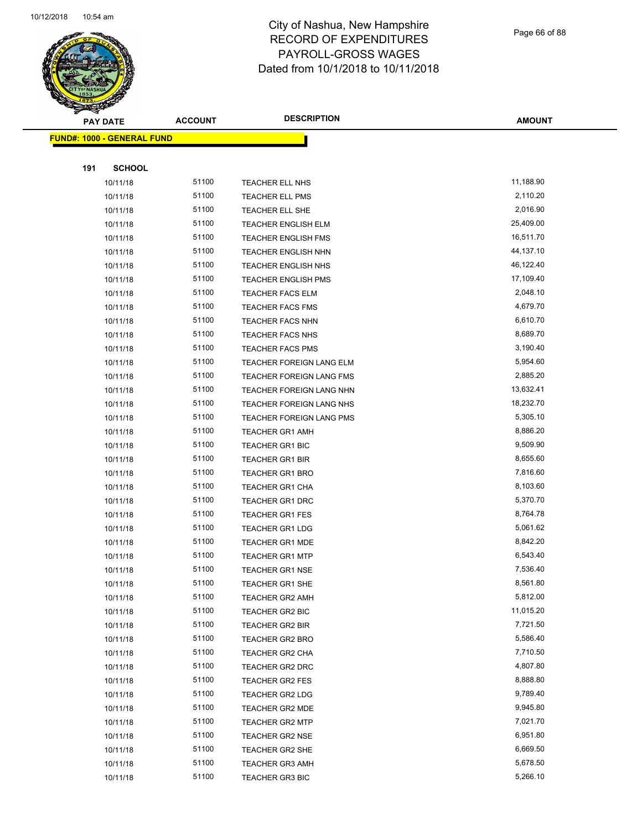

Page 66 of 88

| $\tilde{\phantom{a}}$<br><b>PAY DATE</b> | <b>ACCOUNT</b> | <b>DESCRIPTION</b>         | <b>AMOUNT</b> |
|------------------------------------------|----------------|----------------------------|---------------|
| <b>FUND#: 1000 - GENERAL FUND</b>        |                |                            |               |
|                                          |                |                            |               |
| 191<br><b>SCHOOL</b>                     |                |                            |               |
| 10/11/18                                 | 51100          | TEACHER ELL NHS            | 11,188.90     |
| 10/11/18                                 | 51100          | TEACHER ELL PMS            | 2,110.20      |
| 10/11/18                                 | 51100          | TEACHER ELL SHE            | 2,016.90      |
| 10/11/18                                 | 51100          | <b>TEACHER ENGLISH ELM</b> | 25,409.00     |
| 10/11/18                                 | 51100          | TEACHER ENGLISH FMS        | 16,511.70     |
| 10/11/18                                 | 51100          | TEACHER ENGLISH NHN        | 44,137.10     |
| 10/11/18                                 | 51100          | TEACHER ENGLISH NHS        | 46,122.40     |
| 10/11/18                                 | 51100          | <b>TEACHER ENGLISH PMS</b> | 17,109.40     |
| 10/11/18                                 | 51100          | <b>TEACHER FACS ELM</b>    | 2,048.10      |
| 10/11/18                                 | 51100          | <b>TEACHER FACS FMS</b>    | 4,679.70      |
| 10/11/18                                 | 51100          | TEACHER FACS NHN           | 6,610.70      |
| 10/11/18                                 | 51100          | TEACHER FACS NHS           | 8,689.70      |
| 10/11/18                                 | 51100          | TEACHER FACS PMS           | 3,190.40      |
| 10/11/18                                 | 51100          | TEACHER FOREIGN LANG ELM   | 5,954.60      |
| 10/11/18                                 | 51100          | TEACHER FOREIGN LANG FMS   | 2,885.20      |
| 10/11/18                                 | 51100          | TEACHER FOREIGN LANG NHN   | 13,632.41     |
| 10/11/18                                 | 51100          | TEACHER FOREIGN LANG NHS   | 18,232.70     |
| 10/11/18                                 | 51100          | TEACHER FOREIGN LANG PMS   | 5,305.10      |
| 10/11/18                                 | 51100          | <b>TEACHER GR1 AMH</b>     | 8,886.20      |
| 10/11/18                                 | 51100          | TEACHER GR1 BIC            | 9,509.90      |
| 10/11/18                                 | 51100          | <b>TEACHER GR1 BIR</b>     | 8,655.60      |
| 10/11/18                                 | 51100          | <b>TEACHER GR1 BRO</b>     | 7,816.60      |
| 10/11/18                                 | 51100          | <b>TEACHER GR1 CHA</b>     | 8,103.60      |
| 10/11/18                                 | 51100          | <b>TEACHER GR1 DRC</b>     | 5,370.70      |
| 10/11/18                                 | 51100          | <b>TEACHER GR1 FES</b>     | 8,764.78      |
| 10/11/18                                 | 51100          | <b>TEACHER GR1 LDG</b>     | 5,061.62      |
| 10/11/18                                 | 51100          | <b>TEACHER GR1 MDE</b>     | 8,842.20      |
| 10/11/18                                 | 51100          | <b>TEACHER GR1 MTP</b>     | 6,543.40      |
| 10/11/18                                 | 51100          | <b>TEACHER GR1 NSE</b>     | 7,536.40      |
| 10/11/18                                 | 51100          | TEACHER GR1 SHE            | 8,561.80      |
| 10/11/18                                 | 51100          | TEACHER GR2 AMH            | 5,812.00      |
| 10/11/18                                 | 51100          | TEACHER GR2 BIC            | 11,015.20     |
| 10/11/18                                 | 51100          | TEACHER GR2 BIR            | 7,721.50      |
| 10/11/18                                 | 51100          | <b>TEACHER GR2 BRO</b>     | 5,586.40      |
| 10/11/18                                 | 51100          | TEACHER GR2 CHA            | 7,710.50      |
| 10/11/18                                 | 51100          | TEACHER GR2 DRC            | 4,807.80      |
| 10/11/18                                 | 51100          | <b>TEACHER GR2 FES</b>     | 8,888.80      |
| 10/11/18                                 | 51100          | TEACHER GR2 LDG            | 9,789.40      |
| 10/11/18                                 | 51100          | <b>TEACHER GR2 MDE</b>     | 9,945.80      |
| 10/11/18                                 | 51100          | <b>TEACHER GR2 MTP</b>     | 7,021.70      |
| 10/11/18                                 | 51100          | TEACHER GR2 NSE            | 6,951.80      |
| 10/11/18                                 | 51100          | TEACHER GR2 SHE            | 6,669.50      |
| 10/11/18                                 | 51100          | <b>TEACHER GR3 AMH</b>     | 5,678.50      |
| 10/11/18                                 | 51100          | <b>TEACHER GR3 BIC</b>     | 5,266.10      |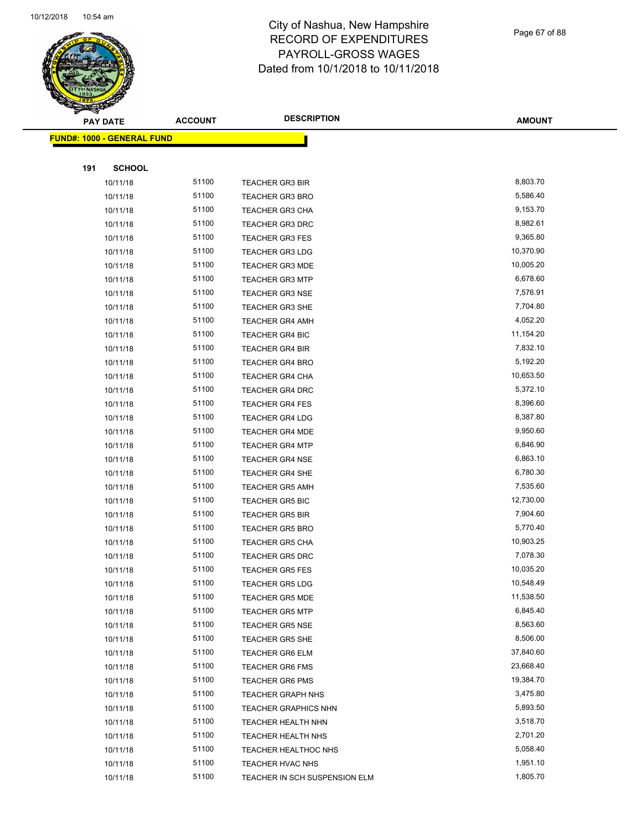

Page 67 of 88

|     | <b>PAY DATE</b>                   | <b>ACCOUNT</b> | <b>DESCRIPTION</b>            | <b>AMOUNT</b> |
|-----|-----------------------------------|----------------|-------------------------------|---------------|
|     | <b>FUND#: 1000 - GENERAL FUND</b> |                |                               |               |
|     |                                   |                |                               |               |
| 191 | <b>SCHOOL</b>                     |                |                               |               |
|     | 10/11/18                          | 51100          | <b>TEACHER GR3 BIR</b>        | 8,803.70      |
|     | 10/11/18                          | 51100          | <b>TEACHER GR3 BRO</b>        | 5,586.40      |
|     | 10/11/18                          | 51100          | <b>TEACHER GR3 CHA</b>        | 9,153.70      |
|     | 10/11/18                          | 51100          | <b>TEACHER GR3 DRC</b>        | 8,982.61      |
|     | 10/11/18                          | 51100          | <b>TEACHER GR3 FES</b>        | 9,365.80      |
|     | 10/11/18                          | 51100          | <b>TEACHER GR3 LDG</b>        | 10,370.90     |
|     | 10/11/18                          | 51100          | <b>TEACHER GR3 MDE</b>        | 10,005.20     |
|     | 10/11/18                          | 51100          | <b>TEACHER GR3 MTP</b>        | 6,678.60      |
|     | 10/11/18                          | 51100          | <b>TEACHER GR3 NSE</b>        | 7,576.91      |
|     | 10/11/18                          | 51100          | <b>TEACHER GR3 SHE</b>        | 7,704.80      |
|     | 10/11/18                          | 51100          | <b>TEACHER GR4 AMH</b>        | 4,052.20      |
|     | 10/11/18                          | 51100          | <b>TEACHER GR4 BIC</b>        | 11,154.20     |
|     | 10/11/18                          | 51100          | <b>TEACHER GR4 BIR</b>        | 7,832.10      |
|     | 10/11/18                          | 51100          | <b>TEACHER GR4 BRO</b>        | 5,192.20      |
|     | 10/11/18                          | 51100          | <b>TEACHER GR4 CHA</b>        | 10,653.50     |
|     | 10/11/18                          | 51100          | TEACHER GR4 DRC               | 5,372.10      |
|     | 10/11/18                          | 51100          | <b>TEACHER GR4 FES</b>        | 8,396.60      |
|     | 10/11/18                          | 51100          | <b>TEACHER GR4 LDG</b>        | 8,387.80      |
|     | 10/11/18                          | 51100          | <b>TEACHER GR4 MDE</b>        | 9,950.60      |
|     | 10/11/18                          | 51100          | <b>TEACHER GR4 MTP</b>        | 6,846.90      |
|     | 10/11/18                          | 51100          | <b>TEACHER GR4 NSE</b>        | 6,863.10      |
|     | 10/11/18                          | 51100          | <b>TEACHER GR4 SHE</b>        | 6,780.30      |
|     | 10/11/18                          | 51100          | <b>TEACHER GR5 AMH</b>        | 7,535.60      |
|     | 10/11/18                          | 51100          | <b>TEACHER GR5 BIC</b>        | 12,730.00     |
|     | 10/11/18                          | 51100          | <b>TEACHER GR5 BIR</b>        | 7,904.60      |
|     | 10/11/18                          | 51100          | <b>TEACHER GR5 BRO</b>        | 5,770.40      |
|     | 10/11/18                          | 51100          | <b>TEACHER GR5 CHA</b>        | 10,903.25     |
|     | 10/11/18                          | 51100          | <b>TEACHER GR5 DRC</b>        | 7,078.30      |
|     | 10/11/18                          | 51100          | <b>TEACHER GR5 FES</b>        | 10,035.20     |
|     | 10/11/18                          | 51100          | <b>TEACHER GR5 LDG</b>        | 10,548.49     |
|     | 10/11/18                          | 51100          | <b>TEACHER GR5 MDE</b>        | 11,538.50     |
|     | 10/11/18                          | 51100          | <b>TEACHER GR5 MTP</b>        | 6,845.40      |
|     | 10/11/18                          | 51100          | <b>TEACHER GR5 NSE</b>        | 8,563.60      |
|     | 10/11/18                          | 51100          | <b>TEACHER GR5 SHE</b>        | 8,506.00      |
|     | 10/11/18                          | 51100          | <b>TEACHER GR6 ELM</b>        | 37,840.60     |
|     | 10/11/18                          | 51100          | <b>TEACHER GR6 FMS</b>        | 23,668.40     |
|     | 10/11/18                          | 51100          | <b>TEACHER GR6 PMS</b>        | 19,384.70     |
|     | 10/11/18                          | 51100          | <b>TEACHER GRAPH NHS</b>      | 3,475.80      |
|     | 10/11/18                          | 51100          | <b>TEACHER GRAPHICS NHN</b>   | 5,893.50      |
|     | 10/11/18                          | 51100          | <b>TEACHER HEALTH NHN</b>     | 3,518.70      |
|     | 10/11/18                          | 51100          | <b>TEACHER HEALTH NHS</b>     | 2,701.20      |
|     | 10/11/18                          | 51100          | TEACHER HEALTHOC NHS          | 5,058.40      |
|     | 10/11/18                          | 51100          | TEACHER HVAC NHS              | 1,951.10      |
|     | 10/11/18                          | 51100          | TEACHER IN SCH SUSPENSION ELM | 1,805.70      |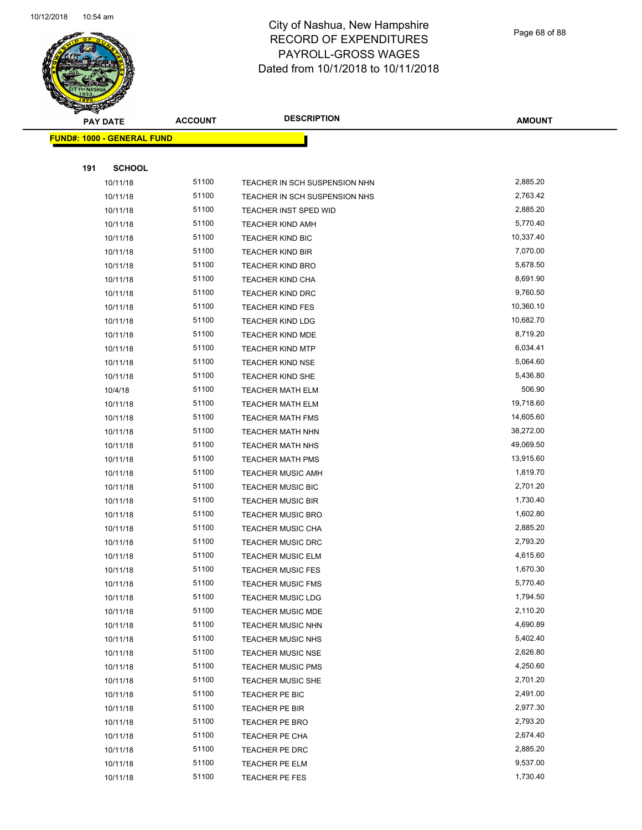

Page 68 of 88

|     | <b>PAY DATE</b>                   | <b>ACCOUNT</b> | <b>DESCRIPTION</b>                                   | <b>AMOUNT</b>        |
|-----|-----------------------------------|----------------|------------------------------------------------------|----------------------|
|     | <b>FUND#: 1000 - GENERAL FUND</b> |                |                                                      |                      |
|     |                                   |                |                                                      |                      |
| 191 | <b>SCHOOL</b>                     |                |                                                      |                      |
|     | 10/11/18                          | 51100          | TEACHER IN SCH SUSPENSION NHN                        | 2,885.20             |
|     | 10/11/18                          | 51100          | TEACHER IN SCH SUSPENSION NHS                        | 2,763.42             |
|     | 10/11/18                          | 51100          | TEACHER INST SPED WID                                | 2,885.20             |
|     | 10/11/18                          | 51100          | <b>TEACHER KIND AMH</b>                              | 5,770.40             |
|     | 10/11/18                          | 51100          | <b>TEACHER KIND BIC</b>                              | 10,337.40            |
|     | 10/11/18                          | 51100          | <b>TEACHER KIND BIR</b>                              | 7,070.00             |
|     | 10/11/18                          | 51100          | <b>TEACHER KIND BRO</b>                              | 5,678.50             |
|     | 10/11/18                          | 51100          | <b>TEACHER KIND CHA</b>                              | 8,691.90             |
|     | 10/11/18                          | 51100          | <b>TEACHER KIND DRC</b>                              | 9,760.50             |
|     | 10/11/18                          | 51100          | <b>TEACHER KIND FES</b>                              | 10,360.10            |
|     | 10/11/18                          | 51100          | <b>TEACHER KIND LDG</b>                              | 10,682.70            |
|     | 10/11/18                          | 51100          | TEACHER KIND MDE                                     | 8,719.20             |
|     | 10/11/18                          | 51100          | <b>TEACHER KIND MTP</b>                              | 6,034.41             |
|     | 10/11/18                          | 51100          | <b>TEACHER KIND NSE</b>                              | 5,064.60             |
|     | 10/11/18                          | 51100          | TEACHER KIND SHE                                     | 5,436.80             |
|     | 10/4/18                           | 51100          | <b>TEACHER MATH ELM</b>                              | 506.90               |
|     | 10/11/18                          | 51100          | <b>TEACHER MATH ELM</b>                              | 19,718.60            |
|     | 10/11/18                          | 51100          | <b>TEACHER MATH FMS</b>                              | 14,605.60            |
|     | 10/11/18                          | 51100          | <b>TEACHER MATH NHN</b>                              | 38,272.00            |
|     | 10/11/18                          | 51100          | TEACHER MATH NHS                                     | 49,069.50            |
|     | 10/11/18                          | 51100          | <b>TEACHER MATH PMS</b>                              | 13,915.60            |
|     | 10/11/18                          | 51100          | <b>TEACHER MUSIC AMH</b>                             | 1,819.70             |
|     | 10/11/18                          | 51100          | TEACHER MUSIC BIC                                    | 2,701.20             |
|     | 10/11/18                          | 51100          | <b>TEACHER MUSIC BIR</b>                             | 1,730.40             |
|     | 10/11/18                          | 51100          | <b>TEACHER MUSIC BRO</b>                             | 1,602.80             |
|     | 10/11/18                          | 51100          | <b>TEACHER MUSIC CHA</b>                             | 2,885.20             |
|     | 10/11/18                          | 51100          | TEACHER MUSIC DRC                                    | 2,793.20             |
|     | 10/11/18                          | 51100          | <b>TEACHER MUSIC ELM</b>                             | 4,615.60             |
|     | 10/11/18                          | 51100          | <b>TEACHER MUSIC FES</b>                             | 1,670.30             |
|     | 10/11/18                          | 51100          | TEACHER MUSIC FMS                                    | 5,770.40             |
|     | 10/11/18                          | 51100          | <b>TEACHER MUSIC LDG</b>                             | 1,794.50             |
|     | 10/11/18                          | 51100          | <b>TEACHER MUSIC MDE</b>                             | 2,110.20             |
|     | 10/11/18                          | 51100          | <b>TEACHER MUSIC NHN</b>                             | 4,690.89<br>5,402.40 |
|     | 10/11/18                          | 51100<br>51100 | <b>TEACHER MUSIC NHS</b>                             | 2,626.80             |
|     | 10/11/18<br>10/11/18              | 51100          | <b>TEACHER MUSIC NSE</b><br><b>TEACHER MUSIC PMS</b> | 4,250.60             |
|     | 10/11/18                          | 51100          | <b>TEACHER MUSIC SHE</b>                             | 2,701.20             |
|     | 10/11/18                          | 51100          | TEACHER PE BIC                                       | 2,491.00             |
|     | 10/11/18                          | 51100          | TEACHER PE BIR                                       | 2,977.30             |
|     | 10/11/18                          | 51100          | TEACHER PE BRO                                       | 2,793.20             |
|     | 10/11/18                          | 51100          | TEACHER PE CHA                                       | 2,674.40             |
|     | 10/11/18                          | 51100          | TEACHER PE DRC                                       | 2,885.20             |
|     | 10/11/18                          | 51100          | TEACHER PE ELM                                       | 9,537.00             |
|     | 10/11/18                          | 51100          | TEACHER PE FES                                       | 1,730.40             |
|     |                                   |                |                                                      |                      |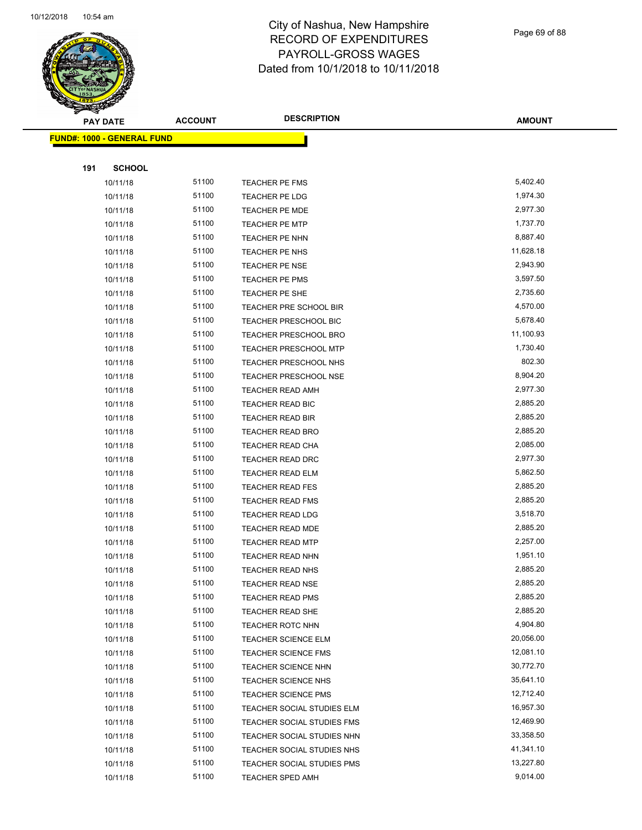

Page 69 of 88

| <b>PAY DATE</b>                   | <b>ACCOUNT</b> | <b>DESCRIPTION</b>                                       | <b>AMOUNT</b>          |
|-----------------------------------|----------------|----------------------------------------------------------|------------------------|
| <b>FUND#: 1000 - GENERAL FUND</b> |                |                                                          |                        |
|                                   |                |                                                          |                        |
| 191<br><b>SCHOOL</b>              |                |                                                          |                        |
| 10/11/18                          | 51100          | TEACHER PE FMS                                           | 5,402.40               |
| 10/11/18                          | 51100          | TEACHER PE LDG                                           | 1,974.30               |
| 10/11/18                          | 51100          | <b>TEACHER PE MDE</b>                                    | 2,977.30               |
| 10/11/18                          | 51100          | <b>TEACHER PE MTP</b>                                    | 1,737.70               |
| 10/11/18                          | 51100          | TEACHER PE NHN                                           | 8,887.40               |
| 10/11/18                          | 51100          | TEACHER PE NHS                                           | 11,628.18              |
| 10/11/18                          | 51100          | <b>TEACHER PE NSE</b>                                    | 2,943.90               |
| 10/11/18                          | 51100          | TEACHER PE PMS                                           | 3,597.50               |
| 10/11/18                          | 51100          | TEACHER PE SHE                                           | 2,735.60               |
| 10/11/18                          | 51100          | TEACHER PRE SCHOOL BIR                                   | 4,570.00               |
| 10/11/18                          | 51100          | TEACHER PRESCHOOL BIC                                    | 5,678.40               |
| 10/11/18                          | 51100          | <b>TEACHER PRESCHOOL BRO</b>                             | 11,100.93              |
| 10/11/18                          | 51100          | <b>TEACHER PRESCHOOL MTP</b>                             | 1,730.40               |
| 10/11/18                          | 51100          | TEACHER PRESCHOOL NHS                                    | 802.30                 |
| 10/11/18                          | 51100          | TEACHER PRESCHOOL NSE                                    | 8,904.20               |
| 10/11/18                          | 51100          | <b>TEACHER READ AMH</b>                                  | 2,977.30               |
| 10/11/18                          | 51100          | TEACHER READ BIC                                         | 2,885.20               |
| 10/11/18                          | 51100          | TEACHER READ BIR                                         | 2,885.20               |
| 10/11/18                          | 51100          | <b>TEACHER READ BRO</b>                                  | 2,885.20               |
| 10/11/18                          | 51100          | TEACHER READ CHA                                         | 2,085.00               |
| 10/11/18                          | 51100          | TEACHER READ DRC                                         | 2,977.30               |
| 10/11/18                          | 51100          | <b>TEACHER READ ELM</b>                                  | 5,862.50               |
| 10/11/18                          | 51100          | <b>TEACHER READ FES</b>                                  | 2,885.20               |
| 10/11/18                          | 51100          | TEACHER READ FMS                                         | 2,885.20               |
| 10/11/18                          | 51100          | <b>TEACHER READ LDG</b>                                  | 3,518.70               |
| 10/11/18                          | 51100          | TEACHER READ MDE                                         | 2,885.20               |
| 10/11/18                          | 51100          | <b>TEACHER READ MTP</b>                                  | 2,257.00               |
| 10/11/18                          | 51100          | <b>TEACHER READ NHN</b>                                  | 1,951.10               |
| 10/11/18                          | 51100          | <b>TEACHER READ NHS</b>                                  | 2,885.20               |
| 10/11/18                          | 51100          | TEACHER READ NSE                                         | 2,885.20               |
| 10/11/18                          | 51100          | <b>TEACHER READ PMS</b>                                  | 2,885.20               |
| 10/11/18                          | 51100          | TEACHER READ SHE                                         | 2,885.20               |
| 10/11/18                          | 51100          | <b>TEACHER ROTC NHN</b>                                  | 4,904.80               |
| 10/11/18                          | 51100          | TEACHER SCIENCE ELM                                      | 20,056.00<br>12,081.10 |
| 10/11/18                          | 51100<br>51100 | TEACHER SCIENCE FMS                                      | 30,772.70              |
| 10/11/18<br>10/11/18              | 51100          | <b>TEACHER SCIENCE NHN</b>                               | 35,641.10              |
|                                   | 51100          | TEACHER SCIENCE NHS                                      | 12,712.40              |
| 10/11/18<br>10/11/18              | 51100          | <b>TEACHER SCIENCE PMS</b><br>TEACHER SOCIAL STUDIES ELM | 16,957.30              |
|                                   | 51100          |                                                          | 12,469.90              |
| 10/11/18<br>10/11/18              | 51100          | TEACHER SOCIAL STUDIES FMS<br>TEACHER SOCIAL STUDIES NHN | 33,358.50              |
| 10/11/18                          | 51100          | TEACHER SOCIAL STUDIES NHS                               | 41,341.10              |
| 10/11/18                          | 51100          | TEACHER SOCIAL STUDIES PMS                               | 13,227.80              |
| 10/11/18                          | 51100          | TEACHER SPED AMH                                         | 9,014.00               |
|                                   |                |                                                          |                        |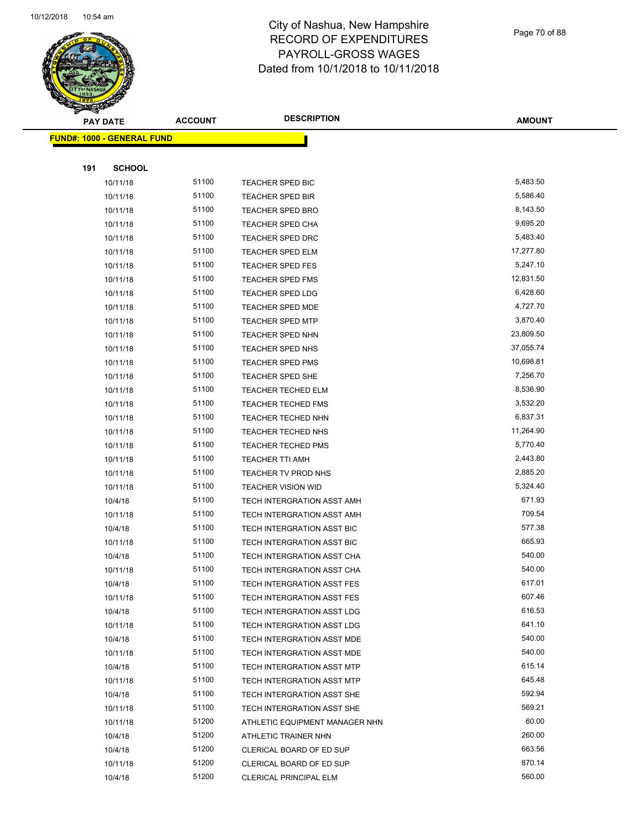

Page 70 of 88

|     | <b>PAY DATE</b>                   | <b>ACCOUNT</b> | <b>DESCRIPTION</b>                | <b>AMOUNT</b> |
|-----|-----------------------------------|----------------|-----------------------------------|---------------|
|     | <b>FUND#: 1000 - GENERAL FUND</b> |                |                                   |               |
|     |                                   |                |                                   |               |
| 191 | <b>SCHOOL</b>                     |                |                                   |               |
|     | 10/11/18                          | 51100          | TEACHER SPED BIC                  | 5,483.50      |
|     | 10/11/18                          | 51100          | <b>TEACHER SPED BIR</b>           | 5,586.40      |
|     | 10/11/18                          | 51100          | <b>TEACHER SPED BRO</b>           | 8,143.50      |
|     | 10/11/18                          | 51100          | TEACHER SPED CHA                  | 9,695.20      |
|     | 10/11/18                          | 51100          | <b>TEACHER SPED DRC</b>           | 5,483.40      |
|     | 10/11/18                          | 51100          | TEACHER SPED ELM                  | 17,277.80     |
|     | 10/11/18                          | 51100          | <b>TEACHER SPED FES</b>           | 5,247.10      |
|     | 10/11/18                          | 51100          | <b>TEACHER SPED FMS</b>           | 12,831.50     |
|     | 10/11/18                          | 51100          | <b>TEACHER SPED LDG</b>           | 6,428.60      |
|     | 10/11/18                          | 51100          | <b>TEACHER SPED MDE</b>           | 4,727.70      |
|     | 10/11/18                          | 51100          | TEACHER SPED MTP                  | 3,870.40      |
|     | 10/11/18                          | 51100          | <b>TEACHER SPED NHN</b>           | 23,809.50     |
|     | 10/11/18                          | 51100          | TEACHER SPED NHS                  | 37,055.74     |
|     | 10/11/18                          | 51100          | <b>TEACHER SPED PMS</b>           | 10,698.81     |
|     | 10/11/18                          | 51100          | <b>TEACHER SPED SHE</b>           | 7,256.70      |
|     | 10/11/18                          | 51100          | <b>TEACHER TECHED ELM</b>         | 8,536.90      |
|     | 10/11/18                          | 51100          | <b>TEACHER TECHED FMS</b>         | 3,532.20      |
|     | 10/11/18                          | 51100          | <b>TEACHER TECHED NHN</b>         | 6,837.31      |
|     | 10/11/18                          | 51100          | <b>TEACHER TECHED NHS</b>         | 11,264.90     |
|     | 10/11/18                          | 51100          | <b>TEACHER TECHED PMS</b>         | 5,770.40      |
|     | 10/11/18                          | 51100          | <b>TEACHER TTI AMH</b>            | 2,443.80      |
|     | 10/11/18                          | 51100          | TEACHER TV PROD NHS               | 2,885.20      |
|     | 10/11/18                          | 51100          | <b>TEACHER VISION WID</b>         | 5,324.40      |
|     | 10/4/18                           | 51100          | TECH INTERGRATION ASST AMH        | 671.93        |
|     | 10/11/18                          | 51100          | TECH INTERGRATION ASST AMH        | 709.54        |
|     | 10/4/18                           | 51100          | TECH INTERGRATION ASST BIC        | 577.38        |
|     | 10/11/18                          | 51100          | TECH INTERGRATION ASST BIC        | 665.93        |
|     | 10/4/18                           | 51100          | TECH INTERGRATION ASST CHA        | 540.00        |
|     | 10/11/18                          | 51100          | TECH INTERGRATION ASST CHA        | 540.00        |
|     | 10/4/18                           | 51100          | TECH INTERGRATION ASST FES        | 617.01        |
|     | 10/11/18                          | 51100          | TECH INTERGRATION ASST FES        | 607.46        |
|     | 10/4/18                           | 51100          | <b>TECH INTERGRATION ASST LDG</b> | 616.53        |
|     | 10/11/18                          | 51100          | TECH INTERGRATION ASST LDG        | 641.10        |
|     | 10/4/18                           | 51100          | TECH INTERGRATION ASST MDE        | 540.00        |
|     | 10/11/18                          | 51100          | TECH INTERGRATION ASST MDE        | 540.00        |
|     | 10/4/18                           | 51100          | TECH INTERGRATION ASST MTP        | 615.14        |
|     | 10/11/18                          | 51100          | <b>TECH INTERGRATION ASST MTP</b> | 645.48        |
|     | 10/4/18                           | 51100          | TECH INTERGRATION ASST SHE        | 592.94        |
|     | 10/11/18                          | 51100          | TECH INTERGRATION ASST SHE        | 569.21        |
|     | 10/11/18                          | 51200          | ATHLETIC EQUIPMENT MANAGER NHN    | 60.00         |
|     | 10/4/18                           | 51200          | ATHLETIC TRAINER NHN              | 260.00        |
|     | 10/4/18                           | 51200          | CLERICAL BOARD OF ED SUP          | 663.56        |
|     | 10/11/18                          | 51200          | CLERICAL BOARD OF ED SUP          | 870.14        |
|     | 10/4/18                           | 51200          | CLERICAL PRINCIPAL ELM            | 560.00        |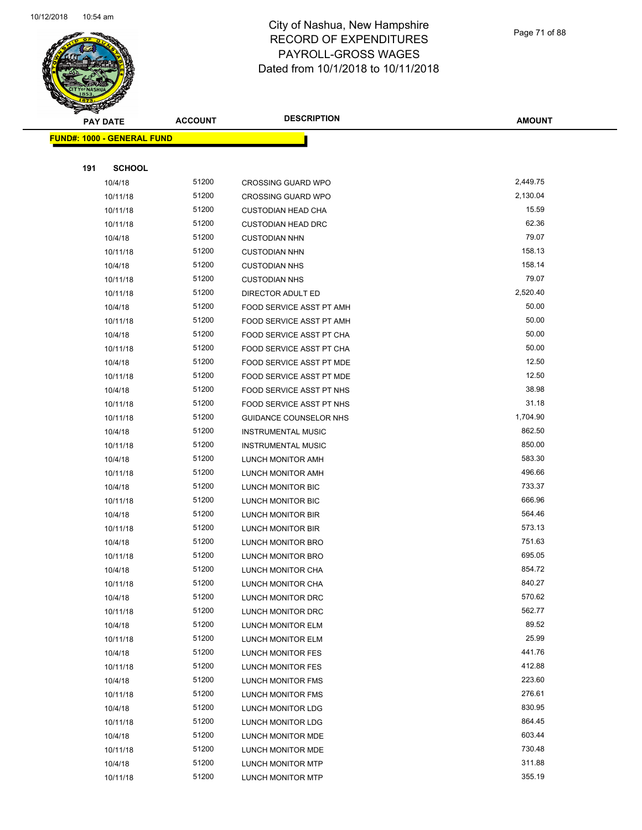

Page 71 of 88

**AMOUNT**

| <b>FUND#: 1000 - GENERAL FUND</b> |                |                                               |                  |  |
|-----------------------------------|----------------|-----------------------------------------------|------------------|--|
| 191<br><b>SCHOOL</b>              |                |                                               |                  |  |
|                                   | 51200          | <b>CROSSING GUARD WPO</b>                     | 2,449.75         |  |
| 10/4/18<br>10/11/18               | 51200          | <b>CROSSING GUARD WPO</b>                     | 2,130.04         |  |
| 10/11/18                          | 51200          | <b>CUSTODIAN HEAD CHA</b>                     | 15.59            |  |
| 10/11/18                          | 51200          | <b>CUSTODIAN HEAD DRC</b>                     | 62.36            |  |
| 10/4/18                           | 51200          | <b>CUSTODIAN NHN</b>                          | 79.07            |  |
| 10/11/18                          | 51200          | <b>CUSTODIAN NHN</b>                          | 158.13           |  |
| 10/4/18                           | 51200          | <b>CUSTODIAN NHS</b>                          | 158.14           |  |
| 10/11/18                          | 51200          | <b>CUSTODIAN NHS</b>                          | 79.07            |  |
| 10/11/18                          | 51200          | DIRECTOR ADULT ED                             | 2,520.40         |  |
| 10/4/18                           | 51200          | FOOD SERVICE ASST PT AMH                      | 50.00            |  |
| 10/11/18                          | 51200          | FOOD SERVICE ASST PT AMH                      | 50.00            |  |
| 10/4/18                           | 51200          | FOOD SERVICE ASST PT CHA                      | 50.00            |  |
| 10/11/18                          | 51200          | FOOD SERVICE ASST PT CHA                      | 50.00            |  |
| 10/4/18                           | 51200          | FOOD SERVICE ASST PT MDE                      | 12.50            |  |
| 10/11/18                          | 51200          | FOOD SERVICE ASST PT MDE                      | 12.50            |  |
| 10/4/18                           | 51200          | FOOD SERVICE ASST PT NHS                      | 38.98            |  |
| 10/11/18                          | 51200          | FOOD SERVICE ASST PT NHS                      | 31.18            |  |
| 10/11/18                          | 51200          | <b>GUIDANCE COUNSELOR NHS</b>                 | 1,704.90         |  |
| 10/4/18                           | 51200          | <b>INSTRUMENTAL MUSIC</b>                     | 862.50           |  |
| 10/11/18                          | 51200          | <b>INSTRUMENTAL MUSIC</b>                     | 850.00           |  |
| 10/4/18                           | 51200          | LUNCH MONITOR AMH                             | 583.30           |  |
| 10/11/18                          | 51200          | LUNCH MONITOR AMH                             | 496.66           |  |
| 10/4/18                           | 51200          | LUNCH MONITOR BIC                             | 733.37           |  |
| 10/11/18                          | 51200          | LUNCH MONITOR BIC                             | 666.96           |  |
| 10/4/18                           | 51200          | LUNCH MONITOR BIR                             | 564.46           |  |
| 10/11/18                          | 51200          | LUNCH MONITOR BIR                             | 573.13           |  |
| 10/4/18                           | 51200          | <b>LUNCH MONITOR BRO</b>                      | 751.63           |  |
| 10/11/18                          | 51200          | LUNCH MONITOR BRO                             | 695.05           |  |
| 10/4/18                           | 51200          | LUNCH MONITOR CHA                             | 854.72           |  |
| 10/11/18                          | 51200          | LUNCH MONITOR CHA                             | 840.27           |  |
| 10/4/18                           | 51200          | LUNCH MONITOR DRC                             | 570.62           |  |
| 10/11/18                          | 51200          | LUNCH MONITOR DRC                             | 562.77           |  |
| 10/4/18                           | 51200          | LUNCH MONITOR ELM                             | 89.52            |  |
| 10/11/18                          | 51200          | LUNCH MONITOR ELM                             | 25.99            |  |
| 10/4/18                           | 51200          | LUNCH MONITOR FES                             | 441.76           |  |
| 10/11/18                          | 51200          | LUNCH MONITOR FES                             | 412.88           |  |
| 10/4/18                           | 51200          | <b>LUNCH MONITOR FMS</b>                      | 223.60           |  |
| 10/11/18                          | 51200          | <b>LUNCH MONITOR FMS</b>                      | 276.61           |  |
| 10/4/18                           | 51200          | LUNCH MONITOR LDG                             | 830.95           |  |
| 10/11/18                          | 51200          | LUNCH MONITOR LDG                             | 864.45           |  |
| 10/4/18                           | 51200<br>51200 | LUNCH MONITOR MDE                             | 603.44<br>730.48 |  |
| 10/11/18<br>10/4/18               | 51200          | LUNCH MONITOR MDE                             | 311.88           |  |
| 10/11/18                          | 51200          | LUNCH MONITOR MTP<br><b>LUNCH MONITOR MTP</b> | 355.19           |  |
|                                   |                |                                               |                  |  |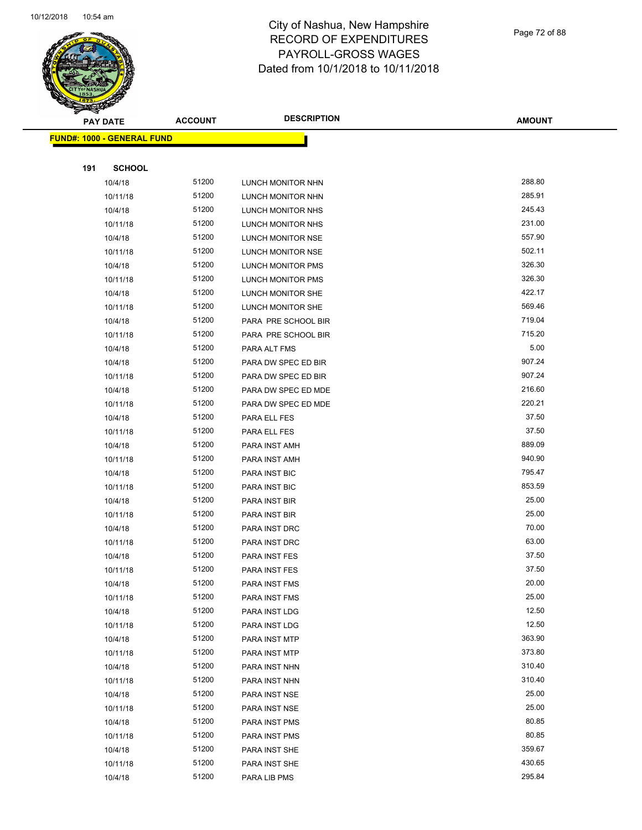

Page 72 of 88

**AMOUNT**

|     | <b>FUND#: 1000 - GENERAL FUND</b> |       |                     |        |
|-----|-----------------------------------|-------|---------------------|--------|
|     |                                   |       |                     |        |
| 191 | <b>SCHOOL</b>                     |       |                     |        |
|     | 10/4/18                           | 51200 | LUNCH MONITOR NHN   | 288.80 |
|     | 10/11/18                          | 51200 | LUNCH MONITOR NHN   | 285.91 |
|     | 10/4/18                           | 51200 | LUNCH MONITOR NHS   | 245.43 |
|     | 10/11/18                          | 51200 | LUNCH MONITOR NHS   | 231.00 |
|     | 10/4/18                           | 51200 | LUNCH MONITOR NSE   | 557.90 |
|     | 10/11/18                          | 51200 | LUNCH MONITOR NSE   | 502.11 |
|     | 10/4/18                           | 51200 | LUNCH MONITOR PMS   | 326.30 |
|     | 10/11/18                          | 51200 | LUNCH MONITOR PMS   | 326.30 |
|     | 10/4/18                           | 51200 | LUNCH MONITOR SHE   | 422.17 |
|     | 10/11/18                          | 51200 | LUNCH MONITOR SHE   | 569.46 |
|     | 10/4/18                           | 51200 | PARA PRE SCHOOL BIR | 719.04 |
|     | 10/11/18                          | 51200 | PARA PRE SCHOOL BIR | 715.20 |
|     | 10/4/18                           | 51200 | PARA ALT FMS        | 5.00   |
|     | 10/4/18                           | 51200 | PARA DW SPEC ED BIR | 907.24 |
|     | 10/11/18                          | 51200 | PARA DW SPEC ED BIR | 907.24 |
|     | 10/4/18                           | 51200 | PARA DW SPEC ED MDE | 216.60 |
|     | 10/11/18                          | 51200 | PARA DW SPEC ED MDE | 220.21 |
|     | 10/4/18                           | 51200 | PARA ELL FES        | 37.50  |
|     | 10/11/18                          | 51200 | PARA ELL FES        | 37.50  |
|     | 10/4/18                           | 51200 | PARA INST AMH       | 889.09 |
|     | 10/11/18                          | 51200 | PARA INST AMH       | 940.90 |
|     | 10/4/18                           | 51200 | PARA INST BIC       | 795.47 |
|     | 10/11/18                          | 51200 | PARA INST BIC       | 853.59 |
|     | 10/4/18                           | 51200 | PARA INST BIR       | 25.00  |
|     | 10/11/18                          | 51200 | PARA INST BIR       | 25.00  |
|     | 10/4/18                           | 51200 | PARA INST DRC       | 70.00  |
|     | 10/11/18                          | 51200 | PARA INST DRC       | 63.00  |
|     | 10/4/18                           | 51200 | PARA INST FES       | 37.50  |
|     | 10/11/18                          | 51200 | PARA INST FES       | 37.50  |
|     | 10/4/18                           | 51200 | PARA INST FMS       | 20.00  |
|     | 10/11/18                          | 51200 | PARA INST FMS       | 25.00  |
|     | 10/4/18                           | 51200 | PARA INST LDG       | 12.50  |
|     | 10/11/18                          | 51200 | PARA INST LDG       | 12.50  |
|     | 10/4/18                           | 51200 | PARA INST MTP       | 363.90 |
|     | 10/11/18                          | 51200 | PARA INST MTP       | 373.80 |
|     | 10/4/18                           | 51200 | PARA INST NHN       | 310.40 |
|     | 10/11/18                          | 51200 | PARA INST NHN       | 310.40 |
|     | 10/4/18                           | 51200 | PARA INST NSE       | 25.00  |
|     | 10/11/18                          | 51200 | PARA INST NSE       | 25.00  |
|     | 10/4/18                           | 51200 | PARA INST PMS       | 80.85  |
|     | 10/11/18                          | 51200 | PARA INST PMS       | 80.85  |
|     | 10/4/18                           | 51200 | PARA INST SHE       | 359.67 |
|     | 10/11/18                          | 51200 | PARA INST SHE       | 430.65 |
|     | 10/4/18                           | 51200 | PARA LIB PMS        | 295.84 |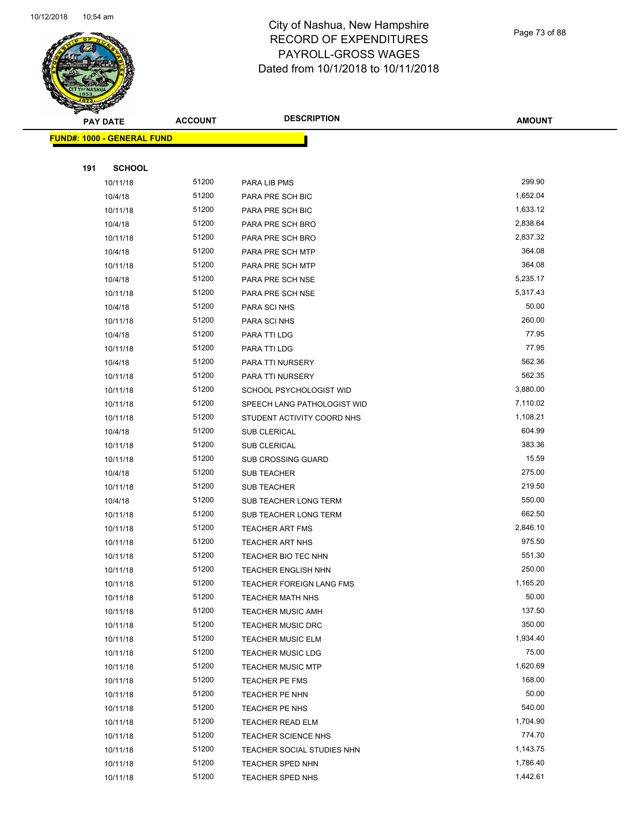

Page 73 of 88

|     | <b>PAY DATE</b>                   | <b>ACCOUNT</b> | <b>DESCRIPTION</b>          | <b>AMOUNT</b>      |
|-----|-----------------------------------|----------------|-----------------------------|--------------------|
|     | <b>FUND#: 1000 - GENERAL FUND</b> |                |                             |                    |
|     |                                   |                |                             |                    |
| 191 | <b>SCHOOL</b>                     |                |                             |                    |
|     | 10/11/18                          | 51200          | PARA LIB PMS                | 299.90             |
|     | 10/4/18                           | 51200          | PARA PRE SCH BIC            | 1,652.04           |
|     | 10/11/18                          | 51200          | PARA PRE SCH BIC            | 1,633.12           |
|     | 10/4/18                           | 51200          | PARA PRE SCH BRO            | 2,838.64           |
|     | 10/11/18                          | 51200          | PARA PRE SCH BRO            | 2,837.32           |
|     | 10/4/18                           | 51200          | PARA PRE SCH MTP            | 364.08             |
|     | 10/11/18                          | 51200          | PARA PRE SCH MTP            | 364.08             |
|     | 10/4/18                           | 51200          | PARA PRE SCH NSE            | 5,235.17           |
|     | 10/11/18                          | 51200          | PARA PRE SCH NSE            | 5,317.43           |
|     | 10/4/18                           | 51200          | PARA SCI NHS                | 50.00              |
|     | 10/11/18                          | 51200          | PARA SCI NHS                | 260.00             |
|     | 10/4/18                           | 51200          | PARA TTI LDG                | 77.95              |
|     | 10/11/18                          | 51200          | PARA TTI LDG                | 77.95              |
|     | 10/4/18                           | 51200          | PARA TTI NURSERY            | 562.36             |
|     | 10/11/18                          | 51200          | PARA TTI NURSERY            | 562.35             |
|     | 10/11/18                          | 51200          | SCHOOL PSYCHOLOGIST WID     | 3,880.00           |
|     | 10/11/18                          | 51200          | SPEECH LANG PATHOLOGIST WID | 7,110.02           |
|     | 10/11/18                          | 51200          | STUDENT ACTIVITY COORD NHS  | 1,108.21           |
|     | 10/4/18                           | 51200          | <b>SUB CLERICAL</b>         | 604.99             |
|     | 10/11/18                          | 51200          | SUB CLERICAL                | 383.36             |
|     | 10/11/18                          | 51200          | <b>SUB CROSSING GUARD</b>   | 15.59              |
|     | 10/4/18                           | 51200          | <b>SUB TEACHER</b>          | 275.00             |
|     | 10/11/18                          | 51200          | <b>SUB TEACHER</b>          | 219.50             |
|     | 10/4/18                           | 51200          | SUB TEACHER LONG TERM       | 550.00             |
|     | 10/11/18                          | 51200          | SUB TEACHER LONG TERM       | 662.50             |
|     | 10/11/18                          | 51200          | <b>TEACHER ART FMS</b>      | 2,846.10           |
|     | 10/11/18                          | 51200          | <b>TEACHER ART NHS</b>      | 975.50             |
|     | 10/11/18                          | 51200          | TEACHER BIO TEC NHN         | 551.30             |
|     | 10/11/18                          | 51200          | TEACHER ENGLISH NHN         | 250.00             |
|     | 10/11/18                          | 51200          | TEACHER FOREIGN LANG FMS    | 1,165.20           |
|     | 10/11/18                          | 51200          | <b>TEACHER MATH NHS</b>     | 50.00              |
|     | 10/11/18                          | 51200          | <b>TEACHER MUSIC AMH</b>    | 137.50             |
|     | 10/11/18                          | 51200          | <b>TEACHER MUSIC DRC</b>    | 350.00             |
|     | 10/11/18                          | 51200          | <b>TEACHER MUSIC ELM</b>    | 1,934.40           |
|     | 10/11/18                          | 51200          | <b>TEACHER MUSIC LDG</b>    | 75.00              |
|     | 10/11/18                          | 51200          | <b>TEACHER MUSIC MTP</b>    | 1,620.69           |
|     | 10/11/18                          | 51200          | TEACHER PE FMS              | 168.00             |
|     | 10/11/18                          | 51200          | TEACHER PE NHN              | 50.00              |
|     | 10/11/18                          | 51200          | TEACHER PE NHS              | 540.00             |
|     | 10/11/18                          | 51200          | <b>TEACHER READ ELM</b>     | 1,704.90<br>774.70 |
|     | 10/11/18                          | 51200<br>51200 | <b>TEACHER SCIENCE NHS</b>  | 1,143.75           |
|     | 10/11/18                          |                | TEACHER SOCIAL STUDIES NHN  | 1,786.40           |
|     | 10/11/18                          | 51200<br>51200 | <b>TEACHER SPED NHN</b>     | 1,442.61           |
|     | 10/11/18                          |                | TEACHER SPED NHS            |                    |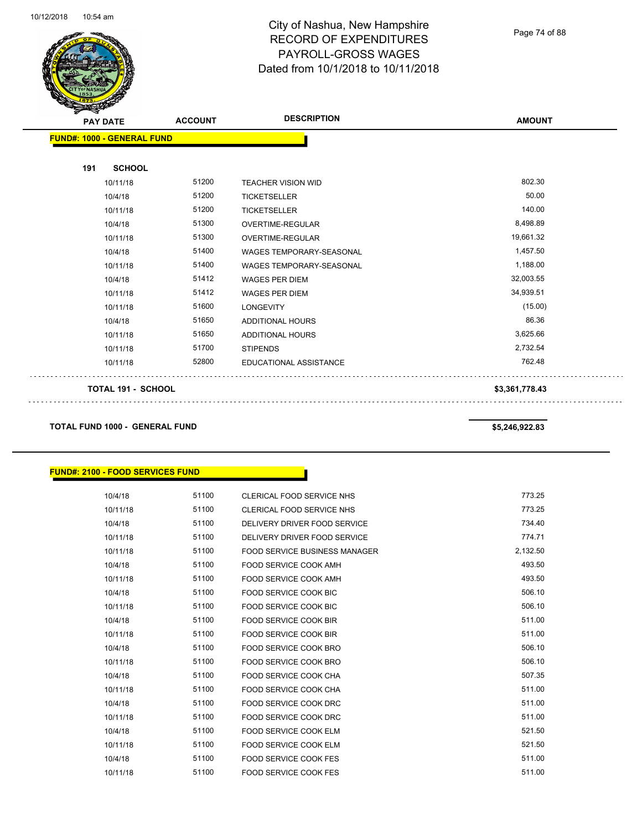

Page 74 of 88

| <b>FUND#: 1000 - GENERAL FUND</b><br><b>SCHOOL</b><br>191<br>802.30<br>51200<br>10/11/18<br><b>TEACHER VISION WID</b><br>50.00<br>51200<br>10/4/18<br><b>TICKETSELLER</b><br>140.00<br>51200<br><b>TICKETSELLER</b><br>10/11/18<br>8,498.89<br>51300<br>10/4/18<br><b>OVERTIME-REGULAR</b><br>51300<br>19,661.32<br>10/11/18<br>OVERTIME-REGULAR<br>51400<br>1,457.50<br>10/4/18<br><b>WAGES TEMPORARY-SEASONAL</b><br>51400<br>1,188.00<br>10/11/18<br><b>WAGES TEMPORARY-SEASONAL</b><br>32,003.55<br>10/4/18<br>51412<br><b>WAGES PER DIEM</b><br>51412<br>34,939.51<br>10/11/18<br><b>WAGES PER DIEM</b><br>(15.00)<br>51600<br>10/11/18<br><b>LONGEVITY</b><br>86.36<br>51650<br>10/4/18<br><b>ADDITIONAL HOURS</b> | <b>PAY DATE</b> | <b>DESCRIPTION</b><br><b>ACCOUNT</b> | <b>AMOUNT</b> |  |
|--------------------------------------------------------------------------------------------------------------------------------------------------------------------------------------------------------------------------------------------------------------------------------------------------------------------------------------------------------------------------------------------------------------------------------------------------------------------------------------------------------------------------------------------------------------------------------------------------------------------------------------------------------------------------------------------------------------------------|-----------------|--------------------------------------|---------------|--|
|                                                                                                                                                                                                                                                                                                                                                                                                                                                                                                                                                                                                                                                                                                                          |                 |                                      |               |  |
|                                                                                                                                                                                                                                                                                                                                                                                                                                                                                                                                                                                                                                                                                                                          |                 |                                      |               |  |
|                                                                                                                                                                                                                                                                                                                                                                                                                                                                                                                                                                                                                                                                                                                          |                 |                                      |               |  |
|                                                                                                                                                                                                                                                                                                                                                                                                                                                                                                                                                                                                                                                                                                                          |                 |                                      |               |  |
|                                                                                                                                                                                                                                                                                                                                                                                                                                                                                                                                                                                                                                                                                                                          |                 |                                      |               |  |
|                                                                                                                                                                                                                                                                                                                                                                                                                                                                                                                                                                                                                                                                                                                          |                 |                                      |               |  |
|                                                                                                                                                                                                                                                                                                                                                                                                                                                                                                                                                                                                                                                                                                                          |                 |                                      |               |  |
|                                                                                                                                                                                                                                                                                                                                                                                                                                                                                                                                                                                                                                                                                                                          |                 |                                      |               |  |
|                                                                                                                                                                                                                                                                                                                                                                                                                                                                                                                                                                                                                                                                                                                          |                 |                                      |               |  |
|                                                                                                                                                                                                                                                                                                                                                                                                                                                                                                                                                                                                                                                                                                                          |                 |                                      |               |  |
|                                                                                                                                                                                                                                                                                                                                                                                                                                                                                                                                                                                                                                                                                                                          |                 |                                      |               |  |
|                                                                                                                                                                                                                                                                                                                                                                                                                                                                                                                                                                                                                                                                                                                          |                 |                                      |               |  |
|                                                                                                                                                                                                                                                                                                                                                                                                                                                                                                                                                                                                                                                                                                                          |                 |                                      |               |  |
| 10/11/18                                                                                                                                                                                                                                                                                                                                                                                                                                                                                                                                                                                                                                                                                                                 |                 | 51650<br><b>ADDITIONAL HOURS</b>     | 3,625.66      |  |
| 51700<br>10/11/18<br><b>STIPENDS</b><br>2,732.54                                                                                                                                                                                                                                                                                                                                                                                                                                                                                                                                                                                                                                                                         |                 |                                      |               |  |
| 762.48<br>52800<br><b>EDUCATIONAL ASSISTANCE</b><br>10/11/18                                                                                                                                                                                                                                                                                                                                                                                                                                                                                                                                                                                                                                                             |                 |                                      |               |  |
| <b>TOTAL 191 - SCHOOL</b><br>\$3,361,778.43                                                                                                                                                                                                                                                                                                                                                                                                                                                                                                                                                                                                                                                                              |                 |                                      |               |  |

**TOTAL FUND 1000 - GENERAL FUND \$5,246,922.83** 

# **FUND#: 2100 - FOOD SERVICES FUND**

| 10/4/18  | 51100 | <b>CLERICAL FOOD SERVICE NHS</b>     | 773.25   |
|----------|-------|--------------------------------------|----------|
| 10/11/18 | 51100 | <b>CLERICAL FOOD SERVICE NHS</b>     | 773.25   |
| 10/4/18  | 51100 | DELIVERY DRIVER FOOD SERVICE         | 734.40   |
| 10/11/18 | 51100 | DELIVERY DRIVER FOOD SERVICE         | 774.71   |
| 10/11/18 | 51100 | <b>FOOD SERVICE BUSINESS MANAGER</b> | 2,132.50 |
| 10/4/18  | 51100 | <b>FOOD SERVICE COOK AMH</b>         | 493.50   |
| 10/11/18 | 51100 | <b>FOOD SERVICE COOK AMH</b>         | 493.50   |
| 10/4/18  | 51100 | <b>FOOD SERVICE COOK BIC</b>         | 506.10   |
| 10/11/18 | 51100 | <b>FOOD SERVICE COOK BIC</b>         | 506.10   |
| 10/4/18  | 51100 | <b>FOOD SERVICE COOK BIR</b>         | 511.00   |
| 10/11/18 | 51100 | FOOD SERVICE COOK BIR                | 511.00   |
| 10/4/18  | 51100 | <b>FOOD SERVICE COOK BRO</b>         | 506.10   |
| 10/11/18 | 51100 | <b>FOOD SERVICE COOK BRO</b>         | 506.10   |
| 10/4/18  | 51100 | <b>FOOD SERVICE COOK CHA</b>         | 507.35   |
| 10/11/18 | 51100 | <b>FOOD SERVICE COOK CHA</b>         | 511.00   |
| 10/4/18  | 51100 | FOOD SERVICE COOK DRC                | 511.00   |
| 10/11/18 | 51100 | <b>FOOD SERVICE COOK DRC</b>         | 511.00   |
| 10/4/18  | 51100 | <b>FOOD SERVICE COOK ELM</b>         | 521.50   |
| 10/11/18 | 51100 | <b>FOOD SERVICE COOK ELM</b>         | 521.50   |
| 10/4/18  | 51100 | <b>FOOD SERVICE COOK FES</b>         | 511.00   |
| 10/11/18 | 51100 | <b>FOOD SERVICE COOK FES</b>         | 511.00   |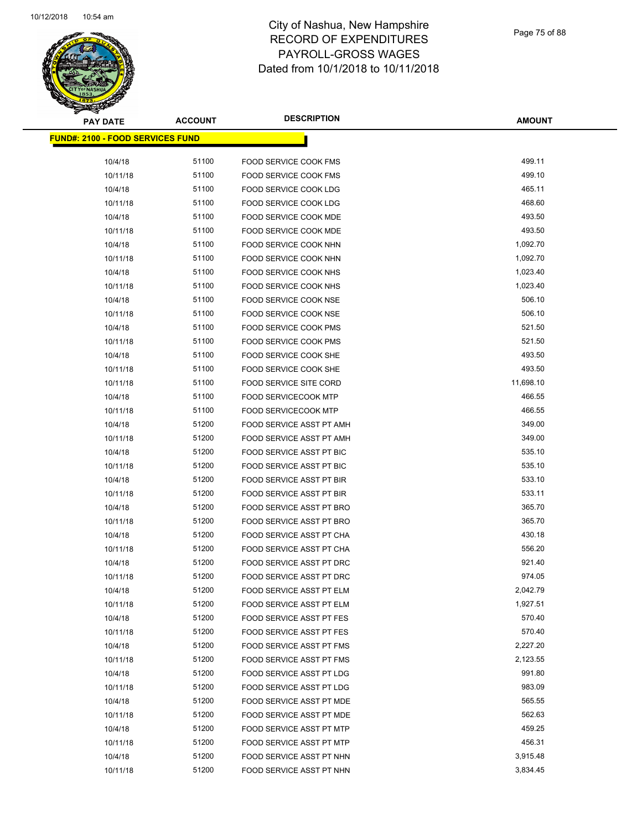

Page 75 of 88

| <b>PAY DATE</b>                         | <b>ACCOUNT</b> | <b>DESCRIPTION</b>           | <b>AMOUNT</b> |
|-----------------------------------------|----------------|------------------------------|---------------|
| <b>FUND#: 2100 - FOOD SERVICES FUND</b> |                |                              |               |
| 10/4/18                                 | 51100          | <b>FOOD SERVICE COOK FMS</b> | 499.11        |
| 10/11/18                                | 51100          | <b>FOOD SERVICE COOK FMS</b> | 499.10        |
| 10/4/18                                 | 51100          | FOOD SERVICE COOK LDG        | 465.11        |
| 10/11/18                                | 51100          | FOOD SERVICE COOK LDG        | 468.60        |
| 10/4/18                                 | 51100          | FOOD SERVICE COOK MDE        | 493.50        |
| 10/11/18                                | 51100          | FOOD SERVICE COOK MDE        | 493.50        |
| 10/4/18                                 | 51100          | FOOD SERVICE COOK NHN        | 1,092.70      |
| 10/11/18                                | 51100          | FOOD SERVICE COOK NHN        | 1,092.70      |
| 10/4/18                                 | 51100          | FOOD SERVICE COOK NHS        | 1,023.40      |
| 10/11/18                                | 51100          | FOOD SERVICE COOK NHS        | 1,023.40      |
| 10/4/18                                 | 51100          | FOOD SERVICE COOK NSE        | 506.10        |
| 10/11/18                                | 51100          | FOOD SERVICE COOK NSE        | 506.10        |
| 10/4/18                                 | 51100          | FOOD SERVICE COOK PMS        | 521.50        |
| 10/11/18                                | 51100          | FOOD SERVICE COOK PMS        | 521.50        |
| 10/4/18                                 | 51100          | FOOD SERVICE COOK SHE        | 493.50        |
| 10/11/18                                | 51100          | <b>FOOD SERVICE COOK SHE</b> | 493.50        |
| 10/11/18                                | 51100          | FOOD SERVICE SITE CORD       | 11,698.10     |
| 10/4/18                                 | 51100          | <b>FOOD SERVICECOOK MTP</b>  | 466.55        |
| 10/11/18                                | 51100          | <b>FOOD SERVICECOOK MTP</b>  | 466.55        |
| 10/4/18                                 | 51200          | FOOD SERVICE ASST PT AMH     | 349.00        |
| 10/11/18                                | 51200          | FOOD SERVICE ASST PT AMH     | 349.00        |
| 10/4/18                                 | 51200          | FOOD SERVICE ASST PT BIC     | 535.10        |
| 10/11/18                                | 51200          | FOOD SERVICE ASST PT BIC     | 535.10        |
| 10/4/18                                 | 51200          | FOOD SERVICE ASST PT BIR     | 533.10        |
| 10/11/18                                | 51200          | FOOD SERVICE ASST PT BIR     | 533.11        |
| 10/4/18                                 | 51200          | FOOD SERVICE ASST PT BRO     | 365.70        |
| 10/11/18                                | 51200          | FOOD SERVICE ASST PT BRO     | 365.70        |
| 10/4/18                                 | 51200          | FOOD SERVICE ASST PT CHA     | 430.18        |
| 10/11/18                                | 51200          | FOOD SERVICE ASST PT CHA     | 556.20        |
| 10/4/18                                 | 51200          | FOOD SERVICE ASST PT DRC     | 921.40        |
| 10/11/18                                | 51200          | FOOD SERVICE ASST PT DRC     | 974.05        |
| 10/4/18                                 | 51200          | FOOD SERVICE ASST PT ELM     | 2,042.79      |
| 10/11/18                                | 51200          | FOOD SERVICE ASST PT ELM     | 1,927.51      |
| 10/4/18                                 | 51200          | FOOD SERVICE ASST PT FES     | 570.40        |
| 10/11/18                                | 51200          | FOOD SERVICE ASST PT FES     | 570.40        |
| 10/4/18                                 | 51200          | FOOD SERVICE ASST PT FMS     | 2,227.20      |
| 10/11/18                                | 51200          | FOOD SERVICE ASST PT FMS     | 2,123.55      |
| 10/4/18                                 | 51200          | FOOD SERVICE ASST PT LDG     | 991.80        |
| 10/11/18                                | 51200          | FOOD SERVICE ASST PT LDG     | 983.09        |
| 10/4/18                                 | 51200          | FOOD SERVICE ASST PT MDE     | 565.55        |
| 10/11/18                                | 51200          | FOOD SERVICE ASST PT MDE     | 562.63        |
| 10/4/18                                 | 51200          | FOOD SERVICE ASST PT MTP     | 459.25        |
| 10/11/18                                | 51200          | FOOD SERVICE ASST PT MTP     | 456.31        |
| 10/4/18                                 | 51200          | FOOD SERVICE ASST PT NHN     | 3,915.48      |
| 10/11/18                                | 51200          | FOOD SERVICE ASST PT NHN     | 3,834.45      |
|                                         |                |                              |               |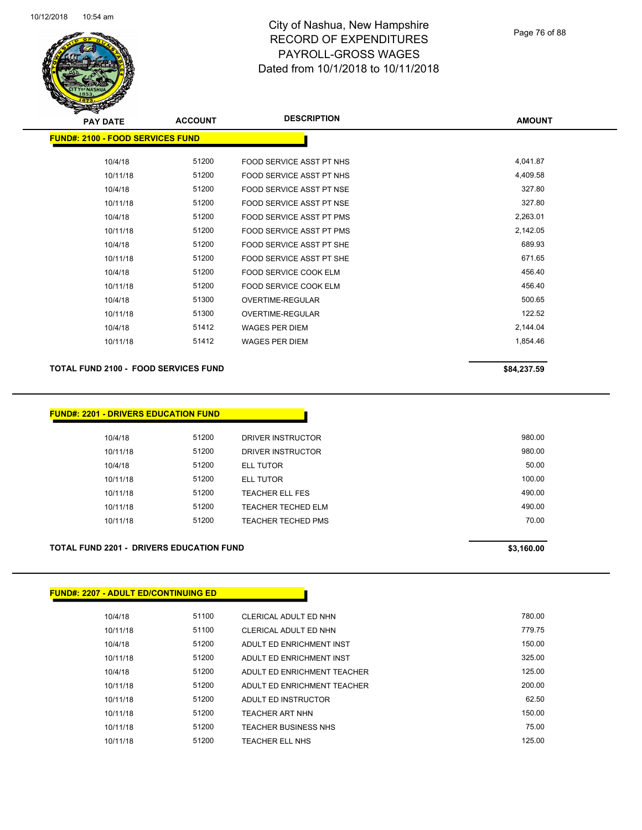

Page 76 of 88

| s<br>$\tilde{\phantom{a}}$              |                |                          |               |
|-----------------------------------------|----------------|--------------------------|---------------|
| <b>PAY DATE</b>                         | <b>ACCOUNT</b> | <b>DESCRIPTION</b>       | <b>AMOUNT</b> |
| <b>FUND#: 2100 - FOOD SERVICES FUND</b> |                |                          |               |
|                                         |                |                          |               |
| 10/4/18                                 | 51200          | FOOD SERVICE ASST PT NHS | 4,041.87      |
| 10/11/18                                | 51200          | FOOD SERVICE ASST PT NHS | 4,409.58      |
| 10/4/18                                 | 51200          | FOOD SERVICE ASST PT NSE | 327.80        |
| 10/11/18                                | 51200          | FOOD SERVICE ASST PT NSE | 327.80        |
| 10/4/18                                 | 51200          | FOOD SERVICE ASST PT PMS | 2,263.01      |
| 10/11/18                                | 51200          | FOOD SERVICE ASST PT PMS | 2,142.05      |
| 10/4/18                                 | 51200          | FOOD SERVICE ASST PT SHE | 689.93        |
| 10/11/18                                | 51200          | FOOD SERVICE ASST PT SHE | 671.65        |
| 10/4/18                                 | 51200          | FOOD SERVICE COOK ELM    | 456.40        |
| 10/11/18                                | 51200          | FOOD SERVICE COOK ELM    | 456.40        |
| 10/4/18                                 | 51300          | OVERTIME-REGULAR         | 500.65        |
| 10/11/18                                | 51300          | OVERTIME-REGULAR         | 122.52        |
| 10/4/18                                 | 51412          | <b>WAGES PER DIEM</b>    | 2,144.04      |
| 10/11/18                                | 51412          | <b>WAGES PER DIEM</b>    | 1,854.46      |
|                                         |                |                          |               |

#### TOTAL FUND 2100 - FOOD SERVICES FUND **\$84,237.59** \$84,237.59

| 10/4/18  | 51200 | DRIVER INSTRUCTOR  | 980.00 |
|----------|-------|--------------------|--------|
| 10/11/18 | 51200 | DRIVER INSTRUCTOR  | 980.00 |
| 10/4/18  | 51200 | <b>ELL TUTOR</b>   | 50.00  |
| 10/11/18 | 51200 | ELL TUTOR          | 100.00 |
| 10/11/18 | 51200 | TEACHER ELL FES    | 490.00 |
| 10/11/18 | 51200 | TEACHER TECHED ELM | 490.00 |
| 10/11/18 | 51200 | TEACHER TECHED PMS | 70.00  |
|          |       |                    |        |

#### **TOTAL FUND 2201 - DRIVERS EDUCATION FUND \$3,160.00**

#### **FUND#: 2207 - ADULT ED/CONTINUING ED**

| 10/4/18  | 51100 | CLERICAL ADULT ED NHN       | 780.00 |
|----------|-------|-----------------------------|--------|
| 10/11/18 | 51100 | CLERICAL ADULT ED NHN       | 779.75 |
| 10/4/18  | 51200 | ADULT ED ENRICHMENT INST    | 150.00 |
| 10/11/18 | 51200 | ADULT ED ENRICHMENT INST    | 325.00 |
| 10/4/18  | 51200 | ADULT ED ENRICHMENT TEACHER | 125.00 |
| 10/11/18 | 51200 | ADULT ED ENRICHMENT TEACHER | 200.00 |
| 10/11/18 | 51200 | ADULT ED INSTRUCTOR         | 62.50  |
| 10/11/18 | 51200 | <b>TEACHER ART NHN</b>      | 150.00 |
| 10/11/18 | 51200 | <b>TEACHER BUSINESS NHS</b> | 75.00  |
| 10/11/18 | 51200 | TEACHER ELL NHS             | 125.00 |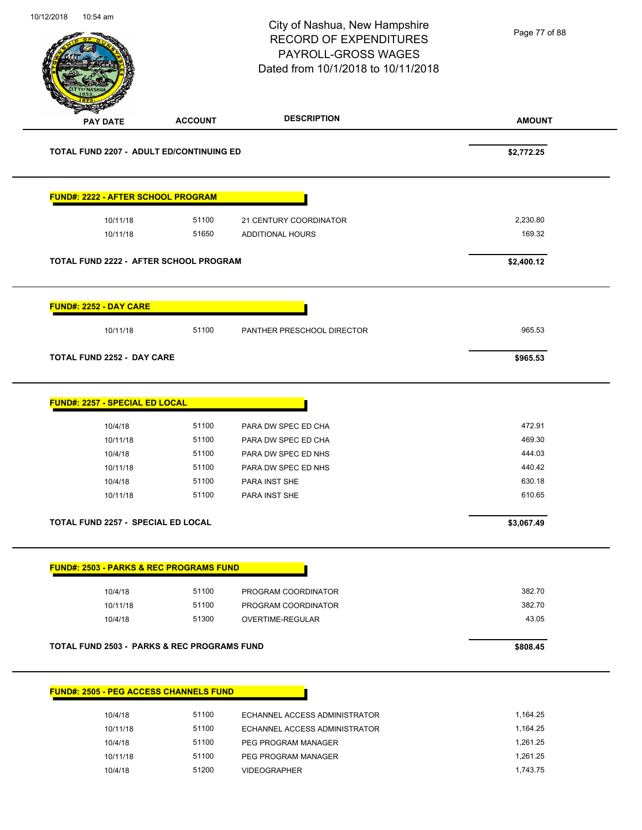Page 77 of 88

| <b>PAY DATE</b>                                                                                                     | <b>ACCOUNT</b> | <b>DESCRIPTION</b>            | <b>AMOUNT</b> |
|---------------------------------------------------------------------------------------------------------------------|----------------|-------------------------------|---------------|
| <b>TOTAL FUND 2207 - ADULT ED/CONTINUING ED</b>                                                                     |                |                               | \$2,772.25    |
| <b>FUND#: 2222 - AFTER SCHOOL PROGRAM</b>                                                                           |                |                               |               |
| 10/11/18                                                                                                            | 51100          | 21 CENTURY COORDINATOR        | 2,230.80      |
| 10/11/18                                                                                                            | 51650          | ADDITIONAL HOURS              | 169.32        |
| TOTAL FUND 2222 - AFTER SCHOOL PROGRAM                                                                              |                |                               | \$2,400.12    |
| <b>FUND#: 2252 - DAY CARE</b>                                                                                       |                |                               |               |
| 10/11/18                                                                                                            | 51100          | PANTHER PRESCHOOL DIRECTOR    | 965.53        |
| <b>TOTAL FUND 2252 - DAY CARE</b>                                                                                   |                |                               | \$965.53      |
| <b>FUND#: 2257 - SPECIAL ED LOCAL</b>                                                                               |                |                               |               |
| 10/4/18                                                                                                             | 51100          | PARA DW SPEC ED CHA           | 472.91        |
| 10/11/18                                                                                                            | 51100          | PARA DW SPEC ED CHA           | 469.30        |
| 10/4/18                                                                                                             | 51100          | PARA DW SPEC ED NHS           | 444.03        |
| 10/11/18                                                                                                            | 51100          | PARA DW SPEC ED NHS           | 440.42        |
| 10/4/18                                                                                                             | 51100          | PARA INST SHE                 | 630.18        |
| 10/11/18                                                                                                            | 51100          | PARA INST SHE                 | 610.65        |
| <b>TOTAL FUND 2257 - SPECIAL ED LOCAL</b>                                                                           |                |                               | \$3,067.49    |
| <b>FUND#: 2503 - PARKS &amp; REC PROGRAMS FUND</b>                                                                  |                |                               |               |
| 10/4/18                                                                                                             | 51100          | PROGRAM COORDINATOR           | 382.70        |
|                                                                                                                     | 51100          | PROGRAM COORDINATOR           | 382.70        |
| 10/11/18                                                                                                            |                |                               |               |
| 10/4/18                                                                                                             | 51300          | OVERTIME-REGULAR              | 43.05         |
|                                                                                                                     |                |                               | \$808.45      |
|                                                                                                                     |                |                               |               |
| 10/4/18                                                                                                             | 51100          | ECHANNEL ACCESS ADMINISTRATOR | 1,164.25      |
| <b>TOTAL FUND 2503 - PARKS &amp; REC PROGRAMS FUND</b><br><b>FUND#: 2505 - PEG ACCESS CHANNELS FUND</b><br>10/11/18 | 51100          | ECHANNEL ACCESS ADMINISTRATOR | 1,164.25      |
| 10/4/18                                                                                                             | 51100          | PEG PROGRAM MANAGER           | 1,261.25      |
| 10/11/18                                                                                                            | 51100          | PEG PROGRAM MANAGER           | 1,261.25      |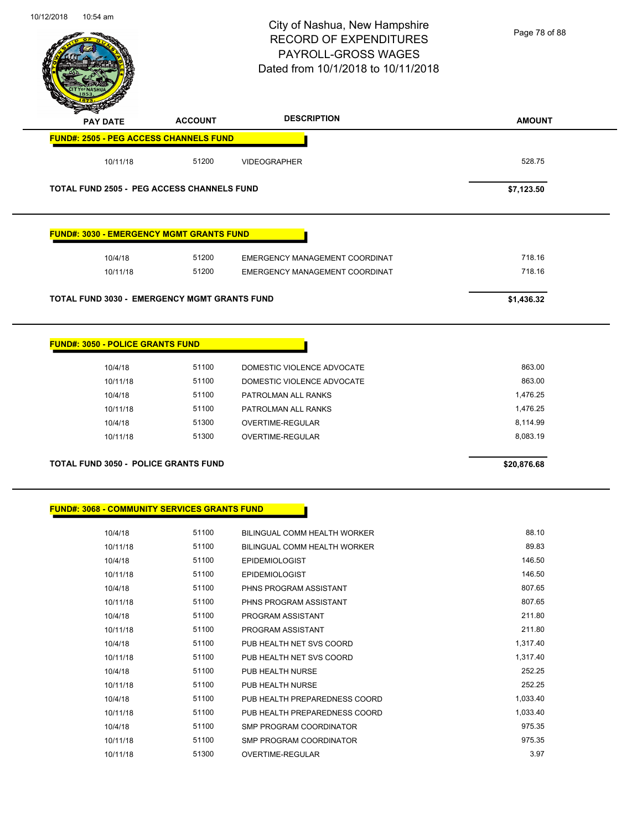

Page 78 of 88

| <b>PAY DATE</b>                                     | <b>ACCOUNT</b> | <b>DESCRIPTION</b>             | <b>AMOUNT</b> |
|-----------------------------------------------------|----------------|--------------------------------|---------------|
| <b>FUND#: 2505 - PEG ACCESS CHANNELS FUND</b>       |                |                                |               |
| 10/11/18                                            | 51200          | <b>VIDEOGRAPHER</b>            | 528.75        |
| <b>TOTAL FUND 2505 - PEG ACCESS CHANNELS FUND</b>   |                |                                | \$7,123.50    |
| <b>FUND#: 3030 - EMERGENCY MGMT GRANTS FUND</b>     |                |                                |               |
| 10/4/18                                             | 51200          | EMERGENCY MANAGEMENT COORDINAT | 718.16        |
| 10/11/18                                            | 51200          | EMERGENCY MANAGEMENT COORDINAT | 718.16        |
| TOTAL FUND 3030 - EMERGENCY MGMT GRANTS FUND        |                |                                | \$1,436.32    |
| <b>FUND#: 3050 - POLICE GRANTS FUND</b>             |                |                                |               |
| 10/4/18                                             | 51100          | DOMESTIC VIOLENCE ADVOCATE     | 863.00        |
| 10/11/18                                            | 51100          | DOMESTIC VIOLENCE ADVOCATE     | 863.00        |
| 10/4/18                                             | 51100          | PATROLMAN ALL RANKS            | 1,476.25      |
| 10/11/18                                            | 51100          | PATROLMAN ALL RANKS            | 1,476.25      |
| 10/4/18                                             | 51300          | OVERTIME-REGULAR               | 8,114.99      |
| 10/11/18                                            | 51300          | OVERTIME-REGULAR               | 8,083.19      |
| <b>TOTAL FUND 3050 - POLICE GRANTS FUND</b>         |                |                                | \$20,876.68   |
| <b>FUND#: 3068 - COMMUNITY SERVICES GRANTS FUND</b> |                |                                |               |
| 10/4/18                                             | 51100          | BILINGUAL COMM HEALTH WORKER   | 88.10         |
| 10/11/18                                            | 51100          | BILINGUAL COMM HEALTH WORKER   | 89.83         |
| 10/4/18                                             | 51100          | <b>EPIDEMIOLOGIST</b>          | 146.50        |
| 10/11/18                                            | 51100          | <b>EPIDEMIOLOGIST</b>          | 146.50        |
| 10/4/18                                             | 51100          | PHNS PROGRAM ASSISTANT         | 807.65        |
| 10/11/18                                            | 51100          | PHNS PROGRAM ASSISTANT         | 807.65        |
| 10/4/18                                             | 51100          | PROGRAM ASSISTANT              | 211.80        |
| 10/11/18                                            | 51100          | PROGRAM ASSISTANT              | 211.80        |
| 10/4/18                                             | 51100          | PUB HEALTH NET SVS COORD       | 1,317.40      |
| 10/11/18                                            | 51100          | PUB HEALTH NET SVS COORD       | 1,317.40      |
| 10/4/18                                             | 51100          | PUB HEALTH NURSE               | 252.25        |
| 10/11/18                                            | 51100          | PUB HEALTH NURSE               | 252.25        |
| 10/4/18                                             | 51100          | PUB HEALTH PREPAREDNESS COORD  | 1,033.40      |
| 10/11/18                                            | 51100          | PUB HEALTH PREPAREDNESS COORD  | 1,033.40      |
|                                                     |                |                                |               |
| 10/4/18                                             | 51100          | SMP PROGRAM COORDINATOR        | 975.35        |
| 10/11/18                                            | 51100          | SMP PROGRAM COORDINATOR        | 975.35        |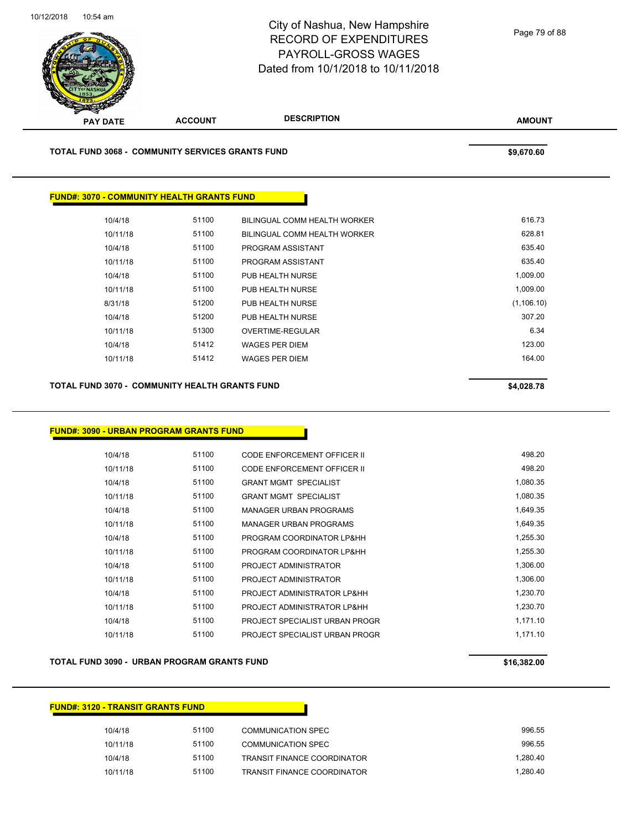

**AMOUNT PAY DATE ACCOUNT DESCRIPTION TOTAL FUND 3068 - COMMUNITY SERVICES GRANTS FUND \$9,670.60 FUND#: 3070 - COMMUNITY HEALTH GRANTS FUND** 10/4/18 51100 BILINGUAL COMM HEALTH WORKER 616.73 10/11/18 51100 BILINGUAL COMM HEALTH WORKER 628.81

| 8/31/18  | 51200 | PUB HEALTH NURSE | (1, 106.10) |
|----------|-------|------------------|-------------|
| 10/4/18  | 51200 | PUB HEALTH NURSE | 307.20      |
| 10/11/18 | 51300 | OVERTIME-REGULAR | 6.34        |
| 10/4/18  | 51412 | WAGES PER DIEM   | 123.00      |
| 10/11/18 | 51412 | WAGES PER DIEM   | 164.00      |
|          |       |                  |             |
|          |       |                  |             |

10/4/18 51100 PROGRAM ASSISTANT 635.40 10/11/18 51100 PROGRAM ASSISTANT 635.40 10/4/18 51100 PUB HEALTH NURSE 1,009.00 10/11/18 51100 PUB HEALTH NURSE 1,009.00

#### **TOTAL FUND 3070 - COMMUNITY HEALTH GRANTS FUND \$4,028.78**

#### **FUND#: 3090 - URBAN PROGRAM GRANTS FUND**

| 10/4/18  | 51100 | CODE ENFORCEMENT OFFICER II    | 498.20   |
|----------|-------|--------------------------------|----------|
| 10/11/18 | 51100 | CODE ENFORCEMENT OFFICER II    | 498.20   |
| 10/4/18  | 51100 | <b>GRANT MGMT SPECIALIST</b>   | 1,080.35 |
| 10/11/18 | 51100 | <b>GRANT MGMT SPECIALIST</b>   | 1,080.35 |
| 10/4/18  | 51100 | MANAGER URBAN PROGRAMS         | 1.649.35 |
| 10/11/18 | 51100 | <b>MANAGER URBAN PROGRAMS</b>  | 1,649.35 |
| 10/4/18  | 51100 | PROGRAM COORDINATOR LP&HH      | 1.255.30 |
| 10/11/18 | 51100 | PROGRAM COORDINATOR LP&HH      | 1,255.30 |
| 10/4/18  | 51100 | PROJECT ADMINISTRATOR          | 1,306.00 |
| 10/11/18 | 51100 | PROJECT ADMINISTRATOR          | 1,306.00 |
| 10/4/18  | 51100 | PROJECT ADMINISTRATOR LP&HH    | 1,230.70 |
| 10/11/18 | 51100 | PROJECT ADMINISTRATOR LP&HH    | 1,230.70 |
| 10/4/18  | 51100 | PROJECT SPECIALIST URBAN PROGR | 1,171.10 |
| 10/11/18 | 51100 | PROJECT SPECIALIST URBAN PROGR | 1,171.10 |
|          |       |                                |          |

#### **TOTAL FUND 3090 - URBAN PROGRAM GRANTS FUND \$16,382.00**

# **FUND#: 3120 - TRANSIT GRANTS FUND** 10/4/18 51100 COMMUNICATION SPEC 996.55 10/11/18 51100 COMMUNICATION SPEC 996.55 10/4/18 51100 TRANSIT FINANCE COORDINATOR 1,280.40 10/11/18 51100 TRANSIT FINANCE COORDINATOR 1,280.40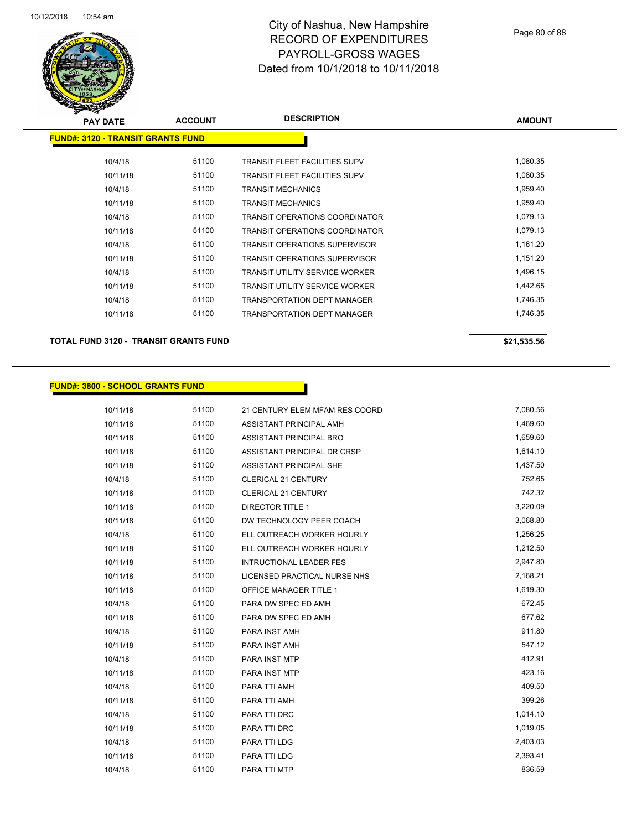

| <b>PAY DATE</b>                          | <b>ACCOUNT</b> | <b>DESCRIPTION</b>                    | <b>AMOUNT</b> |
|------------------------------------------|----------------|---------------------------------------|---------------|
| <b>FUND#: 3120 - TRANSIT GRANTS FUND</b> |                |                                       |               |
|                                          |                |                                       |               |
| 10/4/18                                  | 51100          | <b>TRANSIT FLEET FACILITIES SUPV</b>  | 1,080.35      |
| 10/11/18                                 | 51100          | <b>TRANSIT FLEET FACILITIES SUPV</b>  | 1,080.35      |
| 10/4/18                                  | 51100          | <b>TRANSIT MECHANICS</b>              | 1,959.40      |
| 10/11/18                                 | 51100          | <b>TRANSIT MECHANICS</b>              | 1,959.40      |
| 10/4/18                                  | 51100          | <b>TRANSIT OPERATIONS COORDINATOR</b> | 1,079.13      |
| 10/11/18                                 | 51100          | <b>TRANSIT OPERATIONS COORDINATOR</b> | 1,079.13      |
| 10/4/18                                  | 51100          | <b>TRANSIT OPERATIONS SUPERVISOR</b>  | 1,161.20      |
| 10/11/18                                 | 51100          | <b>TRANSIT OPERATIONS SUPERVISOR</b>  | 1,151.20      |
| 10/4/18                                  | 51100          | <b>TRANSIT UTILITY SERVICE WORKER</b> | 1,496.15      |
| 10/11/18                                 | 51100          | <b>TRANSIT UTILITY SERVICE WORKER</b> | 1,442.65      |
| 10/4/18                                  | 51100          | <b>TRANSPORTATION DEPT MANAGER</b>    | 1,746.35      |
| 10/11/18                                 | 51100          | <b>TRANSPORTATION DEPT MANAGER</b>    | 1,746.35      |
|                                          |                |                                       |               |

#### **TOTAL FUND 3120 - TRANSIT GRANTS FUND \$21,535.56**

#### **FUND#: 3800 - SCHOOL GRANTS FUND**

| 10/11/18 | 51100 | 21 CENTURY ELEM MFAM RES COORD | 7,080.56 |
|----------|-------|--------------------------------|----------|
| 10/11/18 | 51100 | ASSISTANT PRINCIPAL AMH        | 1,469.60 |
| 10/11/18 | 51100 | ASSISTANT PRINCIPAL BRO        | 1,659.60 |
| 10/11/18 | 51100 | ASSISTANT PRINCIPAL DR CRSP    | 1,614.10 |
| 10/11/18 | 51100 | ASSISTANT PRINCIPAL SHE        | 1,437.50 |
| 10/4/18  | 51100 | <b>CLERICAL 21 CENTURY</b>     | 752.65   |
| 10/11/18 | 51100 | <b>CLERICAL 21 CENTURY</b>     | 742.32   |
| 10/11/18 | 51100 | <b>DIRECTOR TITLE 1</b>        | 3,220.09 |
| 10/11/18 | 51100 | DW TECHNOLOGY PEER COACH       | 3,068.80 |
| 10/4/18  | 51100 | ELL OUTREACH WORKER HOURLY     | 1,256.25 |
| 10/11/18 | 51100 | ELL OUTREACH WORKER HOURLY     | 1,212.50 |
| 10/11/18 | 51100 | <b>INTRUCTIONAL LEADER FES</b> | 2,947.80 |
| 10/11/18 | 51100 | LICENSED PRACTICAL NURSE NHS   | 2,168.21 |
| 10/11/18 | 51100 | OFFICE MANAGER TITLE 1         | 1,619.30 |
| 10/4/18  | 51100 | PARA DW SPEC ED AMH            | 672.45   |
| 10/11/18 | 51100 | PARA DW SPEC ED AMH            | 677.62   |
| 10/4/18  | 51100 | PARA INST AMH                  | 911.80   |
| 10/11/18 | 51100 | PARA INST AMH                  | 547.12   |
| 10/4/18  | 51100 | PARA INST MTP                  | 412.91   |
| 10/11/18 | 51100 | <b>PARA INST MTP</b>           | 423.16   |
| 10/4/18  | 51100 | PARA TTI AMH                   | 409.50   |
| 10/11/18 | 51100 | PARA TTI AMH                   | 399.26   |
| 10/4/18  | 51100 | PARA TTI DRC                   | 1,014.10 |
| 10/11/18 | 51100 | PARA TTI DRC                   | 1,019.05 |
| 10/4/18  | 51100 | PARA TTI LDG                   | 2,403.03 |
| 10/11/18 | 51100 | PARA TTI LDG                   | 2,393.41 |
| 10/4/18  | 51100 | PARA TTI MTP                   | 836.59   |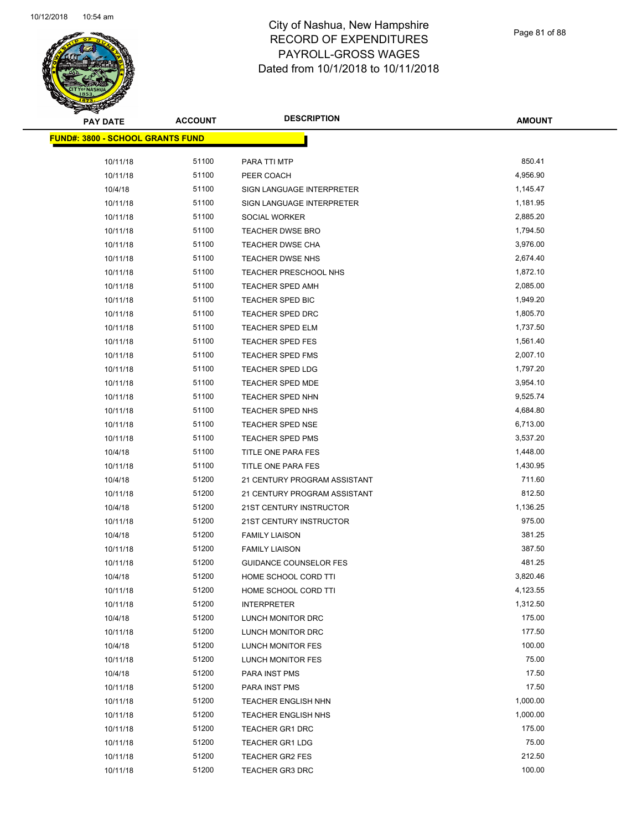

Page 81 of 88

| <b>PAY DATE</b>                  | <b>ACCOUNT</b> | <b>DESCRIPTION</b>            | <b>AMOUNT</b> |
|----------------------------------|----------------|-------------------------------|---------------|
| FUND#: 3800 - SCHOOL GRANTS FUND |                |                               |               |
| 10/11/18                         | 51100          | PARA TTI MTP                  | 850.41        |
| 10/11/18                         | 51100          | PEER COACH                    | 4,956.90      |
| 10/4/18                          | 51100          | SIGN LANGUAGE INTERPRETER     | 1,145.47      |
| 10/11/18                         | 51100          | SIGN LANGUAGE INTERPRETER     | 1,181.95      |
| 10/11/18                         | 51100          | SOCIAL WORKER                 | 2,885.20      |
| 10/11/18                         | 51100          | <b>TEACHER DWSE BRO</b>       | 1,794.50      |
| 10/11/18                         | 51100          | TEACHER DWSE CHA              | 3,976.00      |
| 10/11/18                         | 51100          | TEACHER DWSE NHS              | 2,674.40      |
| 10/11/18                         | 51100          | TEACHER PRESCHOOL NHS         | 1,872.10      |
| 10/11/18                         | 51100          | <b>TEACHER SPED AMH</b>       | 2,085.00      |
| 10/11/18                         | 51100          | TEACHER SPED BIC              | 1,949.20      |
| 10/11/18                         | 51100          | <b>TEACHER SPED DRC</b>       | 1,805.70      |
| 10/11/18                         | 51100          | TEACHER SPED ELM              | 1,737.50      |
| 10/11/18                         | 51100          | TEACHER SPED FES              | 1,561.40      |
| 10/11/18                         | 51100          | <b>TEACHER SPED FMS</b>       | 2,007.10      |
| 10/11/18                         | 51100          | <b>TEACHER SPED LDG</b>       | 1,797.20      |
| 10/11/18                         | 51100          | <b>TEACHER SPED MDE</b>       | 3,954.10      |
| 10/11/18                         | 51100          | TEACHER SPED NHN              | 9,525.74      |
| 10/11/18                         | 51100          | TEACHER SPED NHS              | 4,684.80      |
| 10/11/18                         | 51100          | <b>TEACHER SPED NSE</b>       | 6,713.00      |
| 10/11/18                         | 51100          | <b>TEACHER SPED PMS</b>       | 3,537.20      |
| 10/4/18                          | 51100          | TITLE ONE PARA FES            | 1,448.00      |
| 10/11/18                         | 51100          | TITLE ONE PARA FES            | 1,430.95      |
| 10/4/18                          | 51200          | 21 CENTURY PROGRAM ASSISTANT  | 711.60        |
| 10/11/18                         | 51200          | 21 CENTURY PROGRAM ASSISTANT  | 812.50        |
| 10/4/18                          | 51200          | 21ST CENTURY INSTRUCTOR       | 1,136.25      |
| 10/11/18                         | 51200          | 21ST CENTURY INSTRUCTOR       | 975.00        |
| 10/4/18                          | 51200          | <b>FAMILY LIAISON</b>         | 381.25        |
| 10/11/18                         | 51200          | <b>FAMILY LIAISON</b>         | 387.50        |
| 10/11/18                         | 51200          | <b>GUIDANCE COUNSELOR FES</b> | 481.25        |
| 10/4/18                          | 51200          | HOME SCHOOL CORD TTI          | 3,820.46      |
| 10/11/18                         | 51200          | HOME SCHOOL CORD TTI          | 4,123.55      |
| 10/11/18                         | 51200          | <b>INTERPRETER</b>            | 1,312.50      |
| 10/4/18                          | 51200          | LUNCH MONITOR DRC             | 175.00        |
| 10/11/18                         | 51200          | LUNCH MONITOR DRC             | 177.50        |
| 10/4/18                          | 51200          | LUNCH MONITOR FES             | 100.00        |
| 10/11/18                         | 51200          | <b>LUNCH MONITOR FES</b>      | 75.00         |
| 10/4/18                          | 51200          | PARA INST PMS                 | 17.50         |
| 10/11/18                         | 51200          | PARA INST PMS                 | 17.50         |
| 10/11/18                         | 51200          | <b>TEACHER ENGLISH NHN</b>    | 1,000.00      |
| 10/11/18                         | 51200          | <b>TEACHER ENGLISH NHS</b>    | 1,000.00      |
| 10/11/18                         | 51200          | TEACHER GR1 DRC               | 175.00        |
| 10/11/18                         | 51200          | <b>TEACHER GR1 LDG</b>        | 75.00         |
| 10/11/18                         | 51200          | <b>TEACHER GR2 FES</b>        | 212.50        |
| 10/11/18                         | 51200          | <b>TEACHER GR3 DRC</b>        | 100.00        |
|                                  |                |                               |               |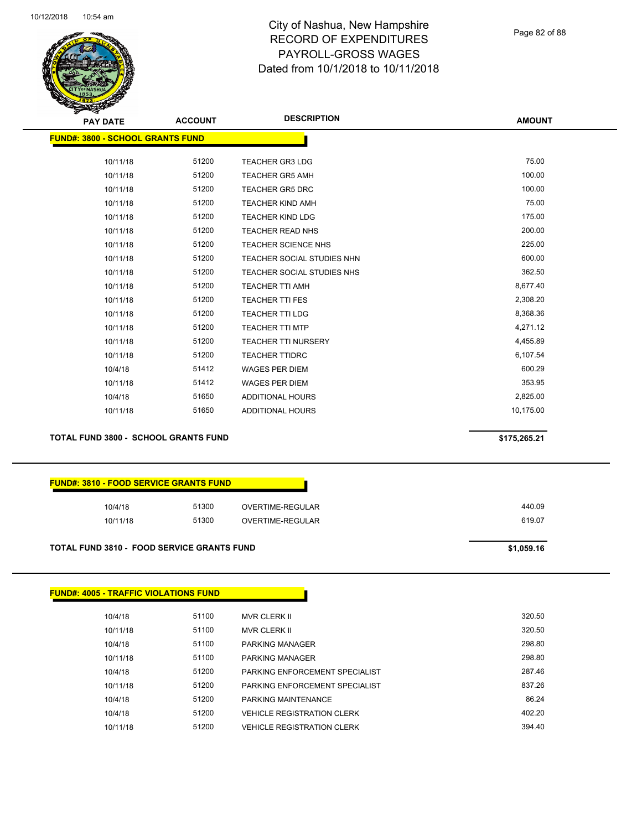

Page 82 of 88

| <b>PAY DATE</b>                         | <b>ACCOUNT</b> | <b>DESCRIPTION</b>         | <b>AMOUNT</b> |
|-----------------------------------------|----------------|----------------------------|---------------|
| <b>FUND#: 3800 - SCHOOL GRANTS FUND</b> |                |                            |               |
|                                         |                |                            |               |
| 10/11/18                                | 51200          | <b>TEACHER GR3 LDG</b>     | 75.00         |
| 10/11/18                                | 51200          | <b>TEACHER GR5 AMH</b>     | 100.00        |
| 10/11/18                                | 51200          | <b>TEACHER GR5 DRC</b>     | 100.00        |
| 10/11/18                                | 51200          | <b>TEACHER KIND AMH</b>    | 75.00         |
| 10/11/18                                | 51200          | <b>TEACHER KIND LDG</b>    | 175.00        |
| 10/11/18                                | 51200          | <b>TEACHER READ NHS</b>    | 200.00        |
| 10/11/18                                | 51200          | TEACHER SCIENCE NHS        | 225.00        |
| 10/11/18                                | 51200          | TEACHER SOCIAL STUDIES NHN | 600.00        |
| 10/11/18                                | 51200          | TEACHER SOCIAL STUDIES NHS | 362.50        |
| 10/11/18                                | 51200          | <b>TEACHER TTI AMH</b>     | 8,677.40      |
| 10/11/18                                | 51200          | <b>TEACHER TTI FES</b>     | 2,308.20      |
| 10/11/18                                | 51200          | <b>TEACHER TTI LDG</b>     | 8,368.36      |
| 10/11/18                                | 51200          | <b>TEACHER TTI MTP</b>     | 4,271.12      |
| 10/11/18                                | 51200          | <b>TEACHER TTI NURSERY</b> | 4,455.89      |
| 10/11/18                                | 51200          | <b>TEACHER TTIDRC</b>      | 6,107.54      |
| 10/4/18                                 | 51412          | <b>WAGES PER DIEM</b>      | 600.29        |
| 10/11/18                                | 51412          | <b>WAGES PER DIEM</b>      | 353.95        |
| 10/4/18                                 | 51650          | <b>ADDITIONAL HOURS</b>    | 2,825.00      |
| 10/11/18                                | 51650          | ADDITIONAL HOURS           | 10,175.00     |
|                                         |                |                            |               |

**TOTAL FUND 3800 - SCHOOL GRANTS FUND \$175,265.21** 

| <b>FUND#: 3810 - FOOD SERVICE GRANTS FUND</b> |       |                  |
|-----------------------------------------------|-------|------------------|
| 10/4/18                                       | 51300 | OVERTIME-REGULAR |
| 10/11/18                                      | 51300 | OVERTIME-REGULAR |

#### **TOTAL FUND 3810 - FOOD SERVICE GRANTS FUND \$1,059.16**

| <b>FUND#: 4005 - TRAFFIC VIOLATIONS FUND</b> |       |                                   |        |
|----------------------------------------------|-------|-----------------------------------|--------|
|                                              |       |                                   |        |
| 10/4/18                                      | 51100 | <b>MVR CLERK II</b>               | 320.50 |
| 10/11/18                                     | 51100 | <b>MVR CLERK II</b>               | 320.50 |
| 10/4/18                                      | 51100 | <b>PARKING MANAGER</b>            | 298.80 |
| 10/11/18                                     | 51100 | <b>PARKING MANAGER</b>            | 298.80 |
| 10/4/18                                      | 51200 | PARKING ENFORCEMENT SPECIALIST    | 287.46 |
| 10/11/18                                     | 51200 | PARKING ENFORCEMENT SPECIALIST    | 837.26 |
| 10/4/18                                      | 51200 | PARKING MAINTENANCE               | 86.24  |
| 10/4/18                                      | 51200 | <b>VEHICLE REGISTRATION CLERK</b> | 402.20 |
| 10/11/18                                     | 51200 | <b>VEHICLE REGISTRATION CLERK</b> | 394.40 |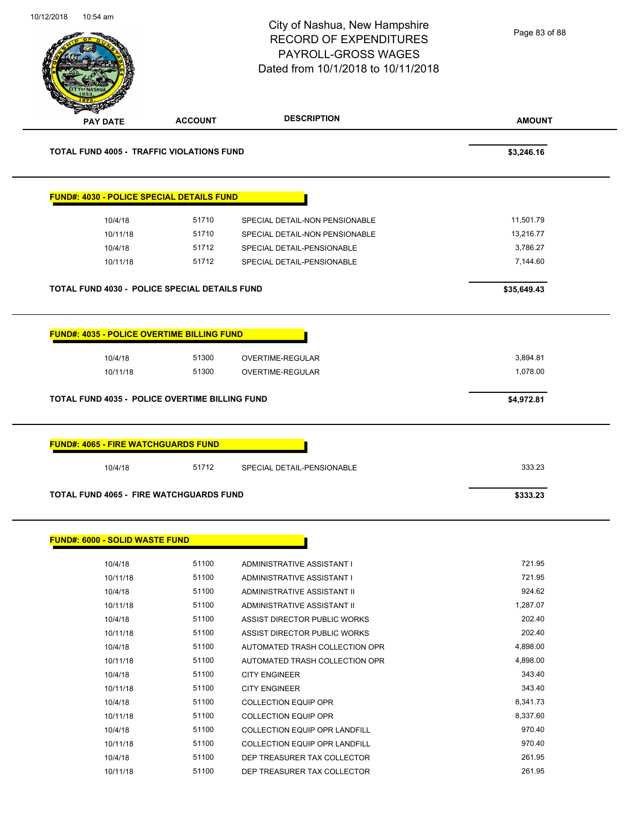**AMOUNT** City of Nashua, New Hampshire RECORD OF EXPENDITURES PAYROLL-GROSS WAGES Dated from 10/1/2018 to 10/11/2018 **PAY DATE ACCOUNT DESCRIPTION** 10/12/2018 10:54 am **TOTAL FUND 4005 - TRAFFIC VIOLATIONS FUND \$3,246.16 FUND#: 4030 - POLICE SPECIAL DETAILS FUND** 10/4/18 51710 SPECIAL DETAIL-NON PENSIONABLE 11,501.79 10/11/18 51710 SPECIAL DETAIL-NON PENSIONABLE 13,216.77 10/4/18 51712 SPECIAL DETAIL-PENSIONABLE 3,786.27 10/11/18 51712 SPECIAL DETAIL-PENSIONABLE 7,144.60 **TOTAL FUND 4030 - POLICE SPECIAL DETAILS FUND \$35,649.43 FUND#: 4035 - POLICE OVERTIME BILLING FUND** 10/4/18 51300 OVERTIME-REGULAR 3,894.81 10/11/18 51300 OVERTIME-REGULAR 1.078.00 1.078.00 **TOTAL FUND 4035 - POLICE OVERTIME BILLING FUND \$4,972.81 FUND#: 4065 - FIRE WATCHGUARDS FUND** 10/4/18 51712 SPECIAL DETAIL-PENSIONABLE 333.23 **TOTAL FUND 4065 - FIRE WATCHGUARDS FUND \$333.23 FUND#: 6000 - SOLID WASTE FUND** Page 83 of 88

| 10/4/18  | 51100 | ADMINISTRATIVE ASSISTANT I           | 721.95   |
|----------|-------|--------------------------------------|----------|
| 10/11/18 | 51100 | ADMINISTRATIVE ASSISTANT I           | 721.95   |
| 10/4/18  | 51100 | ADMINISTRATIVE ASSISTANT II          | 924.62   |
| 10/11/18 | 51100 | ADMINISTRATIVE ASSISTANT II          | 1,287.07 |
| 10/4/18  | 51100 | ASSIST DIRECTOR PUBLIC WORKS         | 202.40   |
| 10/11/18 | 51100 | ASSIST DIRECTOR PUBLIC WORKS         | 202.40   |
| 10/4/18  | 51100 | AUTOMATED TRASH COLLECTION OPR       | 4,898.00 |
| 10/11/18 | 51100 | AUTOMATED TRASH COLLECTION OPR       | 4,898.00 |
| 10/4/18  | 51100 | <b>CITY ENGINEER</b>                 | 343.40   |
| 10/11/18 | 51100 | <b>CITY ENGINEER</b>                 | 343.40   |
| 10/4/18  | 51100 | <b>COLLECTION EQUIP OPR</b>          | 8.341.73 |
| 10/11/18 | 51100 | <b>COLLECTION EQUIP OPR</b>          | 8,337.60 |
| 10/4/18  | 51100 | <b>COLLECTION EQUIP OPR LANDFILL</b> | 970.40   |
| 10/11/18 | 51100 | <b>COLLECTION EQUIP OPR LANDFILL</b> | 970.40   |
| 10/4/18  | 51100 | DEP TREASURER TAX COLLECTOR          | 261.95   |
| 10/11/18 | 51100 | DEP TREASURER TAX COLLECTOR          | 261.95   |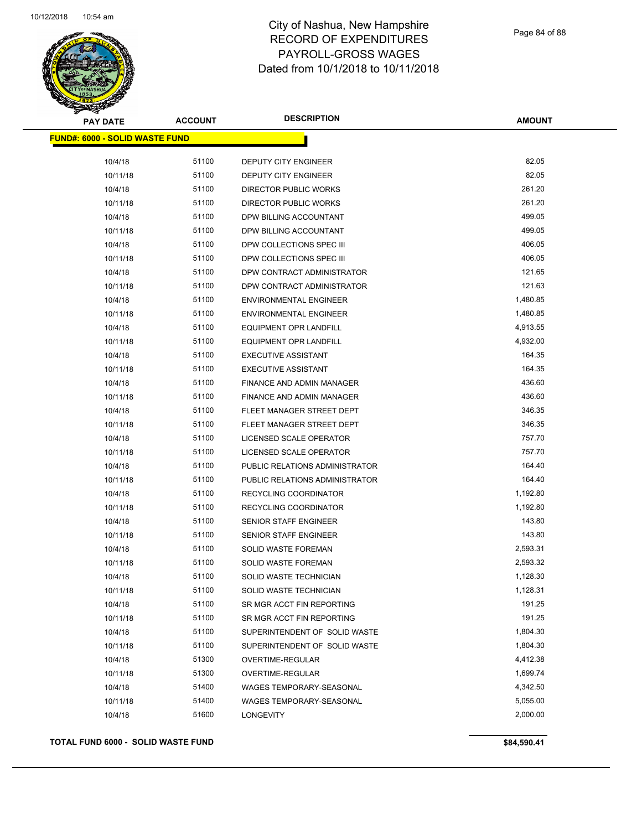

Page 84 of 88

| <b>PAY DATE</b>                       | <b>ACCOUNT</b> | <b>DESCRIPTION</b>             | AMOUNT   |
|---------------------------------------|----------------|--------------------------------|----------|
| <b>FUND#: 6000 - SOLID WASTE FUND</b> |                |                                |          |
| 10/4/18                               | 51100          | DEPUTY CITY ENGINEER           | 82.05    |
| 10/11/18                              | 51100          | DEPUTY CITY ENGINEER           | 82.05    |
| 10/4/18                               | 51100          | DIRECTOR PUBLIC WORKS          | 261.20   |
| 10/11/18                              | 51100          | <b>DIRECTOR PUBLIC WORKS</b>   | 261.20   |
| 10/4/18                               | 51100          | DPW BILLING ACCOUNTANT         | 499.05   |
| 10/11/18                              | 51100          | DPW BILLING ACCOUNTANT         | 499.05   |
| 10/4/18                               | 51100          | DPW COLLECTIONS SPEC III       | 406.05   |
| 10/11/18                              | 51100          | DPW COLLECTIONS SPEC III       | 406.05   |
| 10/4/18                               | 51100          | DPW CONTRACT ADMINISTRATOR     | 121.65   |
| 10/11/18                              | 51100          | DPW CONTRACT ADMINISTRATOR     | 121.63   |
| 10/4/18                               | 51100          | <b>ENVIRONMENTAL ENGINEER</b>  | 1,480.85 |
| 10/11/18                              | 51100          | <b>ENVIRONMENTAL ENGINEER</b>  | 1,480.85 |
| 10/4/18                               | 51100          | <b>EQUIPMENT OPR LANDFILL</b>  | 4,913.55 |
| 10/11/18                              | 51100          | <b>EQUIPMENT OPR LANDFILL</b>  | 4,932.00 |
| 10/4/18                               | 51100          | <b>EXECUTIVE ASSISTANT</b>     | 164.35   |
| 10/11/18                              | 51100          | <b>EXECUTIVE ASSISTANT</b>     | 164.35   |
| 10/4/18                               | 51100          | FINANCE AND ADMIN MANAGER      | 436.60   |
| 10/11/18                              | 51100          | FINANCE AND ADMIN MANAGER      | 436.60   |
| 10/4/18                               | 51100          | FLEET MANAGER STREET DEPT      | 346.35   |
| 10/11/18                              | 51100          | FLEET MANAGER STREET DEPT      | 346.35   |
| 10/4/18                               | 51100          | LICENSED SCALE OPERATOR        | 757.70   |
| 10/11/18                              | 51100          | LICENSED SCALE OPERATOR        | 757.70   |
| 10/4/18                               | 51100          | PUBLIC RELATIONS ADMINISTRATOR | 164.40   |
| 10/11/18                              | 51100          | PUBLIC RELATIONS ADMINISTRATOR | 164.40   |
| 10/4/18                               | 51100          | RECYCLING COORDINATOR          | 1,192.80 |
| 10/11/18                              | 51100          | RECYCLING COORDINATOR          | 1,192.80 |
| 10/4/18                               | 51100          | <b>SENIOR STAFF ENGINEER</b>   | 143.80   |
| 10/11/18                              | 51100          | <b>SENIOR STAFF ENGINEER</b>   | 143.80   |
| 10/4/18                               | 51100          | <b>SOLID WASTE FOREMAN</b>     | 2,593.31 |
| 10/11/18                              | 51100          | SOLID WASTE FOREMAN            | 2,593.32 |
| 10/4/18                               | 51100          | SOLID WASTE TECHNICIAN         | 1,128.30 |
| 10/11/18                              | 51100          | SOLID WASTE TECHNICIAN         | 1,128.31 |
| 10/4/18                               | 51100          | SR MGR ACCT FIN REPORTING      | 191.25   |
| 10/11/18                              | 51100          | SR MGR ACCT FIN REPORTING      | 191.25   |
| 10/4/18                               | 51100          | SUPERINTENDENT OF SOLID WASTE  | 1,804.30 |
| 10/11/18                              | 51100          | SUPERINTENDENT OF SOLID WASTE  | 1,804.30 |
| 10/4/18                               | 51300          | OVERTIME-REGULAR               | 4,412.38 |
| 10/11/18                              | 51300          | OVERTIME-REGULAR               | 1,699.74 |
| 10/4/18                               | 51400          | WAGES TEMPORARY-SEASONAL       | 4,342.50 |
| 10/11/18                              | 51400          | WAGES TEMPORARY-SEASONAL       | 5,055.00 |
| 10/4/18                               | 51600          | LONGEVITY                      | 2,000.00 |
|                                       |                |                                |          |

**TOTAL FUND 6000 - SOLID WASTE FUND \$84,590.41**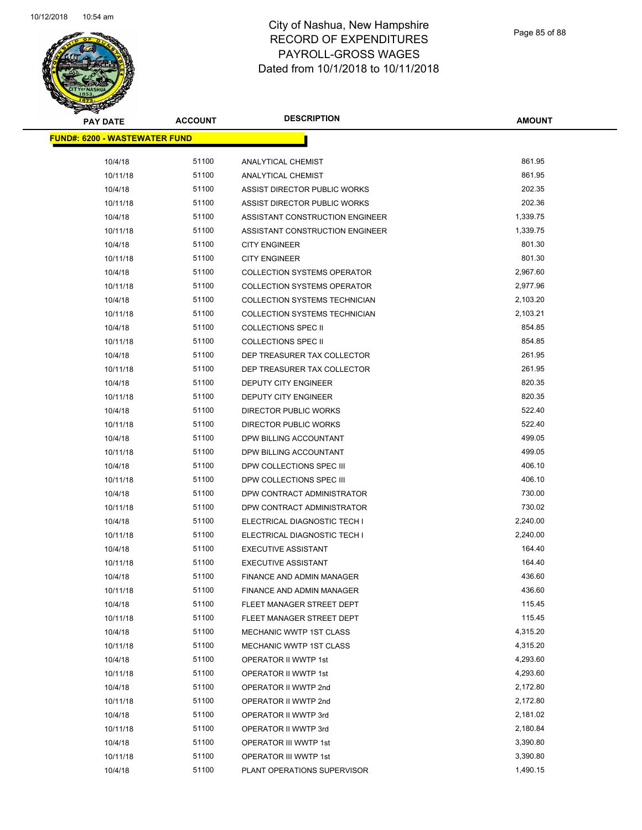

Page 85 of 88

| <b>PAY DATE</b>                      | <b>ACCOUNT</b> | <b>DESCRIPTION</b>                   | <b>AMOUNT</b> |
|--------------------------------------|----------------|--------------------------------------|---------------|
| <b>FUND#: 6200 - WASTEWATER FUND</b> |                |                                      |               |
| 10/4/18                              | 51100          | <b>ANALYTICAL CHEMIST</b>            | 861.95        |
| 10/11/18                             | 51100          | <b>ANALYTICAL CHEMIST</b>            | 861.95        |
| 10/4/18                              | 51100          | ASSIST DIRECTOR PUBLIC WORKS         | 202.35        |
| 10/11/18                             | 51100          | ASSIST DIRECTOR PUBLIC WORKS         | 202.36        |
| 10/4/18                              | 51100          | ASSISTANT CONSTRUCTION ENGINEER      | 1,339.75      |
| 10/11/18                             | 51100          | ASSISTANT CONSTRUCTION ENGINEER      | 1,339.75      |
| 10/4/18                              | 51100          | <b>CITY ENGINEER</b>                 | 801.30        |
| 10/11/18                             | 51100          | <b>CITY ENGINEER</b>                 | 801.30        |
| 10/4/18                              | 51100          | <b>COLLECTION SYSTEMS OPERATOR</b>   | 2,967.60      |
| 10/11/18                             | 51100          | <b>COLLECTION SYSTEMS OPERATOR</b>   | 2,977.96      |
| 10/4/18                              | 51100          | <b>COLLECTION SYSTEMS TECHNICIAN</b> | 2,103.20      |
| 10/11/18                             | 51100          | <b>COLLECTION SYSTEMS TECHNICIAN</b> | 2,103.21      |
| 10/4/18                              | 51100          | <b>COLLECTIONS SPEC II</b>           | 854.85        |
| 10/11/18                             | 51100          | <b>COLLECTIONS SPEC II</b>           | 854.85        |
| 10/4/18                              | 51100          | DEP TREASURER TAX COLLECTOR          | 261.95        |
| 10/11/18                             | 51100          | DEP TREASURER TAX COLLECTOR          | 261.95        |
| 10/4/18                              | 51100          | <b>DEPUTY CITY ENGINEER</b>          | 820.35        |
| 10/11/18                             | 51100          | DEPUTY CITY ENGINEER                 | 820.35        |
| 10/4/18                              | 51100          | DIRECTOR PUBLIC WORKS                | 522.40        |
| 10/11/18                             | 51100          | DIRECTOR PUBLIC WORKS                | 522.40        |
| 10/4/18                              | 51100          | DPW BILLING ACCOUNTANT               | 499.05        |
| 10/11/18                             | 51100          | DPW BILLING ACCOUNTANT               | 499.05        |
| 10/4/18                              | 51100          | DPW COLLECTIONS SPEC III             | 406.10        |
| 10/11/18                             | 51100          | DPW COLLECTIONS SPEC III             | 406.10        |
| 10/4/18                              | 51100          | DPW CONTRACT ADMINISTRATOR           | 730.00        |
| 10/11/18                             | 51100          | DPW CONTRACT ADMINISTRATOR           | 730.02        |
| 10/4/18                              | 51100          | ELECTRICAL DIAGNOSTIC TECH I         | 2,240.00      |
| 10/11/18                             | 51100          | ELECTRICAL DIAGNOSTIC TECH I         | 2,240.00      |
| 10/4/18                              | 51100          | <b>EXECUTIVE ASSISTANT</b>           | 164.40        |
| 10/11/18                             | 51100          | <b>EXECUTIVE ASSISTANT</b>           | 164.40        |
| 10/4/18                              | 51100          | FINANCE AND ADMIN MANAGER            | 436.60        |
| 10/11/18                             | 51100          | FINANCE AND ADMIN MANAGER            | 436.60        |
| 10/4/18                              | 51100          | FLEET MANAGER STREET DEPT            | 115.45        |
| 10/11/18                             | 51100          | FLEET MANAGER STREET DEPT            | 115.45        |
| 10/4/18                              | 51100          | MECHANIC WWTP 1ST CLASS              | 4,315.20      |
| 10/11/18                             | 51100          | MECHANIC WWTP 1ST CLASS              | 4,315.20      |
| 10/4/18                              | 51100          | OPERATOR II WWTP 1st                 | 4,293.60      |
| 10/11/18                             | 51100          | OPERATOR II WWTP 1st                 | 4,293.60      |
| 10/4/18                              | 51100          | OPERATOR II WWTP 2nd                 | 2,172.80      |
| 10/11/18                             | 51100          | OPERATOR II WWTP 2nd                 | 2,172.80      |
| 10/4/18                              | 51100          | OPERATOR II WWTP 3rd                 | 2,181.02      |
|                                      | 51100          |                                      | 2,180.84      |
| 10/11/18                             | 51100          | OPERATOR II WWTP 3rd                 | 3,390.80      |
| 10/4/18                              |                | OPERATOR III WWTP 1st                | 3,390.80      |
| 10/11/18                             | 51100          | OPERATOR III WWTP 1st                |               |
| 10/4/18                              | 51100          | PLANT OPERATIONS SUPERVISOR          | 1,490.15      |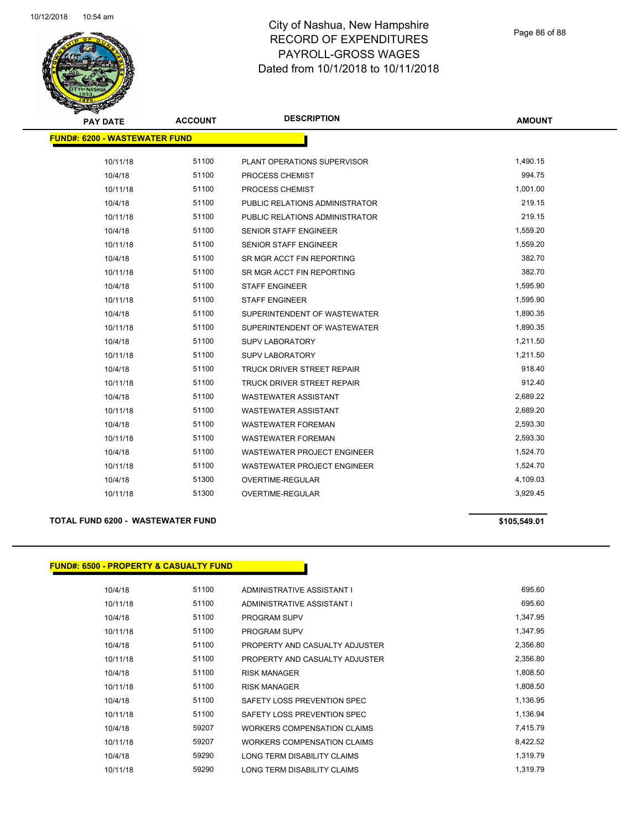

Page 86 of 88

| <b>PAY DATE</b>                      | <b>ACCOUNT</b> | <b>DESCRIPTION</b>                 | <b>AMOUNT</b> |
|--------------------------------------|----------------|------------------------------------|---------------|
| <b>FUND#: 6200 - WASTEWATER FUND</b> |                |                                    |               |
|                                      |                |                                    |               |
| 10/11/18                             | 51100          | PLANT OPERATIONS SUPERVISOR        | 1,490.15      |
| 10/4/18                              | 51100          | PROCESS CHEMIST                    | 994.75        |
| 10/11/18                             | 51100          | PROCESS CHEMIST                    | 1,001.00      |
| 10/4/18                              | 51100          | PUBLIC RELATIONS ADMINISTRATOR     | 219.15        |
| 10/11/18                             | 51100          | PUBLIC RELATIONS ADMINISTRATOR     | 219.15        |
| 10/4/18                              | 51100          | SENIOR STAFF ENGINEER              | 1,559.20      |
| 10/11/18                             | 51100          | <b>SENIOR STAFF ENGINEER</b>       | 1,559.20      |
| 10/4/18                              | 51100          | SR MGR ACCT FIN REPORTING          | 382.70        |
| 10/11/18                             | 51100          | SR MGR ACCT FIN REPORTING          | 382.70        |
| 10/4/18                              | 51100          | <b>STAFF ENGINEER</b>              | 1,595.90      |
| 10/11/18                             | 51100          | <b>STAFF ENGINEER</b>              | 1,595.90      |
| 10/4/18                              | 51100          | SUPERINTENDENT OF WASTEWATER       | 1,890.35      |
| 10/11/18                             | 51100          | SUPERINTENDENT OF WASTEWATER       | 1,890.35      |
| 10/4/18                              | 51100          | <b>SUPV LABORATORY</b>             | 1,211.50      |
| 10/11/18                             | 51100          | <b>SUPV LABORATORY</b>             | 1,211.50      |
| 10/4/18                              | 51100          | TRUCK DRIVER STREET REPAIR         | 918.40        |
| 10/11/18                             | 51100          | <b>TRUCK DRIVER STREET REPAIR</b>  | 912.40        |
| 10/4/18                              | 51100          | WASTEWATER ASSISTANT               | 2,689.22      |
| 10/11/18                             | 51100          | <b>WASTEWATER ASSISTANT</b>        | 2,689.20      |
| 10/4/18                              | 51100          | <b>WASTEWATER FOREMAN</b>          | 2,593.30      |
| 10/11/18                             | 51100          | <b>WASTEWATER FOREMAN</b>          | 2,593.30      |
| 10/4/18                              | 51100          | <b>WASTEWATER PROJECT ENGINEER</b> | 1,524.70      |
| 10/11/18                             | 51100          | <b>WASTEWATER PROJECT ENGINEER</b> | 1,524.70      |
| 10/4/18                              | 51300          | OVERTIME-REGULAR                   | 4,109.03      |
| 10/11/18                             | 51300          | OVERTIME-REGULAR                   | 3,929.45      |

#### **TOTAL FUND 6200 - WASTEWATER FUND \$105,549.01**

#### **FUND#: 6500 - PROPERTY & CASUALTY FUND**

| 10/4/18  | 51100 | ADMINISTRATIVE ASSISTANT I         | 695.60   |
|----------|-------|------------------------------------|----------|
| 10/11/18 | 51100 | ADMINISTRATIVE ASSISTANT I         | 695.60   |
| 10/4/18  | 51100 | <b>PROGRAM SUPV</b>                | 1,347.95 |
| 10/11/18 | 51100 | <b>PROGRAM SUPV</b>                | 1,347.95 |
| 10/4/18  | 51100 | PROPERTY AND CASUALTY ADJUSTER     | 2,356.80 |
| 10/11/18 | 51100 | PROPERTY AND CASUALTY ADJUSTER     | 2,356.80 |
| 10/4/18  | 51100 | <b>RISK MANAGER</b>                | 1,808.50 |
| 10/11/18 | 51100 | <b>RISK MANAGER</b>                | 1,808.50 |
| 10/4/18  | 51100 | SAFETY LOSS PREVENTION SPEC        | 1,136.95 |
| 10/11/18 | 51100 | SAFETY LOSS PREVENTION SPEC        | 1,136.94 |
| 10/4/18  | 59207 | <b>WORKERS COMPENSATION CLAIMS</b> | 7,415.79 |
| 10/11/18 | 59207 | WORKERS COMPENSATION CLAIMS        | 8,422.52 |
| 10/4/18  | 59290 | LONG TERM DISABILITY CLAIMS        | 1.319.79 |
| 10/11/18 | 59290 | LONG TERM DISABILITY CLAIMS        | 1.319.79 |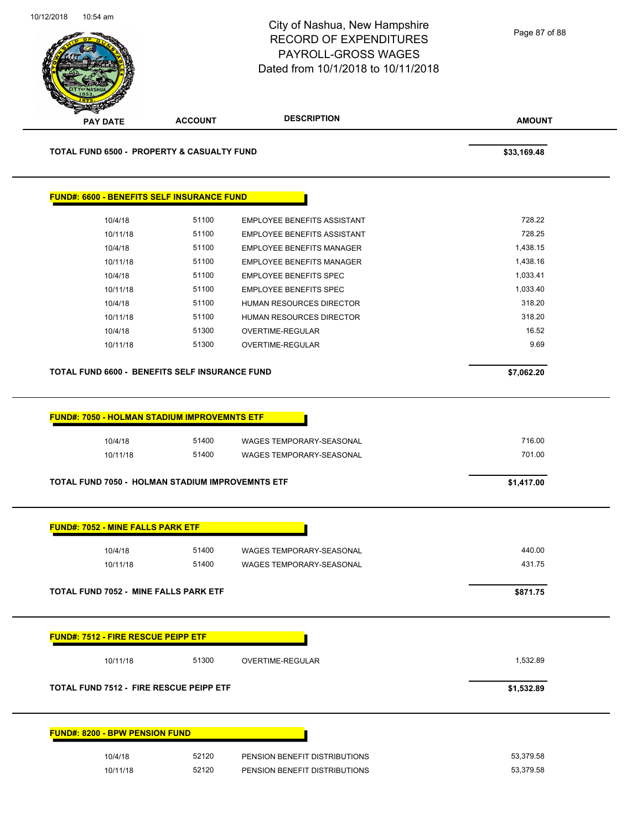

| <b>PAY DATE</b>                                                | <b>ACCOUNT</b> | <b>DESCRIPTION</b>                                             | <b>AMOUNT</b>          |
|----------------------------------------------------------------|----------------|----------------------------------------------------------------|------------------------|
| <b>TOTAL FUND 6500 - PROPERTY &amp; CASUALTY FUND</b>          |                |                                                                | \$33,169.48            |
| <b>FUND#: 6600 - BENEFITS SELF INSURANCE FUND</b>              |                |                                                                |                        |
| 10/4/18                                                        | 51100          | <b>EMPLOYEE BENEFITS ASSISTANT</b>                             | 728.22                 |
| 10/11/18                                                       | 51100          | <b>EMPLOYEE BENEFITS ASSISTANT</b>                             | 728.25                 |
| 10/4/18                                                        | 51100          | <b>EMPLOYEE BENEFITS MANAGER</b>                               | 1,438.15               |
| 10/11/18                                                       | 51100          | <b>EMPLOYEE BENEFITS MANAGER</b>                               | 1,438.16               |
| 10/4/18                                                        | 51100          | <b>EMPLOYEE BENEFITS SPEC</b>                                  | 1,033.41               |
| 10/11/18                                                       | 51100          | <b>EMPLOYEE BENEFITS SPEC</b>                                  | 1,033.40               |
| 10/4/18                                                        | 51100          | HUMAN RESOURCES DIRECTOR                                       | 318.20                 |
| 10/11/18                                                       | 51100          | <b>HUMAN RESOURCES DIRECTOR</b>                                | 318.20                 |
| 10/4/18                                                        | 51300          | OVERTIME-REGULAR                                               | 16.52                  |
| 10/11/18                                                       | 51300          | OVERTIME-REGULAR                                               | 9.69                   |
| TOTAL FUND 6600 - BENEFITS SELF INSURANCE FUND                 |                |                                                                | \$7,062.20             |
|                                                                |                |                                                                |                        |
| <b>FUND#: 7050 - HOLMAN STADIUM IMPROVEMNTS ETF</b><br>10/4/18 | 51400          | WAGES TEMPORARY-SEASONAL                                       | 716.00                 |
| 10/11/18                                                       | 51400          | WAGES TEMPORARY-SEASONAL                                       | 701.00                 |
| <b>TOTAL FUND 7050 - HOLMAN STADIUM IMPROVEMNTS ETF</b>        |                |                                                                | \$1,417.00             |
| <b>FUND#: 7052 - MINE FALLS PARK ETF</b>                       |                |                                                                |                        |
| 10/4/18                                                        | 51400          | WAGES TEMPORARY-SEASONAL                                       | 440.00                 |
| 10/11/18                                                       | 51400          | WAGES TEMPORARY-SEASONAL                                       | 431.75                 |
| TOTAL FUND 7052 - MINE FALLS PARK ETF                          |                |                                                                | \$871.75               |
| <b>FUND#: 7512 - FIRE RESCUE PEIPP ETF</b>                     |                |                                                                |                        |
| 10/11/18                                                       | 51300          | OVERTIME-REGULAR                                               | 1,532.89               |
| <b>TOTAL FUND 7512 - FIRE RESCUE PEIPP ETF</b>                 |                |                                                                | \$1,532.89             |
|                                                                |                |                                                                |                        |
| <b>FUND#: 8200 - BPW PENSION FUND</b>                          |                |                                                                |                        |
| 10/4/18<br>10/11/18                                            | 52120<br>52120 | PENSION BENEFIT DISTRIBUTIONS<br>PENSION BENEFIT DISTRIBUTIONS | 53,379.58<br>53,379.58 |